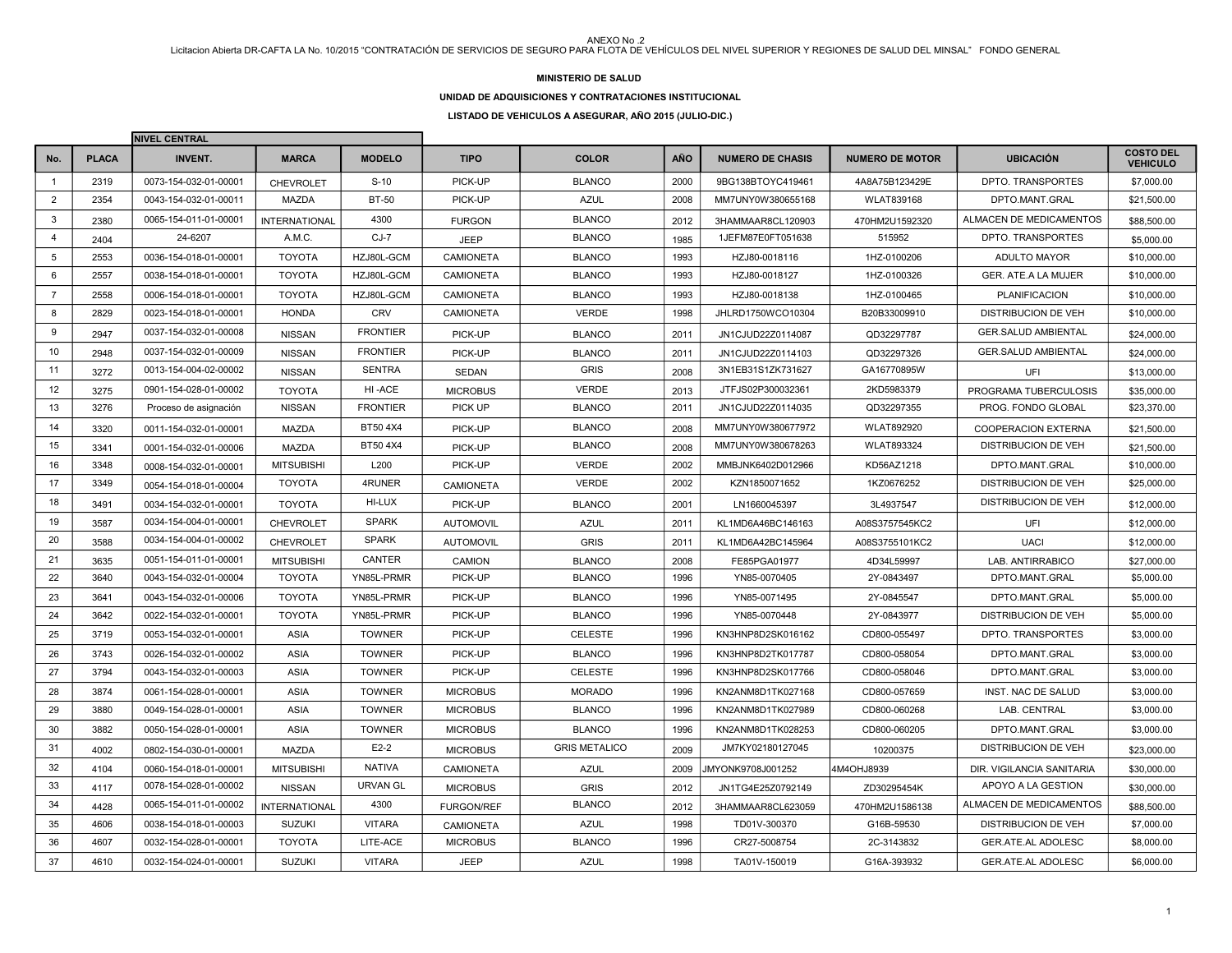### **MINISTERIO DE SALUD**

### **UNIDAD DE ADQUISICIONES Y CONTRATACIONES INSTITUCIONAL**

**LISTADO DE VEHICULOS A ASEGURAR, AÑO 2015 (JULIO-DIC.)**

|                  |              | <b>INIVEL CENTRAL</b> |                      |                 |                   |                      |            |                         |                        |                            |                                     |
|------------------|--------------|-----------------------|----------------------|-----------------|-------------------|----------------------|------------|-------------------------|------------------------|----------------------------|-------------------------------------|
| No.              | <b>PLACA</b> | <b>INVENT.</b>        | <b>MARCA</b>         | <b>MODELO</b>   | <b>TIPO</b>       | <b>COLOR</b>         | <b>AÑO</b> | <b>NUMERO DE CHASIS</b> | <b>NUMERO DE MOTOR</b> | <b>UBICACIÓN</b>           | <b>COSTO DEL</b><br><b>VEHICULO</b> |
| $\mathbf{1}$     | 2319         | 0073-154-032-01-00001 | <b>CHEVROLET</b>     | $S-10$          | PICK-UP           | <b>BLANCO</b>        | 2000       | 9BG138BTOYC419461       | 4A8A75B123429E         | DPTO. TRANSPORTES          | \$7,000.00                          |
| 2                | 2354         | 0043-154-032-01-00011 | <b>MAZDA</b>         | <b>BT-50</b>    | PICK-UP           | <b>AZUL</b>          | 2008       | MM7UNY0W380655168       | <b>WLAT839168</b>      | DPTO.MANT.GRAL             | \$21,500.00                         |
| 3                | 2380         | 0065-154-011-01-00001 | <b>INTERNATIONAL</b> | 4300            | <b>FURGON</b>     | <b>BLANCO</b>        | 2012       | 3HAMMAAR8CL120903       | 470HM2U1592320         | ALMACEN DE MEDICAMENTOS    | \$88,500.00                         |
| $\overline{4}$   | 2404         | 24-6207               | A.M.C.               | $CJ-7$          | <b>JEEP</b>       | <b>BLANCO</b>        | 1985       | 1JEFM87E0FT051638       | 515952                 | DPTO. TRANSPORTES          | \$5,000.00                          |
| 5                | 2553         | 0036-154-018-01-00001 | <b>TOYOTA</b>        | HZJ80L-GCM      | <b>CAMIONETA</b>  | <b>BLANCO</b>        | 1993       | HZJ80-0018116           | 1HZ-0100206            | ADULTO MAYOR               | \$10,000.00                         |
| 6                | 2557         | 0038-154-018-01-00001 | <b>TOYOTA</b>        | HZJ80L-GCM      | <b>CAMIONETA</b>  | <b>BLANCO</b>        | 1993       | HZJ80-0018127           | 1HZ-0100326            | GER. ATE.A LA MUJER        | \$10,000.00                         |
| $\overline{7}$   | 2558         | 0006-154-018-01-00001 | <b>TOYOTA</b>        | HZJ80L-GCM      | <b>CAMIONETA</b>  | <b>BLANCO</b>        | 1993       | HZJ80-0018138           | 1HZ-0100465            | <b>PLANIFICACION</b>       | \$10,000.00                         |
| 8                | 2829         | 0023-154-018-01-00001 | <b>HONDA</b>         | <b>CRV</b>      | <b>CAMIONETA</b>  | <b>VERDE</b>         | 1998       | JHLRD1750WCO10304       | B20B33009910           | <b>DISTRIBUCION DE VEH</b> | \$10,000.00                         |
| 9                | 2947         | 0037-154-032-01-00008 | <b>NISSAN</b>        | <b>FRONTIER</b> | PICK-UP           | <b>BLANCO</b>        | 2011       | JN1CJUD22Z0114087       | QD32297787             | <b>GER.SALUD AMBIENTAL</b> | \$24,000.00                         |
| 10 <sup>10</sup> | 2948         | 0037-154-032-01-00009 | <b>NISSAN</b>        | <b>FRONTIER</b> | PICK-UP           | <b>BLANCO</b>        | 2011       | JN1CJUD22Z0114103       | QD32297326             | <b>GER.SALUD AMBIENTAL</b> | \$24,000.00                         |
| 11               | 3272         | 0013-154-004-02-00002 | <b>NISSAN</b>        | <b>SENTRA</b>   | <b>SEDAN</b>      | <b>GRIS</b>          | 2008       | 3N1EB31S1ZK731627       | GA16770895W            | UFI                        | \$13,000.00                         |
| 12               | 3275         | 0901-154-028-01-00002 | <b>TOYOTA</b>        | HI-ACE          | <b>MICROBUS</b>   | <b>VERDE</b>         | 2013       | JTFJS02P300032361       | 2KD5983379             | PROGRAMA TUBERCULOSIS      | \$35,000.00                         |
| 13               | 3276         | Proceso de asignación | <b>NISSAN</b>        | <b>FRONTIER</b> | PICK UP           | <b>BLANCO</b>        | 2011       | JN1CJUD22Z0114035       | QD32297355             | PROG. FONDO GLOBAL         | \$23,370.00                         |
| 14               | 3320         | 0011-154-032-01-00001 | MAZDA                | BT50 4X4        | PICK-UP           | <b>BLANCO</b>        | 2008       | MM7UNY0W380677972       | <b>WLAT892920</b>      | <b>COOPERACION EXTERNA</b> | \$21,500.00                         |
| 15               | 3341         | 0001-154-032-01-00006 | <b>MAZDA</b>         | BT50 4X4        | PICK-UP           | <b>BLANCO</b>        | 2008       | MM7UNY0W380678263       | <b>WLAT893324</b>      | <b>DISTRIBUCION DE VEH</b> | \$21,500.00                         |
| 16               | 3348         | 0008-154-032-01-00001 | <b>MITSUBISHI</b>    | L200            | PICK-UP           | <b>VERDE</b>         | 2002       | MMBJNK6402D012966       | KD56AZ1218             | DPTO.MANT.GRAL             | \$10,000.00                         |
| 17               | 3349         | 0054-154-018-01-00004 | <b>TOYOTA</b>        | 4RUNER          | <b>CAMIONETA</b>  | <b>VERDE</b>         | 2002       | KZN1850071652           | 1KZ0676252             | <b>DISTRIBUCION DE VEH</b> | \$25,000.00                         |
| 18               | 3491         | 0034-154-032-01-00001 | <b>TOYOTA</b>        | HI-LUX          | PICK-UP           | <b>BLANCO</b>        | 2001       | LN1660045397            | 3L4937547              | <b>DISTRIBUCION DE VEH</b> | \$12,000.00                         |
| 19               | 3587         | 0034-154-004-01-00001 | CHEVROLET            | <b>SPARK</b>    | <b>AUTOMOVIL</b>  | <b>AZUL</b>          | 2011       | KL1MD6A46BC146163       | A08S3757545KC2         | UFI                        | \$12,000.00                         |
| 20               | 3588         | 0034-154-004-01-00002 | <b>CHEVROLET</b>     | <b>SPARK</b>    | <b>AUTOMOVIL</b>  | <b>GRIS</b>          | 2011       | KL1MD6A42BC145964       | A08S3755101KC2         | <b>UACI</b>                | \$12,000.00                         |
| 21               | 3635         | 0051-154-011-01-00001 | <b>MITSUBISHI</b>    | CANTER          | CAMION            | <b>BLANCO</b>        | 2008       | FE85PGA01977            | 4D34L59997             | LAB. ANTIRRABICO           | \$27,000.00                         |
| 22               | 3640         | 0043-154-032-01-00004 | <b>TOYOTA</b>        | YN85L-PRMR      | PICK-UP           | <b>BLANCO</b>        | 1996       | YN85-0070405            | 2Y-0843497             | DPTO.MANT.GRAL             | \$5,000.00                          |
| 23               | 3641         | 0043-154-032-01-00006 | <b>TOYOTA</b>        | YN85L-PRMR      | PICK-UP           | <b>BLANCO</b>        | 1996       | YN85-0071495            | 2Y-0845547             | DPTO.MANT.GRAL             | \$5,000.00                          |
| 24               | 3642         | 0022-154-032-01-00001 | <b>TOYOTA</b>        | YN85L-PRMR      | PICK-UP           | <b>BLANCO</b>        | 1996       | YN85-0070448            | 2Y-0843977             | <b>DISTRIBUCION DE VEH</b> | \$5,000.00                          |
| 25               | 3719         | 0053-154-032-01-00001 | <b>ASIA</b>          | <b>TOWNER</b>   | PICK-UP           | <b>CELESTE</b>       | 1996       | KN3HNP8D2SK016162       | CD800-055497           | DPTO. TRANSPORTES          | \$3,000.00                          |
| 26               | 3743         | 0026-154-032-01-00002 | <b>ASIA</b>          | <b>TOWNER</b>   | PICK-UP           | <b>BLANCO</b>        | 1996       | KN3HNP8D2TK017787       | CD800-058054           | DPTO.MANT.GRAL             | \$3,000.00                          |
| 27               | 3794         | 0043-154-032-01-00003 | <b>ASIA</b>          | <b>TOWNER</b>   | PICK-UP           | <b>CELESTE</b>       | 1996       | KN3HNP8D2SK017766       | CD800-058046           | DPTO.MANT.GRAL             | \$3,000.00                          |
| 28               | 3874         | 0061-154-028-01-00001 | <b>ASIA</b>          | <b>TOWNER</b>   | <b>MICROBUS</b>   | <b>MORADO</b>        | 1996       | KN2ANM8D1TK027168       | CD800-057659           | INST. NAC DE SALUD         | \$3,000.00                          |
| 29               | 3880         | 0049-154-028-01-00001 | ASIA                 | <b>TOWNER</b>   | <b>MICROBUS</b>   | <b>BLANCO</b>        | 1996       | KN2ANM8D1TK027989       | CD800-060268           | LAB. CENTRAL               | \$3,000.00                          |
| 30               | 3882         | 0050-154-028-01-00001 | ASIA                 | <b>TOWNER</b>   | <b>MICROBUS</b>   | <b>BLANCO</b>        | 1996       | KN2ANM8D1TK028253       | CD800-060205           | DPTO.MANT.GRAL             | \$3,000.00                          |
| 31               | 4002         | 0802-154-030-01-00001 | <b>MAZDA</b>         | $E2-2$          | <b>MICROBUS</b>   | <b>GRIS METALICO</b> | 2009       | JM7KY02180127045        | 10200375               | <b>DISTRIBUCION DE VEH</b> | \$23,000.00                         |
| 32               | 4104         | 0060-154-018-01-00001 | <b>MITSUBISHI</b>    | <b>NATIVA</b>   | <b>CAMIONETA</b>  | <b>AZUL</b>          | 2009       | JMYONK9708J001252       | 4M4OHJ8939             | DIR. VIGILANCIA SANITARIA  | \$30,000.00                         |
| 33               | 4117         | 0078-154-028-01-00002 | <b>NISSAN</b>        | <b>URVAN GL</b> | <b>MICROBUS</b>   | <b>GRIS</b>          | 2012       | JN1TG4E25Z0792149       | ZD30295454K            | APOYO A LA GESTION         | \$30,000.00                         |
| 34               | 4428         | 0065-154-011-01-00002 | <b>INTERNATIONAL</b> | 4300            | <b>FURGON/REF</b> | <b>BLANCO</b>        | 2012       | 3HAMMAAR8CL623059       | 470HM2U1586138         | ALMACEN DE MEDICAMENTOS    | \$88,500.00                         |
| 35               | 4606         | 0038-154-018-01-00003 | <b>SUZUKI</b>        | <b>VITARA</b>   | <b>CAMIONETA</b>  | <b>AZUL</b>          | 1998       | TD01V-300370            | G16B-59530             | DISTRIBUCION DE VEH        | \$7,000.00                          |
| 36               | 4607         | 0032-154-028-01-00001 | <b>TOYOTA</b>        | LITE-ACE        | <b>MICROBUS</b>   | <b>BLANCO</b>        | 1996       | CR27-5008754            | 2C-3143832             | <b>GER.ATE.AL ADOLESC</b>  | \$8,000.00                          |
| 37               | 4610         | 0032-154-024-01-00001 | <b>SUZUKI</b>        | <b>VITARA</b>   | <b>JEEP</b>       | <b>AZUL</b>          | 1998       | TA01V-150019            | G16A-393932            | GER.ATE.AL ADOLESC         | \$6,000.00                          |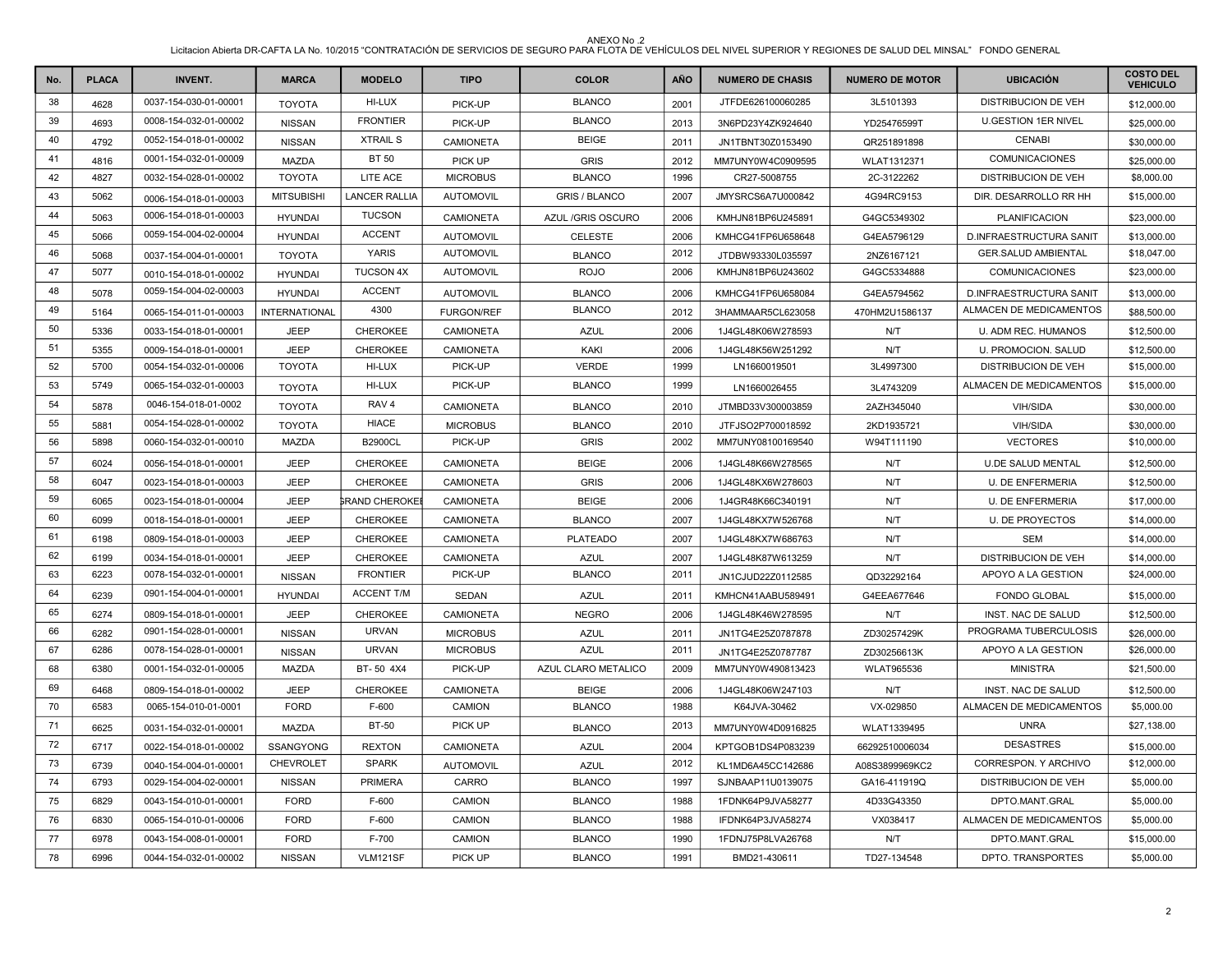| No. | <b>PLACA</b> | <b>INVENT.</b>        | <b>MARCA</b>         | <b>MODELO</b>         | <b>TIPO</b>       | <b>COLOR</b>         | AÑO  | <b>NUMERO DE CHASIS</b> | <b>NUMERO DE MOTOR</b> | <b>UBICACIÓN</b>           | <b>COSTO DEL</b><br><b>VEHICULO</b> |
|-----|--------------|-----------------------|----------------------|-----------------------|-------------------|----------------------|------|-------------------------|------------------------|----------------------------|-------------------------------------|
| 38  | 4628         | 0037-154-030-01-00001 | <b>TOYOTA</b>        | HI-LUX                | PICK-UP           | <b>BLANCO</b>        | 2001 | JTFDE626100060285       | 3L5101393              | <b>DISTRIBUCION DE VEH</b> | \$12,000.00                         |
| 39  | 4693         | 0008-154-032-01-00002 | <b>NISSAN</b>        | <b>FRONTIER</b>       | PICK-UP           | <b>BLANCO</b>        | 2013 | 3N6PD23Y4ZK924640       | YD25476599T            | <b>U.GESTION 1ER NIVEL</b> | \$25,000.00                         |
| 40  | 4792         | 0052-154-018-01-00002 | <b>NISSAN</b>        | <b>XTRAIL S</b>       | <b>CAMIONETA</b>  | <b>BEIGE</b>         | 2011 | JN1TBNT30Z0153490       | QR251891898            | <b>CENABI</b>              | \$30,000.00                         |
| 41  | 4816         | 0001-154-032-01-00009 | <b>MAZDA</b>         | <b>BT 50</b>          | PICK UP           | <b>GRIS</b>          | 2012 | MM7UNY0W4C0909595       | WLAT1312371            | COMUNICACIONES             | \$25,000.00                         |
| 42  | 4827         | 0032-154-028-01-00002 | <b>TOYOTA</b>        | LITE ACE              | <b>MICROBUS</b>   | <b>BLANCO</b>        | 1996 | CR27-5008755            | 2C-3122262             | <b>DISTRIBUCION DE VEH</b> | \$8,000.00                          |
| 43  | 5062         | 0006-154-018-01-00003 | <b>MITSUBISHI</b>    | <b>LANCER RALLIA</b>  | <b>AUTOMOVIL</b>  | <b>GRIS / BLANCO</b> | 2007 | JMYSRCS6A7U000842       | 4G94RC9153             | DIR. DESARROLLO RR HH      | \$15,000.00                         |
| 44  | 5063         | 0006-154-018-01-00003 | <b>HYUNDAI</b>       | <b>TUCSON</b>         | <b>CAMIONETA</b>  | AZUL / GRIS OSCURO   | 2006 | KMHJN81BP6U245891       | G4GC5349302            | <b>PLANIFICACION</b>       | \$23,000.00                         |
| 45  | 5066         | 0059-154-004-02-00004 | <b>HYUNDAI</b>       | <b>ACCENT</b>         | <b>AUTOMOVIL</b>  | <b>CELESTE</b>       | 2006 | KMHCG41FP6U658648       | G4EA5796129            | D.INFRAESTRUCTURA SANIT    | \$13,000.00                         |
| 46  | 5068         | 0037-154-004-01-00001 | <b>TOYOTA</b>        | <b>YARIS</b>          | <b>AUTOMOVIL</b>  | <b>BLANCO</b>        | 2012 | JTDBW93330L035597       | 2NZ6167121             | <b>GER.SALUD AMBIENTAL</b> | \$18,047.00                         |
| 47  | 5077         | 0010-154-018-01-00002 | <b>HYUNDAI</b>       | <b>TUCSON 4X</b>      | <b>AUTOMOVIL</b>  | <b>ROJO</b>          | 2006 | KMHJN81BP6U243602       | G4GC5334888            | COMUNICACIONES             | \$23,000.00                         |
| 48  | 5078         | 0059-154-004-02-00003 | <b>HYUNDAI</b>       | <b>ACCENT</b>         | <b>AUTOMOVIL</b>  | <b>BLANCO</b>        | 2006 | KMHCG41FP6U658084       | G4EA5794562            | D.INFRAESTRUCTURA SANIT    | \$13,000.00                         |
| 49  | 5164         | 0065-154-011-01-00003 | <b>INTERNATIONAL</b> | 4300                  | <b>FURGON/REF</b> | <b>BLANCO</b>        | 2012 | 3HAMMAAR5CL623058       | 470HM2U1586137         | ALMACEN DE MEDICAMENTOS    | \$88,500.00                         |
| 50  | 5336         | 0033-154-018-01-00001 | <b>JEEP</b>          | CHEROKEE              | CAMIONETA         | <b>AZUL</b>          | 2006 | 1J4GL48K06W278593       | N/T                    | U. ADM REC. HUMANOS        | \$12,500.00                         |
| 51  | 5355         | 0009-154-018-01-00001 | <b>JEEP</b>          | CHEROKEE              | CAMIONETA         | KAKI                 | 2006 | 1J4GL48K56W251292       | N/T                    | U. PROMOCION. SALUD        | \$12,500.00                         |
| 52  | 5700         | 0054-154-032-01-00006 | <b>TOYOTA</b>        | HI-LUX                | PICK-UP           | <b>VERDE</b>         | 1999 | LN1660019501            | 3L4997300              | <b>DISTRIBUCION DE VEH</b> | \$15,000.00                         |
| 53  | 5749         | 0065-154-032-01-00003 | <b>TOYOTA</b>        | HI-LUX                | PICK-UP           | <b>BLANCO</b>        | 1999 | LN1660026455            | 3L4743209              | ALMACEN DE MEDICAMENTOS    | \$15,000.00                         |
| 54  | 5878         | 0046-154-018-01-0002  | <b>TOYOTA</b>        | RAV <sub>4</sub>      | <b>CAMIONETA</b>  | <b>BLANCO</b>        | 2010 | JTMBD33V300003859       | 2AZH345040             | <b>VIH/SIDA</b>            | \$30,000.00                         |
| 55  | 5881         | 0054-154-028-01-00002 | <b>TOYOTA</b>        | <b>HIACE</b>          | <b>MICROBUS</b>   | <b>BLANCO</b>        | 2010 | JTFJSO2P700018592       | 2KD1935721             | <b>VIH/SIDA</b>            | \$30,000.00                         |
| 56  | 5898         | 0060-154-032-01-00010 | MAZDA                | <b>B2900CL</b>        | PICK-UP           | <b>GRIS</b>          | 2002 | MM7UNY08100169540       | W94T111190             | <b>VECTORES</b>            | \$10,000.00                         |
| 57  | 6024         | 0056-154-018-01-00001 | <b>JEEP</b>          | CHEROKEE              | <b>CAMIONETA</b>  | <b>BEIGE</b>         | 2006 | 1J4GL48K66W278565       | N/T                    | <b>U.DE SALUD MENTAL</b>   | \$12,500.00                         |
| 58  | 6047         | 0023-154-018-01-00003 | JEEP                 | CHEROKEE              | CAMIONETA         | <b>GRIS</b>          | 2006 | 1J4GL48KX6W278603       | N/T                    | <b>U. DE ENFERMERIA</b>    | \$12,500.00                         |
| 59  | 6065         | 0023-154-018-01-00004 | <b>JEEP</b>          | <b>GRAND CHEROKEI</b> | CAMIONETA         | <b>BEIGE</b>         | 2006 | 1J4GR48K66C340191       | N/T                    | <b>U. DE ENFERMERIA</b>    | \$17,000.00                         |
| 60  | 6099         | 0018-154-018-01-00001 | <b>JEEP</b>          | CHEROKEE              | <b>CAMIONETA</b>  | <b>BLANCO</b>        | 2007 | 1J4GL48KX7W526768       | N/T                    | <b>U. DE PROYECTOS</b>     | \$14,000.00                         |
| 61  | 6198         | 0809-154-018-01-00003 | <b>JEEP</b>          | CHEROKEE              | <b>CAMIONETA</b>  | <b>PLATEADO</b>      | 2007 | 1J4GL48KX7W686763       | N/T                    | <b>SEM</b>                 | \$14,000.00                         |
| 62  | 6199         | 0034-154-018-01-00001 | JEEP                 | <b>CHEROKEE</b>       | <b>CAMIONETA</b>  | <b>AZUL</b>          | 2007 | 1J4GL48K87W613259       | N/T                    | DISTRIBUCION DE VEH        | \$14,000.00                         |
| 63  | 6223         | 0078-154-032-01-00001 | <b>NISSAN</b>        | <b>FRONTIER</b>       | PICK-UP           | <b>BLANCO</b>        | 2011 | JN1CJUD22Z0112585       | QD32292164             | APOYO A LA GESTION         | \$24,000.00                         |
| 64  | 6239         | 0901-154-004-01-00001 | <b>HYUNDAI</b>       | <b>ACCENT T/M</b>     | SEDAN             | <b>AZUL</b>          | 2011 | KMHCN41AABU589491       | G4EEA677646            | <b>FONDO GLOBAL</b>        | \$15,000.00                         |
| 65  | 6274         | 0809-154-018-01-00001 | <b>JEEP</b>          | CHEROKEE              | CAMIONETA         | <b>NEGRO</b>         | 2006 | 1J4GL48K46W278595       | N/T                    | INST. NAC DE SALUD         | \$12,500.00                         |
| 66  | 6282         | 0901-154-028-01-00001 | <b>NISSAN</b>        | <b>URVAN</b>          | <b>MICROBUS</b>   | <b>AZUL</b>          | 2011 | JN1TG4E25Z0787878       | ZD30257429K            | PROGRAMA TUBERCULOSIS      | \$26,000.00                         |
| 67  | 6286         | 0078-154-028-01-00001 | <b>NISSAN</b>        | <b>URVAN</b>          | <b>MICROBUS</b>   | <b>AZUL</b>          | 2011 | JN1TG4E25Z0787787       | ZD30256613K            | APOYO A LA GESTION         | \$26,000.00                         |
| 68  | 6380         | 0001-154-032-01-00005 | <b>MAZDA</b>         | BT-50 4X4             | PICK-UP           | AZUL CLARO METALICO  | 2009 | MM7UNY0W490813423       | <b>WLAT965536</b>      | <b>MINISTRA</b>            | \$21,500.00                         |
| 69  | 6468         | 0809-154-018-01-00002 | <b>JEEP</b>          | CHEROKEE              | CAMIONETA         | <b>BEIGE</b>         | 2006 | 1J4GL48K06W247103       | N/T                    | INST. NAC DE SALUD         | \$12,500.00                         |
| 70  | 6583         | 0065-154-010-01-0001  | <b>FORD</b>          | F-600                 | CAMION            | <b>BLANCO</b>        | 1988 | K64JVA-30462            | VX-029850              | ALMACEN DE MEDICAMENTOS    | \$5,000.00                          |
| 71  | 6625         | 0031-154-032-01-00001 | <b>MAZDA</b>         | <b>BT-50</b>          | PICK UP           | <b>BLANCO</b>        | 2013 | MM7UNY0W4D0916825       | WLAT1339495            | <b>UNRA</b>                | \$27,138.00                         |
| 72  | 6717         | 0022-154-018-01-00002 | SSANGYONG            | <b>REXTON</b>         | <b>CAMIONETA</b>  | <b>AZUL</b>          | 2004 | KPTGOB1DS4P083239       | 66292510006034         | <b>DESASTRES</b>           | \$15,000.00                         |
| 73  | 6739         | 0040-154-004-01-00001 | CHEVROLET            | <b>SPARK</b>          | <b>AUTOMOVIL</b>  | <b>AZUL</b>          | 2012 | KL1MD6A45CC142686       | A08S3899969KC2         | CORRESPON. Y ARCHIVO       | \$12,000.00                         |
| 74  | 6793         | 0029-154-004-02-00001 | <b>NISSAN</b>        | <b>PRIMERA</b>        | <b>CARRO</b>      | <b>BLANCO</b>        | 1997 | SJNBAAP11U0139075       | GA16-411919Q           | <b>DISTRIBUCION DE VEH</b> | \$5,000.00                          |
| 75  | 6829         | 0043-154-010-01-00001 | <b>FORD</b>          | F-600                 | CAMION            | <b>BLANCO</b>        | 1988 | 1FDNK64P9JVA58277       | 4D33G43350             | DPTO.MANT.GRAL             | \$5,000.00                          |
| 76  | 6830         | 0065-154-010-01-00006 | <b>FORD</b>          | F-600                 | CAMION            | <b>BLANCO</b>        | 1988 | IFDNK64P3JVA58274       | VX038417               | ALMACEN DE MEDICAMENTOS    | \$5,000.00                          |
| 77  | 6978         | 0043-154-008-01-00001 | <b>FORD</b>          | F-700                 | CAMION            | <b>BLANCO</b>        | 1990 | 1FDNJ75P8LVA26768       | N/T                    | DPTO.MANT.GRAL             | \$15,000.00                         |
| 78  | 6996         | 0044-154-032-01-00002 | <b>NISSAN</b>        | <b>VLM121SF</b>       | PICK UP           | <b>BLANCO</b>        | 1991 | BMD21-430611            | TD27-134548            | DPTO. TRANSPORTES          | \$5,000.00                          |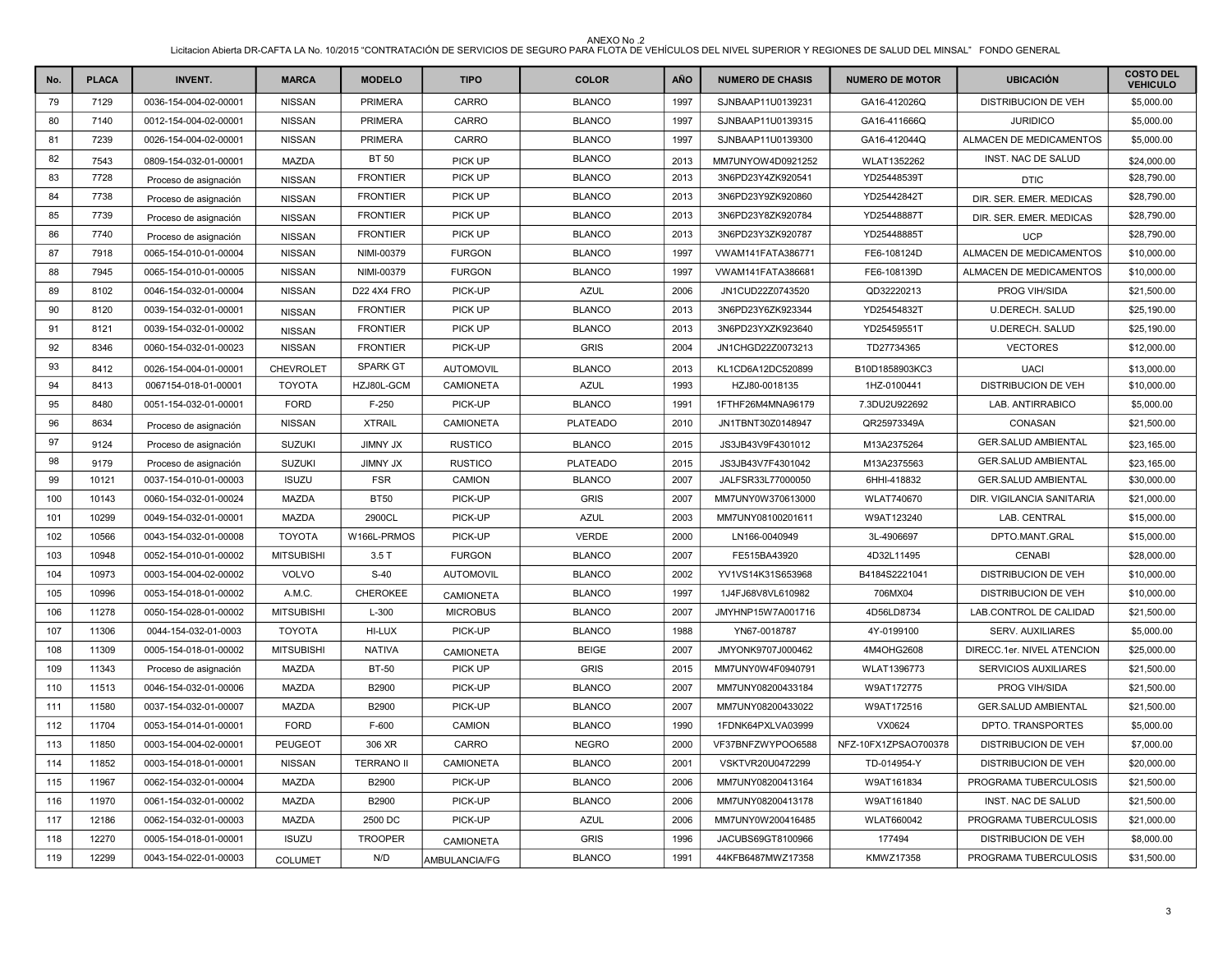| No. | <b>PLACA</b> | <b>INVENT.</b>        | <b>MARCA</b>      | <b>MODELO</b>     | <b>TIPO</b>      | <b>COLOR</b>    | AÑO  | <b>NUMERO DE CHASIS</b> | <b>NUMERO DE MOTOR</b> | <b>UBICACIÓN</b>           | <b>COSTO DEL</b><br><b>VEHICULO</b> |
|-----|--------------|-----------------------|-------------------|-------------------|------------------|-----------------|------|-------------------------|------------------------|----------------------------|-------------------------------------|
| 79  | 7129         | 0036-154-004-02-00001 | <b>NISSAN</b>     | <b>PRIMERA</b>    | CARRO            | <b>BLANCO</b>   | 1997 | SJNBAAP11U0139231       | GA16-412026Q           | <b>DISTRIBUCION DE VEH</b> | \$5,000.00                          |
| 80  | 7140         | 0012-154-004-02-00001 | <b>NISSAN</b>     | <b>PRIMERA</b>    | CARRO            | <b>BLANCO</b>   | 1997 | SJNBAAP11U0139315       | GA16-411666Q           | <b>JURIDICO</b>            | \$5,000.00                          |
| 81  | 7239         | 0026-154-004-02-00001 | <b>NISSAN</b>     | <b>PRIMERA</b>    | CARRO            | <b>BLANCO</b>   | 1997 | SJNBAAP11U0139300       | GA16-412044Q           | ALMACEN DE MEDICAMENTOS    | \$5,000.00                          |
| 82  | 7543         | 0809-154-032-01-00001 | MAZDA             | <b>BT 50</b>      | PICK UP          | <b>BLANCO</b>   | 2013 | MM7UNYOW4D0921252       | WLAT1352262            | INST. NAC DE SALUD         | \$24,000.00                         |
| 83  | 7728         | Proceso de asignación | <b>NISSAN</b>     | <b>FRONTIER</b>   | PICK UP          | <b>BLANCO</b>   | 2013 | 3N6PD23Y4ZK920541       | YD25448539T            | <b>DTIC</b>                | \$28,790.00                         |
| 84  | 7738         | Proceso de asignación | <b>NISSAN</b>     | <b>FRONTIER</b>   | PICK UP          | <b>BLANCO</b>   | 2013 | 3N6PD23Y9ZK920860       | YD25442842T            | DIR. SER. EMER. MEDICAS    | \$28,790.00                         |
| 85  | 7739         | Proceso de asignación | <b>NISSAN</b>     | <b>FRONTIER</b>   | PICK UP          | <b>BLANCO</b>   | 2013 | 3N6PD23Y8ZK920784       | YD25448887T            | DIR. SER. EMER. MEDICAS    | \$28,790.00                         |
| 86  | 7740         | Proceso de asignación | <b>NISSAN</b>     | <b>FRONTIER</b>   | PICK UP          | <b>BLANCO</b>   | 2013 | 3N6PD23Y3ZK920787       | YD25448885T            | <b>UCP</b>                 | \$28,790.00                         |
| 87  | 7918         | 0065-154-010-01-00004 | <b>NISSAN</b>     | NIMI-00379        | <b>FURGON</b>    | <b>BLANCO</b>   | 1997 | VWAM141FATA386771       | FE6-108124D            | ALMACEN DE MEDICAMENTOS    | \$10,000.00                         |
| 88  | 7945         | 0065-154-010-01-00005 | <b>NISSAN</b>     | NIMI-00379        | <b>FURGON</b>    | <b>BLANCO</b>   | 1997 | VWAM141FATA386681       | FE6-108139D            | ALMACEN DE MEDICAMENTOS    | \$10,000.00                         |
| 89  | 8102         | 0046-154-032-01-00004 | <b>NISSAN</b>     | D22 4X4 FRO       | PICK-UP          | <b>AZUL</b>     | 2006 | JN1CUD22Z0743520        | QD32220213             | <b>PROG VIH/SIDA</b>       | \$21,500.00                         |
| 90  | 8120         | 0039-154-032-01-00001 | <b>NISSAN</b>     | <b>FRONTIER</b>   | PICK UP          | <b>BLANCO</b>   | 2013 | 3N6PD23Y6ZK923344       | YD25454832T            | <b>U.DERECH. SALUD</b>     | \$25,190.00                         |
| 91  | 8121         | 0039-154-032-01-00002 | <b>NISSAN</b>     | <b>FRONTIER</b>   | PICK UP          | <b>BLANCO</b>   | 2013 | 3N6PD23YXZK923640       | YD25459551T            | <b>U.DERECH. SALUD</b>     | \$25,190.00                         |
| 92  | 8346         | 0060-154-032-01-00023 | <b>NISSAN</b>     | <b>FRONTIER</b>   | PICK-UP          | <b>GRIS</b>     | 2004 | JN1CHGD22Z0073213       | TD27734365             | <b>VECTORES</b>            | \$12,000.00                         |
| 93  | 8412         | 0026-154-004-01-00001 | CHEVROLET         | <b>SPARK GT</b>   | <b>AUTOMOVIL</b> | <b>BLANCO</b>   | 2013 | KL1CD6A12DC520899       | B10D1858903KC3         | <b>UACI</b>                | \$13,000.00                         |
| 94  | 8413         | 0067154-018-01-00001  | <b>TOYOTA</b>     | HZJ80L-GCM        | <b>CAMIONETA</b> | <b>AZUL</b>     | 1993 | HZJ80-0018135           | 1HZ-0100441            | <b>DISTRIBUCION DE VEH</b> | \$10,000.00                         |
| 95  | 8480         | 0051-154-032-01-00001 | <b>FORD</b>       | $F-250$           | PICK-UP          | <b>BLANCO</b>   | 1991 | 1FTHF26M4MNA96179       | 7.3DU2U922692          | LAB. ANTIRRABICO           | \$5,000.00                          |
| 96  | 8634         | Proceso de asignación | <b>NISSAN</b>     | <b>XTRAIL</b>     | <b>CAMIONETA</b> | <b>PLATEADO</b> | 2010 | JN1TBNT30Z0148947       | QR25973349A            | CONASAN                    | \$21,500.00                         |
| 97  | 9124         | Proceso de asignación | <b>SUZUKI</b>     | <b>JIMNY JX</b>   | <b>RUSTICO</b>   | <b>BLANCO</b>   | 2015 | JS3JB43V9F4301012       | M13A2375264            | <b>GER.SALUD AMBIENTAL</b> | \$23,165.00                         |
| 98  | 9179         | Proceso de asignación | <b>SUZUKI</b>     | <b>JIMNY JX</b>   | <b>RUSTICO</b>   | <b>PLATEADO</b> | 2015 | JS3JB43V7F4301042       | M13A2375563            | <b>GER.SALUD AMBIENTAL</b> | \$23,165.00                         |
| 99  | 10121        | 0037-154-010-01-00003 | <b>ISUZU</b>      | <b>FSR</b>        | CAMION           | <b>BLANCO</b>   | 2007 | JALFSR33L77000050       | 6HHI-418832            | <b>GER.SALUD AMBIENTAL</b> | \$30,000.00                         |
| 100 | 10143        | 0060-154-032-01-00024 | <b>MAZDA</b>      | <b>BT50</b>       | PICK-UP          | <b>GRIS</b>     | 2007 | MM7UNY0W370613000       | WLAT740670             | DIR. VIGILANCIA SANITARIA  | \$21,000.00                         |
| 101 | 10299        | 0049-154-032-01-00001 | <b>MAZDA</b>      | 2900CL            | PICK-UP          | <b>AZUL</b>     | 2003 | MM7UNY08100201611       | W9AT123240             | LAB. CENTRAL               | \$15,000.00                         |
| 102 | 10566        | 0043-154-032-01-00008 | <b>TOYOTA</b>     | W166L-PRMOS       | PICK-UP          | <b>VERDE</b>    | 2000 | LN166-0040949           | 3L-4906697             | DPTO.MANT.GRAL             | \$15,000.00                         |
| 103 | 10948        | 0052-154-010-01-00002 | <b>MITSUBISHI</b> | 3.5T              | <b>FURGON</b>    | <b>BLANCO</b>   | 2007 | FE515BA43920            | 4D32L11495             | <b>CENABI</b>              | \$28,000.00                         |
| 104 | 10973        | 0003-154-004-02-00002 | <b>VOLVO</b>      | $S-40$            | <b>AUTOMOVIL</b> | <b>BLANCO</b>   | 2002 | YV1VS14K31S653968       | B4184S2221041          | DISTRIBUCION DE VEH        | \$10,000.00                         |
| 105 | 10996        | 0053-154-018-01-00002 | A.M.C.            | CHEROKEE          | <b>CAMIONETA</b> | <b>BLANCO</b>   | 1997 | 1J4FJ68V8VL610982       | 706MX04                | <b>DISTRIBUCION DE VEH</b> | \$10,000.00                         |
| 106 | 11278        | 0050-154-028-01-00002 | <b>MITSUBISHI</b> | $L-300$           | <b>MICROBUS</b>  | <b>BLANCO</b>   | 2007 | JMYHNP15W7A001716       | 4D56LD8734             | LAB.CONTROL DE CALIDAD     | \$21,500.00                         |
| 107 | 11306        | 0044-154-032-01-0003  | <b>TOYOTA</b>     | HI-LUX            | PICK-UP          | <b>BLANCO</b>   | 1988 | YN67-0018787            | 4Y-0199100             | <b>SERV. AUXILIARES</b>    | \$5,000.00                          |
| 108 | 11309        | 0005-154-018-01-00002 | <b>MITSUBISHI</b> | <b>NATIVA</b>     | CAMIONETA        | <b>BEIGE</b>    | 2007 | JMYONK9707J000462       | 4M4OHG2608             | DIRECC.1er. NIVEL ATENCION | \$25,000.00                         |
| 109 | 11343        | Proceso de asignación | <b>MAZDA</b>      | <b>BT-50</b>      | <b>PICK UP</b>   | <b>GRIS</b>     | 2015 | MM7UNY0W4F0940791       | WLAT1396773            | SERVICIOS AUXILIARES       | \$21,500.00                         |
| 110 | 11513        | 0046-154-032-01-00006 | <b>MAZDA</b>      | B2900             | PICK-UP          | <b>BLANCO</b>   | 2007 | MM7UNY08200433184       | W9AT172775             | PROG VIH/SIDA              | \$21,500.00                         |
| 111 | 11580        | 0037-154-032-01-00007 | MAZDA             | B2900             | PICK-UP          | <b>BLANCO</b>   | 2007 | MM7UNY08200433022       | W9AT172516             | <b>GER.SALUD AMBIENTAL</b> | \$21,500.00                         |
| 112 | 11704        | 0053-154-014-01-00001 | <b>FORD</b>       | F-600             | CAMION           | <b>BLANCO</b>   | 1990 | 1FDNK64PXLVA03999       | VX0624                 | DPTO. TRANSPORTES          | \$5,000.00                          |
| 113 | 11850        | 0003-154-004-02-00001 | PEUGEOT           | 306 XR            | CARRO            | <b>NEGRO</b>    | 2000 | VF37BNFZWYPOO6588       | NFZ-10FX1ZPSAO700378   | <b>DISTRIBUCION DE VEH</b> | \$7,000.00                          |
| 114 | 11852        | 0003-154-018-01-00001 | <b>NISSAN</b>     | <b>TERRANO II</b> | <b>CAMIONETA</b> | <b>BLANCO</b>   | 2001 | VSKTVR20U0472299        | TD-014954-Y            | <b>DISTRIBUCION DE VEH</b> | \$20,000.00                         |
| 115 | 11967        | 0062-154-032-01-00004 | <b>MAZDA</b>      | B2900             | PICK-UP          | <b>BLANCO</b>   | 2006 | MM7UNY08200413164       | W9AT161834             | PROGRAMA TUBERCULOSIS      | \$21,500.00                         |
| 116 | 11970        | 0061-154-032-01-00002 | <b>MAZDA</b>      | B2900             | PICK-UP          | <b>BLANCO</b>   | 2006 | MM7UNY08200413178       | W9AT161840             | INST. NAC DE SALUD         | \$21,500.00                         |
| 117 | 12186        | 0062-154-032-01-00003 | MAZDA             | 2500 DC           | PICK-UP          | <b>AZUL</b>     | 2006 | MM7UNY0W200416485       | <b>WLAT660042</b>      | PROGRAMA TUBERCULOSIS      | \$21,000.00                         |
| 118 | 12270        | 0005-154-018-01-00001 | <b>ISUZU</b>      | <b>TROOPER</b>    | <b>CAMIONETA</b> | <b>GRIS</b>     | 1996 | JACUBS69GT8100966       | 177494                 | DISTRIBUCION DE VEH        | \$8,000.00                          |
| 119 | 12299        | 0043-154-022-01-00003 | <b>COLUMET</b>    | N/D               | AMBULANCIA/FG    | <b>BLANCO</b>   | 1991 | 44KFB6487MWZ17358       | <b>KMWZ17358</b>       | PROGRAMA TUBERCULOSIS      | \$31,500.00                         |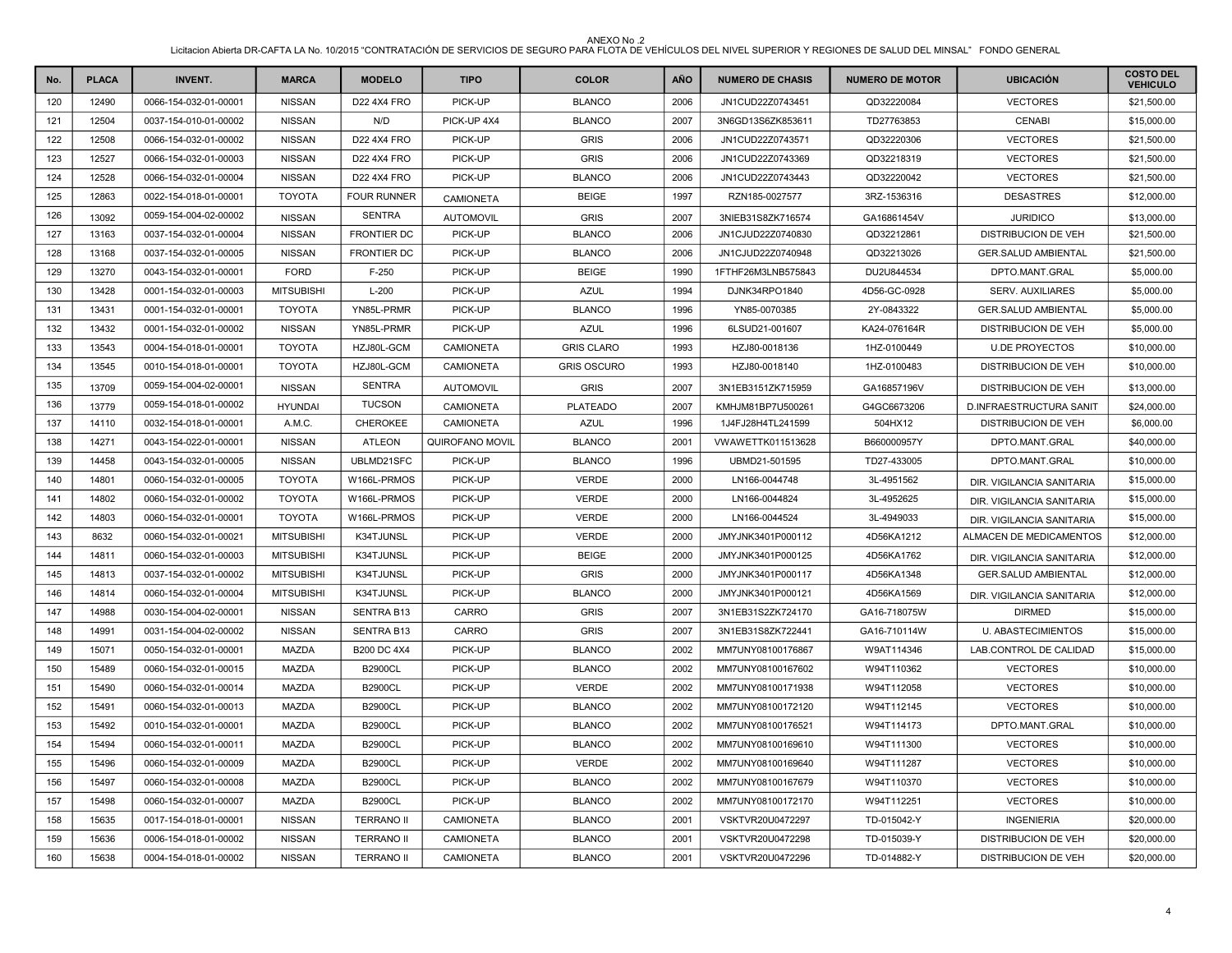| No. | <b>PLACA</b> | <b>INVENT.</b>        | <b>MARCA</b>      | <b>MODELO</b>      | <b>TIPO</b>      | <b>COLOR</b>       | AÑO  | <b>NUMERO DE CHASIS</b> | <b>NUMERO DE MOTOR</b> | <b>UBICACIÓN</b>           | <b>COSTO DEL</b><br><b>VEHICULO</b> |
|-----|--------------|-----------------------|-------------------|--------------------|------------------|--------------------|------|-------------------------|------------------------|----------------------------|-------------------------------------|
| 120 | 12490        | 0066-154-032-01-00001 | <b>NISSAN</b>     | D22 4X4 FRO        | PICK-UP          | <b>BLANCO</b>      | 2006 | JN1CUD22Z0743451        | QD32220084             | <b>VECTORES</b>            | \$21,500.00                         |
| 121 | 12504        | 0037-154-010-01-00002 | <b>NISSAN</b>     | N/D                | PICK-UP 4X4      | <b>BLANCO</b>      | 2007 | 3N6GD13S6ZK853611       | TD27763853             | <b>CENABI</b>              | \$15,000.00                         |
| 122 | 12508        | 0066-154-032-01-00002 | <b>NISSAN</b>     | D22 4X4 FRO        | PICK-UP          | <b>GRIS</b>        | 2006 | JN1CUD22Z0743571        | QD32220306             | <b>VECTORES</b>            | \$21,500.00                         |
| 123 | 12527        | 0066-154-032-01-00003 | <b>NISSAN</b>     | <b>D22 4X4 FRO</b> | PICK-UP          | <b>GRIS</b>        | 2006 | JN1CUD22Z0743369        | QD32218319             | <b>VECTORES</b>            | \$21,500.00                         |
| 124 | 12528        | 0066-154-032-01-00004 | <b>NISSAN</b>     | D22 4X4 FRO        | PICK-UP          | <b>BLANCO</b>      | 2006 | JN1CUD22Z0743443        | QD32220042             | <b>VECTORES</b>            | \$21,500.00                         |
| 125 | 12863        | 0022-154-018-01-00001 | <b>TOYOTA</b>     | <b>FOUR RUNNER</b> | <b>CAMIONETA</b> | <b>BEIGE</b>       | 1997 | RZN185-0027577          | 3RZ-1536316            | <b>DESASTRES</b>           | \$12,000.00                         |
| 126 | 13092        | 0059-154-004-02-00002 | <b>NISSAN</b>     | <b>SENTRA</b>      | <b>AUTOMOVIL</b> | <b>GRIS</b>        | 2007 | 3NIEB31S8ZK716574       | GA16861454V            | <b>JURIDICO</b>            | \$13,000.00                         |
| 127 | 13163        | 0037-154-032-01-00004 | <b>NISSAN</b>     | <b>FRONTIER DC</b> | PICK-UP          | <b>BLANCO</b>      | 2006 | JN1CJUD22Z0740830       | QD32212861             | <b>DISTRIBUCION DE VEH</b> | \$21,500.00                         |
| 128 | 13168        | 0037-154-032-01-00005 | <b>NISSAN</b>     | <b>FRONTIER DC</b> | PICK-UP          | <b>BLANCO</b>      | 2006 | JN1CJUD22Z0740948       | QD32213026             | <b>GER.SALUD AMBIENTAL</b> | \$21,500.00                         |
| 129 | 13270        | 0043-154-032-01-00001 | <b>FORD</b>       | $F-250$            | PICK-UP          | <b>BEIGE</b>       | 1990 | 1FTHF26M3LNB575843      | DU2U844534             | DPTO.MANT.GRAL             | \$5,000.00                          |
| 130 | 13428        | 0001-154-032-01-00003 | <b>MITSUBISHI</b> | $L-200$            | PICK-UP          | <b>AZUL</b>        | 1994 | DJNK34RPO1840           | 4D56-GC-0928           | <b>SERV. AUXILIARES</b>    | \$5,000.00                          |
| 131 | 13431        | 0001-154-032-01-00001 | <b>TOYOTA</b>     | YN85L-PRMR         | PICK-UP          | <b>BLANCO</b>      | 1996 | YN85-0070385            | 2Y-0843322             | <b>GER.SALUD AMBIENTAL</b> | \$5,000.00                          |
| 132 | 13432        | 0001-154-032-01-00002 | <b>NISSAN</b>     | YN85L-PRMR         | PICK-UP          | <b>AZUL</b>        | 1996 | 6LSUD21-001607          | KA24-076164R           | <b>DISTRIBUCION DE VEH</b> | \$5,000.00                          |
| 133 | 13543        | 0004-154-018-01-00001 | <b>TOYOTA</b>     | HZJ80L-GCM         | <b>CAMIONETA</b> | <b>GRIS CLARO</b>  | 1993 | HZJ80-0018136           | 1HZ-0100449            | <b>U.DE PROYECTOS</b>      | \$10,000.00                         |
| 134 | 13545        | 0010-154-018-01-00001 | <b>TOYOTA</b>     | HZJ80L-GCM         | <b>CAMIONETA</b> | <b>GRIS OSCURO</b> | 1993 | HZJ80-0018140           | 1HZ-0100483            | <b>DISTRIBUCION DE VEH</b> | \$10,000.00                         |
| 135 | 13709        | 0059-154-004-02-00001 | <b>NISSAN</b>     | <b>SENTRA</b>      | <b>AUTOMOVIL</b> | <b>GRIS</b>        | 2007 | 3N1EB3151ZK715959       | GA16857196V            | <b>DISTRIBUCION DE VEH</b> | \$13,000.00                         |
| 136 | 13779        | 0059-154-018-01-00002 | <b>HYUNDAI</b>    | <b>TUCSON</b>      | <b>CAMIONETA</b> | <b>PLATEADO</b>    | 2007 | KMHJM81BP7U500261       | G4GC6673206            | D.INFRAESTRUCTURA SANIT    | \$24,000.00                         |
| 137 | 14110        | 0032-154-018-01-00001 | A.M.C.            | CHEROKEE           | <b>CAMIONETA</b> | <b>AZUL</b>        | 1996 | 1J4FJ28H4TL241599       | 504HX12                | <b>DISTRIBUCION DE VEH</b> | \$6,000.00                          |
| 138 | 14271        | 0043-154-022-01-00001 | <b>NISSAN</b>     | <b>ATLEON</b>      | QUIROFANO MOVIL  | <b>BLANCO</b>      | 2001 | VWAWETTK011513628       | B660000957Y            | DPTO.MANT.GRAL             | \$40,000.00                         |
| 139 | 14458        | 0043-154-032-01-00005 | <b>NISSAN</b>     | UBLMD21SFC         | PICK-UP          | <b>BLANCO</b>      | 1996 | UBMD21-501595           | TD27-433005            | DPTO.MANT.GRAL             | \$10,000.00                         |
| 140 | 14801        | 0060-154-032-01-00005 | <b>TOYOTA</b>     | W166L-PRMOS        | PICK-UP          | <b>VERDE</b>       | 2000 | LN166-0044748           | 3L-4951562             | DIR. VIGILANCIA SANITARIA  | \$15,000.00                         |
| 141 | 14802        | 0060-154-032-01-00002 | <b>TOYOTA</b>     | W166L-PRMOS        | PICK-UP          | <b>VERDE</b>       | 2000 | LN166-0044824           | 3L-4952625             | DIR. VIGILANCIA SANITARIA  | \$15,000.00                         |
| 142 | 14803        | 0060-154-032-01-00001 | <b>TOYOTA</b>     | W166L-PRMOS        | PICK-UP          | <b>VERDE</b>       | 2000 | LN166-0044524           | 3L-4949033             | DIR. VIGILANCIA SANITARIA  | \$15,000.00                         |
| 143 | 8632         | 0060-154-032-01-00021 | <b>MITSUBISHI</b> | K34TJUNSL          | PICK-UP          | <b>VERDE</b>       | 2000 | JMYJNK3401P000112       | 4D56KA1212             | ALMACEN DE MEDICAMENTOS    | \$12,000.00                         |
| 144 | 14811        | 0060-154-032-01-00003 | <b>MITSUBISHI</b> | K34TJUNSL          | PICK-UP          | <b>BEIGE</b>       | 2000 | JMYJNK3401P000125       | 4D56KA1762             | DIR. VIGILANCIA SANITARIA  | \$12,000.00                         |
| 145 | 14813        | 0037-154-032-01-00002 | <b>MITSUBISHI</b> | K34TJUNSL          | PICK-UP          | <b>GRIS</b>        | 2000 | JMYJNK3401P000117       | 4D56KA1348             | <b>GER.SALUD AMBIENTAL</b> | \$12,000.00                         |
| 146 | 14814        | 0060-154-032-01-00004 | <b>MITSUBISHI</b> | K34TJUNSL          | PICK-UP          | <b>BLANCO</b>      | 2000 | JMYJNK3401P000121       | 4D56KA1569             | DIR. VIGILANCIA SANITARIA  | \$12,000.00                         |
| 147 | 14988        | 0030-154-004-02-00001 | <b>NISSAN</b>     | <b>SENTRA B13</b>  | CARRO            | <b>GRIS</b>        | 2007 | 3N1EB31S2ZK724170       | GA16-718075W           | <b>DIRMED</b>              | \$15,000.00                         |
| 148 | 14991        | 0031-154-004-02-00002 | <b>NISSAN</b>     | SENTRA B13         | CARRO            | <b>GRIS</b>        | 2007 | 3N1EB31S8ZK722441       | GA16-710114W           | <b>U. ABASTECIMIENTOS</b>  | \$15,000.00                         |
| 149 | 15071        | 0050-154-032-01-00001 | <b>MAZDA</b>      | <b>B200 DC 4X4</b> | PICK-UP          | <b>BLANCO</b>      | 2002 | MM7UNY08100176867       | W9AT114346             | LAB.CONTROL DE CALIDAD     | \$15,000.00                         |
| 150 | 15489        | 0060-154-032-01-00015 | MAZDA             | <b>B2900CL</b>     | PICK-UP          | <b>BLANCO</b>      | 2002 | MM7UNY08100167602       | W94T110362             | <b>VECTORES</b>            | \$10,000.00                         |
| 151 | 15490        | 0060-154-032-01-00014 | <b>MAZDA</b>      | <b>B2900CL</b>     | PICK-UP          | <b>VERDE</b>       | 2002 | MM7UNY08100171938       | W94T112058             | <b>VECTORES</b>            | \$10,000.00                         |
| 152 | 15491        | 0060-154-032-01-00013 | MAZDA             | <b>B2900CL</b>     | PICK-UP          | <b>BLANCO</b>      | 2002 | MM7UNY08100172120       | W94T112145             | <b>VECTORES</b>            | \$10,000.00                         |
| 153 | 15492        | 0010-154-032-01-00001 | <b>MAZDA</b>      | <b>B2900CL</b>     | PICK-UP          | <b>BLANCO</b>      | 2002 | MM7UNY08100176521       | W94T114173             | DPTO.MANT.GRAL             | \$10,000.00                         |
| 154 | 15494        | 0060-154-032-01-00011 | MAZDA             | <b>B2900CL</b>     | PICK-UP          | <b>BLANCO</b>      | 2002 | MM7UNY08100169610       | W94T111300             | <b>VECTORES</b>            | \$10,000.00                         |
| 155 | 15496        | 0060-154-032-01-00009 | <b>MAZDA</b>      | <b>B2900CL</b>     | PICK-UP          | <b>VERDE</b>       | 2002 | MM7UNY08100169640       | W94T111287             | <b>VECTORES</b>            | \$10,000.00                         |
| 156 | 15497        | 0060-154-032-01-00008 | MAZDA             | <b>B2900CL</b>     | PICK-UP          | <b>BLANCO</b>      | 2002 | MM7UNY08100167679       | W94T110370             | <b>VECTORES</b>            | \$10,000.00                         |
| 157 | 15498        | 0060-154-032-01-00007 | MAZDA             | <b>B2900CL</b>     | PICK-UP          | <b>BLANCO</b>      | 2002 | MM7UNY08100172170       | W94T112251             | <b>VECTORES</b>            | \$10,000.00                         |
| 158 | 15635        | 0017-154-018-01-00001 | <b>NISSAN</b>     | <b>TERRANO II</b>  | <b>CAMIONETA</b> | <b>BLANCO</b>      | 2001 | VSKTVR20U0472297        | TD-015042-Y            | <b>INGENIERIA</b>          | \$20,000.00                         |
| 159 | 15636        | 0006-154-018-01-00002 | <b>NISSAN</b>     | <b>TERRANO II</b>  | CAMIONETA        | <b>BLANCO</b>      | 2001 | VSKTVR20U0472298        | TD-015039-Y            | <b>DISTRIBUCION DE VEH</b> | \$20,000.00                         |
| 160 | 15638        | 0004-154-018-01-00002 | <b>NISSAN</b>     | <b>TERRANO II</b>  | <b>CAMIONETA</b> | <b>BLANCO</b>      | 2001 | VSKTVR20U0472296        | TD-014882-Y            | <b>DISTRIBUCION DE VEH</b> | \$20,000.00                         |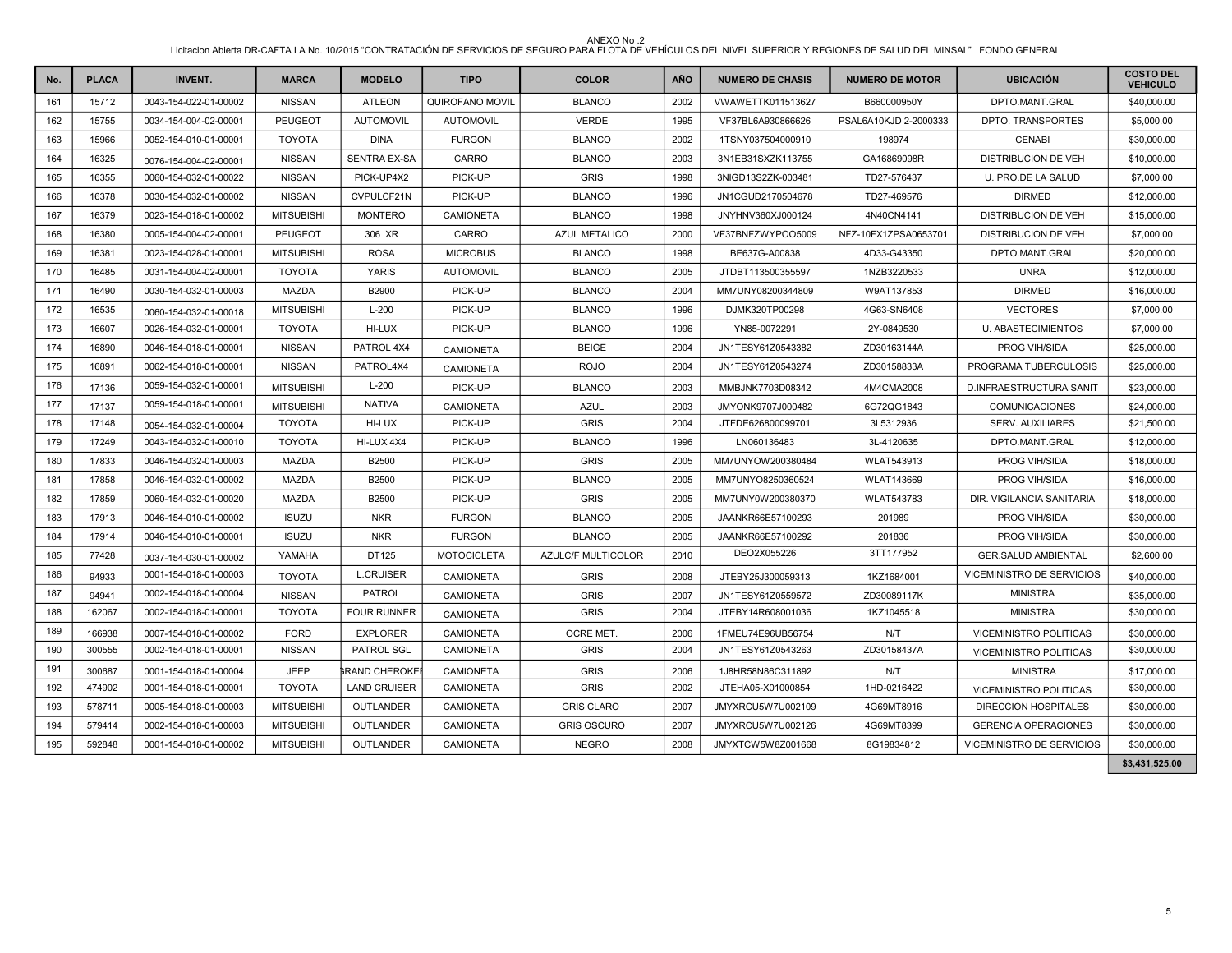| No. | <b>PLACA</b> | <b>INVENT.</b>        | <b>MARCA</b>      | <b>MODELO</b>         | <b>TIPO</b>        | <b>COLOR</b>         | <b>AÑO</b> | <b>NUMERO DE CHASIS</b> | <b>NUMERO DE MOTOR</b> | <b>UBICACIÓN</b>            | <b>COSTO DEL</b><br><b>VEHICULO</b> |
|-----|--------------|-----------------------|-------------------|-----------------------|--------------------|----------------------|------------|-------------------------|------------------------|-----------------------------|-------------------------------------|
| 161 | 15712        | 0043-154-022-01-00002 | <b>NISSAN</b>     | <b>ATLEON</b>         | QUIROFANO MOVIL    | <b>BLANCO</b>        | 2002       | VWAWETTK011513627       | B660000950Y            | DPTO.MANT.GRAL              | \$40,000.00                         |
| 162 | 15755        | 0034-154-004-02-00001 | <b>PEUGEOT</b>    | <b>AUTOMOVIL</b>      | <b>AUTOMOVIL</b>   | <b>VERDE</b>         | 1995       | VF37BL6A930866626       | PSAL6A10KJD 2-2000333  | DPTO. TRANSPORTES           | \$5,000.00                          |
| 163 | 15966        | 0052-154-010-01-00001 | <b>TOYOTA</b>     | <b>DINA</b>           | <b>FURGON</b>      | <b>BLANCO</b>        | 2002       | 1TSNY037504000910       | 198974                 | <b>CENABI</b>               | \$30,000.00                         |
| 164 | 16325        | 0076-154-004-02-00001 | <b>NISSAN</b>     | <b>SENTRA EX-SA</b>   | CARRO              | <b>BLANCO</b>        | 2003       | 3N1EB31SXZK113755       | GA16869098R            | <b>DISTRIBUCION DE VEH</b>  | \$10,000.00                         |
| 165 | 16355        | 0060-154-032-01-00022 | <b>NISSAN</b>     | PICK-UP4X2            | PICK-UP            | <b>GRIS</b>          | 1998       | 3NIGD13S2ZK-003481      | TD27-576437            | U. PRO.DE LA SALUD          | \$7,000.00                          |
| 166 | 16378        | 0030-154-032-01-00002 | <b>NISSAN</b>     | CVPULCF21N            | PICK-UP            | <b>BLANCO</b>        | 1996       | JN1CGUD2170504678       | TD27-469576            | <b>DIRMED</b>               | \$12,000.00                         |
| 167 | 16379        | 0023-154-018-01-00002 | <b>MITSUBISHI</b> | <b>MONTERO</b>        | <b>CAMIONETA</b>   | <b>BLANCO</b>        | 1998       | JNYHNV360XJ000124       | 4N40CN4141             | <b>DISTRIBUCION DE VEH</b>  | \$15,000.00                         |
| 168 | 16380        | 0005-154-004-02-00001 | <b>PEUGEOT</b>    | 306 XR                | CARRO              | <b>AZUL METALICO</b> | 2000       | VF37BNFZWYPOO5009       | NFZ-10FX1ZPSA0653701   | <b>DISTRIBUCION DE VEH</b>  | \$7,000.00                          |
| 169 | 16381        | 0023-154-028-01-00001 | <b>MITSUBISHI</b> | <b>ROSA</b>           | <b>MICROBUS</b>    | <b>BLANCO</b>        | 1998       | BE637G-A00838           | 4D33-G43350            | DPTO.MANT.GRAL              | \$20,000.00                         |
| 170 | 16485        | 0031-154-004-02-00001 | <b>TOYOTA</b>     | <b>YARIS</b>          | <b>AUTOMOVIL</b>   | <b>BLANCO</b>        | 2005       | JTDBT113500355597       | 1NZB3220533            | <b>UNRA</b>                 | \$12,000.00                         |
| 171 | 16490        | 0030-154-032-01-00003 | <b>MAZDA</b>      | B2900                 | PICK-UP            | <b>BLANCO</b>        | 2004       | MM7UNY08200344809       | W9AT137853             | <b>DIRMED</b>               | \$16,000.00                         |
| 172 | 16535        | 0060-154-032-01-00018 | <b>MITSUBISHI</b> | $L-200$               | PICK-UP            | <b>BLANCO</b>        | 1996       | DJMK320TP00298          | 4G63-SN6408            | <b>VECTORES</b>             | \$7,000.00                          |
| 173 | 16607        | 0026-154-032-01-00001 | <b>TOYOTA</b>     | HI-LUX                | PICK-UP            | <b>BLANCO</b>        | 1996       | YN85-0072291            | 2Y-0849530             | <b>U. ABASTECIMIENTOS</b>   | \$7,000.00                          |
| 174 | 16890        | 0046-154-018-01-00001 | <b>NISSAN</b>     | PATROL 4X4            | <b>CAMIONETA</b>   | <b>BEIGE</b>         | 2004       | JN1TESY61Z0543382       | ZD30163144A            | PROG VIH/SIDA               | \$25,000.00                         |
| 175 | 16891        | 0062-154-018-01-00001 | <b>NISSAN</b>     | PATROL4X4             | <b>CAMIONETA</b>   | <b>ROJO</b>          | 2004       | JN1TESY61Z0543274       | ZD30158833A            | PROGRAMA TUBERCULOSIS       | \$25,000.00                         |
| 176 | 17136        | 0059-154-032-01-00001 | <b>MITSUBISHI</b> | $L-200$               | PICK-UP            | <b>BLANCO</b>        | 2003       | MMBJNK7703D08342        | 4M4CMA2008             | D.INFRAESTRUCTURA SANIT     | \$23,000.00                         |
| 177 | 17137        | 0059-154-018-01-00001 | <b>MITSUBISHI</b> | <b>NATIVA</b>         | <b>CAMIONETA</b>   | <b>AZUL</b>          | 2003       | JMYONK9707J000482       | 6G72QG1843             | <b>COMUNICACIONES</b>       | \$24,000.00                         |
| 178 | 17148        | 0054-154-032-01-00004 | <b>TOYOTA</b>     | HI-LUX                | PICK-UP            | <b>GRIS</b>          | 2004       | JTFDE626800099701       | 3L5312936              | <b>SERV. AUXILIARES</b>     | \$21,500.00                         |
| 179 | 17249        | 0043-154-032-01-00010 | <b>TOYOTA</b>     | HI-LUX 4X4            | PICK-UP            | <b>BLANCO</b>        | 1996       | LN060136483             | 3L-4120635             | DPTO.MANT.GRAL              | \$12,000.00                         |
| 180 | 17833        | 0046-154-032-01-00003 | <b>MAZDA</b>      | B2500                 | PICK-UP            | <b>GRIS</b>          | 2005       | MM7UNYOW200380484       | <b>WLAT543913</b>      | PROG VIH/SIDA               | \$18,000.00                         |
| 181 | 17858        | 0046-154-032-01-00002 | <b>MAZDA</b>      | B2500                 | PICK-UP            | <b>BLANCO</b>        | 2005       | MM7UNYO8250360524       | <b>WLAT143669</b>      | PROG VIH/SIDA               | \$16,000.00                         |
| 182 | 17859        | 0060-154-032-01-00020 | <b>MAZDA</b>      | B2500                 | PICK-UP            | <b>GRIS</b>          | 2005       | MM7UNY0W200380370       | <b>WLAT543783</b>      | DIR. VIGILANCIA SANITARIA   | \$18,000.00                         |
| 183 | 17913        | 0046-154-010-01-00002 | <b>ISUZU</b>      | <b>NKR</b>            | <b>FURGON</b>      | <b>BLANCO</b>        | 2005       | JAANKR66E57100293       | 201989                 | PROG VIH/SIDA               | \$30,000.00                         |
| 184 | 17914        | 0046-154-010-01-00001 | <b>ISUZU</b>      | <b>NKR</b>            | <b>FURGON</b>      | <b>BLANCO</b>        | 2005       | JAANKR66E57100292       | 201836                 | PROG VIH/SIDA               | \$30,000.00                         |
| 185 | 77428        | 0037-154-030-01-00002 | YAMAHA            | DT125                 | <b>MOTOCICLETA</b> | AZULC/F MULTICOLOR   | 2010       | DEO2X055226             | 3TT177952              | <b>GER.SALUD AMBIENTAL</b>  | \$2,600.00                          |
| 186 | 94933        | 0001-154-018-01-00003 | <b>TOYOTA</b>     | <b>L.CRUISER</b>      | CAMIONETA          | <b>GRIS</b>          | 2008       | JTEBY25J300059313       | 1KZ1684001             | VICEMINISTRO DE SERVICIOS   | \$40,000.00                         |
| 187 | 94941        | 0002-154-018-01-00004 | <b>NISSAN</b>     | PATROL                | <b>CAMIONETA</b>   | <b>GRIS</b>          | 2007       | JN1TESY61Z0559572       | ZD30089117K            | <b>MINISTRA</b>             | \$35,000.00                         |
| 188 | 162067       | 0002-154-018-01-00001 | <b>TOYOTA</b>     | <b>FOUR RUNNER</b>    | <b>CAMIONETA</b>   | <b>GRIS</b>          | 2004       | JTEBY14R608001036       | 1KZ1045518             | <b>MINISTRA</b>             | \$30,000.00                         |
| 189 | 166938       | 0007-154-018-01-00002 | <b>FORD</b>       | <b>EXPLORER</b>       | <b>CAMIONETA</b>   | OCRE MET.            | 2006       | 1FMEU74E96UB56754       | N/T                    | VICEMINISTRO POLITICAS      | \$30,000.00                         |
| 190 | 300555       | 0002-154-018-01-00001 | <b>NISSAN</b>     | PATROL SGL            | <b>CAMIONETA</b>   | <b>GRIS</b>          | 2004       | JN1TESY61Z0543263       | ZD30158437A            | VICEMINISTRO POLITICAS      | \$30,000.00                         |
| 191 | 300687       | 0001-154-018-01-00004 | <b>JEEP</b>       | <b>GRAND CHEROKEI</b> | <b>CAMIONETA</b>   | <b>GRIS</b>          | 2006       | 1J8HR58N86C311892       | N/T                    | <b>MINISTRA</b>             | \$17,000.00                         |
| 192 | 474902       | 0001-154-018-01-00001 | <b>TOYOTA</b>     | <b>LAND CRUISER</b>   | <b>CAMIONETA</b>   | <b>GRIS</b>          | 2002       | JTEHA05-X01000854       | 1HD-0216422            | VICEMINISTRO POLITICAS      | \$30,000.00                         |
| 193 | 578711       | 0005-154-018-01-00003 | <b>MITSUBISHI</b> | OUTLANDER             | <b>CAMIONETA</b>   | <b>GRIS CLARO</b>    | 2007       | JMYXRCU5W7U002109       | 4G69MT8916             | <b>DIRECCION HOSPITALES</b> | \$30,000.00                         |
| 194 | 579414       | 0002-154-018-01-00003 | <b>MITSUBISHI</b> | OUTLANDER             | <b>CAMIONETA</b>   | <b>GRIS OSCURO</b>   | 2007       | JMYXRCU5W7U002126       | 4G69MT8399             | <b>GERENCIA OPERACIONES</b> | \$30,000.00                         |
| 195 | 592848       | 0001-154-018-01-00002 | <b>MITSUBISHI</b> | OUTLANDER             | CAMIONETA          | <b>NEGRO</b>         | 2008       | JMYXTCW5W8Z001668       | 8G19834812             | VICEMINISTRO DE SERVICIOS   | \$30,000.00                         |
|     |              |                       |                   |                       |                    |                      |            |                         |                        |                             | \$3,431,525.00                      |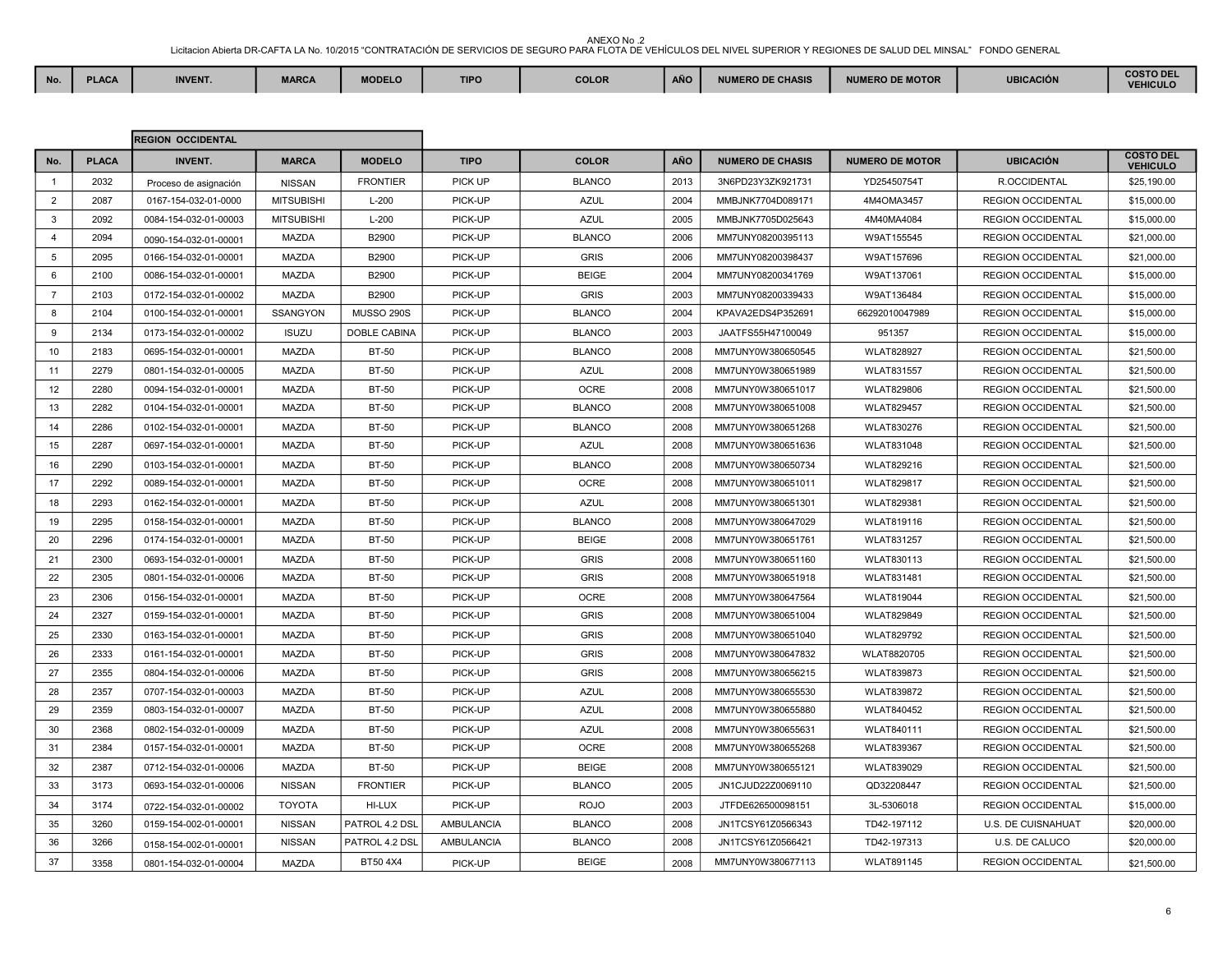ANEXO No .2<br>Licitacion Abierta DR-CAFTA LA No. 10/2015 "CONTRATACIÓN DE SERVICIOS DE SEGURO PARA FLOTA DE VEHÍCULOS DEL NIVEL SUPERIOR Y REGIONES DE SALUD DEL MINSAL" FONDO GENERAL **No. PLACA INVENT. MARCA MODELO TIPO COLOR AÑO NUMERO DE CHASIS NUMERO DE MOTOR UBICACIÓN COSTO DEL** 

|                |              | <b>REGION OCCIDENTAL</b> |                   |                   |                   |               |            |                         |                        |                          |                                     |
|----------------|--------------|--------------------------|-------------------|-------------------|-------------------|---------------|------------|-------------------------|------------------------|--------------------------|-------------------------------------|
| No.            | <b>PLACA</b> | <b>INVENT.</b>           | <b>MARCA</b>      | <b>MODELO</b>     | <b>TIPO</b>       | <b>COLOR</b>  | <b>AÑO</b> | <b>NUMERO DE CHASIS</b> | <b>NUMERO DE MOTOR</b> | <b>UBICACIÓN</b>         | <b>COSTO DEL</b><br><b>VEHICULO</b> |
| $\overline{1}$ | 2032         | Proceso de asignación    | <b>NISSAN</b>     | <b>FRONTIER</b>   | PICK UP           | <b>BLANCO</b> | 2013       | 3N6PD23Y3ZK921731       | YD25450754T            | R.OCCIDENTAL             | \$25,190.00                         |
| $\overline{2}$ | 2087         | 0167-154-032-01-0000     | <b>MITSUBISHI</b> | $L-200$           | PICK-UP           | <b>AZUL</b>   | 2004       | MMBJNK7704D089171       | 4M4OMA3457             | <b>REGION OCCIDENTAL</b> | \$15,000.00                         |
| 3              | 2092         | 0084-154-032-01-00003    | <b>MITSUBISHI</b> | $L-200$           | PICK-UP           | <b>AZUL</b>   | 2005       | MMBJNK7705D025643       | 4M40MA4084             | <b>REGION OCCIDENTAL</b> | \$15,000.00                         |
| 4              | 2094         | 0090-154-032-01-00001    | <b>MAZDA</b>      | B2900             | PICK-UP           | <b>BLANCO</b> | 2006       | MM7UNY08200395113       | W9AT155545             | <b>REGION OCCIDENTAL</b> | \$21,000.00                         |
| 5              | 2095         | 0166-154-032-01-00001    | <b>MAZDA</b>      | B2900             | PICK-UP           | <b>GRIS</b>   | 2006       | MM7UNY08200398437       | W9AT157696             | <b>REGION OCCIDENTAL</b> | \$21,000.00                         |
| 6              | 2100         | 0086-154-032-01-00001    | <b>MAZDA</b>      | B2900             | PICK-UP           | <b>BEIGE</b>  | 2004       | MM7UNY08200341769       | W9AT137061             | <b>REGION OCCIDENTAL</b> | \$15,000.00                         |
| $\overline{7}$ | 2103         | 0172-154-032-01-00002    | <b>MAZDA</b>      | B2900             | PICK-UP           | <b>GRIS</b>   | 2003       | MM7UNY08200339433       | W9AT136484             | <b>REGION OCCIDENTAL</b> | \$15,000.00                         |
| 8              | 2104         | 0100-154-032-01-00001    | <b>SSANGYON</b>   | <b>MUSSO 290S</b> | PICK-UP           | <b>BLANCO</b> | 2004       | KPAVA2EDS4P352691       | 66292010047989         | <b>REGION OCCIDENTAL</b> | \$15,000.00                         |
| 9              | 2134         | 0173-154-032-01-00002    | <b>ISUZU</b>      | DOBLE CABINA      | PICK-UP           | <b>BLANCO</b> | 2003       | JAATFS55H47100049       | 951357                 | <b>REGION OCCIDENTAL</b> | \$15,000.00                         |
| 10             | 2183         | 0695-154-032-01-00001    | <b>MAZDA</b>      | <b>BT-50</b>      | PICK-UP           | <b>BLANCO</b> | 2008       | MM7UNY0W380650545       | <b>WLAT828927</b>      | <b>REGION OCCIDENTAL</b> | \$21,500.00                         |
| 11             | 2279         | 0801-154-032-01-00005    | <b>MAZDA</b>      | <b>BT-50</b>      | PICK-UP           | <b>AZUL</b>   | 2008       | MM7UNY0W380651989       | <b>WLAT831557</b>      | <b>REGION OCCIDENTAL</b> | \$21,500.00                         |
| 12             | 2280         | 0094-154-032-01-00001    | MAZDA             | <b>BT-50</b>      | PICK-UP           | <b>OCRE</b>   | 2008       | MM7UNY0W380651017       | <b>WLAT829806</b>      | <b>REGION OCCIDENTAL</b> | \$21,500.00                         |
| 13             | 2282         | 0104-154-032-01-00001    | <b>MAZDA</b>      | <b>BT-50</b>      | PICK-UP           | <b>BLANCO</b> | 2008       | MM7UNY0W380651008       | <b>WLAT829457</b>      | <b>REGION OCCIDENTAL</b> | \$21,500.00                         |
| 14             | 2286         | 0102-154-032-01-00001    | <b>MAZDA</b>      | <b>BT-50</b>      | PICK-UP           | <b>BLANCO</b> | 2008       | MM7UNY0W380651268       | WLAT830276             | <b>REGION OCCIDENTAL</b> | \$21,500.00                         |
| 15             | 2287         | 0697-154-032-01-00001    | <b>MAZDA</b>      | <b>BT-50</b>      | PICK-UP           | <b>AZUL</b>   | 2008       | MM7UNY0W380651636       | <b>WLAT831048</b>      | <b>REGION OCCIDENTAL</b> | \$21,500.00                         |
| 16             | 2290         | 0103-154-032-01-00001    | <b>MAZDA</b>      | <b>BT-50</b>      | PICK-UP           | <b>BLANCO</b> | 2008       | MM7UNY0W380650734       | WLAT829216             | <b>REGION OCCIDENTAL</b> | \$21,500.00                         |
| 17             | 2292         | 0089-154-032-01-00001    | <b>MAZDA</b>      | <b>BT-50</b>      | PICK-UP           | <b>OCRE</b>   | 2008       | MM7UNY0W380651011       | <b>WLAT829817</b>      | <b>REGION OCCIDENTAL</b> | \$21,500.00                         |
| 18             | 2293         | 0162-154-032-01-00001    | <b>MAZDA</b>      | <b>BT-50</b>      | PICK-UP           | <b>AZUL</b>   | 2008       | MM7UNY0W380651301       | <b>WLAT829381</b>      | <b>REGION OCCIDENTAL</b> | \$21,500.00                         |
| 19             | 2295         | 0158-154-032-01-00001    | MAZDA             | <b>BT-50</b>      | PICK-UP           | <b>BLANCO</b> | 2008       | MM7UNY0W380647029       | WLAT819116             | <b>REGION OCCIDENTAL</b> | \$21,500.00                         |
| 20             | 2296         | 0174-154-032-01-00001    | <b>MAZDA</b>      | <b>BT-50</b>      | PICK-UP           | <b>BEIGE</b>  | 2008       | MM7UNY0W380651761       | <b>WLAT831257</b>      | <b>REGION OCCIDENTAL</b> | \$21,500.00                         |
| 21             | 2300         | 0693-154-032-01-00001    | <b>MAZDA</b>      | <b>BT-50</b>      | PICK-UP           | <b>GRIS</b>   | 2008       | MM7UNY0W380651160       | <b>WLAT830113</b>      | <b>REGION OCCIDENTAL</b> | \$21,500.00                         |
| 22             | 2305         | 0801-154-032-01-00006    | <b>MAZDA</b>      | <b>BT-50</b>      | PICK-UP           | <b>GRIS</b>   | 2008       | MM7UNY0W380651918       | WLAT831481             | <b>REGION OCCIDENTAL</b> | \$21,500.00                         |
| 23             | 2306         | 0156-154-032-01-00001    | MAZDA             | <b>BT-50</b>      | PICK-UP           | OCRE          | 2008       | MM7UNY0W380647564       | <b>WLAT819044</b>      | <b>REGION OCCIDENTAL</b> | \$21,500.00                         |
| 24             | 2327         | 0159-154-032-01-00001    | MAZDA             | <b>BT-50</b>      | PICK-UP           | <b>GRIS</b>   | 2008       | MM7UNY0W380651004       | <b>WLAT829849</b>      | <b>REGION OCCIDENTAL</b> | \$21,500.00                         |
| 25             | 2330         | 0163-154-032-01-00001    | <b>MAZDA</b>      | <b>BT-50</b>      | PICK-UP           | <b>GRIS</b>   | 2008       | MM7UNY0W380651040       | <b>WLAT829792</b>      | <b>REGION OCCIDENTAL</b> | \$21,500.00                         |
| 26             | 2333         | 0161-154-032-01-00001    | <b>MAZDA</b>      | <b>BT-50</b>      | PICK-UP           | <b>GRIS</b>   | 2008       | MM7UNY0W380647832       | WLAT8820705            | <b>REGION OCCIDENTAL</b> | \$21,500.00                         |
| 27             | 2355         | 0804-154-032-01-00006    | <b>MAZDA</b>      | <b>BT-50</b>      | PICK-UP           | <b>GRIS</b>   | 2008       | MM7UNY0W380656215       | WLAT839873             | <b>REGION OCCIDENTAL</b> | \$21,500.00                         |
| 28             | 2357         | 0707-154-032-01-00003    | <b>MAZDA</b>      | <b>BT-50</b>      | PICK-UP           | <b>AZUL</b>   | 2008       | MM7UNY0W380655530       | <b>WLAT839872</b>      | <b>REGION OCCIDENTAL</b> | \$21,500.00                         |
| 29             | 2359         | 0803-154-032-01-00007    | MAZDA             | <b>BT-50</b>      | PICK-UP           | <b>AZUL</b>   | 2008       | MM7UNY0W380655880       | <b>WLAT840452</b>      | <b>REGION OCCIDENTAL</b> | \$21,500.00                         |
| 30             | 2368         | 0802-154-032-01-00009    | <b>MAZDA</b>      | <b>BT-50</b>      | PICK-UP           | <b>AZUL</b>   | 2008       | MM7UNY0W380655631       | WLAT840111             | <b>REGION OCCIDENTAL</b> | \$21,500.00                         |
| 31             | 2384         | 0157-154-032-01-00001    | <b>MAZDA</b>      | <b>BT-50</b>      | PICK-UP           | OCRE          | 2008       | MM7UNY0W380655268       | <b>WLAT839367</b>      | <b>REGION OCCIDENTAL</b> | \$21,500.00                         |
| 32             | 2387         | 0712-154-032-01-00006    | MAZDA             | <b>BT-50</b>      | PICK-UP           | <b>BEIGE</b>  | 2008       | MM7UNY0W380655121       | <b>WLAT839029</b>      | <b>REGION OCCIDENTAL</b> | \$21,500.00                         |
| 33             | 3173         | 0693-154-032-01-00006    | <b>NISSAN</b>     | <b>FRONTIER</b>   | PICK-UP           | <b>BLANCO</b> | 2005       | JN1CJUD22Z0069110       | QD32208447             | <b>REGION OCCIDENTAL</b> | \$21,500.00                         |
| 34             | 3174         | 0722-154-032-01-00002    | <b>TOYOTA</b>     | HI-LUX            | PICK-UP           | <b>ROJO</b>   | 2003       | JTFDE626500098151       | 3L-5306018             | <b>REGION OCCIDENTAL</b> | \$15,000.00                         |
| 35             | 3260         | 0159-154-002-01-00001    | <b>NISSAN</b>     | PATROL 4.2 DSL    | <b>AMBULANCIA</b> | <b>BLANCO</b> | 2008       | JN1TCSY61Z0566343       | TD42-197112            | U.S. DE CUISNAHUAT       | \$20,000.00                         |
| 36             | 3266         | 0158-154-002-01-00001    | <b>NISSAN</b>     | PATROL 4.2 DSL    | AMBULANCIA        | <b>BLANCO</b> | 2008       | JN1TCSY61Z0566421       | TD42-197313            | U.S. DE CALUCO           | \$20,000.00                         |
| 37             | 3358         | 0801-154-032-01-00004    | <b>MAZDA</b>      | BT504X4           | PICK-UP           | <b>BEIGE</b>  | 2008       | MM7UNY0W380677113       | <b>WLAT891145</b>      | <b>REGION OCCIDENTAL</b> | \$21,500.00                         |

**VEHICULO**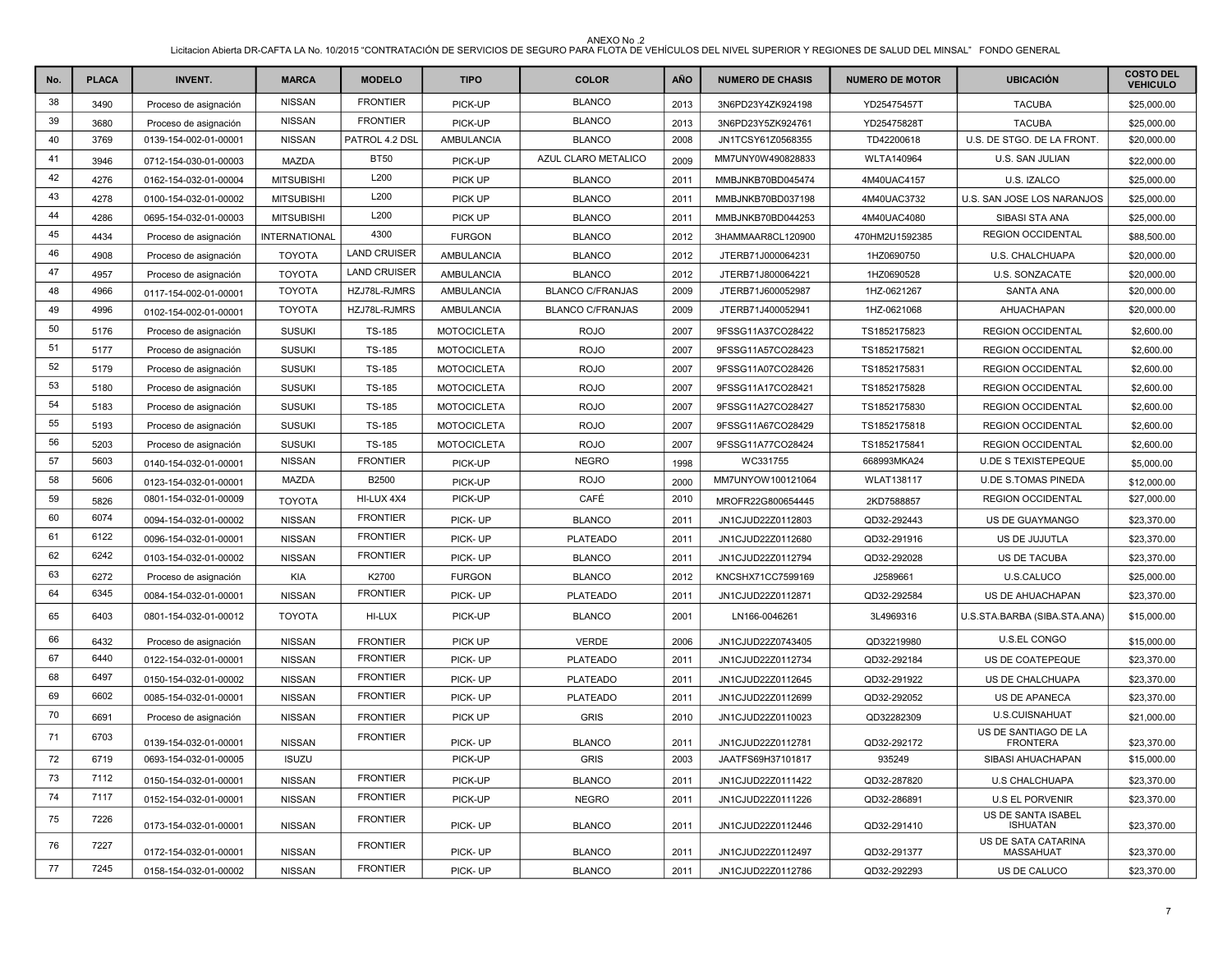| No.    | <b>PLACA</b> | <b>INVENT.</b>        | <b>MARCA</b>         | <b>MODELO</b>       | <b>TIPO</b>        | <b>COLOR</b>            | <b>AÑO</b> | <b>NUMERO DE CHASIS</b> | <b>NUMERO DE MOTOR</b> | <b>UBICACIÓN</b>                        | <b>COSTO DEL</b><br><b>VEHICULO</b> |
|--------|--------------|-----------------------|----------------------|---------------------|--------------------|-------------------------|------------|-------------------------|------------------------|-----------------------------------------|-------------------------------------|
| 38     | 3490         | Proceso de asignación | <b>NISSAN</b>        | <b>FRONTIER</b>     | PICK-UP            | <b>BLANCO</b>           | 2013       | 3N6PD23Y4ZK924198       | YD25475457T            | <b>TACUBA</b>                           | \$25,000.00                         |
| 39     | 3680         | Proceso de asignación | <b>NISSAN</b>        | <b>FRONTIER</b>     | PICK-UP            | <b>BLANCO</b>           | 2013       | 3N6PD23Y5ZK924761       | YD25475828T            | <b>TACUBA</b>                           | \$25,000.00                         |
| 40     | 3769         | 0139-154-002-01-00001 | <b>NISSAN</b>        | PATROL 4.2 DSL      | AMBULANCIA         | <b>BLANCO</b>           | 2008       | JN1TCSY61Z0568355       | TD42200618             | U.S. DE STGO. DE LA FRONT.              | \$20,000.00                         |
| 41     | 3946         | 0712-154-030-01-00003 | <b>MAZDA</b>         | <b>BT50</b>         | PICK-UP            | AZUL CLARO METALICO     | 2009       | MM7UNY0W490828833       | <b>WLTA140964</b>      | U.S. SAN JULIAN                         | \$22,000.00                         |
| 42     | 4276         | 0162-154-032-01-00004 | <b>MITSUBISHI</b>    | L200                | <b>PICK UP</b>     | <b>BLANCO</b>           | 2011       | MMBJNKB70BD045474       | 4M40UAC4157            | U.S. IZALCO                             | \$25,000.00                         |
| 43     | 4278         | 0100-154-032-01-00002 | <b>MITSUBISHI</b>    | L200                | <b>PICK UP</b>     | <b>BLANCO</b>           | 2011       | MMBJNKB70BD037198       | 4M40UAC3732            | U.S. SAN JOSE LOS NARANJOS              | \$25,000.00                         |
| 44     | 4286         | 0695-154-032-01-00003 | <b>MITSUBISHI</b>    | L200                | PICK UP            | <b>BLANCO</b>           | 2011       | MMBJNKB70BD044253       | 4M40UAC4080            | SIBASI STA ANA                          | \$25,000.00                         |
| 45     | 4434         | Proceso de asignación | <b>INTERNATIONAL</b> | 4300                | <b>FURGON</b>      | <b>BLANCO</b>           | 2012       | 3HAMMAAR8CL120900       | 470HM2U1592385         | <b>REGION OCCIDENTAL</b>                | \$88,500.00                         |
| 46     | 4908         | Proceso de asignación | <b>TOYOTA</b>        | <b>LAND CRUISER</b> | AMBULANCIA         | <b>BLANCO</b>           | 2012       | JTERB71J000064231       | 1HZ0690750             | U.S. CHALCHUAPA                         | \$20,000.00                         |
| 47     | 4957         | Proceso de asignación | <b>TOYOTA</b>        | <b>LAND CRUISER</b> | AMBULANCIA         | <b>BLANCO</b>           | 2012       | JTERB71J800064221       | 1HZ0690528             | U.S. SONZACATE                          | \$20,000.00                         |
| 48     | 4966         | 0117-154-002-01-00001 | <b>TOYOTA</b>        | HZJ78L-RJMRS        | AMBULANCIA         | <b>BLANCO C/FRANJAS</b> | 2009       | JTERB71J600052987       | 1HZ-0621267            | <b>SANTA ANA</b>                        | \$20,000.00                         |
| 49     | 4996         | 0102-154-002-01-00001 | <b>TOYOTA</b>        | HZJ78L-RJMRS        | AMBULANCIA         | <b>BLANCO C/FRANJAS</b> | 2009       | JTERB71J400052941       | 1HZ-0621068            | AHUACHAPAN                              | \$20,000.00                         |
| 50     | 5176         | Proceso de asignación | <b>SUSUKI</b>        | <b>TS-185</b>       | <b>MOTOCICLETA</b> | <b>ROJO</b>             | 2007       | 9FSSG11A37CO28422       | TS1852175823           | <b>REGION OCCIDENTAL</b>                | \$2,600.00                          |
| 51     | 5177         | Proceso de asignación | <b>SUSUKI</b>        | <b>TS-185</b>       | <b>MOTOCICLETA</b> | <b>ROJO</b>             | 2007       | 9FSSG11A57CO28423       | TS1852175821           | <b>REGION OCCIDENTAL</b>                | \$2,600.00                          |
| 52     | 5179         | Proceso de asignación | <b>SUSUKI</b>        | TS-185              | <b>MOTOCICLETA</b> | <b>ROJO</b>             | 2007       | 9FSSG11A07CO28426       | TS1852175831           | <b>REGION OCCIDENTAL</b>                | \$2,600.00                          |
| 53     | 5180         | Proceso de asignación | <b>SUSUKI</b>        | TS-185              | <b>MOTOCICLETA</b> | <b>ROJO</b>             | 2007       | 9FSSG11A17CO28421       | TS1852175828           | <b>REGION OCCIDENTAL</b>                | \$2,600.00                          |
| 54     | 5183         | Proceso de asignación | <b>SUSUKI</b>        | TS-185              | <b>MOTOCICLETA</b> | <b>ROJO</b>             | 2007       | 9FSSG11A27CO28427       | TS1852175830           | <b>REGION OCCIDENTAL</b>                | \$2,600.00                          |
| 55     | 5193         | Proceso de asignación | <b>SUSUKI</b>        | TS-185              | <b>MOTOCICLETA</b> | <b>ROJO</b>             | 2007       | 9FSSG11A67CO28429       | TS1852175818           | <b>REGION OCCIDENTAL</b>                | \$2,600.00                          |
| 56     | 5203         | Proceso de asignación | <b>SUSUKI</b>        | <b>TS-185</b>       | <b>MOTOCICLETA</b> | <b>ROJO</b>             | 2007       | 9FSSG11A77CO28424       | TS1852175841           | <b>REGION OCCIDENTAL</b>                | \$2,600.00                          |
| 57     | 5603         | 0140-154-032-01-00001 | <b>NISSAN</b>        | <b>FRONTIER</b>     | PICK-UP            | <b>NEGRO</b>            | 1998       | WC331755                | 668993MKA24            | <b>U.DE S TEXISTEPEQUE</b>              | \$5,000.00                          |
| 58     | 5606         | 0123-154-032-01-00001 | <b>MAZDA</b>         | B2500               | PICK-UP            | <b>ROJO</b>             | 2000       | MM7UNYOW100121064       | <b>WLAT138117</b>      | <b>U.DE S.TOMAS PINEDA</b>              | \$12,000.00                         |
| 59     | 5826         | 0801-154-032-01-00009 | <b>TOYOTA</b>        | HI-LUX 4X4          | PICK-UP            | CAFÉ                    | 2010       | MROFR22G800654445       | 2KD7588857             | <b>REGION OCCIDENTAL</b>                | \$27,000.00                         |
| 60     | 6074         | 0094-154-032-01-00002 | <b>NISSAN</b>        | <b>FRONTIER</b>     | PICK-UP            | <b>BLANCO</b>           | 2011       | JN1CJUD22Z0112803       | QD32-292443            | US DE GUAYMANGO                         | \$23,370.00                         |
| 61     | 6122         | 0096-154-032-01-00001 | <b>NISSAN</b>        | <b>FRONTIER</b>     | PICK-UP            | <b>PLATEADO</b>         | 2011       | JN1CJUD22Z0112680       | QD32-291916            | US DE JUJUTLA                           | \$23,370.00                         |
| 62     | 6242         | 0103-154-032-01-00002 | <b>NISSAN</b>        | <b>FRONTIER</b>     | PICK-UP            | <b>BLANCO</b>           | 2011       | JN1CJUD22Z0112794       | QD32-292028            | US DE TACUBA                            | \$23,370.00                         |
| 63     | 6272         | Proceso de asignación | KIA                  | K2700               | <b>FURGON</b>      | <b>BLANCO</b>           | 2012       | KNCSHX71CC7599169       | J2589661               | U.S.CALUCO                              | \$25,000.00                         |
| 64     | 6345         | 0084-154-032-01-00001 | <b>NISSAN</b>        | <b>FRONTIER</b>     | PICK-UP            | <b>PLATEADO</b>         | 2011       | JN1CJUD22Z0112871       | QD32-292584            | US DE AHUACHAPAN                        | \$23,370.00                         |
| 65     | 6403         | 0801-154-032-01-00012 | <b>TOYOTA</b>        | HI-LUX              | PICK-UP            | <b>BLANCO</b>           | 2001       | LN166-0046261           | 3L4969316              | U.S.STA.BARBA (SIBA.STA.ANA)            | \$15,000.00                         |
| 66     | 6432         | Proceso de asignación | <b>NISSAN</b>        | <b>FRONTIER</b>     | PICK UP            | <b>VERDE</b>            | 2006       | JN1CJUD22Z0743405       | QD32219980             | <b>U.S.EL CONGO</b>                     | \$15,000.00                         |
| 67     | 6440         | 0122-154-032-01-00001 | <b>NISSAN</b>        | <b>FRONTIER</b>     | PICK-UP            | <b>PLATEADO</b>         | 2011       | JN1CJUD22Z0112734       | QD32-292184            | US DE COATEPEQUE                        | \$23,370.00                         |
| 68     | 6497         | 0150-154-032-01-00002 | <b>NISSAN</b>        | <b>FRONTIER</b>     | PICK-UP            | <b>PLATEADO</b>         | 2011       | JN1CJUD22Z0112645       | QD32-291922            | US DE CHALCHUAPA                        | \$23,370.00                         |
| 69     | 6602         | 0085-154-032-01-00001 | <b>NISSAN</b>        | <b>FRONTIER</b>     | PICK-UP            | <b>PLATEADO</b>         | 2011       | JN1CJUD22Z0112699       | QD32-292052            | <b>US DE APANECA</b>                    | \$23,370.00                         |
| 70     | 6691         | Proceso de asignación | <b>NISSAN</b>        | <b>FRONTIER</b>     | PICK UP            | <b>GRIS</b>             | 2010       | JN1CJUD22Z0110023       | QD32282309             | <b>U.S.CUISNAHUAT</b>                   | \$21,000.00                         |
| 71     | 6703         | 0139-154-032-01-00001 | <b>NISSAN</b>        | <b>FRONTIER</b>     | PICK-UP            | <b>BLANCO</b>           | 2011       | JN1CJUD22Z0112781       | QD32-292172            | US DE SANTIAGO DE LA<br><b>FRONTERA</b> | \$23,370.00                         |
| $72\,$ | 6719         | 0693-154-032-01-00005 | <b>ISUZU</b>         |                     | PICK-UP            | <b>GRIS</b>             | 2003       | JAATFS69H37101817       | 935249                 | SIBASI AHUACHAPAN                       | \$15,000.00                         |
| 73     | 7112         | 0150-154-032-01-00001 | <b>NISSAN</b>        | <b>FRONTIER</b>     | PICK-UP            | <b>BLANCO</b>           | 2011       | JN1CJUD22Z0111422       | QD32-287820            | <b>U.S CHALCHUAPA</b>                   | \$23,370.00                         |
| 74     | 7117         | 0152-154-032-01-00001 | <b>NISSAN</b>        | <b>FRONTIER</b>     | PICK-UP            | <b>NEGRO</b>            | 2011       | JN1CJUD22Z0111226       | QD32-286891            | <b>U.S EL PORVENIR</b>                  | \$23,370.00                         |
| 75     | 7226         | 0173-154-032-01-00001 | <b>NISSAN</b>        | <b>FRONTIER</b>     | PICK-UP            | <b>BLANCO</b>           | 2011       | JN1CJUD22Z0112446       | QD32-291410            | US DE SANTA ISABEL<br><b>ISHUATAN</b>   | \$23,370.00                         |
| 76     | 7227         | 0172-154-032-01-00001 | <b>NISSAN</b>        | <b>FRONTIER</b>     | PICK-UP            | <b>BLANCO</b>           | 2011       | JN1CJUD22Z0112497       | QD32-291377            | US DE SATA CATARINA<br>MASSAHUAT        | \$23,370.00                         |
| 77     | 7245         | 0158-154-032-01-00002 | <b>NISSAN</b>        | <b>FRONTIER</b>     | PICK-UP            | <b>BLANCO</b>           | 2011       | JN1CJUD22Z0112786       | QD32-292293            | US DE CALUCO                            | \$23,370.00                         |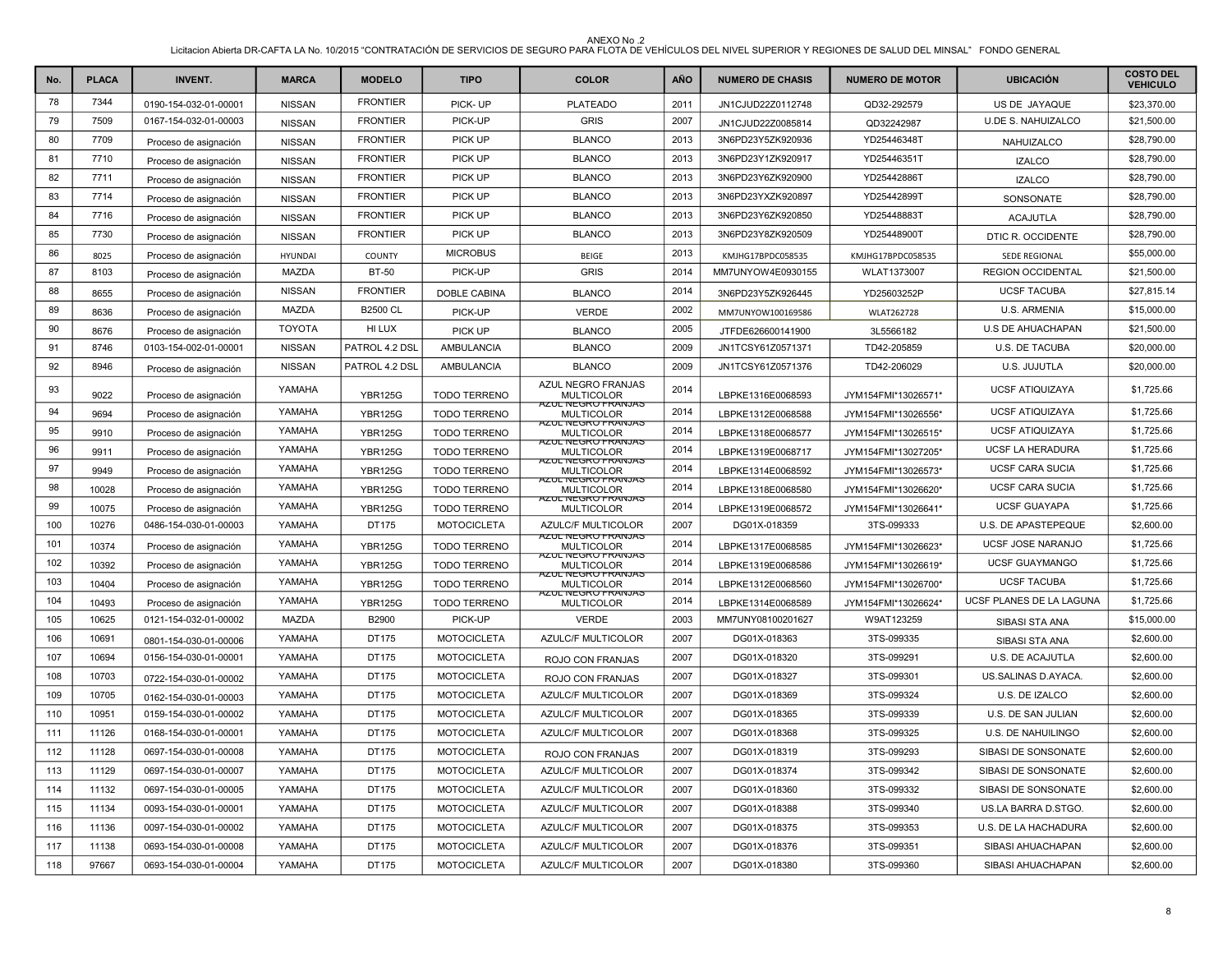| No. | <b>PLACA</b> | <b>INVENT.</b>        | <b>MARCA</b>   | <b>MODELO</b>   | <b>TIPO</b>         | <b>COLOR</b>                                                  | <b>AÑO</b> | <b>NUMERO DE CHASIS</b> | <b>NUMERO DE MOTOR</b> | <b>UBICACIÓN</b>          | <b>COSTO DEL</b><br><b>VEHICULO</b> |
|-----|--------------|-----------------------|----------------|-----------------|---------------------|---------------------------------------------------------------|------------|-------------------------|------------------------|---------------------------|-------------------------------------|
| 78  | 7344         | 0190-154-032-01-00001 | <b>NISSAN</b>  | <b>FRONTIER</b> | PICK-UP             | <b>PLATEADO</b>                                               | 2011       | JN1CJUD22Z0112748       | QD32-292579            | US DE JAYAQUE             | \$23,370.00                         |
| 79  | 7509         | 0167-154-032-01-00003 | <b>NISSAN</b>  | <b>FRONTIER</b> | PICK-UP             | <b>GRIS</b>                                                   | 2007       | JN1CJUD22Z0085814       | QD32242987             | <b>U.DE S. NAHUIZALCO</b> | \$21,500.00                         |
| 80  | 7709         | Proceso de asignación | <b>NISSAN</b>  | <b>FRONTIER</b> | PICK UP             | <b>BLANCO</b>                                                 | 2013       | 3N6PD23Y5ZK920936       | YD25446348T            | NAHUIZALCO                | \$28,790.00                         |
| 81  | 7710         | Proceso de asignación | <b>NISSAN</b>  | <b>FRONTIER</b> | PICK UP             | <b>BLANCO</b>                                                 | 2013       | 3N6PD23Y1ZK920917       | YD25446351T            | <b>IZALCO</b>             | \$28,790.00                         |
| 82  | 7711         | Proceso de asignación | <b>NISSAN</b>  | <b>FRONTIER</b> | PICK UP             | <b>BLANCO</b>                                                 | 2013       | 3N6PD23Y6ZK920900       | YD25442886T            | <b>IZALCO</b>             | \$28,790.00                         |
| 83  | 7714         | Proceso de asignación | <b>NISSAN</b>  | <b>FRONTIER</b> | PICK UP             | <b>BLANCO</b>                                                 | 2013       | 3N6PD23YXZK920897       | YD25442899T            | SONSONATE                 | \$28,790.00                         |
| 84  | 7716         | Proceso de asignación | <b>NISSAN</b>  | <b>FRONTIER</b> | PICK UP             | <b>BLANCO</b>                                                 | 2013       | 3N6PD23Y6ZK920850       | YD25448883T            | <b>ACAJUTLA</b>           | \$28,790.00                         |
| 85  | 7730         | Proceso de asignación | <b>NISSAN</b>  | <b>FRONTIER</b> | PICK UP             | <b>BLANCO</b>                                                 | 2013       | 3N6PD23Y8ZK920509       | YD25448900T            | DTIC R. OCCIDENTE         | \$28,790.00                         |
| 86  | 8025         | Proceso de asignación | <b>HYUNDAI</b> | COUNTY          | <b>MICROBUS</b>     | <b>BEIGE</b>                                                  | 2013       | KMJHG17BPDC058535       | KMJHG17BPDC058535      | SEDE REGIONAL             | \$55,000.00                         |
| 87  | 8103         | Proceso de asignación | MAZDA          | <b>BT-50</b>    | PICK-UP             | <b>GRIS</b>                                                   | 2014       | MM7UNYOW4E0930155       | WLAT1373007            | <b>REGION OCCIDENTAL</b>  | \$21,500.00                         |
| 88  | 8655         | Proceso de asignación | <b>NISSAN</b>  | <b>FRONTIER</b> | DOBLE CABINA        | <b>BLANCO</b>                                                 | 2014       | 3N6PD23Y5ZK926445       | YD25603252P            | <b>UCSF TACUBA</b>        | \$27,815.14                         |
| 89  | 8636         | Proceso de asignación | MAZDA          | <b>B2500 CL</b> | PICK-UP             | <b>VERDE</b>                                                  | 2002       | MM7UNYOW100169586       | <b>WLAT262728</b>      | <b>U.S. ARMENIA</b>       | \$15,000.00                         |
| 90  | 8676         | Proceso de asignación | <b>TOYOTA</b>  | HI LUX          | PICK UP             | <b>BLANCO</b>                                                 | 2005       | JTFDE626600141900       | 3L5566182              | U.S DE AHUACHAPAN         | \$21,500.00                         |
| 91  | 8746         | 0103-154-002-01-00001 | <b>NISSAN</b>  | PATROL 4.2 DSL  | AMBULANCIA          | <b>BLANCO</b>                                                 | 2009       | JN1TCSY61Z0571371       | TD42-205859            | <b>U.S. DE TACUBA</b>     | \$20,000.00                         |
| 92  | 8946         | Proceso de asignación | <b>NISSAN</b>  | PATROL 4.2 DSL  | AMBULANCIA          | <b>BLANCO</b>                                                 | 2009       | JN1TCSY61Z0571376       | TD42-206029            | U.S. JUJUTLA              | \$20,000.00                         |
| 93  | 9022         | Proceso de asignación | YAMAHA         | <b>YBR125G</b>  | <b>TODO TERRENO</b> | AZUL NEGRO FRANJAS<br><b>MULTICOLOR</b><br>AZUL NEGRU FRANJAS | 2014       | LBPKE1316E0068593       | JYM154FMI*13026571*    | <b>UCSF ATIQUIZAYA</b>    | \$1,725.66                          |
| 94  | 9694         | Proceso de asignación | YAMAHA         | <b>YBR125G</b>  | <b>TODO TERRENO</b> | <b>MULTICOLOR</b>                                             | 2014       | LBPKE1312E0068588       | JYM154FMI*13026556*    | <b>UCSF ATIQUIZAYA</b>    | \$1,725.66                          |
| 95  | 9910         | Proceso de asignación | YAMAHA         | <b>YBR125G</b>  | TODO TERRENO        | <b>AZUL NEGRU FRANJAS</b><br><b>MULTICOLOR</b>                | 2014       | LBPKE1318E0068577       | JYM154FMI*13026515*    | <b>UCSF ATIQUIZAYA</b>    | \$1,725.66                          |
| 96  | 9911         | Proceso de asignación | YAMAHA         | <b>YBR125G</b>  | <b>TODO TERRENO</b> | <b>AZUL NEGRO FRANJAS</b><br>MULTICOLOR                       | 2014       | LBPKE1319E0068717       | JYM154FMI*13027205*    | <b>UCSF LA HERADURA</b>   | \$1,725.66                          |
| 97  | 9949         | Proceso de asignación | YAMAHA         | <b>YBR125G</b>  | <b>TODO TERRENO</b> | <b>AZUL NEGRO FRANJAS</b><br><b>MULTICOLOR</b>                | 2014       | LBPKE1314E0068592       | JYM154FMI*13026573*    | <b>UCSF CARA SUCIA</b>    | \$1,725.66                          |
| 98  | 10028        | Proceso de asignación | YAMAHA         | <b>YBR125G</b>  | <b>TODO TERRENO</b> | AZUL NEGRU FRANJAS<br>MULTICOLOR                              | 2014       | LBPKE1318E0068580       | JYM154FMI*13026620*    | <b>UCSF CARA SUCIA</b>    | \$1,725.66                          |
| 99  | 10075        | Proceso de asignación | YAMAHA         | <b>YBR125G</b>  | <b>TODO TERRENO</b> | AZUL NEGRU FRANJAS<br><b>MULTICOLOR</b>                       | 2014       | LBPKE1319E0068572       | JYM154FMI*13026641*    | <b>UCSF GUAYAPA</b>       | \$1,725.66                          |
| 100 | 10276        | 0486-154-030-01-00003 | YAMAHA         | DT175           | <b>MOTOCICLETA</b>  | AZULC/F MULTICOLOR                                            | 2007       | DG01X-018359            | 3TS-099333             | U.S. DE APASTEPEQUE       | \$2,600.00                          |
| 101 | 10374        | Proceso de asignación | YAMAHA         | <b>YBR125G</b>  | <b>TODO TERRENO</b> | <b>AZUL NEGRU FRANJAS</b><br><b>MULTICOLOR</b>                | 2014       | LBPKE1317E0068585       | JYM154FMI*13026623*    | UCSF JOSE NARANJO         | \$1,725.66                          |
| 102 | 10392        | Proceso de asignación | YAMAHA         | <b>YBR125G</b>  | <b>TODO TERRENO</b> | AZUL NEGRO FRANJAS<br><b>MULTICOLOR</b>                       | 2014       | LBPKE1319E0068586       | JYM154FMI*13026619*    | <b>UCSF GUAYMANGO</b>     | \$1,725.66                          |
| 103 | 10404        | Proceso de asignación | YAMAHA         | <b>YBR125G</b>  | <b>TODO TERRENO</b> | AZUL NEGRU FRANJAS<br><b>MULTICOLOR</b>                       | 2014       | LBPKE1312E0068560       | JYM154FMI*13026700*    | <b>UCSF TACUBA</b>        | \$1,725.66                          |
| 104 | 10493        | Proceso de asignación | YAMAHA         | <b>YBR125G</b>  | <b>TODO TERRENO</b> | AZUL NEGRU FRANJAS<br><b>MULTICOLOR</b>                       | 2014       | LBPKE1314E0068589       | JYM154FMI*13026624*    | UCSF PLANES DE LA LAGUNA  | \$1,725.66                          |
| 105 | 10625        | 0121-154-032-01-00002 | <b>MAZDA</b>   | B2900           | PICK-UP             | <b>VERDE</b>                                                  | 2003       | MM7UNY08100201627       | W9AT123259             | SIBASI STA ANA            | \$15,000.00                         |
| 106 | 10691        | 0801-154-030-01-00006 | YAMAHA         | DT175           | <b>MOTOCICLETA</b>  | AZULC/F MULTICOLOR                                            | 2007       | DG01X-018363            | 3TS-099335             | <b>SIBASI STA ANA</b>     | \$2,600.00                          |
| 107 | 10694        | 0156-154-030-01-00001 | YAMAHA         | DT175           | <b>MOTOCICLETA</b>  | ROJO CON FRANJAS                                              | 2007       | DG01X-018320            | 3TS-099291             | U.S. DE ACAJUTLA          | \$2,600.00                          |
| 108 | 10703        | 0722-154-030-01-00002 | YAMAHA         | DT175           | <b>MOTOCICLETA</b>  | ROJO CON FRANJAS                                              | 2007       | DG01X-018327            | 3TS-099301             | US.SALINAS D.AYACA.       | \$2,600.00                          |
| 109 | 10705        | 0162-154-030-01-00003 | YAMAHA         | DT175           | <b>MOTOCICLETA</b>  | <b>AZULC/F MULTICOLOR</b>                                     | 2007       | DG01X-018369            | 3TS-099324             | U.S. DE IZALCO            | \$2,600.00                          |
| 110 | 10951        | 0159-154-030-01-00002 | YAMAHA         | DT175           | <b>MOTOCICLETA</b>  | AZULC/F MULTICOLOR                                            | 2007       | DG01X-018365            | 3TS-099339             | U.S. DE SAN JULIAN        | \$2,600.00                          |
| 111 | 11126        | 0168-154-030-01-00001 | YAMAHA         | DT175           | <b>MOTOCICLETA</b>  | AZULC/F MULTICOLOR                                            | 2007       | DG01X-018368            | 3TS-099325             | U.S. DE NAHUILINGO        | \$2,600.00                          |
| 112 | 11128        | 0697-154-030-01-00008 | YAMAHA         | DT175           | <b>MOTOCICLETA</b>  | ROJO CON FRANJAS                                              | 2007       | DG01X-018319            | 3TS-099293             | SIBASI DE SONSONATE       | \$2,600.00                          |
| 113 | 11129        | 0697-154-030-01-00007 | YAMAHA         | DT175           | <b>MOTOCICLETA</b>  | <b>AZULC/F MULTICOLOR</b>                                     | 2007       | DG01X-018374            | 3TS-099342             | SIBASI DE SONSONATE       | \$2,600.00                          |
| 114 | 11132        | 0697-154-030-01-00005 | YAMAHA         | DT175           | <b>MOTOCICLETA</b>  | <b>AZULC/F MULTICOLOR</b>                                     | 2007       | DG01X-018360            | 3TS-099332             | SIBASI DE SONSONATE       | \$2,600.00                          |
| 115 | 11134        | 0093-154-030-01-00001 | YAMAHA         | DT175           | <b>MOTOCICLETA</b>  | <b>AZULC/F MULTICOLOR</b>                                     | 2007       | DG01X-018388            | 3TS-099340             | US.LA BARRA D.STGO.       | \$2,600.00                          |
| 116 | 11136        | 0097-154-030-01-00002 | YAMAHA         | DT175           | <b>MOTOCICLETA</b>  | AZULC/F MULTICOLOR                                            | 2007       | DG01X-018375            | 3TS-099353             | U.S. DE LA HACHADURA      | \$2,600.00                          |
| 117 | 11138        | 0693-154-030-01-00008 | YAMAHA         | DT175           | <b>MOTOCICLETA</b>  | AZULC/F MULTICOLOR                                            | 2007       | DG01X-018376            | 3TS-099351             | SIBASI AHUACHAPAN         | \$2,600.00                          |
| 118 | 97667        | 0693-154-030-01-00004 | YAMAHA         | DT175           | <b>MOTOCICLETA</b>  | <b>AZULC/F MULTICOLOR</b>                                     | 2007       | DG01X-018380            | 3TS-099360             | SIBASI AHUACHAPAN         | \$2,600.00                          |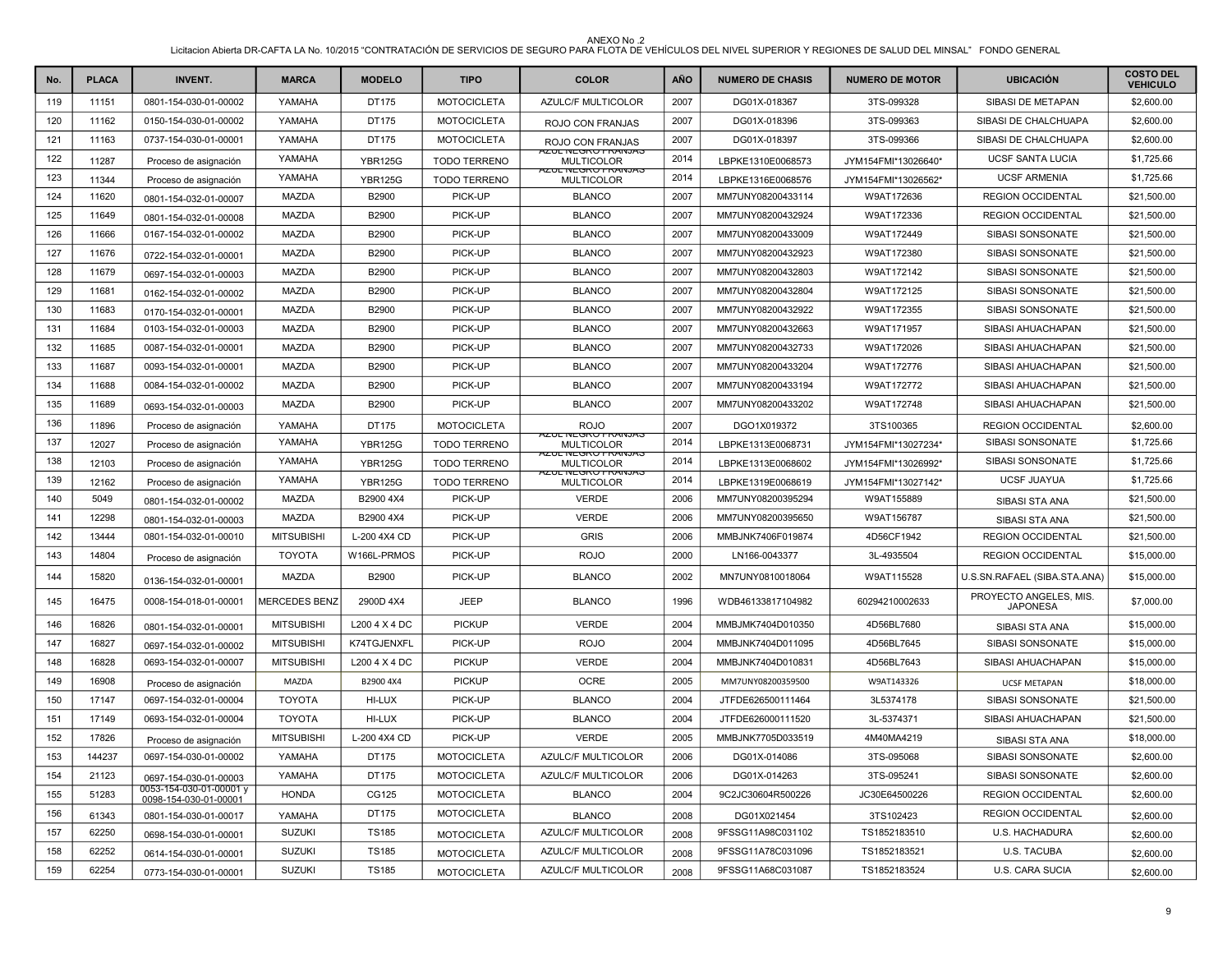| No. | <b>PLACA</b> | <b>INVENT.</b>                                   | <b>MARCA</b>         | <b>MODELO</b>  | <b>TIPO</b>         | <b>COLOR</b>                                   | <b>AÑO</b> | <b>NUMERO DE CHASIS</b> | <b>NUMERO DE MOTOR</b> | <b>UBICACIÓN</b>                          | <b>COSTO DEL</b><br><b>VEHICULO</b> |
|-----|--------------|--------------------------------------------------|----------------------|----------------|---------------------|------------------------------------------------|------------|-------------------------|------------------------|-------------------------------------------|-------------------------------------|
| 119 | 11151        | 0801-154-030-01-00002                            | YAMAHA               | DT175          | <b>MOTOCICLETA</b>  | AZULC/F MULTICOLOR                             | 2007       | DG01X-018367            | 3TS-099328             | SIBASI DE METAPAN                         | \$2,600.00                          |
| 120 | 11162        | 0150-154-030-01-00002                            | YAMAHA               | DT175          | <b>MOTOCICLETA</b>  | ROJO CON FRANJAS                               | 2007       | DG01X-018396            | 3TS-099363             | SIBASI DE CHALCHUAPA                      | \$2,600.00                          |
| 121 | 11163        | 0737-154-030-01-00001                            | YAMAHA               | DT175          | <b>MOTOCICLETA</b>  | ROJO CON FRANJAS                               | 2007       | DG01X-018397            | 3TS-099366             | SIBASI DE CHALCHUAPA                      | \$2,600.00                          |
| 122 | 11287        | Proceso de asignación                            | YAMAHA               | <b>YBR125G</b> | <b>TODO TERRENO</b> | <b>AZUL NEGRO FRANJAS</b><br><b>MULTICOLOR</b> | 2014       | LBPKE1310E0068573       | JYM154FMI*13026640*    | <b>UCSF SANTA LUCIA</b>                   | \$1,725.66                          |
| 123 | 11344        | Proceso de asignación                            | YAMAHA               | <b>YBR125G</b> | <b>TODO TERRENO</b> | <b>AZUL NEGRU FRANJAS</b><br><b>MULTICOLOR</b> | 2014       | LBPKE1316E0068576       | JYM154FMI*13026562*    | <b>UCSF ARMENIA</b>                       | \$1,725.66                          |
| 124 | 11620        | 0801-154-032-01-00007                            | <b>MAZDA</b>         | B2900          | PICK-UP             | <b>BLANCO</b>                                  | 2007       | MM7UNY08200433114       | W9AT172636             | <b>REGION OCCIDENTAL</b>                  | \$21,500.00                         |
| 125 | 11649        | 0801-154-032-01-00008                            | <b>MAZDA</b>         | B2900          | PICK-UP             | <b>BLANCO</b>                                  | 2007       | MM7UNY08200432924       | W9AT172336             | <b>REGION OCCIDENTAL</b>                  | \$21,500.00                         |
| 126 | 11666        | 0167-154-032-01-00002                            | <b>MAZDA</b>         | B2900          | PICK-UP             | <b>BLANCO</b>                                  | 2007       | MM7UNY08200433009       | W9AT172449             | SIBASI SONSONATE                          | \$21,500.00                         |
| 127 | 11676        | 0722-154-032-01-00001                            | <b>MAZDA</b>         | B2900          | PICK-UP             | <b>BLANCO</b>                                  | 2007       | MM7UNY08200432923       | W9AT172380             | SIBASI SONSONATE                          | \$21,500.00                         |
| 128 | 11679        | 0697-154-032-01-00003                            | <b>MAZDA</b>         | <b>B2900</b>   | PICK-UP             | <b>BLANCO</b>                                  | 2007       | MM7UNY08200432803       | W9AT172142             | SIBASI SONSONATE                          | \$21,500.00                         |
| 129 | 11681        | 0162-154-032-01-00002                            | <b>MAZDA</b>         | <b>B2900</b>   | PICK-UP             | <b>BLANCO</b>                                  | 2007       | MM7UNY08200432804       | W9AT172125             | SIBASI SONSONATE                          | \$21,500.00                         |
| 130 | 11683        | 0170-154-032-01-00001                            | <b>MAZDA</b>         | B2900          | PICK-UP             | <b>BLANCO</b>                                  | 2007       | MM7UNY08200432922       | W9AT172355             | SIBASI SONSONATE                          | \$21,500.00                         |
| 131 | 11684        | 0103-154-032-01-00003                            | <b>MAZDA</b>         | B2900          | PICK-UP             | <b>BLANCO</b>                                  | 2007       | MM7UNY08200432663       | W9AT171957             | SIBASI AHUACHAPAN                         | \$21,500.00                         |
| 132 | 11685        | 0087-154-032-01-00001                            | <b>MAZDA</b>         | B2900          | PICK-UP             | <b>BLANCO</b>                                  | 2007       | MM7UNY08200432733       | W9AT172026             | SIBASI AHUACHAPAN                         | \$21,500.00                         |
| 133 | 11687        | 0093-154-032-01-00001                            | <b>MAZDA</b>         | B2900          | PICK-UP             | <b>BLANCO</b>                                  | 2007       | MM7UNY08200433204       | W9AT172776             | SIBASI AHUACHAPAN                         | \$21,500.00                         |
| 134 | 11688        | 0084-154-032-01-00002                            | <b>MAZDA</b>         | B2900          | PICK-UP             | <b>BLANCO</b>                                  | 2007       | MM7UNY08200433194       | W9AT172772             | SIBASI AHUACHAPAN                         | \$21,500.00                         |
| 135 | 11689        | 0693-154-032-01-00003                            | <b>MAZDA</b>         | B2900          | PICK-UP             | <b>BLANCO</b>                                  | 2007       | MM7UNY08200433202       | W9AT172748             | SIBASI AHUACHAPAN                         | \$21,500.00                         |
| 136 | 11896        | Proceso de asignación                            | YAMAHA               | DT175          | <b>MOTOCICLETA</b>  | <b>ROJO</b>                                    | 2007       | DGO1X019372             | 3TS100365              | <b>REGION OCCIDENTAL</b>                  | \$2,600.00                          |
| 137 | 12027        | Proceso de asignación                            | YAMAHA               | <b>YBR125G</b> | <b>TODO TERRENO</b> | <b>AZUL NEGRU FRANJAS</b><br><b>MULTICOLOR</b> | 2014       | LBPKE1313E0068731       | JYM154FMI*13027234*    | SIBASI SONSONATE                          | \$1,725.66                          |
| 138 | 12103        | Proceso de asignación                            | YAMAHA               | <b>YBR125G</b> | <b>TODO TERRENO</b> | <b>AZUL NEGRU FRANJAS</b><br><b>MULTICOLOR</b> | 2014       | LBPKE1313E0068602       | JYM154FMI*13026992*    | SIBASI SONSONATE                          | \$1,725.66                          |
| 139 | 12162        | Proceso de asignación                            | YAMAHA               | <b>YBR125G</b> | <b>TODO TERRENO</b> | <b>AZUL NEGRU FRANJAS</b><br>MULTICOLOR        | 2014       | LBPKE1319E0068619       | JYM154FMI*13027142*    | <b>UCSF JUAYUA</b>                        | \$1,725.66                          |
| 140 | 5049         | 0801-154-032-01-00002                            | MAZDA                | B2900 4X4      | PICK-UP             | <b>VERDE</b>                                   | 2006       | MM7UNY08200395294       | W9AT155889             | SIBASI STA ANA                            | \$21,500.00                         |
| 141 | 12298        | 0801-154-032-01-00003                            | <b>MAZDA</b>         | B2900 4X4      | PICK-UP             | <b>VERDE</b>                                   | 2006       | MM7UNY08200395650       | W9AT156787             | SIBASI STA ANA                            | \$21,500.00                         |
| 142 | 13444        | 0801-154-032-01-00010                            | <b>MITSUBISHI</b>    | L-200 4X4 CD   | PICK-UP             | <b>GRIS</b>                                    | 2006       | MMBJNK7406F019874       | 4D56CF1942             | <b>REGION OCCIDENTAL</b>                  | \$21,500.00                         |
| 143 | 14804        | Proceso de asignación                            | <b>TOYOTA</b>        | W166L-PRMOS    | PICK-UP             | <b>ROJO</b>                                    | 2000       | LN166-0043377           | 3L-4935504             | <b>REGION OCCIDENTAL</b>                  | \$15,000.00                         |
| 144 | 15820        | 0136-154-032-01-00001                            | MAZDA                | B2900          | PICK-UP             | <b>BLANCO</b>                                  | 2002       | MN7UNY0810018064        | W9AT115528             | U.S.SN.RAFAEL (SIBA.STA.ANA)              | \$15,000.00                         |
| 145 | 16475        | 0008-154-018-01-00001                            | <b>MERCEDES BENZ</b> | 2900D 4X4      | JEEP                | <b>BLANCO</b>                                  | 1996       | WDB46133817104982       | 60294210002633         | PROYECTO ANGELES, MIS.<br><b>JAPONESA</b> | \$7,000.00                          |
| 146 | 16826        | 0801-154-032-01-00001                            | <b>MITSUBISHI</b>    | L200 4 X 4 DC  | <b>PICKUP</b>       | <b>VERDE</b>                                   | 2004       | MMBJMK7404D010350       | 4D56BL7680             | SIBASI STA ANA                            | \$15,000.00                         |
| 147 | 16827        | 0697-154-032-01-00002                            | <b>MITSUBISHI</b>    | K74TGJENXFL    | PICK-UP             | <b>ROJO</b>                                    | 2004       | MMBJNK7404D011095       | 4D56BL7645             | SIBASI SONSONATE                          | \$15,000.00                         |
| 148 | 16828        | 0693-154-032-01-00007                            | <b>MITSUBISHI</b>    | L200 4 X 4 DC  | <b>PICKUP</b>       | <b>VERDE</b>                                   | 2004       | MMBJNK7404D010831       | 4D56BL7643             | SIBASI AHUACHAPAN                         | \$15,000.00                         |
| 149 | 16908        | Proceso de asignación                            | MAZDA                | B2900 4X4      | <b>PICKUP</b>       | <b>OCRE</b>                                    | 2005       | MM7UNY08200359500       | W9AT143326             | <b>UCSF METAPAN</b>                       | \$18,000.00                         |
| 150 | 17147        | 0697-154-032-01-00004                            | <b>TOYOTA</b>        | HI-LUX         | PICK-UP             | <b>BLANCO</b>                                  | 2004       | JTFDE626500111464       | 3L5374178              | SIBASI SONSONATE                          | \$21,500.00                         |
| 151 | 17149        | 0693-154-032-01-00004                            | <b>TOYOTA</b>        | HI-LUX         | PICK-UP             | <b>BLANCO</b>                                  | 2004       | JTFDE626000111520       | 3L-5374371             | SIBASI AHUACHAPAN                         | \$21,500.00                         |
| 152 | 17826        | Proceso de asignación                            | <b>MITSUBISHI</b>    | L-200 4X4 CD   | PICK-UP             | <b>VERDE</b>                                   | 2005       | MMBJNK7705D033519       | 4M40MA4219             | SIBASI STA ANA                            | \$18,000.00                         |
| 153 | 144237       | 0697-154-030-01-00002                            | YAMAHA               | DT175          | <b>MOTOCICLETA</b>  | <b>AZULC/F MULTICOLOR</b>                      | 2006       | DG01X-014086            | 3TS-095068             | SIBASI SONSONATE                          | \$2,600.00                          |
| 154 | 21123        | 0697-154-030-01-00003                            | YAMAHA               | DT175          | <b>MOTOCICLETA</b>  | AZULC/F MULTICOLOR                             | 2006       | DG01X-014263            | 3TS-095241             | SIBASI SONSONATE                          | \$2,600.00                          |
| 155 | 51283        | 0053-154-030-01-00001 y<br>0098-154-030-01-00001 | <b>HONDA</b>         | CG125          | <b>MOTOCICLETA</b>  | <b>BLANCO</b>                                  | 2004       | 9C2JC30604R500226       | JC30E64500226          | <b>REGION OCCIDENTAL</b>                  | \$2,600.00                          |
| 156 | 61343        | 0801-154-030-01-00017                            | YAMAHA               | DT175          | <b>MOTOCICLETA</b>  | <b>BLANCO</b>                                  | 2008       | DG01X021454             | 3TS102423              | <b>REGION OCCIDENTAL</b>                  | \$2,600.00                          |
| 157 | 62250        | 0698-154-030-01-00001                            | <b>SUZUKI</b>        | <b>TS185</b>   | <b>MOTOCICLETA</b>  | AZULC/F MULTICOLOR                             | 2008       | 9FSSG11A98C031102       | TS1852183510           | U.S. HACHADURA                            | \$2,600.00                          |
| 158 | 62252        | 0614-154-030-01-00001                            | <b>SUZUKI</b>        | TS185          | <b>MOTOCICLETA</b>  | AZULC/F MULTICOLOR                             | 2008       | 9FSSG11A78C031096       | TS1852183521           | U.S. TACUBA                               | \$2,600.00                          |
| 159 | 62254        | 0773-154-030-01-00001                            | <b>SUZUKI</b>        | TS185          | <b>MOTOCICLETA</b>  | AZULC/F MULTICOLOR                             | 2008       | 9FSSG11A68C031087       | TS1852183524           | U.S. CARA SUCIA                           | \$2,600.00                          |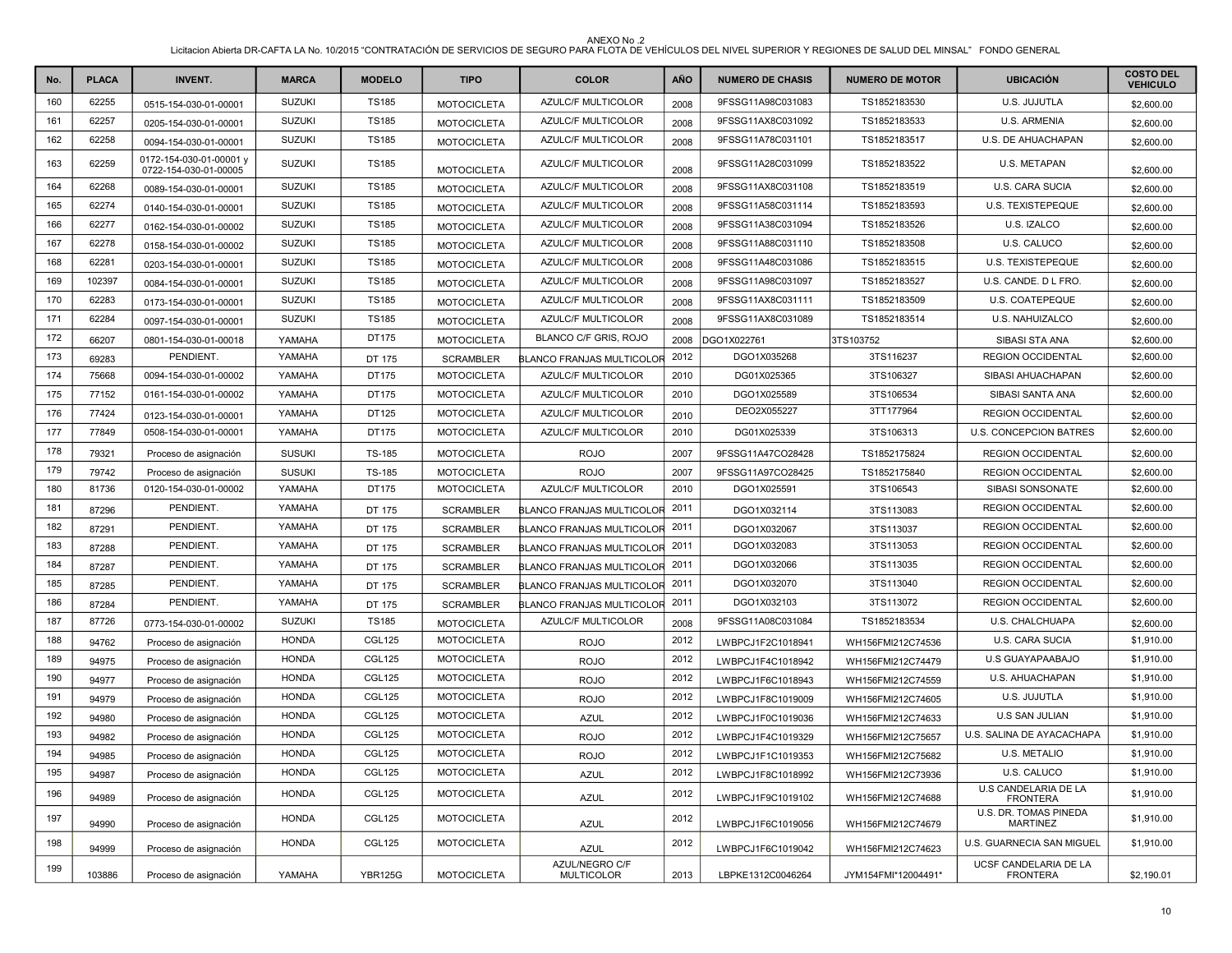| No. | <b>PLACA</b> | <b>INVENT.</b>                                   | <b>MARCA</b>  | <b>MODELO</b>  | <b>TIPO</b>        | <b>COLOR</b>                     | <b>AÑO</b> | <b>NUMERO DE CHASIS</b> | <b>NUMERO DE MOTOR</b> | <b>UBICACIÓN</b>                               | <b>COSTO DEL</b><br><b>VEHICULO</b> |
|-----|--------------|--------------------------------------------------|---------------|----------------|--------------------|----------------------------------|------------|-------------------------|------------------------|------------------------------------------------|-------------------------------------|
| 160 | 62255        | 0515-154-030-01-00001                            | <b>SUZUKI</b> | <b>TS185</b>   | <b>MOTOCICLETA</b> | AZULC/F MULTICOLOR               | 2008       | 9FSSG11A98C031083       | TS1852183530           | U.S. JUJUTLA                                   | \$2,600.00                          |
| 161 | 62257        | 0205-154-030-01-00001                            | <b>SUZUKI</b> | TS185          | <b>MOTOCICLETA</b> | AZULC/F MULTICOLOR               | 2008       | 9FSSG11AX8C031092       | TS1852183533           | U.S. ARMENIA                                   | \$2,600.00                          |
| 162 | 62258        | 0094-154-030-01-00001                            | <b>SUZUKI</b> | TS185          | <b>MOTOCICLETA</b> | AZULC/F MULTICOLOR               | 2008       | 9FSSG11A78C031101       | TS1852183517           | U.S. DE AHUACHAPAN                             | \$2,600.00                          |
| 163 | 62259        | 0172-154-030-01-00001 y<br>0722-154-030-01-00005 | <b>SUZUKI</b> | <b>TS185</b>   | <b>MOTOCICLETA</b> | AZULC/F MULTICOLOR               | 2008       | 9FSSG11A28C031099       | TS1852183522           | U.S. METAPAN                                   | \$2,600.00                          |
| 164 | 62268        | 0089-154-030-01-00001                            | <b>SUZUKI</b> | <b>TS185</b>   | <b>MOTOCICLETA</b> | AZULC/F MULTICOLOR               | 2008       | 9FSSG11AX8C031108       | TS1852183519           | U.S. CARA SUCIA                                | \$2,600.00                          |
| 165 | 62274        | 0140-154-030-01-00001                            | <b>SUZUKI</b> | <b>TS185</b>   | <b>MOTOCICLETA</b> | AZULC/F MULTICOLOR               | 2008       | 9FSSG11A58C031114       | TS1852183593           | U.S. TEXISTEPEQUE                              | \$2,600.00                          |
| 166 | 62277        | 0162-154-030-01-00002                            | <b>SUZUKI</b> | <b>TS185</b>   | <b>MOTOCICLETA</b> | AZULC/F MULTICOLOR               | 2008       | 9FSSG11A38C031094       | TS1852183526           | U.S. IZALCO                                    | \$2,600.00                          |
| 167 | 62278        | 0158-154-030-01-00002                            | <b>SUZUKI</b> | <b>TS185</b>   | <b>MOTOCICLETA</b> | AZULC/F MULTICOLOR               | 2008       | 9FSSG11A88C031110       | TS1852183508           | U.S. CALUCO                                    | \$2,600.00                          |
| 168 | 62281        | 0203-154-030-01-00001                            | <b>SUZUKI</b> | <b>TS185</b>   | <b>MOTOCICLETA</b> | AZULC/F MULTICOLOR               | 2008       | 9FSSG11A48C031086       | TS1852183515           | U.S. TEXISTEPEQUE                              | \$2,600.00                          |
| 169 | 102397       | 0084-154-030-01-00001                            | <b>SUZUKI</b> | <b>TS185</b>   | <b>MOTOCICLETA</b> | AZULC/F MULTICOLOR               | 2008       | 9FSSG11A98C031097       | TS1852183527           | U.S. CANDE. D L FRO.                           | \$2,600.00                          |
| 170 | 62283        | 0173-154-030-01-00001                            | <b>SUZUKI</b> | <b>TS185</b>   | <b>MOTOCICLETA</b> | AZULC/F MULTICOLOR               | 2008       | 9FSSG11AX8C031111       | TS1852183509           | U.S. COATEPEQUE                                | \$2,600.00                          |
| 171 | 62284        | 0097-154-030-01-00001                            | <b>SUZUKI</b> | <b>TS185</b>   | <b>MOTOCICLETA</b> | AZULC/F MULTICOLOR               | 2008       | 9FSSG11AX8C031089       | TS1852183514           | U.S. NAHUIZALCO                                | \$2,600.00                          |
| 172 | 66207        | 0801-154-030-01-00018                            | YAMAHA        | DT175          | <b>MOTOCICLETA</b> | BLANCO C/F GRIS, ROJO            | 2008       | DGO1X022761             | 3TS103752              | SIBASI STA ANA                                 | \$2,600.00                          |
| 173 | 69283        | PENDIENT.                                        | YAMAHA        | DT 175         | <b>SCRAMBLER</b>   | <b>BLANCO FRANJAS MULTICOLOF</b> | 2012       | DGO1X035268             | 3TS116237              | <b>REGION OCCIDENTAL</b>                       | \$2,600.00                          |
| 174 | 75668        | 0094-154-030-01-00002                            | YAMAHA        | DT175          | <b>MOTOCICLETA</b> | AZULC/F MULTICOLOR               | 2010       | DG01X025365             | 3TS106327              | SIBASI AHUACHAPAN                              | \$2,600.00                          |
| 175 | 77152        | 0161-154-030-01-00002                            | YAMAHA        | DT175          | <b>MOTOCICLETA</b> | AZULC/F MULTICOLOR               | 2010       | DGO1X025589             | 3TS106534              | SIBASI SANTA ANA                               | \$2,600.00                          |
| 176 | 77424        | 0123-154-030-01-00001                            | YAMAHA        | DT125          | <b>MOTOCICLETA</b> | <b>AZULC/F MULTICOLOR</b>        | 2010       | DEO2X055227             | 3TT177964              | <b>REGION OCCIDENTAL</b>                       | \$2,600.00                          |
| 177 | 77849        | 0508-154-030-01-00001                            | YAMAHA        | DT175          | <b>MOTOCICLETA</b> | AZULC/F MULTICOLOR               | 2010       | DG01X025339             | 3TS106313              | <b>U.S. CONCEPCION BATRES</b>                  | \$2,600.00                          |
| 178 | 79321        | Proceso de asignación                            | <b>SUSUKI</b> | <b>TS-185</b>  | <b>MOTOCICLETA</b> | <b>ROJO</b>                      | 2007       | 9FSSG11A47CO28428       | TS1852175824           | <b>REGION OCCIDENTAL</b>                       | \$2,600.00                          |
| 179 | 79742        | Proceso de asignación                            | <b>SUSUKI</b> | <b>TS-185</b>  | <b>MOTOCICLETA</b> | <b>ROJO</b>                      | 2007       | 9FSSG11A97CO28425       | TS1852175840           | <b>REGION OCCIDENTAL</b>                       | \$2,600.00                          |
| 180 | 81736        | 0120-154-030-01-00002                            | YAMAHA        | DT175          | <b>MOTOCICLETA</b> | AZULC/F MULTICOLOR               | 2010       | DGO1X025591             | 3TS106543              | SIBASI SONSONATE                               | \$2,600.00                          |
| 181 | 87296        | PENDIENT.                                        | YAMAHA        | DT 175         | <b>SCRAMBLER</b>   | BLANCO FRANJAS MULTICOLOR        | 2011       | DGO1X032114             | 3TS113083              | <b>REGION OCCIDENTAL</b>                       | \$2,600.00                          |
| 182 | 87291        | PENDIENT.                                        | YAMAHA        | DT 175         | <b>SCRAMBLER</b>   | BLANCO FRANJAS MULTICOLOR        | 2011       | DGO1X032067             | 3TS113037              | <b>REGION OCCIDENTAL</b>                       | \$2,600.00                          |
| 183 | 87288        | PENDIENT.                                        | YAMAHA        | DT 175         | <b>SCRAMBLER</b>   | BLANCO FRANJAS MULTICOLOR        | 2011       | DGO1X032083             | 3TS113053              | <b>REGION OCCIDENTAL</b>                       | \$2,600.00                          |
| 184 | 87287        | PENDIENT.                                        | YAMAHA        | DT 175         | <b>SCRAMBLER</b>   | BLANCO FRANJAS MULTICOLOR        | 2011       | DGO1X032066             | 3TS113035              | <b>REGION OCCIDENTAL</b>                       | \$2,600.00                          |
| 185 | 87285        | PENDIENT.                                        | YAMAHA        | DT 175         | <b>SCRAMBLER</b>   | BLANCO FRANJAS MULTICOLOR        | 2011       | DGO1X032070             | 3TS113040              | <b>REGION OCCIDENTAL</b>                       | \$2,600.00                          |
| 186 | 87284        | PENDIENT.                                        | YAMAHA        | DT 175         | <b>SCRAMBLER</b>   | BLANCO FRANJAS MULTICOLOR        | 2011       | DGO1X032103             | 3TS113072              | <b>REGION OCCIDENTAL</b>                       | \$2,600.00                          |
| 187 | 87726        | 0773-154-030-01-00002                            | <b>SUZUKI</b> | <b>TS185</b>   | <b>MOTOCICLETA</b> | AZULC/F MULTICOLOR               | 2008       | 9FSSG11A08C031084       | TS1852183534           | U.S. CHALCHUAPA                                | \$2,600.00                          |
| 188 | 94762        | Proceso de asignación                            | <b>HONDA</b>  | <b>CGL125</b>  | <b>MOTOCICLETA</b> | <b>ROJO</b>                      | 2012       | LWBPCJ1F2C1018941       | WH156FMI212C74536      | U.S. CARA SUCIA                                | \$1,910.00                          |
| 189 | 94975        | Proceso de asignación                            | <b>HONDA</b>  | <b>CGL125</b>  | <b>MOTOCICLETA</b> | <b>ROJO</b>                      | 2012       | LWBPCJ1F4C1018942       | WH156FMI212C74479      | <b>U.S GUAYAPAABAJO</b>                        | \$1,910.00                          |
| 190 | 94977        | Proceso de asignación                            | <b>HONDA</b>  | <b>CGL125</b>  | <b>MOTOCICLETA</b> | <b>ROJO</b>                      | 2012       | LWBPCJ1F6C1018943       | WH156FMI212C74559      | U.S. AHUACHAPAN                                | \$1,910.00                          |
| 191 | 94979        | Proceso de asignación                            | <b>HONDA</b>  | <b>CGL125</b>  | <b>MOTOCICLETA</b> | <b>ROJO</b>                      | 2012       | LWBPCJ1F8C1019009       | WH156FMI212C74605      | U.S. JUJUTLA                                   | \$1,910.00                          |
| 192 | 94980        | Proceso de asignación                            | <b>HONDA</b>  | <b>CGL125</b>  | <b>MOTOCICLETA</b> | AZUL                             | 2012       | LWBPCJ1F0C1019036       | WH156FMI212C74633      | <b>U.S SAN JULIAN</b>                          | \$1,910.00                          |
| 193 | 94982        | Proceso de asignación                            | <b>HONDA</b>  | <b>CGL125</b>  | <b>MOTOCICLETA</b> | <b>ROJO</b>                      | 2012       | LWBPCJ1F4C1019329       | WH156FMI212C75657      | U.S. SALINA DE AYACACHAPA                      | \$1,910.00                          |
| 194 | 94985        | Proceso de asignación                            | <b>HONDA</b>  | <b>CGL125</b>  | <b>MOTOCICLETA</b> | <b>ROJO</b>                      | 2012       | LWBPCJ1F1C1019353       | WH156FMI212C75682      | <b>U.S. METALIO</b>                            | \$1,910.00                          |
| 195 | 94987        | Proceso de asignación                            | <b>HONDA</b>  | CGL125         | <b>MOTOCICLETA</b> | <b>AZUL</b>                      | 2012       | LWBPCJ1F8C1018992       | WH156FMI212C73936      | U.S. CALUCO                                    | \$1,910.00                          |
| 196 | 94989        | Proceso de asignación                            | <b>HONDA</b>  | CGL125         | <b>MOTOCICLETA</b> | <b>AZUL</b>                      | 2012       | LWBPCJ1F9C1019102       | WH156FMI212C74688      | <b>U.S CANDELARIA DE LA</b><br><b>FRONTERA</b> | \$1,910.00                          |
| 197 | 94990        | Proceso de asignación                            | <b>HONDA</b>  | CGL125         | <b>MOTOCICLETA</b> | <b>AZUL</b>                      | 2012       | LWBPCJ1F6C1019056       | WH156FMI212C74679      | U.S. DR. TOMAS PINEDA<br><b>MARTINEZ</b>       | \$1,910.00                          |
| 198 | 94999        | Proceso de asignación                            | <b>HONDA</b>  | CGL125         | <b>MOTOCICLETA</b> | <b>AZUL</b>                      | 2012       | LWBPCJ1F6C1019042       | WH156FMI212C74623      | U.S. GUARNECIA SAN MIGUEL                      | \$1,910.00                          |
| 199 | 103886       | Proceso de asignación                            | YAMAHA        | <b>YBR125G</b> | <b>MOTOCICLETA</b> | AZUL/NEGRO C/F<br>MULTICOLOR     | 2013       | LBPKE1312C0046264       | JYM154FMI*12004491*    | UCSF CANDELARIA DE LA<br><b>FRONTERA</b>       | \$2,190.01                          |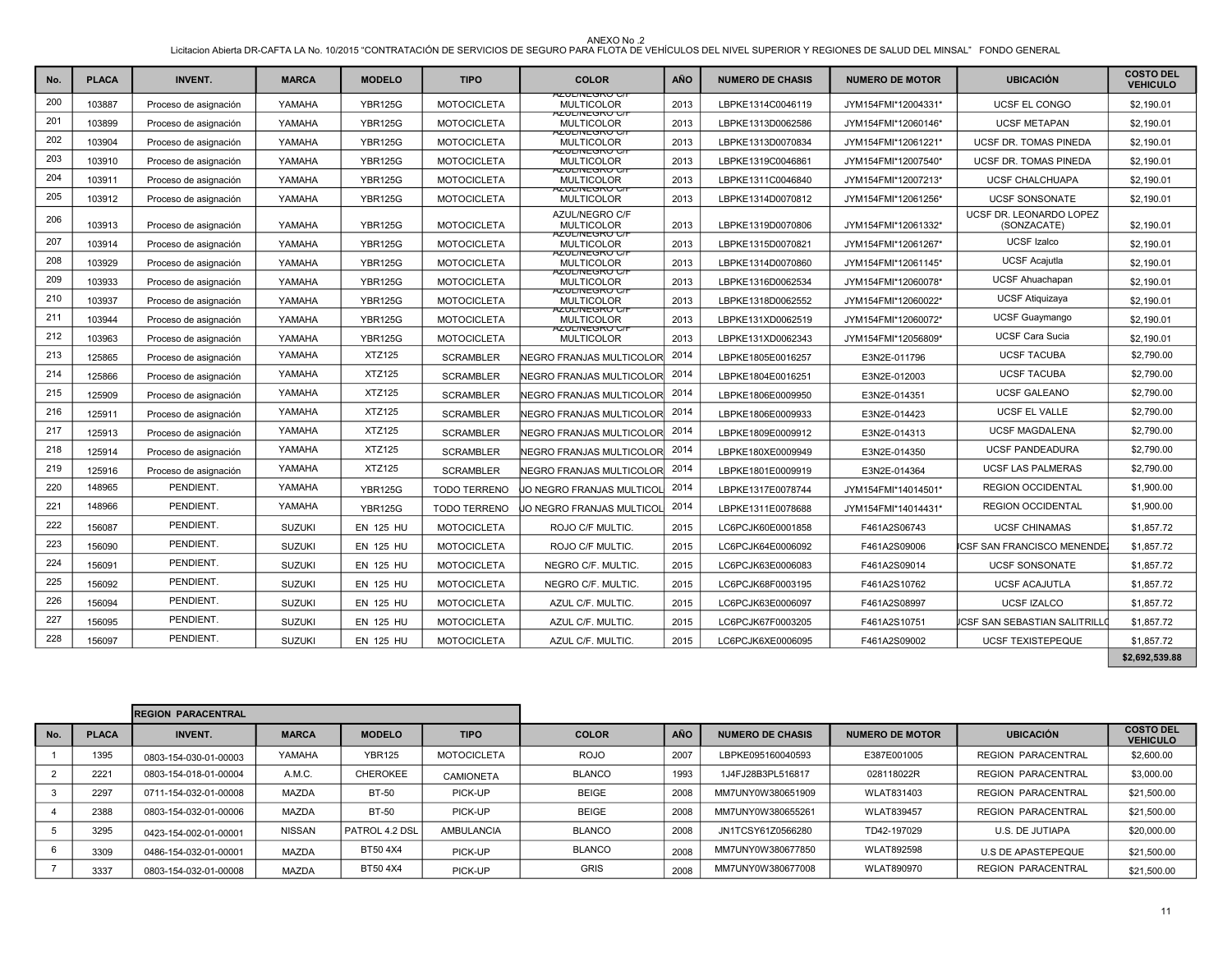| No. | <b>PLACA</b> | <b>INVENT.</b>        | <b>MARCA</b>  | <b>MODELO</b>    | <b>TIPO</b>         | <b>COLOR</b>                                                   | <b>AÑO</b> | <b>NUMERO DE CHASIS</b> | <b>NUMERO DE MOTOR</b> | <b>UBICACIÓN</b>                       | <b>COSTO DEL</b><br><b>VEHICULO</b> |
|-----|--------------|-----------------------|---------------|------------------|---------------------|----------------------------------------------------------------|------------|-------------------------|------------------------|----------------------------------------|-------------------------------------|
| 200 | 103887       | Proceso de asignación | YAMAHA        | <b>YBR125G</b>   | <b>MOTOCICLETA</b>  | <del>AZUL/INEGRU U/F</del><br><b>MULTICOLOR</b>                | 2013       | LBPKE1314C0046119       | JYM154FMI*12004331*    | UCSF EL CONGO                          | \$2,190.01                          |
| 201 | 103899       | Proceso de asignación | YAMAHA        | <b>YBR125G</b>   | <b>MOTOCICLETA</b>  | AZUL/NEGRO C/F<br><b>MULTICOLOR</b>                            | 2013       | LBPKE1313D0062586       | JYM154FMI*12060146*    | <b>UCSF METAPAN</b>                    | \$2,190.01                          |
| 202 | 103904       | Proceso de asignación | YAMAHA        | <b>YBR125G</b>   | <b>MOTOCICLETA</b>  | AZUL/INEGRU U/F<br><b>MULTICOLOR</b>                           | 2013       | LBPKE1313D0070834       | JYM154FMI*12061221*    | UCSF DR. TOMAS PINEDA                  | \$2,190.01                          |
| 203 | 103910       | Proceso de asignación | YAMAHA        | <b>YBR125G</b>   | <b>MOTOCICLETA</b>  | <b>AZUL/NEGRO C/F</b><br><b>MULTICOLOR</b>                     | 2013       | LBPKE1319C0046861       | JYM154FMI*12007540*    | UCSF DR. TOMAS PINEDA                  | \$2,190.01                          |
| 204 | 103911       | Proceso de asignación | YAMAHA        | <b>YBR125G</b>   | <b>MOTOCICLETA</b>  | AZUL/INEGRU U/F<br><b>MULTICOLOR</b><br><u>AZUL/INEGRU U/F</u> | 2013       | LBPKE1311C0046840       | JYM154FMI*12007213*    | <b>UCSF CHALCHUAPA</b>                 | \$2,190.01                          |
| 205 | 103912       | Proceso de asignación | YAMAHA        | <b>YBR125G</b>   | <b>MOTOCICLETA</b>  | <b>MULTICOLOR</b>                                              | 2013       | LBPKE1314D0070812       | JYM154FMI*12061256*    | <b>UCSF SONSONATE</b>                  | \$2,190.01                          |
| 206 | 103913       | Proceso de asignación | YAMAHA        | <b>YBR125G</b>   | <b>MOTOCICLETA</b>  | AZUL/NEGRO C/F<br><b>MULTICOLOR</b><br>AZUL/INEGRU U/F         | 2013       | LBPKE1319D0070806       | JYM154FMI*12061332*    | UCSF DR. LEONARDO LOPEZ<br>(SONZACATE) | \$2,190.01                          |
| 207 | 103914       | Proceso de asignación | YAMAHA        | <b>YBR125G</b>   | <b>MOTOCICLETA</b>  | <b>MULTICOLOR</b><br>AZUL/INEGRU G/F                           | 2013       | LBPKE1315D0070821       | JYM154FMI*12061267*    | <b>UCSF Izalco</b>                     | \$2,190.01                          |
| 208 | 103929       | Proceso de asignación | YAMAHA        | <b>YBR125G</b>   | <b>MOTOCICLETA</b>  | <b>MULTICOLOR</b>                                              | 2013       | LBPKE1314D0070860       | JYM154FMI*12061145*    | <b>UCSF Acajutla</b>                   | \$2,190.01                          |
| 209 | 103933       | Proceso de asignación | YAMAHA        | <b>YBR125G</b>   | <b>MOTOCICLETA</b>  | <u>AZUL/INEGRO C/I</u><br><b>MULTICOLOR</b>                    | 2013       | LBPKE1316D0062534       | JYM154FMI*12060078*    | <b>UCSF Ahuachapan</b>                 | \$2.190.01                          |
| 210 | 103937       | Proceso de asignación | YAMAHA        | <b>YBR125G</b>   | <b>MOTOCICLETA</b>  | <u>AZUL/INEGRU C/I</u><br><b>MULTICOLOR</b>                    | 2013       | LBPKE1318D0062552       | JYM154FMI*12060022*    | <b>UCSF Atiquizaya</b>                 | \$2,190.01                          |
| 211 | 103944       | Proceso de asignación | YAMAHA        | <b>YBR125G</b>   | <b>MOTOCICLETA</b>  | AZUL/INEGRU G/F<br><b>MULTICOLOR</b><br>AZUL/INEGRU U/F        | 2013       | LBPKE131XD0062519       | JYM154FMI*12060072*    | <b>UCSF Guaymango</b>                  | \$2,190.01                          |
| 212 | 103963       | Proceso de asignación | YAMAHA        | <b>YBR125G</b>   | <b>MOTOCICLETA</b>  | <b>MULTICOLOR</b>                                              | 2013       | LBPKE131XD0062343       | JYM154FMI*12056809*    | <b>UCSF Cara Sucia</b>                 | \$2.190.01                          |
| 213 | 125865       | Proceso de asignación | YAMAHA        | <b>XTZ125</b>    | <b>SCRAMBLER</b>    | NEGRO FRANJAS MULTICOLOR                                       | 2014       | LBPKE1805E0016257       | E3N2E-011796           | <b>UCSF TACUBA</b>                     | \$2,790.00                          |
| 214 | 125866       | Proceso de asignación | YAMAHA        | <b>XTZ125</b>    | <b>SCRAMBLER</b>    | <b>INEGRO FRANJAS MULTICOLOR</b>                               | 2014       | LBPKE1804E0016251       | E3N2E-012003           | <b>UCSF TACUBA</b>                     | \$2,790.00                          |
| 215 | 125909       | Proceso de asignación | YAMAHA        | <b>XTZ125</b>    | <b>SCRAMBLER</b>    | NEGRO FRANJAS MULTICOLOR                                       | 2014       | LBPKE1806E0009950       | E3N2E-014351           | <b>UCSF GALEANO</b>                    | \$2,790.00                          |
| 216 | 125911       | Proceso de asignación | YAMAHA        | XTZ125           | <b>SCRAMBLER</b>    | NEGRO FRANJAS MULTICOLOR                                       | 2014       | LBPKE1806E0009933       | E3N2E-014423           | <b>UCSF EL VALLE</b>                   | \$2,790.00                          |
| 217 | 125913       | Proceso de asignación | YAMAHA        | <b>XTZ125</b>    | <b>SCRAMBLER</b>    | NEGRO FRANJAS MULTICOLORI                                      | 2014       | LBPKE1809E0009912       | E3N2E-014313           | <b>UCSF MAGDALENA</b>                  | \$2,790.00                          |
| 218 | 125914       | Proceso de asignación | YAMAHA        | <b>XTZ125</b>    | <b>SCRAMBLER</b>    | <b>NEGRO FRANJAS MULTICOLOR</b>                                | 2014       | LBPKE180XE0009949       | E3N2E-014350           | <b>UCSF PANDEADURA</b>                 | \$2,790.00                          |
| 219 | 125916       | Proceso de asignación | YAMAHA        | <b>XTZ125</b>    | <b>SCRAMBLER</b>    | NEGRO FRANJAS MULTICOLOR                                       | 2014       | LBPKE1801E0009919       | E3N2E-014364           | <b>UCSF LAS PALMERAS</b>               | \$2,790.00                          |
| 220 | 148965       | PENDIENT.             | YAMAHA        | <b>YBR125G</b>   | <b>TODO TERRENO</b> | JO NEGRO FRANJAS MULTICOL                                      | 2014       | LBPKE1317E0078744       | JYM154FMI*14014501*    | <b>REGION OCCIDENTAL</b>               | \$1,900.00                          |
| 221 | 148966       | PENDIENT.             | YAMAHA        | <b>YBR125G</b>   | <b>TODO TERRENO</b> | JO NEGRO FRANJAS MULTICOL                                      | 2014       | LBPKE1311E0078688       | JYM154FMI*14014431*    | <b>REGION OCCIDENTAL</b>               | \$1,900.00                          |
| 222 | 156087       | PENDIENT.             | <b>SUZUKI</b> | <b>EN 125 HU</b> | <b>MOTOCICLETA</b>  | ROJO C/F MULTIC.                                               | 2015       | LC6PCJK60E0001858       | F461A2S06743           | <b>UCSF CHINAMAS</b>                   | \$1,857.72                          |
| 223 | 156090       | PENDIENT.             | <b>SUZUKI</b> | <b>EN 125 HU</b> | <b>MOTOCICLETA</b>  | ROJO C/F MULTIC.                                               | 2015       | LC6PCJK64E0006092       | F461A2S09006           | CSF SAN FRANCISCO MENENDE              | \$1,857.72                          |
| 224 | 156091       | PENDIENT.             | <b>SUZUKI</b> | <b>EN 125 HU</b> | <b>MOTOCICLETA</b>  | NEGRO C/F. MULTIC.                                             | 2015       | LC6PCJK63E0006083       | F461A2S09014           | <b>UCSF SONSONATE</b>                  | \$1,857.72                          |
| 225 | 156092       | PENDIENT.             | <b>SUZUKI</b> | <b>EN 125 HU</b> | <b>MOTOCICLETA</b>  | NEGRO C/F, MULTIC.                                             | 2015       | LC6PCJK68F0003195       | F461A2S10762           | <b>UCSF ACAJUTLA</b>                   | \$1,857.72                          |
| 226 | 156094       | PENDIENT.             | <b>SUZUKI</b> | <b>EN 125 HU</b> | <b>MOTOCICLETA</b>  | AZUL C/F. MULTIC.                                              | 2015       | LC6PCJK63E0006097       | F461A2S08997           | <b>UCSF IZALCO</b>                     | \$1,857.72                          |
| 227 | 156095       | PENDIENT.             | <b>SUZUKI</b> | <b>EN 125 HU</b> | <b>MOTOCICLETA</b>  | AZUL C/F. MULTIC.                                              | 2015       | LC6PCJK67F0003205       | F461A2S10751           | ICSF SAN SEBASTIAN SALITRILLO          | \$1,857.72                          |
| 228 | 156097       | PENDIENT.             | <b>SUZUKI</b> | <b>EN 125 HU</b> | <b>MOTOCICLETA</b>  | AZUL C/F. MULTIC.                                              | 2015       | LC6PCJK6XE0006095       | F461A2S09002           | <b>UCSF TEXISTEPEQUE</b>               | \$1,857.72                          |

| . .<br>w<br>ш<br>٠<br>. . |  |
|---------------------------|--|
|                           |  |

|     | <b>REGION PARACENTRAL</b> |                       |               |                 |                    |               |            |                         |                        |                           |                                     |
|-----|---------------------------|-----------------------|---------------|-----------------|--------------------|---------------|------------|-------------------------|------------------------|---------------------------|-------------------------------------|
| No. | <b>PLACA</b>              | <b>INVENT.</b>        | <b>MARCA</b>  | <b>MODELO</b>   | <b>TIPO</b>        | <b>COLOR</b>  | <b>AÑO</b> | <b>NUMERO DE CHASIS</b> | <b>NUMERO DE MOTOR</b> | <b>UBICACIÓN</b>          | <b>COSTO DEL</b><br><b>VEHICULO</b> |
|     | 1395                      | 0803-154-030-01-00003 | YAMAHA        | <b>YBR125</b>   | <b>MOTOCICLETA</b> | <b>ROJO</b>   | 2007       | LBPKE095160040593       | E387E001005            | <b>REGION PARACENTRAL</b> | \$2,600.00                          |
|     | 2221                      | 0803-154-018-01-00004 | A.M.C.        | <b>CHEROKEE</b> | <b>CAMIONETA</b>   | <b>BLANCO</b> | 1993       | 1J4FJ28B3PL516817       | 028118022R             | <b>REGION PARACENTRAL</b> | \$3,000.00                          |
|     | 2297                      | 0711-154-032-01-00008 | <b>MAZDA</b>  | <b>BT-50</b>    | PICK-UP            | <b>BEIGE</b>  | 2008       | MM7UNY0W380651909       | WLAT831403             | REGION PARACENTRAL        | \$21,500.00                         |
|     | 2388                      | 0803-154-032-01-00006 | <b>MAZDA</b>  | <b>BT-50</b>    | PICK-UP            | <b>BEIGE</b>  | 2008       | MM7UNY0W380655261       | WLAT839457             | REGION PARACENTRAL        | \$21,500.00                         |
|     | 3295                      | 0423-154-002-01-00001 | <b>NISSAN</b> | PATROL 4.2 DSL  | <b>AMBULANCIA</b>  | <b>BLANCO</b> | 2008       | JN1TCSY61Z0566280       | TD42-197029            | U.S. DE JUTIAPA           | \$20,000.00                         |
|     | 3309                      | 0486-154-032-01-00001 | <b>MAZDA</b>  | BT50 4X4        | PICK-UP            | <b>BLANCO</b> | 2008       | MM7UNY0W380677850       | WLAT892598             | U.S DE APASTEPEQUE        | \$21,500.00                         |
|     | 3337                      | 0803-154-032-01-00008 | <b>MAZDA</b>  | BT50 4X4        | PICK-UP            | <b>GRIS</b>   | 2008       | MM7UNY0W380677008       | WLAT890970             | <b>REGION PARACENTRAL</b> | \$21,500.00                         |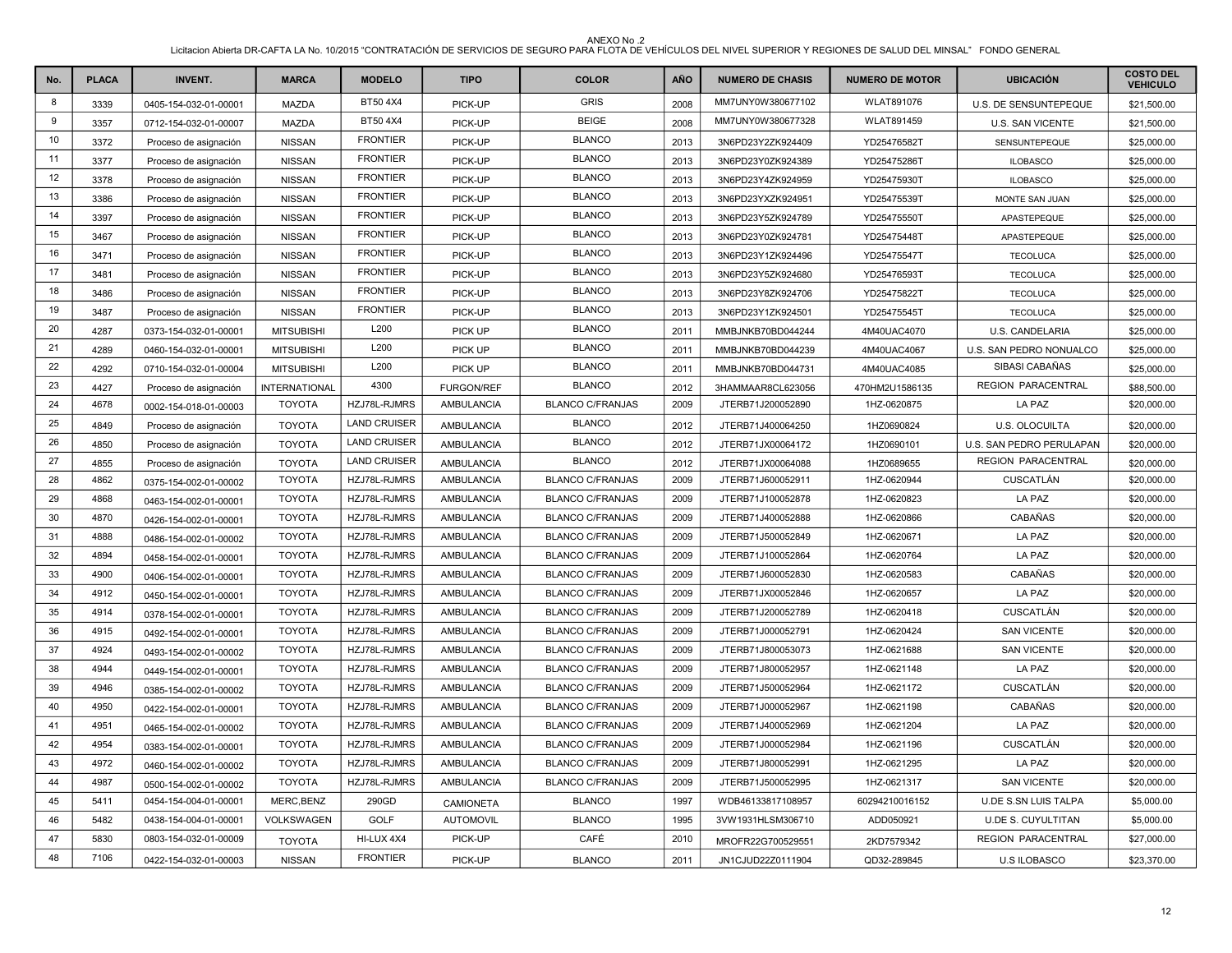| No. | <b>PLACA</b> | <b>INVENT.</b>        | <b>MARCA</b>         | <b>MODELO</b>       | <b>TIPO</b>       | <b>COLOR</b>            | AÑO  | <b>NUMERO DE CHASIS</b> | <b>NUMERO DE MOTOR</b> | <b>UBICACIÓN</b>          | <b>COSTO DEL</b><br><b>VEHICULO</b> |
|-----|--------------|-----------------------|----------------------|---------------------|-------------------|-------------------------|------|-------------------------|------------------------|---------------------------|-------------------------------------|
| 8   | 3339         | 0405-154-032-01-00001 | <b>MAZDA</b>         | BT50 4X4            | PICK-UP           | <b>GRIS</b>             | 2008 | MM7UNY0W380677102       | <b>WLAT891076</b>      | U.S. DE SENSUNTEPEQUE     | \$21,500.00                         |
| 9   | 3357         | 0712-154-032-01-00007 | <b>MAZDA</b>         | BT50 4X4            | PICK-UP           | <b>BEIGE</b>            | 2008 | MM7UNY0W380677328       | <b>WLAT891459</b>      | U.S. SAN VICENTE          | \$21,500.00                         |
| 10  | 3372         | Proceso de asignación | <b>NISSAN</b>        | <b>FRONTIER</b>     | PICK-UP           | <b>BLANCO</b>           | 2013 | 3N6PD23Y2ZK924409       | YD25476582T            | SENSUNTEPEQUE             | \$25,000.00                         |
| 11  | 3377         | Proceso de asignación | <b>NISSAN</b>        | <b>FRONTIER</b>     | PICK-UP           | <b>BLANCO</b>           | 2013 | 3N6PD23Y0ZK924389       | YD25475286T            | <b>ILOBASCO</b>           | \$25,000.00                         |
| 12  | 3378         | Proceso de asignación | <b>NISSAN</b>        | <b>FRONTIER</b>     | PICK-UP           | <b>BLANCO</b>           | 2013 | 3N6PD23Y4ZK924959       | YD25475930T            | <b>ILOBASCO</b>           | \$25,000.00                         |
| 13  | 3386         | Proceso de asignación | <b>NISSAN</b>        | <b>FRONTIER</b>     | PICK-UP           | <b>BLANCO</b>           | 2013 | 3N6PD23YXZK924951       | YD25475539T            | MONTE SAN JUAN            | \$25,000.00                         |
| 14  | 3397         | Proceso de asignación | <b>NISSAN</b>        | <b>FRONTIER</b>     | PICK-UP           | <b>BLANCO</b>           | 2013 | 3N6PD23Y5ZK924789       | YD25475550T            | APASTEPEQUE               | \$25,000.00                         |
| 15  | 3467         | Proceso de asignación | <b>NISSAN</b>        | <b>FRONTIER</b>     | PICK-UP           | <b>BLANCO</b>           | 2013 | 3N6PD23Y0ZK924781       | YD25475448T            | APASTEPEQUE               | \$25,000.00                         |
| 16  | 3471         | Proceso de asignación | <b>NISSAN</b>        | <b>FRONTIER</b>     | PICK-UP           | <b>BLANCO</b>           | 2013 | 3N6PD23Y1ZK924496       | YD25475547T            | <b>TECOLUCA</b>           | \$25,000.00                         |
| 17  | 3481         | Proceso de asignación | <b>NISSAN</b>        | <b>FRONTIER</b>     | PICK-UP           | <b>BLANCO</b>           | 2013 | 3N6PD23Y5ZK924680       | YD25476593T            | <b>TECOLUCA</b>           | \$25,000.00                         |
| 18  | 3486         | Proceso de asignación | <b>NISSAN</b>        | <b>FRONTIER</b>     | PICK-UP           | <b>BLANCO</b>           | 2013 | 3N6PD23Y8ZK924706       | YD25475822T            | <b>TECOLUCA</b>           | \$25,000.00                         |
| 19  | 3487         | Proceso de asignación | <b>NISSAN</b>        | <b>FRONTIER</b>     | PICK-UP           | <b>BLANCO</b>           | 2013 | 3N6PD23Y1ZK924501       | YD25475545T            | <b>TECOLUCA</b>           | \$25,000.00                         |
| 20  | 4287         | 0373-154-032-01-00001 | <b>MITSUBISHI</b>    | L200                | PICK UP           | <b>BLANCO</b>           | 2011 | MMBJNKB70BD044244       | 4M40UAC4070            | U.S. CANDELARIA           | \$25,000.00                         |
| 21  | 4289         | 0460-154-032-01-00001 | <b>MITSUBISHI</b>    | L200                | PICK UP           | <b>BLANCO</b>           | 2011 | MMBJNKB70BD044239       | 4M40UAC4067            | U.S. SAN PEDRO NONUALCO   | \$25,000.00                         |
| 22  | 4292         | 0710-154-032-01-00004 | <b>MITSUBISHI</b>    | L200                | PICK UP           | <b>BLANCO</b>           | 2011 | MMBJNKB70BD044731       | 4M40UAC4085            | SIBASI CABAÑAS            | \$25,000.00                         |
| 23  | 4427         | Proceso de asignación | <b>INTERNATIONAL</b> | 4300                | <b>FURGON/REF</b> | <b>BLANCO</b>           | 2012 | 3HAMMAAR8CL623056       | 470HM2U1586135         | REGION PARACENTRAL        | \$88,500.00                         |
| 24  | 4678         | 0002-154-018-01-00003 | <b>TOYOTA</b>        | HZJ78L-RJMRS        | AMBULANCIA        | <b>BLANCO C/FRANJAS</b> | 2009 | JTERB71J200052890       | 1HZ-0620875            | LA PAZ                    | \$20,000.00                         |
| 25  | 4849         | Proceso de asignación | <b>TOYOTA</b>        | <b>LAND CRUISER</b> | AMBULANCIA        | <b>BLANCO</b>           | 2012 | JTERB71J400064250       | 1HZ0690824             | U.S. OLOCUILTA            | \$20,000.00                         |
| 26  | 4850         | Proceso de asignación | <b>TOYOTA</b>        | <b>LAND CRUISER</b> | AMBULANCIA        | <b>BLANCO</b>           | 2012 | JTERB71JX00064172       | 1HZ0690101             | U.S. SAN PEDRO PERULAPAN  | \$20,000.00                         |
| 27  | 4855         | Proceso de asignación | <b>TOYOTA</b>        | <b>LAND CRUISER</b> | AMBULANCIA        | <b>BLANCO</b>           | 2012 | JTERB71JX00064088       | 1HZ0689655             | <b>REGION PARACENTRAL</b> | \$20,000.00                         |
| 28  | 4862         | 0375-154-002-01-00002 | <b>TOYOTA</b>        | HZJ78L-RJMRS        | AMBULANCIA        | <b>BLANCO C/FRANJAS</b> | 2009 | JTERB71J600052911       | 1HZ-0620944            | CUSCATLÁN                 | \$20,000.00                         |
| 29  | 4868         | 0463-154-002-01-00001 | <b>TOYOTA</b>        | HZJ78L-RJMRS        | AMBULANCIA        | <b>BLANCO C/FRANJAS</b> | 2009 | JTERB71J100052878       | 1HZ-0620823            | LA PAZ                    | \$20,000.00                         |
| 30  | 4870         | 0426-154-002-01-00001 | <b>TOYOTA</b>        | HZJ78L-RJMRS        | AMBULANCIA        | <b>BLANCO C/FRANJAS</b> | 2009 | JTERB71J400052888       | 1HZ-0620866            | CABAÑAS                   | \$20,000.00                         |
| 31  | 4888         | 0486-154-002-01-00002 | <b>TOYOTA</b>        | HZJ78L-RJMRS        | AMBULANCIA        | <b>BLANCO C/FRANJAS</b> | 2009 | JTERB71J500052849       | 1HZ-0620671            | LA PAZ                    | \$20,000.00                         |
| 32  | 4894         | 0458-154-002-01-00001 | <b>TOYOTA</b>        | HZJ78L-RJMRS        | AMBULANCIA        | <b>BLANCO C/FRANJAS</b> | 2009 | JTERB71J100052864       | 1HZ-0620764            | LA PAZ                    | \$20,000.00                         |
| 33  | 4900         | 0406-154-002-01-00001 | <b>TOYOTA</b>        | HZJ78L-RJMRS        | AMBULANCIA        | <b>BLANCO C/FRANJAS</b> | 2009 | JTERB71J600052830       | 1HZ-0620583            | CABAÑAS                   | \$20,000.00                         |
| 34  | 4912         | 0450-154-002-01-00001 | <b>TOYOTA</b>        | HZJ78L-RJMRS        | AMBULANCIA        | <b>BLANCO C/FRANJAS</b> | 2009 | JTERB71JX00052846       | 1HZ-0620657            | LA PAZ                    | \$20,000.00                         |
| 35  | 4914         | 0378-154-002-01-00001 | <b>TOYOTA</b>        | HZJ78L-RJMRS        | AMBULANCIA        | <b>BLANCO C/FRANJAS</b> | 2009 | JTERB71J200052789       | 1HZ-0620418            | CUSCATLÁN                 | \$20,000.00                         |
| 36  | 4915         | 0492-154-002-01-00001 | <b>TOYOTA</b>        | HZJ78L-RJMRS        | <b>AMBULANCIA</b> | <b>BLANCO C/FRANJAS</b> | 2009 | JTERB71J000052791       | 1HZ-0620424            | <b>SAN VICENTE</b>        | \$20,000.00                         |
| 37  | 4924         | 0493-154-002-01-00002 | <b>TOYOTA</b>        | HZJ78L-RJMRS        | AMBULANCIA        | <b>BLANCO C/FRANJAS</b> | 2009 | JTERB71J800053073       | 1HZ-0621688            | <b>SAN VICENTE</b>        | \$20,000.00                         |
| 38  | 4944         | 0449-154-002-01-00001 | <b>TOYOTA</b>        | HZJ78L-RJMRS        | AMBULANCIA        | <b>BLANCO C/FRANJAS</b> | 2009 | JTERB71J800052957       | 1HZ-0621148            | LA PAZ                    | \$20,000.00                         |
| 39  | 4946         | 0385-154-002-01-00002 | <b>TOYOTA</b>        | HZJ78L-RJMRS        | <b>AMBULANCIA</b> | <b>BLANCO C/FRANJAS</b> | 2009 | JTERB71J500052964       | 1HZ-0621172            | CUSCATLÁN                 | \$20,000.00                         |
| 40  | 4950         | 0422-154-002-01-00001 | <b>TOYOTA</b>        | HZJ78L-RJMRS        | AMBULANCIA        | <b>BLANCO C/FRANJAS</b> | 2009 | JTERB71J000052967       | 1HZ-0621198            | CABAÑAS                   | \$20,000.00                         |
| 41  | 4951         | 0465-154-002-01-00002 | <b>TOYOTA</b>        | HZJ78L-RJMRS        | AMBULANCIA        | <b>BLANCO C/FRANJAS</b> | 2009 | JTERB71J400052969       | 1HZ-0621204            | LA PAZ                    | \$20,000.00                         |
| 42  | 4954         | 0383-154-002-01-00001 | <b>TOYOTA</b>        | HZJ78L-RJMRS        | AMBULANCIA        | <b>BLANCO C/FRANJAS</b> | 2009 | JTERB71J000052984       | 1HZ-0621196            | CUSCATLÁN                 | \$20,000.00                         |
| 43  | 4972         | 0460-154-002-01-00002 | <b>TOYOTA</b>        | HZJ78L-RJMRS        | AMBULANCIA        | <b>BLANCO C/FRANJAS</b> | 2009 | JTERB71J800052991       | 1HZ-0621295            | LA PAZ                    | \$20,000.00                         |
| 44  | 4987         | 0500-154-002-01-00002 | <b>TOYOTA</b>        | HZJ78L-RJMRS        | AMBULANCIA        | <b>BLANCO C/FRANJAS</b> | 2009 | JTERB71J500052995       | 1HZ-0621317            | <b>SAN VICENTE</b>        | \$20,000.00                         |
| 45  | 5411         | 0454-154-004-01-00001 | MERC, BENZ           | 290GD               | CAMIONETA         | <b>BLANCO</b>           | 1997 | WDB46133817108957       | 60294210016152         | U.DE S.SN LUIS TALPA      | \$5,000.00                          |
| 46  | 5482         | 0438-154-004-01-00001 | VOLKSWAGEN           | GOLF                | <b>AUTOMOVIL</b>  | <b>BLANCO</b>           | 1995 | 3VW1931HLSM306710       | ADD050921              | <b>U.DE S. CUYULTITAN</b> | \$5,000.00                          |
| 47  | 5830         | 0803-154-032-01-00009 | <b>TOYOTA</b>        | HI-LUX 4X4          | PICK-UP           | CAFÉ                    | 2010 | MROFR22G700529551       | 2KD7579342             | REGION PARACENTRAL        | \$27,000.00                         |
| 48  | 7106         | 0422-154-032-01-00003 | <b>NISSAN</b>        | <b>FRONTIER</b>     | PICK-UP           | <b>BLANCO</b>           | 2011 | JN1CJUD22Z0111904       | QD32-289845            | <b>U.S ILOBASCO</b>       | \$23,370.00                         |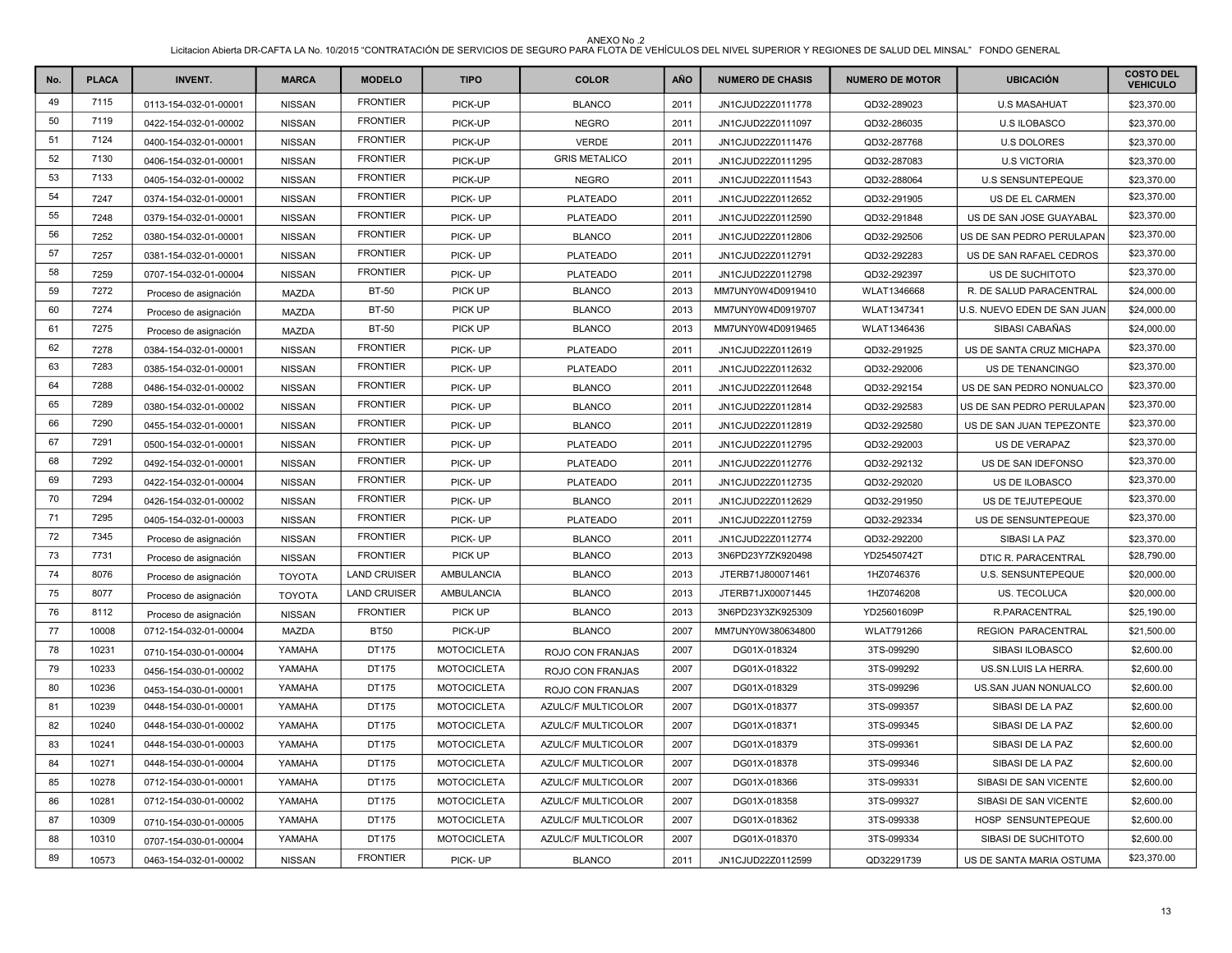| No. | <b>PLACA</b> | <b>INVENT.</b>        | <b>MARCA</b>  | <b>MODELO</b>       | <b>TIPO</b>        | <b>COLOR</b>              | <b>AÑO</b> | <b>NUMERO DE CHASIS</b> | <b>NUMERO DE MOTOR</b> | <b>UBICACIÓN</b>            | <b>COSTO DEL</b><br><b>VEHICULO</b> |
|-----|--------------|-----------------------|---------------|---------------------|--------------------|---------------------------|------------|-------------------------|------------------------|-----------------------------|-------------------------------------|
| 49  | 7115         | 0113-154-032-01-00001 | <b>NISSAN</b> | <b>FRONTIER</b>     | PICK-UP            | <b>BLANCO</b>             | 2011       | JN1CJUD22Z0111778       | QD32-289023            | <b>U.S MASAHUAT</b>         | \$23,370.00                         |
| 50  | 7119         | 0422-154-032-01-00002 | <b>NISSAN</b> | <b>FRONTIER</b>     | PICK-UP            | <b>NEGRO</b>              | 2011       | JN1CJUD22Z0111097       | QD32-286035            | <b>U.S ILOBASCO</b>         | \$23,370.00                         |
| 51  | 7124         | 0400-154-032-01-00001 | <b>NISSAN</b> | <b>FRONTIER</b>     | PICK-UP            | <b>VERDE</b>              | 2011       | JN1CJUD22Z0111476       | QD32-287768            | <b>U.S DOLORES</b>          | \$23,370.00                         |
| 52  | 7130         | 0406-154-032-01-00001 | <b>NISSAN</b> | <b>FRONTIER</b>     | PICK-UP            | <b>GRIS METALICO</b>      | 2011       | JN1CJUD22Z0111295       | QD32-287083            | <b>U.S VICTORIA</b>         | \$23,370.00                         |
| 53  | 7133         | 0405-154-032-01-00002 | <b>NISSAN</b> | <b>FRONTIER</b>     | PICK-UP            | <b>NEGRO</b>              | 2011       | JN1CJUD22Z0111543       | QD32-288064            | <b>U.S SENSUNTEPEQUE</b>    | \$23,370.00                         |
| 54  | 7247         | 0374-154-032-01-00001 | <b>NISSAN</b> | <b>FRONTIER</b>     | PICK-UP            | <b>PLATEADO</b>           | 2011       | JN1CJUD22Z0112652       | QD32-291905            | US DE EL CARMEN             | \$23,370.00                         |
| 55  | 7248         | 0379-154-032-01-00001 | <b>NISSAN</b> | <b>FRONTIER</b>     | PICK-UP            | <b>PLATEADO</b>           | 2011       | JN1CJUD22Z0112590       | QD32-291848            | US DE SAN JOSE GUAYABAL     | \$23,370.00                         |
| 56  | 7252         | 0380-154-032-01-00001 | <b>NISSAN</b> | <b>FRONTIER</b>     | PICK-UP            | <b>BLANCO</b>             | 2011       | JN1CJUD22Z0112806       | QD32-292506            | US DE SAN PEDRO PERULAPAN   | \$23,370.00                         |
| 57  | 7257         | 0381-154-032-01-00001 | <b>NISSAN</b> | <b>FRONTIER</b>     | PICK-UP            | <b>PLATEADO</b>           | 2011       | JN1CJUD22Z0112791       | QD32-292283            | US DE SAN RAFAEL CEDROS     | \$23,370.00                         |
| 58  | 7259         | 0707-154-032-01-00004 | <b>NISSAN</b> | <b>FRONTIER</b>     | PICK-UP            | <b>PLATEADO</b>           | 2011       | JN1CJUD22Z0112798       | QD32-292397            | US DE SUCHITOTO             | \$23,370.00                         |
| 59  | 7272         | Proceso de asignación | MAZDA         | <b>BT-50</b>        | PICK UP            | <b>BLANCO</b>             | 2013       | MM7UNY0W4D0919410       | WLAT1346668            | R. DE SALUD PARACENTRAL     | \$24,000.00                         |
| 60  | 7274         | Proceso de asignación | MAZDA         | <b>BT-50</b>        | PICK UP            | <b>BLANCO</b>             | 2013       | MM7UNY0W4D0919707       | WLAT1347341            | U.S. NUEVO EDEN DE SAN JUAN | \$24,000.00                         |
| 61  | 7275         | Proceso de asignación | <b>MAZDA</b>  | <b>BT-50</b>        | PICK UP            | <b>BLANCO</b>             | 2013       | MM7UNY0W4D0919465       | WLAT1346436            | SIBASI CABAÑAS              | \$24,000.00                         |
| 62  | 7278         | 0384-154-032-01-00001 | <b>NISSAN</b> | <b>FRONTIER</b>     | PICK-UP            | <b>PLATEADO</b>           | 2011       | JN1CJUD22Z0112619       | QD32-291925            | US DE SANTA CRUZ MICHAPA    | \$23,370.00                         |
| 63  | 7283         | 0385-154-032-01-00001 | <b>NISSAN</b> | <b>FRONTIER</b>     | PICK-UP            | <b>PLATEADO</b>           | 2011       | JN1CJUD22Z0112632       | QD32-292006            | <b>US DE TENANCINGO</b>     | \$23,370.00                         |
| 64  | 7288         | 0486-154-032-01-00002 | <b>NISSAN</b> | <b>FRONTIER</b>     | PICK-UP            | <b>BLANCO</b>             | 2011       | JN1CJUD22Z0112648       | QD32-292154            | US DE SAN PEDRO NONUALCO    | \$23,370.00                         |
| 65  | 7289         | 0380-154-032-01-00002 | <b>NISSAN</b> | <b>FRONTIER</b>     | PICK-UP            | <b>BLANCO</b>             | 2011       | JN1CJUD22Z0112814       | QD32-292583            | US DE SAN PEDRO PERULAPAN   | \$23,370.00                         |
| 66  | 7290         | 0455-154-032-01-00001 | <b>NISSAN</b> | <b>FRONTIER</b>     | PICK-UP            | <b>BLANCO</b>             | 2011       | JN1CJUD22Z0112819       | QD32-292580            | US DE SAN JUAN TEPEZONTE    | \$23,370.00                         |
| 67  | 7291         | 0500-154-032-01-00001 | <b>NISSAN</b> | <b>FRONTIER</b>     | PICK-UP            | <b>PLATEADO</b>           | 2011       | JN1CJUD22Z0112795       | QD32-292003            | <b>US DE VERAPAZ</b>        | \$23,370.00                         |
| 68  | 7292         | 0492-154-032-01-00001 | <b>NISSAN</b> | <b>FRONTIER</b>     | PICK-UP            | <b>PLATEADO</b>           | 2011       | JN1CJUD22Z0112776       | QD32-292132            | US DE SAN IDEFONSO          | \$23,370.00                         |
| 69  | 7293         | 0422-154-032-01-00004 | <b>NISSAN</b> | <b>FRONTIER</b>     | PICK-UP            | <b>PLATEADO</b>           | 2011       | JN1CJUD22Z0112735       | QD32-292020            | US DE ILOBASCO              | \$23,370.00                         |
| 70  | 7294         | 0426-154-032-01-00002 | <b>NISSAN</b> | <b>FRONTIER</b>     | PICK-UP            | <b>BLANCO</b>             | 2011       | JN1CJUD22Z0112629       | QD32-291950            | US DE TEJUTEPEQUE           | \$23,370.00                         |
| 71  | 7295         | 0405-154-032-01-00003 | <b>NISSAN</b> | <b>FRONTIER</b>     | PICK-UP            | <b>PLATEADO</b>           | 2011       | JN1CJUD22Z0112759       | QD32-292334            | US DE SENSUNTEPEQUE         | \$23,370.00                         |
| 72  | 7345         | Proceso de asignación | <b>NISSAN</b> | <b>FRONTIER</b>     | PICK-UP            | <b>BLANCO</b>             | 2011       | JN1CJUD22Z0112774       | QD32-292200            | SIBASI LA PAZ               | \$23,370.00                         |
| 73  | 7731         | Proceso de asignación | <b>NISSAN</b> | <b>FRONTIER</b>     | PICK UP            | <b>BLANCO</b>             | 2013       | 3N6PD23Y7ZK920498       | YD25450742T            | DTIC R. PARACENTRAL         | \$28,790.00                         |
| 74  | 8076         | Proceso de asignación | <b>TOYOTA</b> | <b>LAND CRUISER</b> | <b>AMBULANCIA</b>  | <b>BLANCO</b>             | 2013       | JTERB71J800071461       | 1HZ0746376             | U.S. SENSUNTEPEQUE          | \$20,000.00                         |
| 75  | 8077         | Proceso de asignación | <b>TOYOTA</b> | <b>LAND CRUISER</b> | AMBULANCIA         | <b>BLANCO</b>             | 2013       | JTERB71JX00071445       | 1HZ0746208             | US. TECOLUCA                | \$20,000.00                         |
| 76  | 8112         | Proceso de asignación | <b>NISSAN</b> | <b>FRONTIER</b>     | PICK UP            | <b>BLANCO</b>             | 2013       | 3N6PD23Y3ZK925309       | YD25601609P            | R.PARACENTRAL               | \$25,190.00                         |
| 77  | 10008        | 0712-154-032-01-00004 | <b>MAZDA</b>  | <b>BT50</b>         | PICK-UP            | <b>BLANCO</b>             | 2007       | MM7UNY0W380634800       | <b>WLAT791266</b>      | <b>REGION PARACENTRAL</b>   | \$21,500.00                         |
| 78  | 10231        | 0710-154-030-01-00004 | YAMAHA        | DT175               | <b>MOTOCICLETA</b> | ROJO CON FRANJAS          | 2007       | DG01X-018324            | 3TS-099290             | SIBASI ILOBASCO             | \$2,600.00                          |
| 79  | 10233        | 0456-154-030-01-00002 | YAMAHA        | DT175               | <b>MOTOCICLETA</b> | ROJO CON FRANJAS          | 2007       | DG01X-018322            | 3TS-099292             | US.SN.LUIS LA HERRA.        | \$2,600.00                          |
| 80  | 10236        | 0453-154-030-01-00001 | YAMAHA        | DT175               | <b>MOTOCICLETA</b> | ROJO CON FRANJAS          | 2007       | DG01X-018329            | 3TS-099296             | US.SAN JUAN NONUALCO        | \$2,600.00                          |
| 81  | 10239        | 0448-154-030-01-00001 | YAMAHA        | DT175               | <b>MOTOCICLETA</b> | AZULC/F MULTICOLOR        | 2007       | DG01X-018377            | 3TS-099357             | SIBASI DE LA PAZ            | \$2,600.00                          |
| 82  | 10240        | 0448-154-030-01-00002 | YAMAHA        | DT175               | <b>MOTOCICLETA</b> | AZULC/F MULTICOLOR        | 2007       | DG01X-018371            | 3TS-099345             | SIBASI DE LA PAZ            | \$2,600.00                          |
| 83  | 10241        | 0448-154-030-01-00003 | YAMAHA        | DT175               | <b>MOTOCICLETA</b> | <b>AZULC/F MULTICOLOR</b> | 2007       | DG01X-018379            | 3TS-099361             | SIBASI DE LA PAZ            | \$2,600.00                          |
| 84  | 10271        | 0448-154-030-01-00004 | YAMAHA        | DT175               | <b>MOTOCICLETA</b> | AZULC/F MULTICOLOR        | 2007       | DG01X-018378            | 3TS-099346             | SIBASI DE LA PAZ            | \$2,600.00                          |
| 85  | 10278        | 0712-154-030-01-00001 | YAMAHA        | DT175               | <b>MOTOCICLETA</b> | AZULC/F MULTICOLOR        | 2007       | DG01X-018366            | 3TS-099331             | SIBASI DE SAN VICENTE       | \$2,600.00                          |
| 86  | 10281        | 0712-154-030-01-00002 | YAMAHA        | DT175               | <b>MOTOCICLETA</b> | <b>AZULC/F MULTICOLOR</b> | 2007       | DG01X-018358            | 3TS-099327             | SIBASI DE SAN VICENTE       | \$2,600.00                          |
| 87  | 10309        | 0710-154-030-01-00005 | YAMAHA        | DT175               | <b>MOTOCICLETA</b> | AZULC/F MULTICOLOR        | 2007       | DG01X-018362            | 3TS-099338             | HOSP SENSUNTEPEQUE          | \$2,600.00                          |
| 88  | 10310        | 0707-154-030-01-00004 | YAMAHA        | DT175               | <b>MOTOCICLETA</b> | AZULC/F MULTICOLOR        | 2007       | DG01X-018370            | 3TS-099334             | SIBASI DE SUCHITOTO         | \$2,600.00                          |
| 89  | 10573        | 0463-154-032-01-00002 | <b>NISSAN</b> | <b>FRONTIER</b>     | PICK-UP            | <b>BLANCO</b>             | 2011       | JN1CJUD22Z0112599       | QD32291739             | US DE SANTA MARIA OSTUMA    | \$23,370.00                         |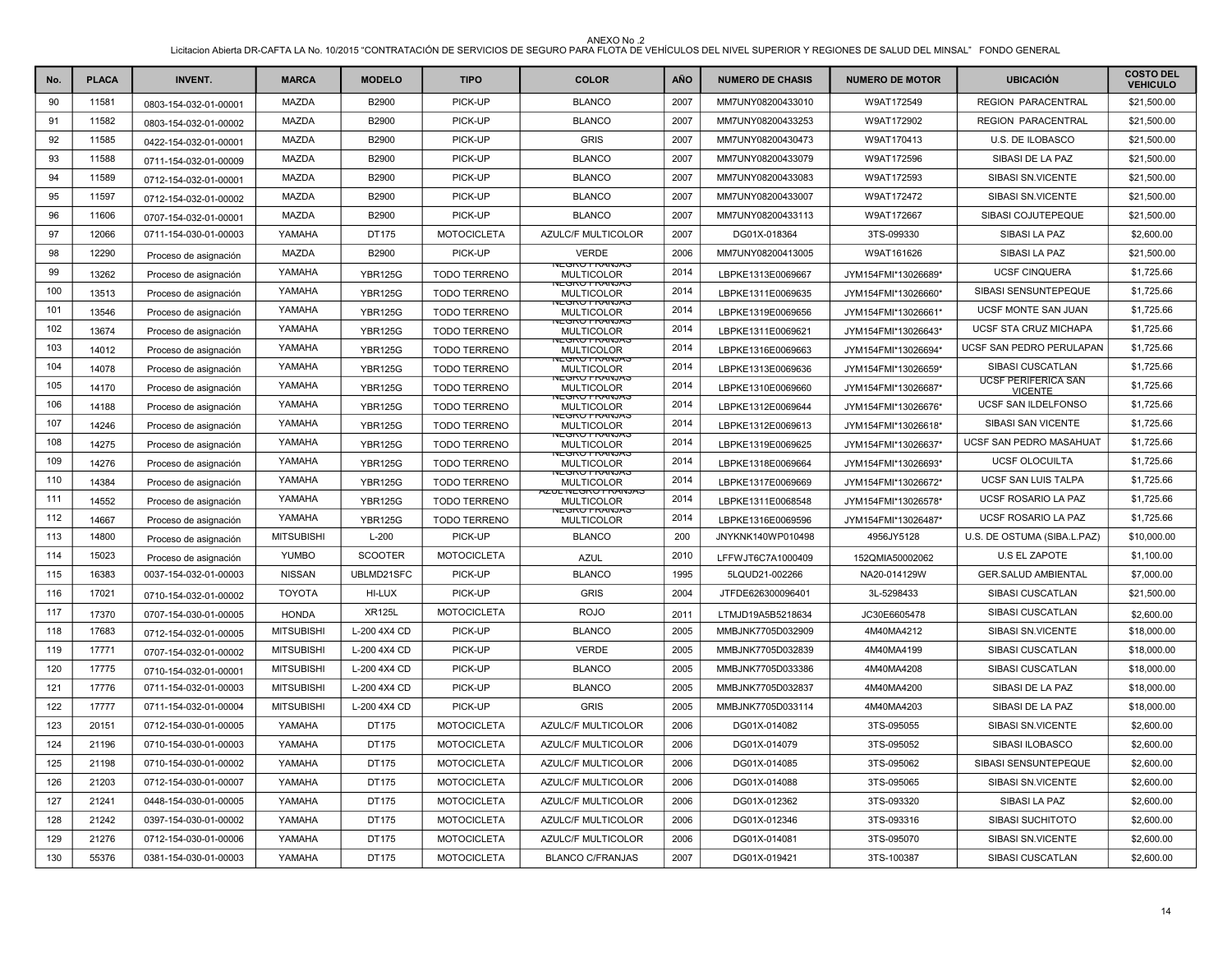| No. | <b>PLACA</b> | <b>INVENT.</b>        | <b>MARCA</b>      | <b>MODELO</b>  | <b>TIPO</b>         | <b>COLOR</b>                               | AÑO  | <b>NUMERO DE CHASIS</b> | <b>NUMERO DE MOTOR</b> | <b>UBICACIÓN</b>                             | <b>COSTO DEL</b><br><b>VEHICULO</b> |
|-----|--------------|-----------------------|-------------------|----------------|---------------------|--------------------------------------------|------|-------------------------|------------------------|----------------------------------------------|-------------------------------------|
| 90  | 11581        | 0803-154-032-01-00001 | <b>MAZDA</b>      | B2900          | PICK-UP             | <b>BLANCO</b>                              | 2007 | MM7UNY08200433010       | W9AT172549             | <b>REGION PARACENTRAL</b>                    | \$21,500.00                         |
| 91  | 11582        | 0803-154-032-01-00002 | MAZDA             | B2900          | PICK-UP             | <b>BLANCO</b>                              | 2007 | MM7UNY08200433253       | W9AT172902             | REGION PARACENTRAL                           | \$21,500.00                         |
| 92  | 11585        | 0422-154-032-01-00001 | <b>MAZDA</b>      | B2900          | PICK-UP             | <b>GRIS</b>                                | 2007 | MM7UNY08200430473       | W9AT170413             | <b>U.S. DE ILOBASCO</b>                      | \$21,500.00                         |
| 93  | 11588        | 0711-154-032-01-00009 | <b>MAZDA</b>      | B2900          | PICK-UP             | <b>BLANCO</b>                              | 2007 | MM7UNY08200433079       | W9AT172596             | SIBASI DE LA PAZ                             | \$21,500.00                         |
| 94  | 11589        | 0712-154-032-01-00001 | <b>MAZDA</b>      | B2900          | PICK-UP             | <b>BLANCO</b>                              | 2007 | MM7UNY08200433083       | W9AT172593             | SIBASI SN.VICENTE                            | \$21,500.00                         |
| 95  | 11597        | 0712-154-032-01-00002 | <b>MAZDA</b>      | B2900          | PICK-UP             | <b>BLANCO</b>                              | 2007 | MM7UNY08200433007       | W9AT172472             | SIBASI SN.VICENTE                            | \$21,500.00                         |
| 96  | 11606        | 0707-154-032-01-00001 | MAZDA             | B2900          | PICK-UP             | <b>BLANCO</b>                              | 2007 | MM7UNY08200433113       | W9AT172667             | SIBASI COJUTEPEQUE                           | \$21,500.00                         |
| 97  | 12066        | 0711-154-030-01-00003 | YAMAHA            | DT175          | <b>MOTOCICLETA</b>  | AZULC/F MULTICOLOR                         | 2007 | DG01X-018364            | 3TS-099330             | SIBASI LA PAZ                                | \$2,600.00                          |
| 98  | 12290        | Proceso de asignación | <b>MAZDA</b>      | B2900          | PICK-UP             | <b>VERDE</b>                               | 2006 | MM7UNY08200413005       | W9AT161626             | SIBASI LA PAZ                                | \$21,500.00                         |
| 99  | 13262        | Proceso de asignación | YAMAHA            | <b>YBR125G</b> | <b>TODO TERRENO</b> | NEGRO FRANJAS<br><b>MULTICOLOR</b>         | 2014 | LBPKE1313E0069667       | JYM154FMI*13026689*    | <b>UCSF CINQUERA</b>                         | \$1,725.66                          |
| 100 | 13513        | Proceso de asignación | YAMAHA            | <b>YBR125G</b> | <b>TODO TERRENO</b> | <b>VEGRU FRAIVJAS</b><br><b>MULTICOLOR</b> | 2014 | LBPKE1311E0069635       | JYM154FMI*13026660*    | SIBASI SENSUNTEPEQUE                         | \$1,725.66                          |
| 101 | 13546        | Proceso de asignación | YAMAHA            | <b>YBR125G</b> | <b>TODO TERRENO</b> | <b>VEGRU FRAINJAC</b><br><b>MULTICOLOR</b> | 2014 | LBPKE1319E0069656       | JYM154FMI*13026661*    | UCSF MONTE SAN JUAN                          | \$1,725.66                          |
| 102 | 13674        | Proceso de asignación | YAMAHA            | <b>YBR125G</b> | <b>TODO TERRENO</b> | <b>TEGRU FRANJAS</b><br><b>MULTICOLOR</b>  | 2014 | LBPKE1311E0069621       | JYM154FMI*13026643*    | UCSF STA CRUZ MICHAPA                        | \$1,725.66                          |
| 103 | 14012        | Proceso de asignación | YAMAHA            | <b>YBR125G</b> | <b>TODO TERRENO</b> | IEGRU FRAINJA)<br><b>MULTICOLOR</b>        | 2014 | LBPKE1316E0069663       | JYM154FMI*13026694*    | UCSF SAN PEDRO PERULAPAN                     | \$1,725.66                          |
| 104 | 14078        | Proceso de asignación | YAMAHA            | <b>YBR125G</b> | <b>TODO TERRENO</b> | <b>JEGRU FRANJAS</b><br><b>MULTICOLOR</b>  | 2014 | LBPKE1313E0069636       | JYM154FMI*13026659*    | SIBASI CUSCATLAN                             | \$1,725.66                          |
| 105 | 14170        | Proceso de asignación | YAMAHA            | <b>YBR125G</b> | <b>TODO TERRENO</b> | <b>VEGRU FRANJAS</b><br><b>MULTICOLOR</b>  | 2014 | LBPKE1310E0069660       | JYM154FMI*13026687*    | <b>UCSF PERIFERICA SAN</b><br><b>VICENTE</b> | \$1,725.66                          |
| 106 | 14188        | Proceso de asignación | YAMAHA            | <b>YBR125G</b> | <b>TODO TERRENO</b> | IEGRO FRANJA:<br><b>MULTICOLOR</b>         | 2014 | LBPKE1312E0069644       | JYM154FMI*13026676*    | UCSF SAN ILDELFONSO                          | \$1,725.66                          |
| 107 | 14246        | Proceso de asignación | YAMAHA            | <b>YBR125G</b> | TODO TERRENO        | <b>YEGRU FRANJAS</b><br><b>MULTICOLOR</b>  | 2014 | LBPKE1312E0069613       | JYM154FMI*13026618*    | SIBASI SAN VICENTE                           | \$1,725.66                          |
| 108 | 14275        | Proceso de asignación | YAMAHA            | <b>YBR125G</b> | <b>TODO TERRENO</b> | <b>EGRU FRAINJA</b><br><b>MULTICOLOR</b>   | 2014 | LBPKE1319E0069625       | JYM154FMI*13026637*    | UCSF SAN PEDRO MASAHUAT                      | \$1,725.66                          |
| 109 | 14276        | Proceso de asignación | YAMAHA            | <b>YBR125G</b> | <b>TODO TERRENO</b> | NEGRU FRANJAS<br><b>MULTICOLOR</b>         | 2014 | LBPKE1318E0069664       | JYM154FMI*13026693*    | <b>UCSF OLOCUILTA</b>                        | \$1,725.66                          |
| 110 | 14384        | Proceso de asignación | YAMAHA            | <b>YBR125G</b> | <b>TODO TERRENO</b> | IEGRU FRAINJA:<br><b>MULTICOLOR</b>        | 2014 | LBPKE1317E0069669       | JYM154FMI*13026672*    | UCSF SAN LUIS TALPA                          | \$1,725.66                          |
| 111 | 14552        | Proceso de asignación | YAMAHA            | <b>YBR125G</b> | <b>TODO TERRENO</b> | UL NEGRO FRANJA;<br><b>MULTICOLOR</b>      | 2014 | LBPKE1311E0068548       | JYM154FMI*13026578*    | UCSF ROSARIO LA PAZ                          | \$1,725.66                          |
| 112 | 14667        | Proceso de asignación | YAMAHA            | <b>YBR125G</b> | <b>TODO TERRENO</b> | VEGRU FRANJAS<br><b>MULTICOLOR</b>         | 2014 | LBPKE1316E0069596       | JYM154FMI*13026487*    | UCSF ROSARIO LA PAZ                          | \$1,725.66                          |
| 113 | 14800        | Proceso de asignación | <b>MITSUBISHI</b> | $L-200$        | PICK-UP             | <b>BLANCO</b>                              | 200  | JNYKNK140WP010498       | 4956JY5128             | U.S. DE OSTUMA (SIBA.L.PAZ)                  | \$10,000.00                         |
| 114 | 15023        | Proceso de asignación | <b>YUMBO</b>      | <b>SCOOTER</b> | <b>MOTOCICLETA</b>  | <b>AZUL</b>                                | 2010 | LFFWJT6C7A1000409       | 152QMIA50002062        | <b>U.S EL ZAPOTE</b>                         | \$1,100.00                          |
| 115 | 16383        | 0037-154-032-01-00003 | <b>NISSAN</b>     | UBLMD21SFC     | PICK-UP             | <b>BLANCO</b>                              | 1995 | 5LQUD21-002266          | NA20-014129W           | <b>GER.SALUD AMBIENTAL</b>                   | \$7,000.00                          |
| 116 | 17021        | 0710-154-032-01-00002 | <b>TOYOTA</b>     | HI-LUX         | PICK-UP             | <b>GRIS</b>                                | 2004 | JTFDE626300096401       | 3L-5298433             | SIBASI CUSCATLAN                             | \$21,500.00                         |
| 117 | 17370        | 0707-154-030-01-00005 | <b>HONDA</b>      | <b>XR125L</b>  | <b>MOTOCICLETA</b>  | <b>ROJO</b>                                | 2011 | LTMJD19A5B5218634       | JC30E6605478           | SIBASI CUSCATLAN                             | \$2,600.00                          |
| 118 | 17683        | 0712-154-032-01-00005 | <b>MITSUBISHI</b> | L-200 4X4 CD   | PICK-UP             | <b>BLANCO</b>                              | 2005 | MMBJNK7705D032909       | 4M40MA4212             | SIBASI SN.VICENTE                            | \$18,000.00                         |
| 119 | 17771        | 0707-154-032-01-00002 | <b>MITSUBISHI</b> | L-200 4X4 CD   | PICK-UP             | <b>VERDE</b>                               | 2005 | MMBJNK7705D032839       | 4M40MA4199             | SIBASI CUSCATLAN                             | \$18,000.00                         |
| 120 | 17775        | 0710-154-032-01-00001 | <b>MITSUBISHI</b> | L-200 4X4 CD   | PICK-UP             | <b>BLANCO</b>                              | 2005 | MMBJNK7705D033386       | 4M40MA4208             | SIBASI CUSCATLAN                             | \$18,000.00                         |
| 121 | 17776        | 0711-154-032-01-00003 | <b>MITSUBISHI</b> | L-200 4X4 CD   | PICK-UP             | <b>BLANCO</b>                              | 2005 | MMBJNK7705D032837       | 4M40MA4200             | SIBASI DE LA PAZ                             | \$18,000.00                         |
| 122 | 17777        | 0711-154-032-01-00004 | <b>MITSUBISHI</b> | L-200 4X4 CD   | PICK-UP             | <b>GRIS</b>                                | 2005 | MMBJNK7705D033114       | 4M40MA4203             | SIBASI DE LA PAZ                             | \$18,000.00                         |
| 123 | 20151        | 0712-154-030-01-00005 | YAMAHA            | DT175          | <b>MOTOCICLETA</b>  | <b>AZULC/F MULTICOLOR</b>                  | 2006 | DG01X-014082            | 3TS-095055             | SIBASI SN.VICENTE                            | \$2,600.00                          |
| 124 | 21196        | 0710-154-030-01-00003 | YAMAHA            | DT175          | <b>MOTOCICLETA</b>  | AZULC/F MULTICOLOR                         | 2006 | DG01X-014079            | 3TS-095052             | SIBASI ILOBASCO                              | \$2,600.00                          |
| 125 | 21198        | 0710-154-030-01-00002 | YAMAHA            | DT175          | <b>MOTOCICLETA</b>  | AZULC/F MULTICOLOR                         | 2006 | DG01X-014085            | 3TS-095062             | SIBASI SENSUNTEPEQUE                         | \$2,600.00                          |
| 126 | 21203        | 0712-154-030-01-00007 | YAMAHA            | DT175          | <b>MOTOCICLETA</b>  | AZULC/F MULTICOLOR                         | 2006 | DG01X-014088            | 3TS-095065             | SIBASI SN.VICENTE                            | \$2,600.00                          |
| 127 | 21241        | 0448-154-030-01-00005 | YAMAHA            | DT175          | <b>MOTOCICLETA</b>  | <b>AZULC/F MULTICOLOR</b>                  | 2006 | DG01X-012362            | 3TS-093320             | SIBASI LA PAZ                                | \$2,600.00                          |
| 128 | 21242        | 0397-154-030-01-00002 | YAMAHA            | DT175          | <b>MOTOCICLETA</b>  | <b>AZULC/F MULTICOLOR</b>                  | 2006 | DG01X-012346            | 3TS-093316             | <b>SIBASI SUCHITOTO</b>                      | \$2,600.00                          |
| 129 | 21276        | 0712-154-030-01-00006 | YAMAHA            | DT175          | <b>MOTOCICLETA</b>  | AZULC/F MULTICOLOR                         | 2006 | DG01X-014081            | 3TS-095070             | SIBASI SN.VICENTE                            | \$2,600.00                          |
| 130 | 55376        | 0381-154-030-01-00003 | YAMAHA            | DT175          | <b>MOTOCICLETA</b>  | <b>BLANCO C/FRANJAS</b>                    | 2007 | DG01X-019421            | 3TS-100387             | SIBASI CUSCATLAN                             | \$2,600.00                          |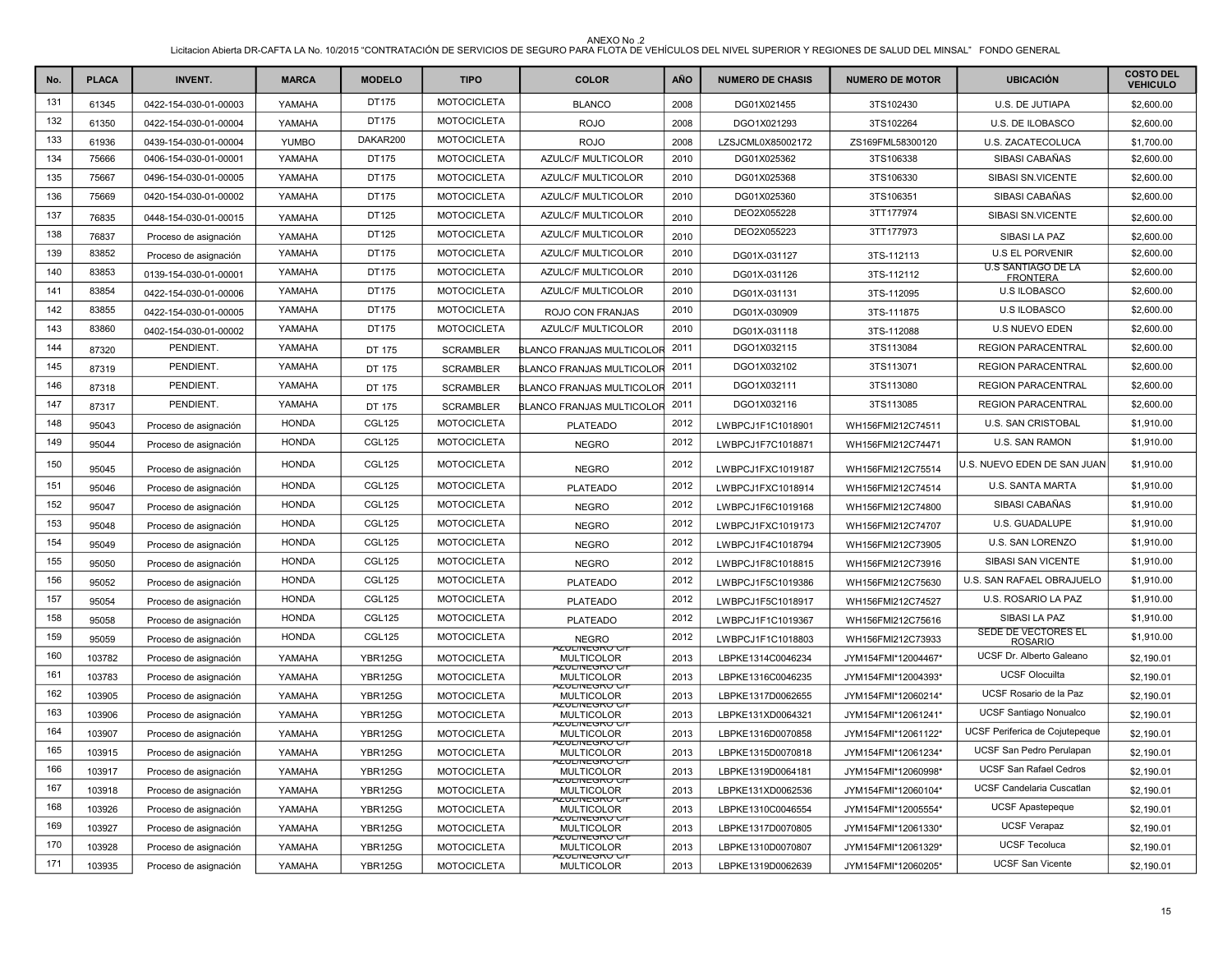| No. | <b>PLACA</b> | <b>INVENT.</b>        | <b>MARCA</b> | <b>MODELO</b>  | <b>TIPO</b>        | <b>COLOR</b>                                  | <b>AÑO</b> | <b>NUMERO DE CHASIS</b> | <b>NUMERO DE MOTOR</b> | <b>UBICACIÓN</b>                             | <b>COSTO DEL</b><br><b>VEHICULO</b> |
|-----|--------------|-----------------------|--------------|----------------|--------------------|-----------------------------------------------|------------|-------------------------|------------------------|----------------------------------------------|-------------------------------------|
| 131 | 61345        | 0422-154-030-01-00003 | YAMAHA       | DT175          | <b>MOTOCICLETA</b> | <b>BLANCO</b>                                 | 2008       | DG01X021455             | 3TS102430              | U.S. DE JUTIAPA                              | \$2,600.00                          |
| 132 | 61350        | 0422-154-030-01-00004 | YAMAHA       | DT175          | <b>MOTOCICLETA</b> | <b>ROJO</b>                                   | 2008       | DGO1X021293             | 3TS102264              | U.S. DE ILOBASCO                             | \$2,600.00                          |
| 133 | 61936        | 0439-154-030-01-00004 | <b>YUMBO</b> | DAKAR200       | <b>MOTOCICLETA</b> | <b>ROJO</b>                                   | 2008       | LZSJCML0X85002172       | ZS169FML58300120       | U.S. ZACATECOLUCA                            | \$1,700.00                          |
| 134 | 75666        | 0406-154-030-01-00001 | YAMAHA       | DT175          | <b>MOTOCICLETA</b> | AZULC/F MULTICOLOR                            | 2010       | DG01X025362             | 3TS106338              | SIBASI CABAÑAS                               | \$2,600.00                          |
| 135 | 75667        | 0496-154-030-01-00005 | YAMAHA       | DT175          | <b>MOTOCICLETA</b> | AZULC/F MULTICOLOR                            | 2010       | DG01X025368             | 3TS106330              | SIBASI SN.VICENTE                            | \$2,600.00                          |
| 136 | 75669        | 0420-154-030-01-00002 | YAMAHA       | DT175          | <b>MOTOCICLETA</b> | AZULC/F MULTICOLOR                            | 2010       | DG01X025360             | 3TS106351              | SIBASI CABAÑAS                               | \$2,600.00                          |
| 137 | 76835        | 0448-154-030-01-00015 | YAMAHA       | DT125          | <b>MOTOCICLETA</b> | AZULC/F MULTICOLOR                            | 2010       | DEO2X055228             | 3TT177974              | SIBASI SN.VICENTE                            | \$2,600.00                          |
| 138 | 76837        | Proceso de asignación | YAMAHA       | DT125          | <b>MOTOCICLETA</b> | AZULC/F MULTICOLOR                            | 2010       | DEO2X055223             | 3TT177973              | SIBASI LA PAZ                                | \$2,600.00                          |
| 139 | 83852        | Proceso de asignación | YAMAHA       | DT175          | <b>MOTOCICLETA</b> | AZULC/F MULTICOLOR                            | 2010       | DG01X-031127            | 3TS-112113             | <b>U.S EL PORVENIR</b>                       | \$2,600.00                          |
| 140 | 83853        | 0139-154-030-01-00001 | YAMAHA       | DT175          | <b>MOTOCICLETA</b> | AZULC/F MULTICOLOR                            | 2010       | DG01X-031126            | 3TS-112112             | <b>U.S SANTIAGO DE LA</b><br><b>FRONTERA</b> | \$2,600.00                          |
| 141 | 83854        | 0422-154-030-01-00006 | YAMAHA       | DT175          | <b>MOTOCICLETA</b> | AZULC/F MULTICOLOR                            | 2010       | DG01X-031131            | 3TS-112095             | <b>U.S ILOBASCO</b>                          | \$2,600.00                          |
| 142 | 83855        | 0422-154-030-01-00005 | YAMAHA       | DT175          | <b>MOTOCICLETA</b> | ROJO CON FRANJAS                              | 2010       | DG01X-030909            | 3TS-111875             | <b>U.S ILOBASCO</b>                          | \$2,600.00                          |
| 143 | 83860        | 0402-154-030-01-00002 | YAMAHA       | DT175          | <b>MOTOCICLETA</b> | AZULC/F MULTICOLOR                            | 2010       | DG01X-031118            | 3TS-112088             | <b>U.S NUEVO EDEN</b>                        | \$2,600.00                          |
| 144 | 87320        | PENDIENT.             | YAMAHA       | DT 175         | <b>SCRAMBLER</b>   | <b>BLANCO FRANJAS MULTICOLOR</b>              | 2011       | DGO1X032115             | 3TS113084              | <b>REGION PARACENTRAL</b>                    | \$2,600.00                          |
| 145 | 87319        | PENDIENT.             | YAMAHA       | DT 175         | <b>SCRAMBLER</b>   | <b>ILANCO FRANJAS MULTICOLOR</b>              | 2011       | DGO1X032102             | 3TS113071              | <b>REGION PARACENTRAL</b>                    | \$2,600.00                          |
| 146 | 87318        | PENDIENT.             | YAMAHA       | DT 175         | <b>SCRAMBLER</b>   | BLANCO FRANJAS MULTICOLOR                     | 2011       | DGO1X032111             | 3TS113080              | <b>REGION PARACENTRAL</b>                    | \$2,600.00                          |
| 147 | 87317        | PENDIENT.             | YAMAHA       | DT 175         | <b>SCRAMBLER</b>   | BLANCO FRANJAS MULTICOLOR                     | 2011       | DGO1X032116             | 3TS113085              | <b>REGION PARACENTRAL</b>                    | \$2,600.00                          |
| 148 | 95043        | Proceso de asignación | <b>HONDA</b> | <b>CGL125</b>  | <b>MOTOCICLETA</b> | <b>PLATEADO</b>                               | 2012       | LWBPCJ1F1C1018901       | WH156FMI212C74511      | U.S. SAN CRISTOBAL                           | \$1,910.00                          |
| 149 | 95044        | Proceso de asignación | <b>HONDA</b> | <b>CGL125</b>  | <b>MOTOCICLETA</b> | <b>NEGRO</b>                                  | 2012       | LWBPCJ1F7C1018871       | WH156FMI212C74471      | U.S. SAN RAMON                               | \$1,910.00                          |
| 150 | 95045        | Proceso de asignación | <b>HONDA</b> | <b>CGL125</b>  | <b>MOTOCICLETA</b> | <b>NEGRO</b>                                  | 2012       | LWBPCJ1FXC1019187       | WH156FMI212C75514      | U.S. NUEVO EDEN DE SAN JUAN                  | \$1,910.00                          |
| 151 | 95046        | Proceso de asignación | <b>HONDA</b> | CGL125         | <b>MOTOCICLETA</b> | <b>PLATEADO</b>                               | 2012       | LWBPCJ1FXC1018914       | WH156FMI212C74514      | U.S. SANTA MARTA                             | \$1,910.00                          |
| 152 | 95047        | Proceso de asignación | <b>HONDA</b> | <b>CGL125</b>  | <b>MOTOCICLETA</b> | <b>NEGRO</b>                                  | 2012       | LWBPCJ1F6C1019168       | WH156FMI212C74800      | SIBASI CABAÑAS                               | \$1,910.00                          |
| 153 | 95048        | Proceso de asignación | <b>HONDA</b> | <b>CGL125</b>  | <b>MOTOCICLETA</b> | <b>NEGRO</b>                                  | 2012       | LWBPCJ1FXC1019173       | WH156FMI212C74707      | U.S. GUADALUPE                               | \$1,910.00                          |
| 154 | 95049        | Proceso de asignación | <b>HONDA</b> | <b>CGL125</b>  | <b>MOTOCICLETA</b> | <b>NEGRO</b>                                  | 2012       | LWBPCJ1F4C1018794       | WH156FMI212C73905      | <b>U.S. SAN LORENZO</b>                      | \$1,910.00                          |
| 155 | 95050        | Proceso de asignación | <b>HONDA</b> | <b>CGL125</b>  | <b>MOTOCICLETA</b> | <b>NEGRO</b>                                  | 2012       | LWBPCJ1F8C1018815       | WH156FMI212C73916      | SIBASI SAN VICENTE                           | \$1,910.00                          |
| 156 | 95052        | Proceso de asignación | <b>HONDA</b> | <b>CGL125</b>  | <b>MOTOCICLETA</b> | <b>PLATEADO</b>                               | 2012       | LWBPCJ1F5C1019386       | WH156FMI212C75630      | U.S. SAN RAFAEL OBRAJUELO                    | \$1,910.00                          |
| 157 | 95054        | Proceso de asignación | <b>HONDA</b> | <b>CGL125</b>  | <b>MOTOCICLETA</b> | <b>PLATEADO</b>                               | 2012       | LWBPCJ1F5C1018917       | WH156FMI212C74527      | U.S. ROSARIO LA PAZ                          | \$1,910.00                          |
| 158 | 95058        | Proceso de asignación | <b>HONDA</b> | <b>CGL125</b>  | <b>MOTOCICLETA</b> | <b>PLATEADO</b>                               | 2012       | LWBPCJ1F1C1019367       | WH156FMI212C75616      | SIBASI LA PAZ                                | \$1,910.00                          |
| 159 | 95059        | Proceso de asignación | <b>HONDA</b> | <b>CGL125</b>  | <b>MOTOCICLETA</b> | <b>NEGRO</b>                                  | 2012       | LWBPCJ1F1C1018803       | WH156FMI212C73933      | <b>SEDE DE VECTORES EL</b><br><b>ROSARIO</b> | \$1,910.00                          |
| 160 | 103782       | Proceso de asignación | YAMAHA       | <b>YBR125G</b> | <b>MOTOCICLETA</b> | AZUL/INEGRU U<br><b>MULTICOLOR</b>            | 2013       | LBPKE1314C0046234       | JYM154FMI*12004467*    | UCSF Dr. Alberto Galeano                     | \$2,190.01                          |
| 161 | 103783       | Proceso de asignación | YAMAHA       | <b>YBR125G</b> | <b>MOTOCICLETA</b> | AZUL/INEGRU G<br><b>MULTICOLOR</b>            | 2013       | LBPKE1316C0046235       | JYM154FMI*12004393*    | <b>UCSF Olocuilta</b>                        | \$2,190.01                          |
| 162 | 103905       | Proceso de asignación | YAMAHA       | <b>YBR125G</b> | <b>MOTOCICLETA</b> | AZUL/INEGRU U<br><b>MULTICOLOR</b>            | 2013       | LBPKE1317D0062655       | JYM154FMI*12060214*    | UCSF Rosario de la Paz                       | \$2,190.01                          |
| 163 | 103906       | Proceso de asignación | YAMAHA       | <b>YBR125G</b> | <b>MOTOCICLETA</b> | AZUL/INEGRU G<br><b>MULTICOLOR</b>            | 2013       | LBPKE131XD0064321       | JYM154FMI*12061241*    | <b>UCSF Santiago Nonualco</b>                | \$2,190.01                          |
| 164 | 103907       | Proceso de asignación | YAMAHA       | <b>YBR125G</b> | <b>MOTOCICLETA</b> | AZUL/INEGRU U<br><b>MULTICOLOR</b>            | 2013       | LBPKE1316D0070858       | JYM154FMI*12061122*    | UCSF Periferica de Cojutepeque               | \$2,190.01                          |
| 165 | 103915       | Proceso de asignación | YAMAHA       | <b>YBR125G</b> | <b>MOTOCICLETA</b> | RZULINEGRU G<br><b>MULTICOLOR</b>             | 2013       | LBPKE1315D0070818       | JYM154FMI*12061234*    | UCSF San Pedro Perulapan                     | \$2,190.01                          |
| 166 | 103917       | Proceso de asignación | YAMAHA       | <b>YBR125G</b> | <b>MOTOCICLETA</b> | AZUL/INEGRU U<br><b>MULTICOLOR</b>            | 2013       | LBPKE1319D0064181       | JYM154FMI*12060998*    | <b>UCSF San Rafael Cedros</b>                | \$2,190.01                          |
| 167 | 103918       | Proceso de asignación | YAMAHA       | <b>YBR125G</b> | <b>MOTOCICLETA</b> | AZUL/NEGRO G/<br><b>MULTICOLOR</b>            | 2013       | LBPKE131XD0062536       | JYM154FMI*12060104*    | <b>UCSF Candelaria Cuscatlan</b>             | \$2,190.01                          |
| 168 | 103926       | Proceso de asignación | YAMAHA       | <b>YBR125G</b> | <b>MOTOCICLETA</b> | <del>AZUL/INEGRU G</del><br><b>MULTICOLOR</b> | 2013       | LBPKE1310C0046554       | JYM154FMI*12005554*    | <b>UCSF Apastepeque</b>                      | \$2,190.01                          |
| 169 | 103927       | Proceso de asignación | YAMAHA       | <b>YBR125G</b> | <b>MOTOCICLETA</b> | <del>AZUL/INEGRU U</del><br><b>MULTICOLOR</b> | 2013       | LBPKE1317D0070805       | JYM154FMI*12061330*    | <b>UCSF Verapaz</b>                          | \$2,190.01                          |
| 170 | 103928       | Proceso de asignación | YAMAHA       | <b>YBR125G</b> | <b>MOTOCICLETA</b> | AZUL/INEGRU U<br>MULTICOLOR                   | 2013       | LBPKE1310D0070807       | JYM154FMI*12061329*    | <b>UCSF Tecoluca</b>                         | \$2,190.01                          |
| 171 | 103935       | Proceso de asignación | YAMAHA       | <b>YBR125G</b> | <b>MOTOCICLETA</b> | AZUL/INEGRU C/I<br><b>MULTICOLOR</b>          | 2013       | LBPKE1319D0062639       | JYM154FMI*12060205*    | <b>UCSF San Vicente</b>                      | \$2,190.01                          |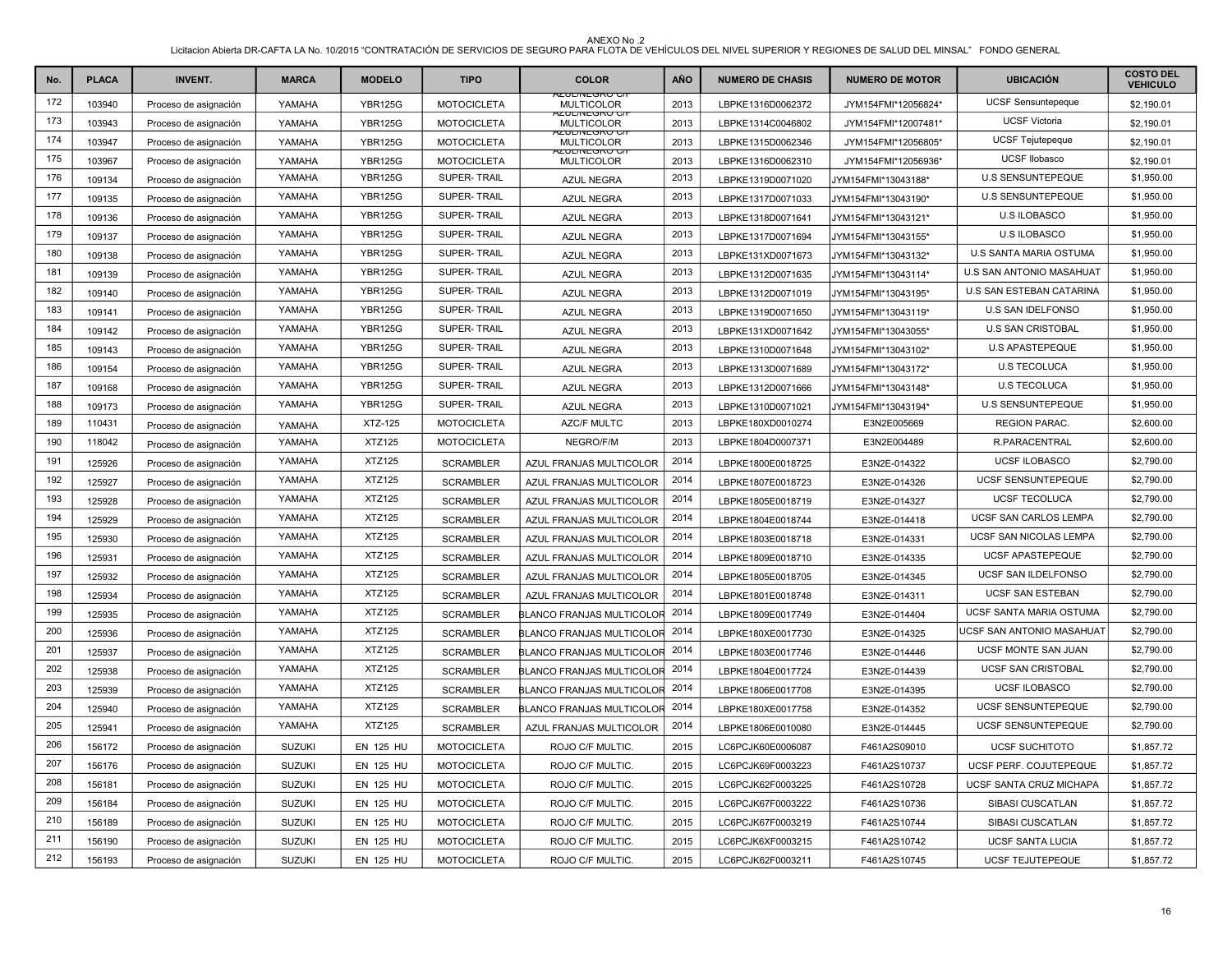| No. | <b>PLACA</b> | <b>INVENT.</b>        | <b>MARCA</b>  | <b>MODELO</b>    | <b>TIPO</b>        | <b>COLOR</b>                                | AÑO  | <b>NUMERO DE CHASIS</b> | <b>NUMERO DE MOTOR</b> | <b>UBICACIÓN</b>             | <b>COSTO DEL</b><br><b>VEHICULO</b> |
|-----|--------------|-----------------------|---------------|------------------|--------------------|---------------------------------------------|------|-------------------------|------------------------|------------------------------|-------------------------------------|
| 172 | 103940       | Proceso de asignación | YAMAHA        | <b>YBR125G</b>   | <b>MOTOCICLETA</b> | 920L/NEGRO C/<br><b>MULTICOLOR</b>          | 2013 | LBPKE1316D0062372       | JYM154FMI*12056824*    | UCSF Sensuntepeque           | \$2,190.01                          |
| 173 | 103943       | Proceso de asignación | YAMAHA        | <b>YBR125G</b>   | <b>MOTOCICLETA</b> | 920L/NEGRO G<br><b>MULTICOLOR</b>           | 2013 | LBPKE1314C0046802       | JYM154FMI*12007481*    | <b>UCSF Victoria</b>         | \$2,190.01                          |
| 174 | 103947       | Proceso de asignación | YAMAHA        | <b>YBR125G</b>   | <b>MOTOCICLETA</b> | <u> YZUL/INEGRU UZ</u><br><b>MULTICOLOR</b> | 2013 | LBPKE1315D0062346       | JYM154FMI*12056805*    | <b>UCSF Tejutepeque</b>      | \$2,190.01                          |
| 175 | 103967       | Proceso de asignación | YAMAHA        | <b>YBR125G</b>   | <b>MOTOCICLETA</b> | KUL/INEGRU C<br><b>MULTICOLOR</b>           | 2013 | LBPKE1316D0062310       | JYM154FMI*12056936*    | UCSF Ilobasco                | \$2,190.01                          |
| 176 | 109134       | Proceso de asignación | YAMAHA        | <b>YBR125G</b>   | SUPER-TRAIL        | <b>AZUL NEGRA</b>                           | 2013 | LBPKE1319D0071020       | JYM154FMI*13043188*    | U.S SENSUNTEPEQUE            | \$1,950.00                          |
| 177 | 109135       | Proceso de asignación | YAMAHA        | <b>YBR125G</b>   | SUPER-TRAIL        | <b>AZUL NEGRA</b>                           | 2013 | LBPKE1317D0071033       | JYM154FMI*13043190*    | <b>U.S SENSUNTEPEQUE</b>     | \$1,950.00                          |
| 178 | 109136       | Proceso de asignación | YAMAHA        | <b>YBR125G</b>   | SUPER-TRAIL        | <b>AZUL NEGRA</b>                           | 2013 | LBPKE1318D0071641       | JYM154FMI*13043121*    | <b>U.S ILOBASCO</b>          | \$1,950.00                          |
| 179 | 109137       | Proceso de asignación | YAMAHA        | <b>YBR125G</b>   | SUPER-TRAIL        | AZUL NEGRA                                  | 2013 | LBPKE1317D0071694       | JYM154FMI*13043155*    | <b>U.S ILOBASCO</b>          | \$1,950.00                          |
| 180 | 109138       | Proceso de asignación | YAMAHA        | <b>YBR125G</b>   | SUPER-TRAIL        | <b>AZUL NEGRA</b>                           | 2013 | LBPKE131XD0071673       | JYM154FMI*13043132*    | U.S SANTA MARIA OSTUMA       | \$1,950.00                          |
| 181 | 109139       | Proceso de asignación | YAMAHA        | <b>YBR125G</b>   | SUPER-TRAIL        | AZUL NEGRA                                  | 2013 | LBPKE1312D0071635       | JYM154FMI*13043114*    | U.S SAN ANTONIO MASAHUAT     | \$1,950.00                          |
| 182 | 109140       | Proceso de asignación | YAMAHA        | <b>YBR125G</b>   | SUPER-TRAIL        | <b>AZUL NEGRA</b>                           | 2013 | LBPKE1312D0071019       | JYM154FMI*13043195*    | U.S SAN ESTEBAN CATARINA     | \$1,950.00                          |
| 183 | 109141       | Proceso de asignación | YAMAHA        | <b>YBR125G</b>   | SUPER-TRAIL        | <b>AZUL NEGRA</b>                           | 2013 | LBPKE1319D0071650       | JYM154FMI*13043119*    | U.S SAN IDELFONSO            | \$1,950.00                          |
| 184 | 109142       | Proceso de asignación | YAMAHA        | <b>YBR125G</b>   | SUPER-TRAIL        | <b>AZUL NEGRA</b>                           | 2013 | LBPKE131XD0071642       | JYM154FMI*13043055*    | <b>U.S SAN CRISTOBAL</b>     | \$1,950.00                          |
| 185 | 109143       | Proceso de asignación | YAMAHA        | <b>YBR125G</b>   | SUPER-TRAIL        | <b>AZUL NEGRA</b>                           | 2013 | LBPKE1310D0071648       | JYM154FMI*13043102*    | U.S APASTEPEQUE              | \$1,950.00                          |
| 186 | 109154       | Proceso de asignación | YAMAHA        | <b>YBR125G</b>   | SUPER-TRAIL        | AZUL NEGRA                                  | 2013 | LBPKE1313D0071689       | JYM154FMI*13043172*    | <b>U.S TECOLUCA</b>          | \$1,950.00                          |
| 187 | 109168       | Proceso de asignación | YAMAHA        | <b>YBR125G</b>   | SUPER-TRAIL        | <b>AZUL NEGRA</b>                           | 2013 | LBPKE1312D0071666       | JYM154FMI*13043148*    | <b>U.S TECOLUCA</b>          | \$1,950.00                          |
| 188 | 109173       | Proceso de asignación | YAMAHA        | <b>YBR125G</b>   | SUPER-TRAIL        | <b>AZUL NEGRA</b>                           | 2013 | LBPKE1310D0071021       | JYM154FMI*13043194*    | <b>U.S SENSUNTEPEQUE</b>     | \$1,950.00                          |
| 189 | 110431       | Proceso de asignación | YAMAHA        | XTZ-125          | <b>MOTOCICLETA</b> | <b>AZC/F MULTC</b>                          | 2013 | LBPKE180XD0010274       | E3N2E005669            | <b>REGION PARAC.</b>         | \$2,600.00                          |
| 190 | 118042       | Proceso de asignación | YAMAHA        | <b>XTZ125</b>    | <b>MOTOCICLETA</b> | NEGRO/F/M                                   | 2013 | LBPKE1804D0007371       | E3N2E004489            | R.PARACENTRAL                | \$2,600.00                          |
| 191 | 125926       | Proceso de asignación | YAMAHA        | <b>XTZ125</b>    | <b>SCRAMBLER</b>   | AZUL FRANJAS MULTICOLOR                     | 2014 | LBPKE1800E0018725       | E3N2E-014322           | <b>UCSF ILOBASCO</b>         | \$2,790.00                          |
| 192 | 125927       | Proceso de asignación | YAMAHA        | <b>XTZ125</b>    | <b>SCRAMBLER</b>   | AZUL FRANJAS MULTICOLOR                     | 2014 | LBPKE1807E0018723       | E3N2E-014326           | <b>UCSF SENSUNTEPEQUE</b>    | \$2,790.00                          |
| 193 | 125928       | Proceso de asignación | YAMAHA        | <b>XTZ125</b>    | <b>SCRAMBLER</b>   | AZUL FRANJAS MULTICOLOR                     | 2014 | LBPKE1805E0018719       | E3N2E-014327           | <b>UCSF TECOLUCA</b>         | \$2,790.00                          |
| 194 | 125929       | Proceso de asignación | YAMAHA        | <b>XTZ125</b>    | <b>SCRAMBLER</b>   | AZUL FRANJAS MULTICOLOR                     | 2014 | LBPKE1804E0018744       | E3N2E-014418           | <b>UCSF SAN CARLOS LEMPA</b> | \$2,790.00                          |
| 195 | 125930       | Proceso de asignación | YAMAHA        | <b>XTZ125</b>    | <b>SCRAMBLER</b>   | AZUL FRANJAS MULTICOLOR                     | 2014 | LBPKE1803E0018718       | E3N2E-014331           | UCSF SAN NICOLAS LEMPA       | \$2,790.00                          |
| 196 | 125931       | Proceso de asignación | YAMAHA        | <b>XTZ125</b>    | <b>SCRAMBLER</b>   | AZUL FRANJAS MULTICOLOR                     | 2014 | LBPKE1809E0018710       | E3N2E-014335           | <b>UCSF APASTEPEQUE</b>      | \$2,790.00                          |
| 197 | 125932       | Proceso de asignación | YAMAHA        | <b>XTZ125</b>    | <b>SCRAMBLER</b>   | AZUL FRANJAS MULTICOLOR                     | 2014 | LBPKE1805E0018705       | E3N2E-014345           | UCSF SAN ILDELFONSO          | \$2,790.00                          |
| 198 | 125934       | Proceso de asignación | YAMAHA        | <b>XTZ125</b>    | <b>SCRAMBLER</b>   | AZUL FRANJAS MULTICOLOR                     | 2014 | LBPKE1801E0018748       | E3N2E-014311           | <b>UCSF SAN ESTEBAN</b>      | \$2,790.00                          |
| 199 | 125935       | Proceso de asignación | YAMAHA        | <b>XTZ125</b>    | <b>SCRAMBLER</b>   | BLANCO FRANJAS MULTICOLOR                   | 2014 | LBPKE1809E0017749       | E3N2E-014404           | UCSF SANTA MARIA OSTUMA      | \$2,790.00                          |
| 200 | 125936       | Proceso de asignación | YAMAHA        | <b>XTZ125</b>    | <b>SCRAMBLER</b>   | BLANCO FRANJAS MULTICOLOR 2014              |      | LBPKE180XE0017730       | E3N2E-014325           | UCSF SAN ANTONIO MASAHUAT    | \$2,790.00                          |
| 201 | 125937       | Proceso de asignación | YAMAHA        | <b>XTZ125</b>    | <b>SCRAMBLER</b>   | BLANCO FRANJAS MULTICOLOR                   | 2014 | LBPKE1803E0017746       | E3N2E-014446           | UCSF MONTE SAN JUAN          | \$2,790.00                          |
| 202 | 125938       | Proceso de asignación | YAMAHA        | <b>XTZ125</b>    | <b>SCRAMBLER</b>   | BLANCO FRANJAS MULTICOLOR 2014              |      | LBPKE1804E0017724       | E3N2E-014439           | <b>UCSF SAN CRISTOBAL</b>    | \$2,790.00                          |
| 203 | 125939       | Proceso de asignación | YAMAHA        | <b>XTZ125</b>    | <b>SCRAMBLER</b>   | BLANCO FRANJAS MULTICOLOR                   | 2014 | LBPKE1806E0017708       | E3N2E-014395           | <b>UCSF ILOBASCO</b>         | \$2,790.00                          |
| 204 | 125940       | Proceso de asignación | YAMAHA        | <b>XTZ125</b>    | <b>SCRAMBLER</b>   | BLANCO FRANJAS MULTICOLOR 2014              |      | LBPKE180XE0017758       | E3N2E-014352           | <b>UCSF SENSUNTEPEQUE</b>    | \$2,790.00                          |
| 205 | 125941       | Proceso de asignación | YAMAHA        | <b>XTZ125</b>    | <b>SCRAMBLER</b>   | AZUL FRANJAS MULTICOLOR                     | 2014 | LBPKE1806E0010080       | E3N2E-014445           | <b>UCSF SENSUNTEPEQUE</b>    | \$2,790.00                          |
| 206 | 156172       | Proceso de asignación | <b>SUZUKI</b> | <b>EN 125 HU</b> | <b>MOTOCICLETA</b> | ROJO C/F MULTIC.                            | 2015 | LC6PCJK60E0006087       | F461A2S09010           | UCSF SUCHITOTO               | \$1,857.72                          |
| 207 | 156176       | Proceso de asignación | <b>SUZUKI</b> | <b>EN 125 HU</b> | <b>MOTOCICLETA</b> | ROJO C/F MULTIC.                            | 2015 | LC6PCJK69F0003223       | F461A2S10737           | UCSF PERF. COJUTEPEQUE       | \$1,857.72                          |
| 208 | 156181       | Proceso de asignación | <b>SUZUKI</b> | <b>EN 125 HU</b> | <b>MOTOCICLETA</b> | ROJO C/F MULTIC.                            | 2015 | LC6PCJK62F0003225       | F461A2S10728           | UCSF SANTA CRUZ MICHAPA      | \$1,857.72                          |
| 209 | 156184       | Proceso de asignación | <b>SUZUKI</b> | <b>EN 125 HU</b> | <b>MOTOCICLETA</b> | ROJO C/F MULTIC.                            | 2015 | LC6PCJK67F0003222       | F461A2S10736           | SIBASI CUSCATLAN             | \$1,857.72                          |
| 210 | 156189       | Proceso de asignación | <b>SUZUKI</b> | <b>EN 125 HU</b> | <b>MOTOCICLETA</b> | ROJO C/F MULTIC.                            | 2015 | LC6PCJK67F0003219       | F461A2S10744           | SIBASI CUSCATLAN             | \$1,857.72                          |
| 211 | 156190       | Proceso de asignación | <b>SUZUKI</b> | <b>EN 125 HU</b> | <b>MOTOCICLETA</b> | ROJO C/F MULTIC.                            | 2015 | LC6PCJK6XF0003215       | F461A2S10742           | <b>UCSF SANTA LUCIA</b>      | \$1,857.72                          |
| 212 | 156193       | Proceso de asignación | <b>SUZUKI</b> | EN 125 HU        | <b>MOTOCICLETA</b> | ROJO C/F MULTIC.                            | 2015 | LC6PCJK62F0003211       | F461A2S10745           | UCSF TEJUTEPEQUE             | \$1,857.72                          |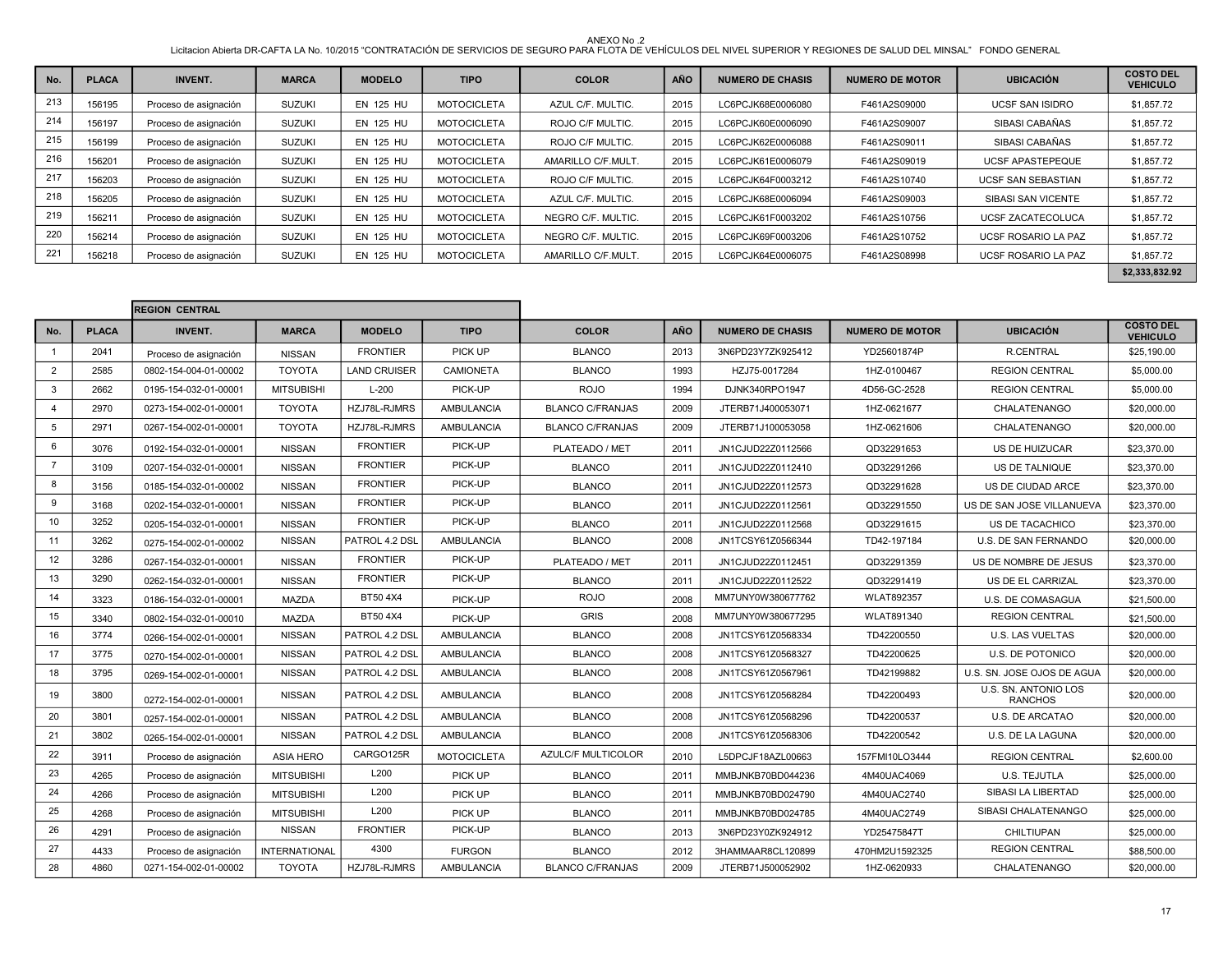ANEXO No .2<br>Licitacion Abierta DR-CAFTA LA No. 10/2015 "CONTRATACIÓN DE SERVICIOS DE SEGURO PARA FLOTA DE VEHÍCULOS DEL NIVEL SUPERIOR Y REGIONES DE SALUD DEL MINSAL" FONDO GENERAL

| No. | <b>PLACA</b> | <b>INVENT.</b>        | <b>MARCA</b>  | <b>MODELO</b>    | <b>TIPO</b>        | <b>COLOR</b>       | <b>AÑO</b> | <b>NUMERO DE CHASIS</b> | <b>NUMERO DE MOTOR</b> | <b>UBICACIÓN</b>           | <b>COSTO DEL</b><br><b>VEHICULO</b> |
|-----|--------------|-----------------------|---------------|------------------|--------------------|--------------------|------------|-------------------------|------------------------|----------------------------|-------------------------------------|
| 213 | 156195       | Proceso de asignación | <b>SUZUKI</b> | <b>EN 125 HU</b> | <b>MOTOCICLETA</b> | AZUL C/F. MULTIC.  | 2015       | LC6PCJK68E0006080       | F461A2S09000           | <b>UCSF SAN ISIDRO</b>     | \$1,857.72                          |
| 214 | 156197       | Proceso de asignación | <b>SUZUKI</b> | <b>EN 125 HU</b> | <b>MOTOCICLETA</b> | ROJO C/F MULTIC.   | 2015       | LC6PCJK60E0006090       | F461A2S09007           | SIBASI CABAÑAS             | \$1,857.72                          |
| 215 | 156199       | Proceso de asignación | <b>SUZUKI</b> | EN 125 HU        | <b>MOTOCICLETA</b> | ROJO C/F MULTIC.   | 2015       | LC6PCJK62E0006088       | F461A2S09011           | SIBASI CABAÑAS             | \$1,857.72                          |
| 216 | 156201       | Proceso de asignación | <b>SUZUKI</b> | <b>EN 125 HU</b> | <b>MOTOCICLETA</b> | AMARILLO C/F.MULT. | 2015       | LC6PCJK61E0006079       | F461A2S09019           | <b>UCSF APASTEPEQUE</b>    | \$1,857.72                          |
| 217 | 156203       | Proceso de asignación | <b>SUZUKI</b> | <b>EN 125 HU</b> | <b>MOTOCICLETA</b> | ROJO C/F MULTIC.   | 2015       | LC6PCJK64F0003212       | F461A2S10740           | <b>UCSF SAN SEBASTIAN</b>  | \$1,857.72                          |
| 218 | 156205       | Proceso de asignación | <b>SUZUKI</b> | <b>EN 125 HU</b> | <b>MOTOCICLETA</b> | AZUL C/F. MULTIC.  | 2015       | LC6PCJK68E0006094       | F461A2S09003           | SIBASI SAN VICENTE         | \$1,857.72                          |
| 219 | 156211       | Proceso de asignación | <b>SUZUKI</b> | <b>EN 125 HU</b> | <b>MOTOCICLETA</b> | NEGRO C/F. MULTIC. | 2015       | LC6PCJK61F0003202       | F461A2S10756           | <b>UCSF ZACATECOLUCA</b>   | \$1,857.72                          |
| 220 | 156214       | Proceso de asignación | <b>SUZUKI</b> | <b>EN 125 HU</b> | <b>MOTOCICLETA</b> | NEGRO C/F. MULTIC. | 2015       | LC6PCJK69F0003206       | F461A2S10752           | <b>UCSF ROSARIO LA PAZ</b> | \$1,857.72                          |
| 221 | 156218       | Proceso de asignación | <b>SUZUKI</b> | EN 125 HU        | <b>MOTOCICLETA</b> | AMARILLO C/F.MULT. | 2015       | LC6PCJK64E0006075       | F461A2S08998           | <b>UCSF ROSARIO LA PAZ</b> | \$1,857.72                          |
|     |              |                       |               |                  |                    |                    |            |                         |                        |                            | \$2,333,832.92                      |

|                |              | <b>REGION CENTRAL</b> |                   |                     |                    |                           |            |                         |                        |                                        |                                     |
|----------------|--------------|-----------------------|-------------------|---------------------|--------------------|---------------------------|------------|-------------------------|------------------------|----------------------------------------|-------------------------------------|
| No.            | <b>PLACA</b> | <b>INVENT.</b>        | <b>MARCA</b>      | <b>MODELO</b>       | <b>TIPO</b>        | <b>COLOR</b>              | <b>AÑO</b> | <b>NUMERO DE CHASIS</b> | <b>NUMERO DE MOTOR</b> | <b>UBICACIÓN</b>                       | <b>COSTO DEL</b><br><b>VEHICULO</b> |
| $\mathbf{1}$   | 2041         | Proceso de asignación | <b>NISSAN</b>     | <b>FRONTIER</b>     | PICK UP            | <b>BLANCO</b>             | 2013       | 3N6PD23Y7ZK925412       | YD25601874P            | <b>R.CENTRAL</b>                       | \$25,190.00                         |
| $\overline{2}$ | 2585         | 0802-154-004-01-00002 | <b>TOYOTA</b>     | <b>LAND CRUISER</b> | <b>CAMIONETA</b>   | <b>BLANCO</b>             | 1993       | HZJ75-0017284           | 1HZ-0100467            | <b>REGION CENTRAL</b>                  | \$5,000.00                          |
| 3              | 2662         | 0195-154-032-01-00001 | <b>MITSUBISHI</b> | $L-200$             | PICK-UP            | <b>ROJO</b>               | 1994       | DJNK340RPO1947          | 4D56-GC-2528           | <b>REGION CENTRAL</b>                  | \$5,000.00                          |
| $\overline{4}$ | 2970         | 0273-154-002-01-00001 | <b>TOYOTA</b>     | HZJ78L-RJMRS        | <b>AMBULANCIA</b>  | <b>BLANCO C/FRANJAS</b>   | 2009       | JTERB71J400053071       | 1HZ-0621677            | CHALATENANGO                           | \$20,000.00                         |
| 5              | 2971         | 0267-154-002-01-00001 | <b>TOYOTA</b>     | HZJ78L-RJMRS        | <b>AMBULANCIA</b>  | <b>BLANCO C/FRANJAS</b>   | 2009       | JTERB71J100053058       | 1HZ-0621606            | CHALATENANGO                           | \$20,000.00                         |
| 6              | 3076         | 0192-154-032-01-00001 | <b>NISSAN</b>     | <b>FRONTIER</b>     | PICK-UP            | PLATEADO / MET            | 2011       | JN1CJUD22Z0112566       | QD32291653             | <b>US DE HUIZUCAR</b>                  | \$23,370.00                         |
| $\overline{7}$ | 3109         | 0207-154-032-01-00001 | <b>NISSAN</b>     | <b>FRONTIER</b>     | PICK-UP            | <b>BLANCO</b>             | 2011       | JN1CJUD22Z0112410       | QD32291266             | US DE TALNIQUE                         | \$23,370.00                         |
| 8              | 3156         | 0185-154-032-01-00002 | <b>NISSAN</b>     | <b>FRONTIER</b>     | PICK-UP            | <b>BLANCO</b>             | 2011       | JN1CJUD22Z0112573       | QD32291628             | US DE CIUDAD ARCE                      | \$23,370.00                         |
| 9              | 3168         | 0202-154-032-01-00001 | <b>NISSAN</b>     | <b>FRONTIER</b>     | PICK-UP            | <b>BLANCO</b>             | 2011       | JN1CJUD22Z0112561       | QD32291550             | US DE SAN JOSE VILLANUEVA              | \$23,370.00                         |
| 10             | 3252         | 0205-154-032-01-00001 | <b>NISSAN</b>     | <b>FRONTIER</b>     | PICK-UP            | <b>BLANCO</b>             | 2011       | JN1CJUD22Z0112568       | QD32291615             | US DE TACACHICO                        | \$23,370.00                         |
| 11             | 3262         | 0275-154-002-01-00002 | <b>NISSAN</b>     | PATROL 4.2 DSL      | <b>AMBULANCIA</b>  | <b>BLANCO</b>             | 2008       | JN1TCSY61Z0566344       | TD42-197184            | U.S. DE SAN FERNANDO                   | \$20,000.00                         |
| 12             | 3286         | 0267-154-032-01-00001 | <b>NISSAN</b>     | <b>FRONTIER</b>     | PICK-UP            | PLATEADO / MET            | 2011       | JN1CJUD22Z0112451       | QD32291359             | US DE NOMBRE DE JESUS                  | \$23,370.00                         |
| 13             | 3290         | 0262-154-032-01-00001 | <b>NISSAN</b>     | <b>FRONTIER</b>     | PICK-UP            | <b>BLANCO</b>             | 2011       | JN1CJUD22Z0112522       | QD32291419             | US DE EL CARRIZAL                      | \$23,370.00                         |
| 14             | 3323         | 0186-154-032-01-00001 | <b>MAZDA</b>      | BT50 4X4            | PICK-UP            | <b>ROJO</b>               | 2008       | MM7UNY0W380677762       | <b>WLAT892357</b>      | U.S. DE COMASAGUA                      | \$21,500.00                         |
| 15             | 3340         | 0802-154-032-01-00010 | <b>MAZDA</b>      | BT50 4X4            | PICK-UP            | <b>GRIS</b>               | 2008       | MM7UNY0W380677295       | WLAT891340             | <b>REGION CENTRAL</b>                  | \$21,500.00                         |
| 16             | 3774         | 0266-154-002-01-00001 | <b>NISSAN</b>     | PATROL 4.2 DSL      | AMBULANCIA         | <b>BLANCO</b>             | 2008       | JN1TCSY61Z0568334       | TD42200550             | <b>U.S. LAS VUELTAS</b>                | \$20,000.00                         |
| 17             | 3775         | 0270-154-002-01-00001 | <b>NISSAN</b>     | PATROL 4.2 DSL      | <b>AMBULANCIA</b>  | <b>BLANCO</b>             | 2008       | JN1TCSY61Z0568327       | TD42200625             | <b>U.S. DE POTONICO</b>                | \$20,000.00                         |
| 18             | 3795         | 0269-154-002-01-00001 | <b>NISSAN</b>     | PATROL 4.2 DSL      | AMBULANCIA         | <b>BLANCO</b>             | 2008       | JN1TCSY61Z0567961       | TD42199882             | U.S. SN. JOSE OJOS DE AGUA             | \$20,000.00                         |
| 19             | 3800         | 0272-154-002-01-00001 | <b>NISSAN</b>     | PATROL 4.2 DSL      | <b>AMBULANCIA</b>  | <b>BLANCO</b>             | 2008       | JN1TCSY61Z0568284       | TD42200493             | U.S. SN. ANTONIO LOS<br><b>RANCHOS</b> | \$20,000.00                         |
| 20             | 3801         | 0257-154-002-01-00001 | <b>NISSAN</b>     | PATROL 4.2 DSL      | <b>AMBULANCIA</b>  | <b>BLANCO</b>             | 2008       | JN1TCSY61Z0568296       | TD42200537             | U.S. DE ARCATAO                        | \$20,000.00                         |
| 21             | 3802         | 0265-154-002-01-00001 | <b>NISSAN</b>     | PATROL 4.2 DSL      | <b>AMBULANCIA</b>  | <b>BLANCO</b>             | 2008       | JN1TCSY61Z0568306       | TD42200542             | U.S. DE LA LAGUNA                      | \$20,000.00                         |
| 22             | 3911         | Proceso de asignación | <b>ASIA HERO</b>  | CARGO125R           | <b>MOTOCICLETA</b> | <b>AZULC/F MULTICOLOR</b> | 2010       | L5DPCJF18AZL00663       | 157FMI10LO3444         | <b>REGION CENTRAL</b>                  | \$2,600.00                          |
| 23             | 4265         | Proceso de asignación | <b>MITSUBISHI</b> | L200                | PICK UP            | <b>BLANCO</b>             | 2011       | MMBJNKB70BD044236       | 4M40UAC4069            | U.S. TEJUTLA                           | \$25,000.00                         |
| 24             | 4266         | Proceso de asignación | <b>MITSUBISHI</b> | L200                | PICK UP            | <b>BLANCO</b>             | 2011       | MMBJNKB70BD024790       | 4M40UAC2740            | SIBASI LA LIBERTAD                     | \$25,000.00                         |
| 25             | 4268         | Proceso de asignación | <b>MITSUBISHI</b> | L200                | PICK UP            | <b>BLANCO</b>             | 2011       | MMBJNKB70BD024785       | 4M40UAC2749            | SIBASI CHALATENANGO                    | \$25,000.00                         |
| 26             | 4291         | Proceso de asignación | <b>NISSAN</b>     | <b>FRONTIER</b>     | PICK-UP            | <b>BLANCO</b>             | 2013       | 3N6PD23Y0ZK924912       | YD25475847T            | <b>CHILTIUPAN</b>                      | \$25,000.00                         |
| 27             | 4433         | Proceso de asignación | INTERNATIONAL     | 4300                | <b>FURGON</b>      | <b>BLANCO</b>             | 2012       | 3HAMMAAR8CL120899       | 470HM2U1592325         | <b>REGION CENTRAL</b>                  | \$88,500.00                         |
| 28             | 4860         | 0271-154-002-01-00002 | <b>TOYOTA</b>     | HZJ78L-RJMRS        | <b>AMBULANCIA</b>  | <b>BLANCO C/FRANJAS</b>   | 2009       | JTERB71J500052902       | 1HZ-0620933            | CHALATENANGO                           | \$20,000.00                         |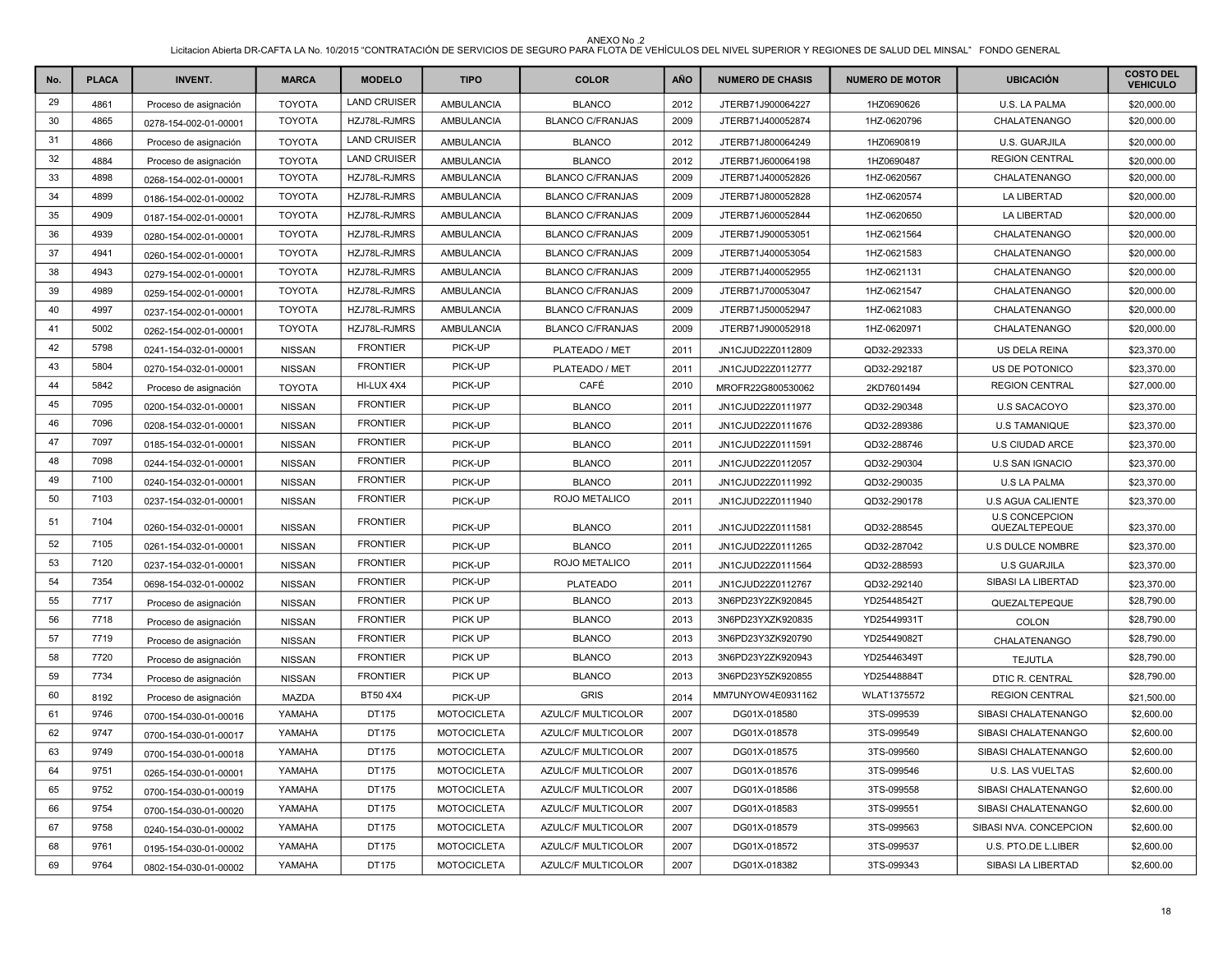| No. | <b>PLACA</b> | <b>INVENT.</b>        | <b>MARCA</b>  | <b>MODELO</b>       | <b>TIPO</b>        | <b>COLOR</b>              | <b>AÑO</b> | <b>NUMERO DE CHASIS</b> | <b>NUMERO DE MOTOR</b> | <b>UBICACIÓN</b>                       | <b>COSTO DEL</b><br><b>VEHICULO</b> |
|-----|--------------|-----------------------|---------------|---------------------|--------------------|---------------------------|------------|-------------------------|------------------------|----------------------------------------|-------------------------------------|
| 29  | 4861         | Proceso de asignación | <b>TOYOTA</b> | <b>LAND CRUISER</b> | AMBULANCIA         | <b>BLANCO</b>             | 2012       | JTERB71J900064227       | 1HZ0690626             | U.S. LA PALMA                          | \$20,000.00                         |
| 30  | 4865         | 0278-154-002-01-00001 | <b>TOYOTA</b> | HZJ78L-RJMRS        | AMBULANCIA         | <b>BLANCO C/FRANJAS</b>   | 2009       | JTERB71J400052874       | 1HZ-0620796            | CHALATENANGO                           | \$20,000.00                         |
| 31  | 4866         | Proceso de asignación | <b>TOYOTA</b> | <b>LAND CRUISER</b> | <b>AMBULANCIA</b>  | <b>BLANCO</b>             | 2012       | JTERB71J800064249       | 1HZ0690819             | U.S. GUARJILA                          | \$20,000.00                         |
| 32  | 4884         | Proceso de asignación | <b>TOYOTA</b> | <b>LAND CRUISER</b> | AMBULANCIA         | <b>BLANCO</b>             | 2012       | JTERB71J600064198       | 1HZ0690487             | <b>REGION CENTRAL</b>                  | \$20,000.00                         |
| 33  | 4898         | 0268-154-002-01-00001 | <b>TOYOTA</b> | HZJ78L-RJMRS        | AMBULANCIA         | <b>BLANCO C/FRANJAS</b>   | 2009       | JTERB71J400052826       | 1HZ-0620567            | CHALATENANGO                           | \$20,000.00                         |
| 34  | 4899         | 0186-154-002-01-00002 | <b>TOYOTA</b> | HZJ78L-RJMRS        | AMBULANCIA         | <b>BLANCO C/FRANJAS</b>   | 2009       | JTERB71J800052828       | 1HZ-0620574            | LA LIBERTAD                            | \$20,000.00                         |
| 35  | 4909         | 0187-154-002-01-00001 | <b>TOYOTA</b> | HZJ78L-RJMRS        | AMBULANCIA         | <b>BLANCO C/FRANJAS</b>   | 2009       | JTERB71J600052844       | 1HZ-0620650            | <b>LA LIBERTAD</b>                     | \$20,000.00                         |
| 36  | 4939         | 0280-154-002-01-00001 | <b>TOYOTA</b> | HZJ78L-RJMRS        | AMBULANCIA         | <b>BLANCO C/FRANJAS</b>   | 2009       | JTERB71J900053051       | 1HZ-0621564            | CHALATENANGO                           | \$20,000.00                         |
| 37  | 4941         | 0260-154-002-01-00001 | <b>TOYOTA</b> | HZJ78L-RJMRS        | AMBULANCIA         | <b>BLANCO C/FRANJAS</b>   | 2009       | JTERB71J400053054       | 1HZ-0621583            | CHALATENANGO                           | \$20,000.00                         |
| 38  | 4943         | 0279-154-002-01-00001 | <b>TOYOTA</b> | HZJ78L-RJMRS        | AMBULANCIA         | <b>BLANCO C/FRANJAS</b>   | 2009       | JTERB71J400052955       | 1HZ-0621131            | CHALATENANGO                           | \$20,000.00                         |
| 39  | 4989         | 0259-154-002-01-00001 | <b>TOYOTA</b> | HZJ78L-RJMRS        | <b>AMBULANCIA</b>  | <b>BLANCO C/FRANJAS</b>   | 2009       | JTERB71J700053047       | 1HZ-0621547            | CHALATENANGO                           | \$20,000.00                         |
| 40  | 4997         | 0237-154-002-01-00001 | <b>TOYOTA</b> | HZJ78L-RJMRS        | AMBULANCIA         | <b>BLANCO C/FRANJAS</b>   | 2009       | JTERB71J500052947       | 1HZ-0621083            | CHALATENANGO                           | \$20,000.00                         |
| 41  | 5002         | 0262-154-002-01-00001 | <b>TOYOTA</b> | HZJ78L-RJMRS        | <b>AMBULANCIA</b>  | <b>BLANCO C/FRANJAS</b>   | 2009       | JTERB71J900052918       | 1HZ-0620971            | CHALATENANGO                           | \$20,000.00                         |
| 42  | 5798         | 0241-154-032-01-00001 | <b>NISSAN</b> | <b>FRONTIER</b>     | PICK-UP            | PLATEADO / MET            | 2011       | JN1CJUD22Z0112809       | QD32-292333            | US DELA REINA                          | \$23,370.00                         |
| 43  | 5804         | 0270-154-032-01-00001 | <b>NISSAN</b> | <b>FRONTIER</b>     | PICK-UP            | PLATEADO / MET            | 2011       | JN1CJUD22Z0112777       | QD32-292187            | US DE POTONICO                         | \$23,370.00                         |
| 44  | 5842         | Proceso de asignación | <b>TOYOTA</b> | HI-LUX 4X4          | PICK-UP            | CAFÉ                      | 2010       | MROFR22G800530062       | 2KD7601494             | <b>REGION CENTRAL</b>                  | \$27,000.00                         |
| 45  | 7095         | 0200-154-032-01-00001 | <b>NISSAN</b> | <b>FRONTIER</b>     | PICK-UP            | <b>BLANCO</b>             | 2011       | JN1CJUD22Z0111977       | QD32-290348            | <b>U.S SACACOYO</b>                    | \$23,370.00                         |
| 46  | 7096         | 0208-154-032-01-00001 | <b>NISSAN</b> | <b>FRONTIER</b>     | PICK-UP            | <b>BLANCO</b>             | 2011       | JN1CJUD22Z0111676       | QD32-289386            | <b>U.S TAMANIQUE</b>                   | \$23,370.00                         |
| 47  | 7097         | 0185-154-032-01-00001 | <b>NISSAN</b> | <b>FRONTIER</b>     | PICK-UP            | <b>BLANCO</b>             | 2011       | JN1CJUD22Z0111591       | QD32-288746            | U.S CIUDAD ARCE                        | \$23,370.00                         |
| 48  | 7098         | 0244-154-032-01-00001 | <b>NISSAN</b> | <b>FRONTIER</b>     | PICK-UP            | <b>BLANCO</b>             | 2011       | JN1CJUD22Z0112057       | QD32-290304            | <b>U.S SAN IGNACIO</b>                 | \$23,370.00                         |
| 49  | 7100         | 0240-154-032-01-00001 | <b>NISSAN</b> | <b>FRONTIER</b>     | PICK-UP            | <b>BLANCO</b>             | 2011       | JN1CJUD22Z0111992       | QD32-290035            | <b>U.S LA PALMA</b>                    | \$23,370.00                         |
| 50  | 7103         | 0237-154-032-01-00001 | <b>NISSAN</b> | <b>FRONTIER</b>     | PICK-UP            | ROJO METALICO             | 2011       | JN1CJUD22Z0111940       | QD32-290178            | <b>U.S AGUA CALIENTE</b>               | \$23,370.00                         |
| 51  | 7104         | 0260-154-032-01-00001 | <b>NISSAN</b> | <b>FRONTIER</b>     | PICK-UP            | <b>BLANCO</b>             | 2011       | JN1CJUD22Z0111581       | QD32-288545            | <b>U.S CONCEPCION</b><br>QUEZALTEPEQUE | \$23,370.00                         |
| 52  | 7105         | 0261-154-032-01-00001 | <b>NISSAN</b> | <b>FRONTIER</b>     | PICK-UP            | <b>BLANCO</b>             | 2011       | JN1CJUD22Z0111265       | QD32-287042            | <b>U.S DULCE NOMBRE</b>                | \$23,370.00                         |
| 53  | 7120         | 0237-154-032-01-00001 | <b>NISSAN</b> | <b>FRONTIER</b>     | PICK-UP            | ROJO METALICO             | 2011       | JN1CJUD22Z0111564       | QD32-288593            | <b>U.S GUARJILA</b>                    | \$23,370.00                         |
| 54  | 7354         | 0698-154-032-01-00002 | <b>NISSAN</b> | <b>FRONTIER</b>     | PICK-UP            | <b>PLATEADO</b>           | 2011       | JN1CJUD22Z0112767       | QD32-292140            | SIBASI LA LIBERTAD                     | \$23,370.00                         |
| 55  | 7717         | Proceso de asignación | <b>NISSAN</b> | <b>FRONTIER</b>     | PICK UP            | <b>BLANCO</b>             | 2013       | 3N6PD23Y2ZK920845       | YD25448542T            | QUEZALTEPEQUE                          | \$28,790.00                         |
| 56  | 7718         | Proceso de asignación | <b>NISSAN</b> | <b>FRONTIER</b>     | PICK UP            | <b>BLANCO</b>             | 2013       | 3N6PD23YXZK920835       | YD25449931T            | <b>COLON</b>                           | \$28,790.00                         |
| 57  | 7719         | Proceso de asignación | <b>NISSAN</b> | <b>FRONTIER</b>     | PICK UP            | <b>BLANCO</b>             | 2013       | 3N6PD23Y3ZK920790       | YD25449082T            | CHALATENANGO                           | \$28,790.00                         |
| 58  | 7720         | Proceso de asignación | <b>NISSAN</b> | <b>FRONTIER</b>     | PICK UP            | <b>BLANCO</b>             | 2013       | 3N6PD23Y2ZK920943       | YD25446349T            | <b>TEJUTLA</b>                         | \$28,790.00                         |
| 59  | 7734         | Proceso de asignación | <b>NISSAN</b> | <b>FRONTIER</b>     | <b>PICK UP</b>     | <b>BLANCO</b>             | 2013       | 3N6PD23Y5ZK920855       | YD25448884T            | DTIC R. CENTRAL                        | \$28,790.00                         |
| 60  | 8192         | Proceso de asignación | MAZDA         | BT50 4X4            | PICK-UP            | <b>GRIS</b>               | 2014       | MM7UNYOW4E0931162       | WLAT1375572            | <b>REGION CENTRAL</b>                  | \$21,500.00                         |
| 61  | 9746         | 0700-154-030-01-00016 | YAMAHA        | DT175               | <b>MOTOCICLETA</b> | <b>AZULC/F MULTICOLOR</b> | 2007       | DG01X-018580            | 3TS-099539             | SIBASI CHALATENANGO                    | \$2,600.00                          |
| 62  | 9747         | 0700-154-030-01-00017 | YAMAHA        | DT175               | <b>MOTOCICLETA</b> | <b>AZULC/F MULTICOLOR</b> | 2007       | DG01X-018578            | 3TS-099549             | SIBASI CHALATENANGO                    | \$2,600.00                          |
| 63  | 9749         | 0700-154-030-01-00018 | YAMAHA        | DT175               | <b>MOTOCICLETA</b> | <b>AZULC/F MULTICOLOR</b> | 2007       | DG01X-018575            | 3TS-099560             | SIBASI CHALATENANGO                    | \$2,600.00                          |
| 64  | 9751         | 0265-154-030-01-00001 | YAMAHA        | DT175               | <b>MOTOCICLETA</b> | AZULC/F MULTICOLOR        | 2007       | DG01X-018576            | 3TS-099546             | U.S. LAS VUELTAS                       | \$2,600.00                          |
| 65  | 9752         | 0700-154-030-01-00019 | YAMAHA        | DT175               | <b>MOTOCICLETA</b> | <b>AZULC/F MULTICOLOR</b> | 2007       | DG01X-018586            | 3TS-099558             | SIBASI CHALATENANGO                    | \$2,600.00                          |
| 66  | 9754         | 0700-154-030-01-00020 | YAMAHA        | DT175               | <b>MOTOCICLETA</b> | <b>AZULC/F MULTICOLOR</b> | 2007       | DG01X-018583            | 3TS-099551             | SIBASI CHALATENANGO                    | \$2,600.00                          |
| 67  | 9758         | 0240-154-030-01-00002 | YAMAHA        | DT175               | <b>MOTOCICLETA</b> | <b>AZULC/F MULTICOLOR</b> | 2007       | DG01X-018579            | 3TS-099563             | SIBASI NVA. CONCEPCION                 | \$2,600.00                          |
| 68  | 9761         | 0195-154-030-01-00002 | YAMAHA        | DT175               | <b>MOTOCICLETA</b> | <b>AZULC/F MULTICOLOR</b> | 2007       | DG01X-018572            | 3TS-099537             | U.S. PTO.DE L.LIBER                    | \$2,600.00                          |
| 69  | 9764         | 0802-154-030-01-00002 | YAMAHA        | DT175               | <b>MOTOCICLETA</b> | <b>AZULC/F MULTICOLOR</b> | 2007       | DG01X-018382            | 3TS-099343             | SIBASI LA LIBERTAD                     | \$2,600.00                          |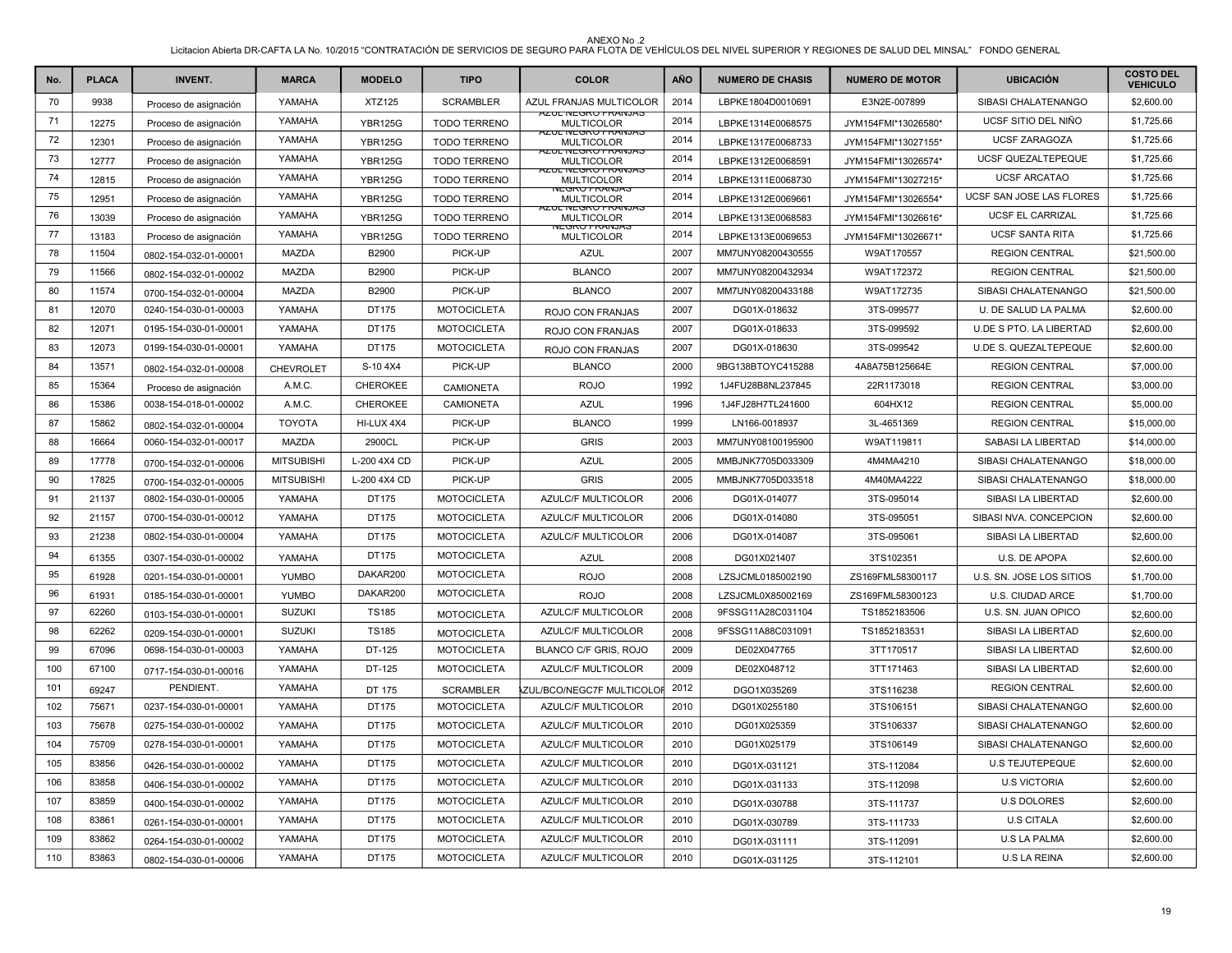| No. | <b>PLACA</b> | <b>INVENT.</b>        | <b>MARCA</b>      | <b>MODELO</b>   | <b>TIPO</b>         | <b>COLOR</b>                                   | AÑO  | <b>NUMERO DE CHASIS</b> | <b>NUMERO DE MOTOR</b> | <b>UBICACIÓN</b>          | <b>COSTO DEL</b><br><b>VEHICULO</b> |
|-----|--------------|-----------------------|-------------------|-----------------|---------------------|------------------------------------------------|------|-------------------------|------------------------|---------------------------|-------------------------------------|
| 70  | 9938         | Proceso de asignación | YAMAHA            | <b>XTZ125</b>   | <b>SCRAMBLER</b>    | AZUL FRANJAS MULTICOLOR                        | 2014 | LBPKE1804D0010691       | E3N2E-007899           | SIBASI CHALATENANGO       | \$2,600.00                          |
| 71  | 12275        | Proceso de asignación | YAMAHA            | <b>YBR125G</b>  | <b>TODO TERRENO</b> | <b>AZUL NEGRO FRANJAS</b><br><b>MULTICOLOR</b> | 2014 | LBPKE1314E0068575       | JYM154FMI*13026580*    | UCSF SITIO DEL NIÑO       | \$1,725.66                          |
| 72  | 12301        | Proceso de asignación | YAMAHA            | <b>YBR125G</b>  | <b>TODO TERRENO</b> | <b>AZUL NEGRU FRANJAS</b><br><b>MULTICOLOR</b> | 2014 | LBPKE1317E0068733       | JYM154FMI*13027155*    | <b>UCSF ZARAGOZA</b>      | \$1,725.66                          |
| 73  | 12777        | Proceso de asignación | YAMAHA            | <b>YBR125G</b>  | <b>TODO TERRENO</b> | <b>AZUL NEGRO FRANJAS</b><br><b>MULTICOLOR</b> | 2014 | LBPKE1312E0068591       | JYM154FMI*13026574*    | UCSF QUEZALTEPEQUE        | \$1,725.66                          |
| 74  | 12815        | Proceso de asignación | YAMAHA            | <b>YBR125G</b>  | <b>TODO TERRENO</b> | <b>AZUL NEGRU FRANJAS</b><br><b>MULTICOLOR</b> | 2014 | LBPKE1311E0068730       | JYM154FMI*13027215*    | <b>UCSF ARCATAO</b>       | \$1,725.66                          |
| 75  | 12951        | Proceso de asignación | YAMAHA            | <b>YBR125G</b>  | <b>TODO TERRENO</b> | NEGRU FRANJAS<br><b>MULTICOLOR</b>             | 2014 | LBPKE1312E0069661       | JYM154FMI*13026554*    | UCSF SAN JOSE LAS FLORES  | \$1,725.66                          |
| 76  | 13039        | Proceso de asignación | YAMAHA            | <b>YBR125G</b>  | <b>TODO TERRENO</b> | AZUL NEGRU FRANJAS<br><b>MULTICOLOR</b>        | 2014 | LBPKE1313E0068583       | JYM154FMI*13026616*    | <b>UCSF EL CARRIZAL</b>   | \$1,725.66                          |
| 77  | 13183        | Proceso de asignación | YAMAHA            | <b>YBR125G</b>  | <b>TODO TERRENO</b> | NEGRO FRANJAS<br><b>MULTICOLOR</b>             | 2014 | LBPKE1313E0069653       | JYM154FMI*13026671*    | <b>UCSF SANTA RITA</b>    | \$1,725.66                          |
| 78  | 11504        | 0802-154-032-01-00001 | <b>MAZDA</b>      | B2900           | PICK-UP             | <b>AZUL</b>                                    | 2007 | MM7UNY08200430555       | W9AT170557             | <b>REGION CENTRAL</b>     | \$21,500.00                         |
| 79  | 11566        | 0802-154-032-01-00002 | <b>MAZDA</b>      | B2900           | PICK-UP             | <b>BLANCO</b>                                  | 2007 | MM7UNY08200432934       | W9AT172372             | <b>REGION CENTRAL</b>     | \$21,500.00                         |
| 80  | 11574        | 0700-154-032-01-00004 | MAZDA             | B2900           | PICK-UP             | <b>BLANCO</b>                                  | 2007 | MM7UNY08200433188       | W9AT172735             | SIBASI CHALATENANGO       | \$21,500.00                         |
| 81  | 12070        | 0240-154-030-01-00003 | YAMAHA            | DT175           | <b>MOTOCICLETA</b>  | ROJO CON FRANJAS                               | 2007 | DG01X-018632            | 3TS-099577             | U. DE SALUD LA PALMA      | \$2,600.00                          |
| 82  | 12071        | 0195-154-030-01-00001 | YAMAHA            | DT175           | <b>MOTOCICLETA</b>  | ROJO CON FRANJAS                               | 2007 | DG01X-018633            | 3TS-099592             | U.DE S PTO. LA LIBERTAD   | \$2,600.00                          |
| 83  | 12073        | 0199-154-030-01-00001 | YAMAHA            | DT175           | <b>MOTOCICLETA</b>  | ROJO CON FRANJAS                               | 2007 | DG01X-018630            | 3TS-099542             | U.DE S. QUEZALTEPEQUE     | \$2,600.00                          |
| 84  | 13571        | 0802-154-032-01-00008 | <b>CHEVROLET</b>  | S-104X4         | PICK-UP             | <b>BLANCO</b>                                  | 2000 | 9BG138BTOYC415288       | 4A8A75B125664E         | <b>REGION CENTRAL</b>     | \$7,000.00                          |
| 85  | 15364        | Proceso de asignación | A.M.C.            | <b>CHEROKEE</b> | <b>CAMIONETA</b>    | <b>ROJO</b>                                    | 1992 | 1J4FU28B8NL237845       | 22R1173018             | <b>REGION CENTRAL</b>     | \$3,000.00                          |
| 86  | 15386        | 0038-154-018-01-00002 | A.M.C.            | CHEROKEE        | <b>CAMIONETA</b>    | <b>AZUL</b>                                    | 1996 | 1J4FJ28H7TL241600       | 604HX12                | <b>REGION CENTRAL</b>     | \$5,000.00                          |
| 87  | 15862        | 0802-154-032-01-00004 | <b>TOYOTA</b>     | HI-LUX 4X4      | PICK-UP             | <b>BLANCO</b>                                  | 1999 | LN166-0018937           | 3L-4651369             | <b>REGION CENTRAL</b>     | \$15,000.00                         |
| 88  | 16664        | 0060-154-032-01-00017 | <b>MAZDA</b>      | 2900CL          | PICK-UP             | <b>GRIS</b>                                    | 2003 | MM7UNY08100195900       | W9AT119811             | <b>SABASI LA LIBERTAD</b> | \$14,000.00                         |
| 89  | 17778        | 0700-154-032-01-00006 | <b>MITSUBISHI</b> | L-200 4X4 CD    | PICK-UP             | <b>AZUL</b>                                    | 2005 | MMBJNK7705D033309       | 4M4MA4210              | SIBASI CHALATENANGO       | \$18,000.00                         |
| 90  | 17825        | 0700-154-032-01-00005 | <b>MITSUBISHI</b> | L-200 4X4 CD    | PICK-UP             | <b>GRIS</b>                                    | 2005 | MMBJNK7705D033518       | 4M40MA4222             | SIBASI CHALATENANGO       | \$18,000.00                         |
| 91  | 21137        | 0802-154-030-01-00005 | YAMAHA            | DT175           | <b>MOTOCICLETA</b>  | <b>AZULC/F MULTICOLOR</b>                      | 2006 | DG01X-014077            | 3TS-095014             | SIBASI LA LIBERTAD        | \$2,600.00                          |
| 92  | 21157        | 0700-154-030-01-00012 | YAMAHA            | DT175           | <b>MOTOCICLETA</b>  | AZULC/F MULTICOLOR                             | 2006 | DG01X-014080            | 3TS-095051             | SIBASI NVA. CONCEPCION    | \$2,600.00                          |
| 93  | 21238        | 0802-154-030-01-00004 | YAMAHA            | DT175           | <b>MOTOCICLETA</b>  | <b>AZULC/F MULTICOLOR</b>                      | 2006 | DG01X-014087            | 3TS-095061             | SIBASI LA LIBERTAD        | \$2,600.00                          |
| 94  | 61355        | 0307-154-030-01-00002 | YAMAHA            | DT175           | <b>MOTOCICLETA</b>  | <b>AZUL</b>                                    | 2008 | DG01X021407             | 3TS102351              | U.S. DE APOPA             | \$2,600.00                          |
| 95  | 61928        | 0201-154-030-01-00001 | <b>YUMBO</b>      | DAKAR200        | <b>MOTOCICLETA</b>  | <b>ROJO</b>                                    | 2008 | LZSJCML0185002190       | ZS169FML58300117       | U.S. SN. JOSE LOS SITIOS  | \$1,700.00                          |
| 96  | 61931        | 0185-154-030-01-00001 | <b>YUMBO</b>      | DAKAR200        | <b>MOTOCICLETA</b>  | <b>ROJO</b>                                    | 2008 | LZSJCML0X85002169       | ZS169FML58300123       | U.S. CIUDAD ARCE          | \$1,700.00                          |
| 97  | 62260        | 0103-154-030-01-00001 | <b>SUZUKI</b>     | <b>TS185</b>    | <b>MOTOCICLETA</b>  | AZULC/F MULTICOLOR                             | 2008 | 9FSSG11A28C031104       | TS1852183506           | U.S. SN. JUAN OPICO       | \$2,600.00                          |
| 98  | 62262        | 0209-154-030-01-00001 | <b>SUZUKI</b>     | <b>TS185</b>    | <b>MOTOCICLETA</b>  | AZULC/F MULTICOLOR                             | 2008 | 9FSSG11A88C031091       | TS1852183531           | SIBASI LA LIBERTAD        | \$2,600.00                          |
| 99  | 67096        | 0698-154-030-01-00003 | YAMAHA            | DT-125          | <b>MOTOCICLETA</b>  | BLANCO C/F GRIS, ROJO                          | 2009 | DE02X047765             | 3TT170517              | SIBASI LA LIBERTAD        | \$2,600.00                          |
| 100 | 67100        | 0717-154-030-01-00016 | YAMAHA            | DT-125          | <b>MOTOCICLETA</b>  | <b>AZULC/F MULTICOLOR</b>                      | 2009 | DE02X048712             | 3TT171463              | SIBASI LA LIBERTAD        | \$2,600.00                          |
| 101 | 69247        | PENDIENT.             | YAMAHA            | DT 175          | <b>SCRAMBLER</b>    | ZUL/BCO/NEGC7F MULTICOLOF 2012                 |      | DGO1X035269             | 3TS116238              | <b>REGION CENTRAL</b>     | \$2,600.00                          |
| 102 | 75671        | 0237-154-030-01-00001 | YAMAHA            | DT175           | <b>MOTOCICLETA</b>  | <b>AZULC/F MULTICOLOR</b>                      | 2010 | DG01X0255180            | 3TS106151              | SIBASI CHALATENANGO       | \$2,600.00                          |
| 103 | 75678        | 0275-154-030-01-00002 | YAMAHA            | DT175           | <b>MOTOCICLETA</b>  | <b>AZULC/F MULTICOLOR</b>                      | 2010 | DG01X025359             | 3TS106337              | SIBASI CHALATENANGO       | \$2,600.00                          |
| 104 | 75709        | 0278-154-030-01-00001 | YAMAHA            | DT175           | <b>MOTOCICLETA</b>  | AZULC/F MULTICOLOR                             | 2010 | DG01X025179             | 3TS106149              | SIBASI CHALATENANGO       | \$2,600.00                          |
| 105 | 83856        | 0426-154-030-01-00002 | YAMAHA            | DT175           | <b>MOTOCICLETA</b>  | AZULC/F MULTICOLOR                             | 2010 | DG01X-031121            | 3TS-112084             | <b>U.S TEJUTEPEQUE</b>    | \$2,600.00                          |
| 106 | 83858        | 0406-154-030-01-00002 | YAMAHA            | DT175           | <b>MOTOCICLETA</b>  | <b>AZULC/F MULTICOLOR</b>                      | 2010 | DG01X-031133            | 3TS-112098             | <b>U.S VICTORIA</b>       | \$2,600.00                          |
| 107 | 83859        | 0400-154-030-01-00002 | YAMAHA            | DT175           | <b>MOTOCICLETA</b>  | AZULC/F MULTICOLOR                             | 2010 | DG01X-030788            | 3TS-111737             | <b>U.S DOLORES</b>        | \$2,600.00                          |
| 108 | 83861        | 0261-154-030-01-00001 | YAMAHA            | DT175           | <b>MOTOCICLETA</b>  | AZULC/F MULTICOLOR                             | 2010 | DG01X-030789            | 3TS-111733             | <b>U.S CITALA</b>         | \$2,600.00                          |
| 109 | 83862        | 0264-154-030-01-00002 | YAMAHA            | DT175           | <b>MOTOCICLETA</b>  | AZULC/F MULTICOLOR                             | 2010 | DG01X-031111            | 3TS-112091             | <b>U.S LA PALMA</b>       | \$2,600.00                          |
| 110 | 83863        | 0802-154-030-01-00006 | YAMAHA            | DT175           | <b>MOTOCICLETA</b>  | AZULC/F MULTICOLOR                             | 2010 | DG01X-031125            | 3TS-112101             | <b>U.S LA REINA</b>       | \$2,600.00                          |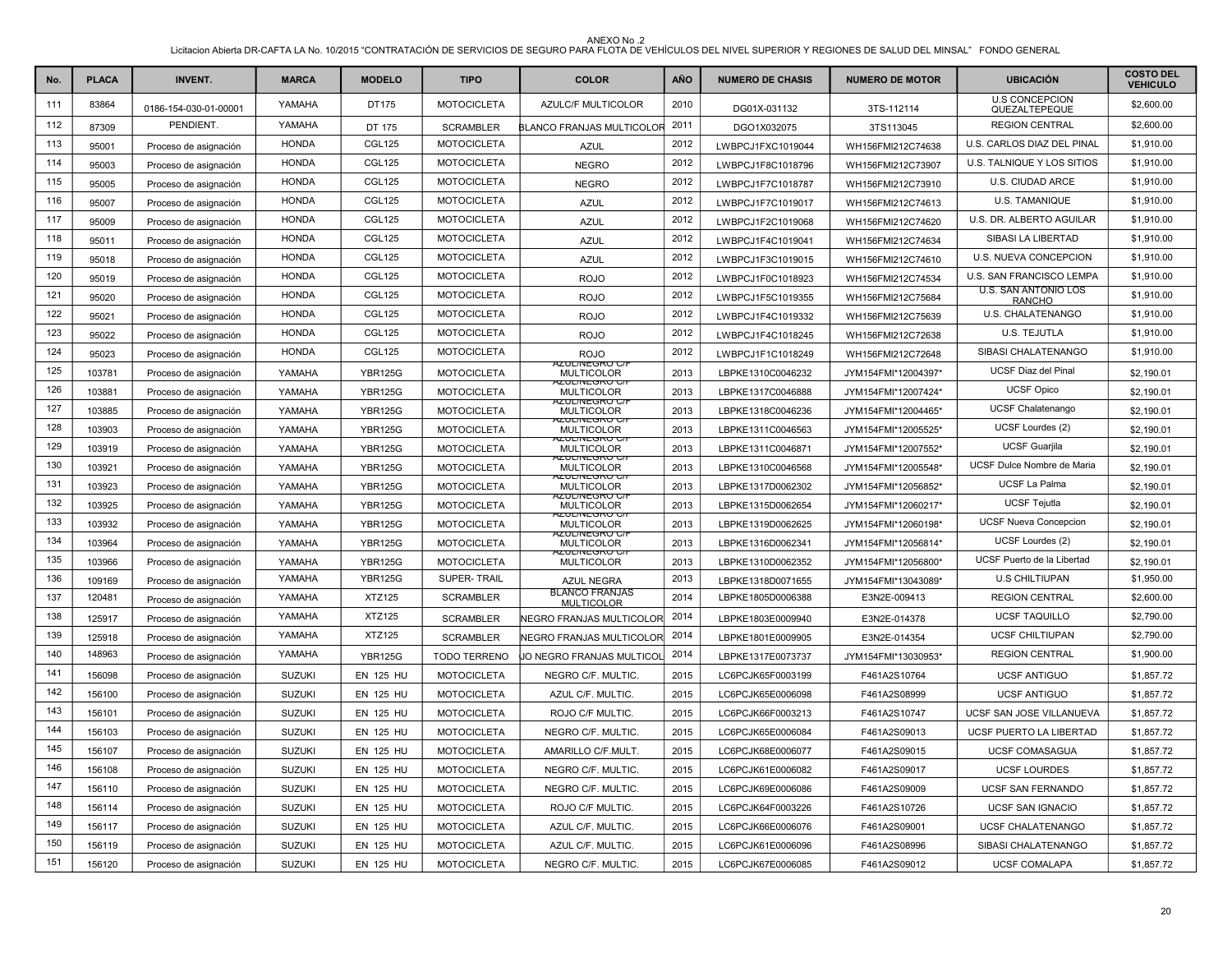| No. | <b>PLACA</b> | <b>INVENT.</b>        | <b>MARCA</b>  | <b>MODELO</b>    | <b>TIPO</b>         | <b>COLOR</b>                                  | <b>AÑO</b> | <b>NUMERO DE CHASIS</b> | <b>NUMERO DE MOTOR</b> | <b>UBICACIÓN</b>                             | <b>COSTO DEL</b><br><b>VEHICULO</b> |
|-----|--------------|-----------------------|---------------|------------------|---------------------|-----------------------------------------------|------------|-------------------------|------------------------|----------------------------------------------|-------------------------------------|
| 111 | 83864        | 0186-154-030-01-00001 | YAMAHA        | DT175            | <b>MOTOCICLETA</b>  | AZULC/F MULTICOLOR                            | 2010       | DG01X-031132            | 3TS-112114             | <b>U.S CONCEPCION</b><br>QUEZALTEPEQUE       | \$2,600.00                          |
| 112 | 87309        | PENDIENT.             | YAMAHA        | DT 175           | <b>SCRAMBLER</b>    | <b>BLANCO FRANJAS MULTICOLOF</b>              | 2011       | DGO1X032075             | 3TS113045              | <b>REGION CENTRAL</b>                        | \$2,600.00                          |
| 113 | 95001        | Proceso de asignación | <b>HONDA</b>  | <b>CGL125</b>    | <b>MOTOCICLETA</b>  | <b>AZUL</b>                                   | 2012       | LWBPCJ1FXC1019044       | WH156FMI212C74638      | U.S. CARLOS DIAZ DEL PINAL                   | \$1,910.00                          |
| 114 | 95003        | Proceso de asignación | <b>HONDA</b>  | <b>CGL125</b>    | <b>MOTOCICLETA</b>  | <b>NEGRO</b>                                  | 2012       | LWBPCJ1F8C1018796       | WH156FMI212C73907      | U.S. TALNIQUE Y LOS SITIOS                   | \$1,910.00                          |
| 115 | 95005        | Proceso de asignación | <b>HONDA</b>  | <b>CGL125</b>    | <b>MOTOCICLETA</b>  | <b>NEGRO</b>                                  | 2012       | LWBPCJ1F7C1018787       | WH156FMI212C73910      | U.S. CIUDAD ARCE                             | \$1,910.00                          |
| 116 | 95007        | Proceso de asignación | <b>HONDA</b>  | <b>CGL125</b>    | <b>MOTOCICLETA</b>  | <b>AZUL</b>                                   | 2012       | LWBPCJ1F7C1019017       | WH156FMI212C74613      | U.S. TAMANIQUE                               | \$1,910.00                          |
| 117 | 95009        | Proceso de asignación | <b>HONDA</b>  | <b>CGL125</b>    | <b>MOTOCICLETA</b>  | <b>AZUL</b>                                   | 2012       | LWBPCJ1F2C1019068       | WH156FMI212C74620      | U.S. DR. ALBERTO AGUILAR                     | \$1,910.00                          |
| 118 | 95011        | Proceso de asignación | <b>HONDA</b>  | <b>CGL125</b>    | <b>MOTOCICLETA</b>  | <b>AZUL</b>                                   | 2012       | LWBPCJ1F4C1019041       | WH156FMI212C74634      | SIBASI LA LIBERTAD                           | \$1,910.00                          |
| 119 | 95018        | Proceso de asignación | <b>HONDA</b>  | <b>CGL125</b>    | <b>MOTOCICLETA</b>  | <b>AZUL</b>                                   | 2012       | LWBPCJ1F3C1019015       | WH156FMI212C74610      | U.S. NUEVA CONCEPCION                        | \$1,910.00                          |
| 120 | 95019        | Proceso de asignación | <b>HONDA</b>  | <b>CGL125</b>    | <b>MOTOCICLETA</b>  | <b>ROJO</b>                                   | 2012       | LWBPCJ1F0C1018923       | WH156FMI212C74534      | U.S. SAN FRANCISCO LEMPA                     | \$1,910.00                          |
| 121 | 95020        | Proceso de asignación | <b>HONDA</b>  | <b>CGL125</b>    | <b>MOTOCICLETA</b>  | <b>ROJO</b>                                   | 2012       | LWBPCJ1F5C1019355       | WH156FMI212C75684      | <b>U.S. SAN ANTONIO LOS</b><br><b>RANCHO</b> | \$1,910.00                          |
| 122 | 95021        | Proceso de asignación | <b>HONDA</b>  | <b>CGL125</b>    | <b>MOTOCICLETA</b>  | <b>ROJO</b>                                   | 2012       | LWBPCJ1F4C1019332       | WH156FMI212C75639      | U.S. CHALATENANGO                            | \$1,910.00                          |
| 123 | 95022        | Proceso de asignación | <b>HONDA</b>  | <b>CGL125</b>    | <b>MOTOCICLETA</b>  | <b>ROJO</b>                                   | 2012       | LWBPCJ1F4C1018245       | WH156FMI212C72638      | U.S. TEJUTLA                                 | \$1,910.00                          |
| 124 | 95023        | Proceso de asignación | <b>HONDA</b>  | CGL125           | <b>MOTOCICLETA</b>  | <b>ROJO</b>                                   | 2012       | LWBPCJ1F1C1018249       | WH156FMI212C72648      | SIBASI CHALATENANGO                          | \$1,910.00                          |
| 125 | 103781       | Proceso de asignación | YAMAHA        | <b>YBR125G</b>   | <b>MOTOCICLETA</b>  | <u>LINEGRU CIT</u><br><b>MULTICOLOR</b>       | 2013       | LBPKE1310C0046232       | JYM154FMI*12004397*    | <b>UCSF Diaz del Pinal</b>                   | \$2,190.01                          |
| 126 | 103881       | Proceso de asignación | YAMAHA        | <b>YBR125G</b>   | <b>MOTOCICLETA</b>  | AZUL/INEGRU G/I<br><b>MULTICOLOR</b>          | 2013       | LBPKE1317C0046888       | JYM154FMI*12007424*    | <b>UCSF Opico</b>                            | \$2,190.01                          |
| 127 | 103885       | Proceso de asignación | YAMAHA        | <b>YBR125G</b>   | <b>MOTOCICLETA</b>  | 4ZUL/NEGRO C/<br><b>MULTICOLOR</b>            | 2013       | LBPKE1318C0046236       | JYM154FMI*12004465*    | UCSF Chalatenango                            | \$2,190.01                          |
| 128 | 103903       | Proceso de asignación | YAMAHA        | <b>YBR125G</b>   | <b>MOTOCICLETA</b>  | חס טאט איז איז איז איז א<br><b>MULTICOLOR</b> | 2013       | LBPKE1311C0046563       | JYM154FMI*12005525*    | UCSF Lourdes (2)                             | \$2,190.01                          |
| 129 | 103919       | Proceso de asignación | YAMAHA        | <b>YBR125G</b>   | <b>MOTOCICLETA</b>  | <u>VZUL/INEGRO C/</u><br><b>MULTICOLOR</b>    | 2013       | LBPKE1311C0046871       | JYM154FMI*12007552*    | <b>UCSF Guarjila</b>                         | \$2,190.01                          |
| 130 | 103921       | Proceso de asignación | YAMAHA        | <b>YBR125G</b>   | <b>MOTOCICLETA</b>  | <u>AZUL/INEGRU C/I</u><br><b>MULTICOLOR</b>   | 2013       | LBPKE1310C0046568       | JYM154FMI*12005548*    | UCSF Dulce Nombre de Maria                   | \$2,190.01                          |
| 131 | 103923       | Proceso de asignación | YAMAHA        | <b>YBR125G</b>   | <b>MOTOCICLETA</b>  | <u>KOLINEGRU G</u><br><b>MULTICOLOR</b>       | 2013       | LBPKE1317D0062302       | JYM154FMI*12056852*    | <b>UCSF La Palma</b>                         | \$2,190.01                          |
| 132 | 103925       | Proceso de asignación | YAMAHA        | <b>YBR125G</b>   | <b>MOTOCICLETA</b>  | AZUL/INEGRO G/<br><b>MULTICOLOR</b>           | 2013       | LBPKE1315D0062654       | JYM154FMI*12060217*    | <b>UCSF Tejutla</b>                          | \$2,190.01                          |
| 133 | 103932       | Proceso de asignación | YAMAHA        | <b>YBR125G</b>   | <b>MOTOCICLETA</b>  | <b>YZUL/INEGRU G</b><br><b>MULTICOLOR</b>     | 2013       | LBPKE1319D0062625       | JYM154FMI*12060198*    | <b>UCSF Nueva Concepcion</b>                 | \$2,190.01                          |
| 134 | 103964       | Proceso de asignación | YAMAHA        | <b>YBR125G</b>   | <b>MOTOCICLETA</b>  | <b>AZUL/INEGRU G</b><br><b>MULTICOLOR</b>     | 2013       | LBPKE1316D0062341       | JYM154FMI*12056814*    | UCSF Lourdes (2)                             | \$2,190.01                          |
| 135 | 103966       | Proceso de asignación | YAMAHA        | <b>YBR125G</b>   | <b>MOTOCICLETA</b>  | 4ZUL/INEGRO C/I<br><b>MULTICOLOR</b>          | 2013       | LBPKE1310D0062352       | JYM154FMI*12056800*    | UCSF Puerto de la Libertad                   | \$2,190.01                          |
| 136 | 109169       | Proceso de asignación | YAMAHA        | <b>YBR125G</b>   | SUPER-TRAIL         | <b>AZUL NEGRA</b>                             | 2013       | LBPKE1318D0071655       | JYM154FMI*13043089*    | <b>U.S CHILTIUPAN</b>                        | \$1,950.00                          |
| 137 | 120481       | Proceso de asignación | YAMAHA        | <b>XTZ125</b>    | <b>SCRAMBLER</b>    | <b>BLANCO FRANJAS</b><br><b>MULTICOLOR</b>    | 2014       | LBPKE1805D0006388       | E3N2E-009413           | <b>REGION CENTRAL</b>                        | \$2,600.00                          |
| 138 | 125917       | Proceso de asignación | YAMAHA        | XTZ125           | <b>SCRAMBLER</b>    | NEGRO FRANJAS MULTICOLOR 2014                 |            | LBPKE1803E0009940       | E3N2E-014378           | <b>UCSF TAQUILLO</b>                         | \$2,790.00                          |
| 139 | 125918       | Proceso de asignación | YAMAHA        | <b>XTZ125</b>    | <b>SCRAMBLER</b>    | NEGRO FRANJAS MULTICOLOR 2014                 |            | LBPKE1801E0009905       | E3N2E-014354           | <b>UCSF CHILTIUPAN</b>                       | \$2,790.00                          |
| 140 | 148963       | Proceso de asignación | YAMAHA        | <b>YBR125G</b>   | <b>TODO TERRENO</b> | JO NEGRO FRANJAS MULTICOL                     | 2014       | LBPKE1317E0073737       | JYM154FMI*13030953*    | <b>REGION CENTRAL</b>                        | \$1,900.00                          |
| 141 | 156098       | Proceso de asignación | <b>SUZUKI</b> | <b>EN 125 HU</b> | <b>MOTOCICLETA</b>  | NEGRO C/F. MULTIC.                            | 2015       | LC6PCJK65F0003199       | F461A2S10764           | <b>UCSF ANTIGUO</b>                          | \$1,857.72                          |
| 142 | 156100       | Proceso de asignación | <b>SUZUKI</b> | <b>EN 125 HU</b> | <b>MOTOCICLETA</b>  | AZUL C/F. MULTIC.                             | 2015       | LC6PCJK65E0006098       | F461A2S08999           | <b>UCSF ANTIGUO</b>                          | \$1,857.72                          |
| 143 | 156101       | Proceso de asignación | <b>SUZUKI</b> | <b>EN 125 HU</b> | <b>MOTOCICLETA</b>  | ROJO C/F MULTIC.                              | 2015       | LC6PCJK66F0003213       | F461A2S10747           | UCSF SAN JOSE VILLANUEVA                     | \$1,857.72                          |
| 144 | 156103       | Proceso de asignación | <b>SUZUKI</b> | <b>EN 125 HU</b> | <b>MOTOCICLETA</b>  | NEGRO C/F. MULTIC.                            | 2015       | LC6PCJK65E0006084       | F461A2S09013           | UCSF PUERTO LA LIBERTAD                      | \$1,857.72                          |
| 145 | 156107       | Proceso de asignación | <b>SUZUKI</b> | <b>EN 125 HU</b> | <b>MOTOCICLETA</b>  | AMARILLO C/F.MULT.                            | 2015       | LC6PCJK68E0006077       | F461A2S09015           | <b>UCSF COMASAGUA</b>                        | \$1,857.72                          |
| 146 | 156108       | Proceso de asignación | <b>SUZUKI</b> | <b>EN 125 HU</b> | <b>MOTOCICLETA</b>  | NEGRO C/F. MULTIC.                            | 2015       | LC6PCJK61E0006082       | F461A2S09017           | <b>UCSF LOURDES</b>                          | \$1,857.72                          |
| 147 | 156110       | Proceso de asignación | <b>SUZUKI</b> | <b>EN 125 HU</b> | <b>MOTOCICLETA</b>  | NEGRO C/F. MULTIC.                            | 2015       | LC6PCJK69E0006086       | F461A2S09009           | UCSF SAN FERNANDO                            | \$1,857.72                          |
| 148 | 156114       | Proceso de asignación | <b>SUZUKI</b> | <b>EN 125 HU</b> | <b>MOTOCICLETA</b>  | ROJO C/F MULTIC.                              | 2015       | LC6PCJK64F0003226       | F461A2S10726           | <b>UCSF SAN IGNACIO</b>                      | \$1,857.72                          |
| 149 | 156117       | Proceso de asignación | <b>SUZUKI</b> | <b>EN 125 HU</b> | <b>MOTOCICLETA</b>  | AZUL C/F. MULTIC.                             | 2015       | LC6PCJK66E0006076       | F461A2S09001           | <b>UCSF CHALATENANGO</b>                     | \$1,857.72                          |
| 150 | 156119       | Proceso de asignación | <b>SUZUKI</b> | <b>EN 125 HU</b> | <b>MOTOCICLETA</b>  | AZUL C/F. MULTIC.                             | 2015       | LC6PCJK61E0006096       | F461A2S08996           | SIBASI CHALATENANGO                          | \$1,857.72                          |
| 151 | 156120       | Proceso de asignación | <b>SUZUKI</b> | <b>EN 125 HU</b> | <b>MOTOCICLETA</b>  | NEGRO C/F. MULTIC.                            | 2015       | LC6PCJK67E0006085       | F461A2S09012           | <b>UCSF COMALAPA</b>                         | \$1,857.72                          |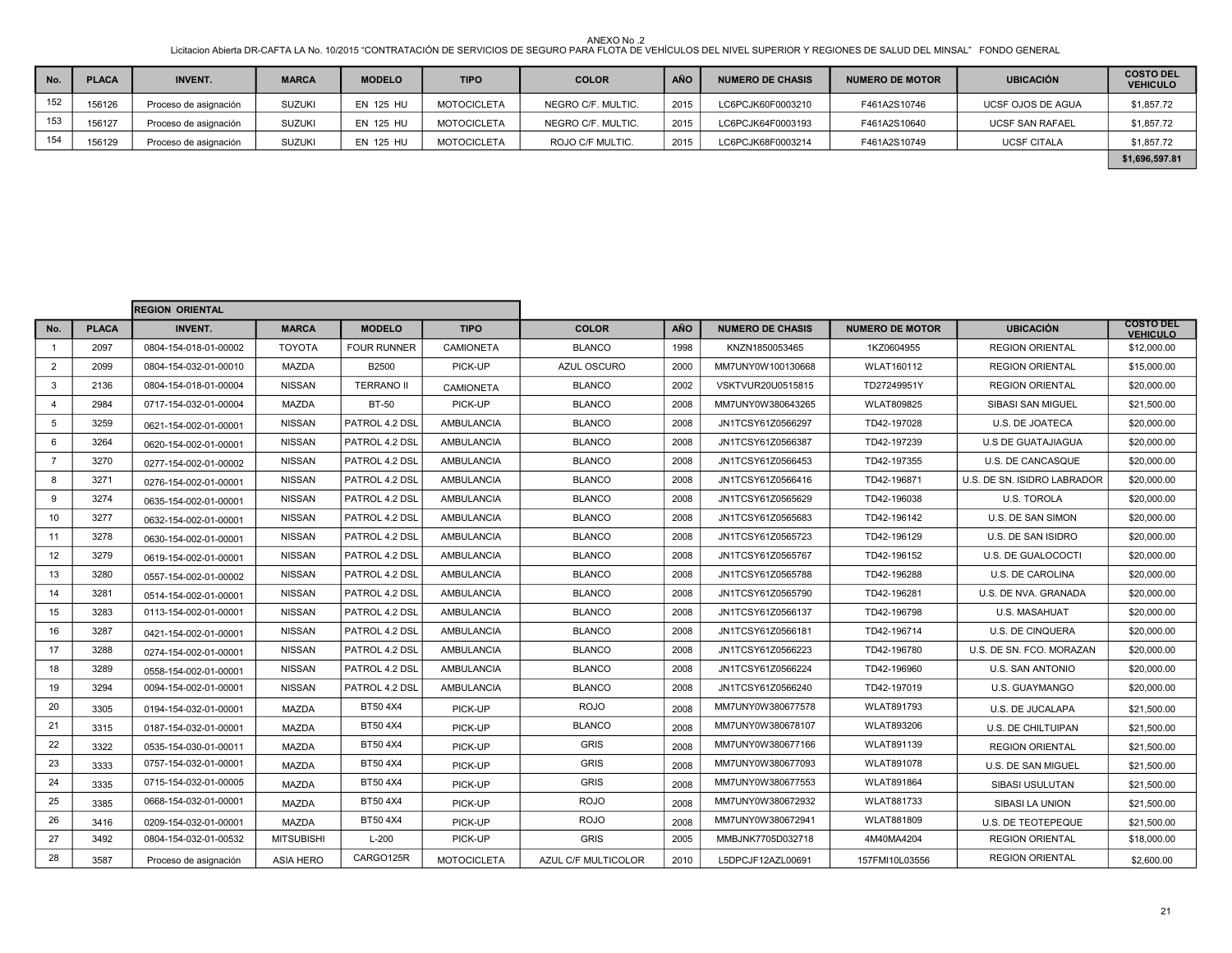| No. | <b>PLACA</b> | <b>INVENT.</b>        | <b>MARCA</b>  | <b>MODELO</b>    | <b>TIPO</b>        | <b>COLOR</b>       | <b>AÑO</b> | <b>NUMERO DE CHASIS</b> | <b>NUMERO DE MOTOR</b> | <b>UBICACIÓN</b>         | <b>COSTO DEL</b><br><b>VEHICULO</b> |
|-----|--------------|-----------------------|---------------|------------------|--------------------|--------------------|------------|-------------------------|------------------------|--------------------------|-------------------------------------|
| 152 | 156126       | Proceso de asignación | <b>SUZUKI</b> | <b>EN 125 HU</b> | <b>MOTOCICLETA</b> | NEGRO C/F. MULTIC. | 2015       | LC6PCJK60F0003210       | F461A2S10746           | <b>UCSF OJOS DE AGUA</b> | \$1,857.72                          |
| 153 | 156127       | Proceso de asignación | <b>SUZUKI</b> | <b>EN 125 HU</b> | <b>MOTOCICLETA</b> | NEGRO C/F. MULTIC. | 2015       | LC6PCJK64F0003193       | F461A2S10640           | <b>UCSF SAN RAFAEL</b>   | \$1,857.72                          |
| 154 | 156129       | Proceso de asignación | <b>SUZUKI</b> | <b>EN 125 HU</b> | <b>MOTOCICLETA</b> | ROJO C/F MULTIC.   | 2015       | LC6PCJK68F0003214       | F461A2S10749           | <b>UCSF CITALA</b>       | \$1,857.72                          |
|     |              |                       |               |                  |                    |                    |            |                         |                        |                          | \$1,696,597.81                      |

|                |              | <b>REGION ORIENTAL</b> |                   |                    |                    |                     |            |                         |                        |                             |                                     |
|----------------|--------------|------------------------|-------------------|--------------------|--------------------|---------------------|------------|-------------------------|------------------------|-----------------------------|-------------------------------------|
| No.            | <b>PLACA</b> | <b>INVENT.</b>         | <b>MARCA</b>      | <b>MODELO</b>      | <b>TIPO</b>        | <b>COLOR</b>        | <b>AÑO</b> | <b>NUMERO DE CHASIS</b> | <b>NUMERO DE MOTOR</b> | <b>UBICACIÓN</b>            | <b>COSTO DEL</b><br><b>VEHICULO</b> |
| 1              | 2097         | 0804-154-018-01-00002  | <b>TOYOTA</b>     | <b>FOUR RUNNER</b> | <b>CAMIONETA</b>   | <b>BLANCO</b>       | 1998       | KNZN1850053465          | 1KZ0604955             | <b>REGION ORIENTAL</b>      | \$12,000.00                         |
| $\overline{2}$ | 2099         | 0804-154-032-01-00010  | <b>MAZDA</b>      | B2500              | PICK-UP            | <b>AZUL OSCURO</b>  | 2000       | MM7UNY0W100130668       | <b>WLAT160112</b>      | <b>REGION ORIENTAL</b>      | \$15,000.00                         |
| 3              | 2136         | 0804-154-018-01-00004  | <b>NISSAN</b>     | <b>TERRANO II</b>  | CAMIONETA          | <b>BLANCO</b>       | 2002       | VSKTVUR20U0515815       | TD27249951Y            | <b>REGION ORIENTAL</b>      | \$20,000.00                         |
| $\overline{4}$ | 2984         | 0717-154-032-01-00004  | MAZDA             | BT-50              | PICK-UP            | <b>BLANCO</b>       | 2008       | MM7UNY0W380643265       | <b>WLAT809825</b>      | <b>SIBASI SAN MIGUEL</b>    | \$21,500.00                         |
| 5              | 3259         | 0621-154-002-01-00001  | <b>NISSAN</b>     | PATROL 4.2 DSL     | AMBULANCIA         | <b>BLANCO</b>       | 2008       | JN1TCSY61Z0566297       | TD42-197028            | U.S. DE JOATECA             | \$20,000.00                         |
| 6              | 3264         | 0620-154-002-01-00001  | <b>NISSAN</b>     | PATROL 4.2 DSL     | <b>AMBULANCIA</b>  | <b>BLANCO</b>       | 2008       | JN1TCSY61Z0566387       | TD42-197239            | <b>U.S DE GUATAJIAGUA</b>   | \$20,000.00                         |
| $\overline{7}$ | 3270         | 0277-154-002-01-00002  | <b>NISSAN</b>     | PATROL 4.2 DSL     | <b>AMBULANCIA</b>  | <b>BLANCO</b>       | 2008       | JN1TCSY61Z0566453       | TD42-197355            | U.S. DE CANCASQUE           | \$20,000.00                         |
| 8              | 3271         | 0276-154-002-01-00001  | <b>NISSAN</b>     | PATROL 4.2 DSL     | <b>AMBULANCIA</b>  | <b>BLANCO</b>       | 2008       | JN1TCSY61Z0566416       | TD42-196871            | U.S. DE SN. ISIDRO LABRADOR | \$20,000.00                         |
| 9              | 3274         | 0635-154-002-01-00001  | <b>NISSAN</b>     | PATROL 4.2 DSL     | <b>AMBULANCIA</b>  | <b>BLANCO</b>       | 2008       | JN1TCSY61Z0565629       | TD42-196038            | <b>U.S. TOROLA</b>          | \$20,000.00                         |
| 10             | 3277         | 0632-154-002-01-00001  | <b>NISSAN</b>     | PATROL 4.2 DSL     | <b>AMBULANCIA</b>  | <b>BLANCO</b>       | 2008       | JN1TCSY61Z0565683       | TD42-196142            | U.S. DE SAN SIMON           | \$20,000.00                         |
| 11             | 3278         | 0630-154-002-01-00001  | <b>NISSAN</b>     | PATROL 4.2 DSL     | <b>AMBULANCIA</b>  | <b>BLANCO</b>       | 2008       | JN1TCSY61Z0565723       | TD42-196129            | U.S. DE SAN ISIDRO          | \$20,000.00                         |
| 12             | 3279         | 0619-154-002-01-00001  | <b>NISSAN</b>     | PATROL 4.2 DSL     | <b>AMBULANCIA</b>  | <b>BLANCO</b>       | 2008       | JN1TCSY61Z0565767       | TD42-196152            | <b>U.S. DE GUALOCOCTI</b>   | \$20,000.00                         |
| 13             | 3280         | 0557-154-002-01-00002  | <b>NISSAN</b>     | PATROL 4.2 DSL     | AMBULANCIA         | <b>BLANCO</b>       | 2008       | JN1TCSY61Z0565788       | TD42-196288            | <b>U.S. DE CAROLINA</b>     | \$20,000.00                         |
| 14             | 3281         | 0514-154-002-01-00001  | <b>NISSAN</b>     | PATROL 4.2 DSL     | <b>AMBULANCIA</b>  | <b>BLANCO</b>       | 2008       | JN1TCSY61Z0565790       | TD42-196281            | U.S. DE NVA. GRANADA        | \$20,000.00                         |
| 15             | 3283         | 0113-154-002-01-00001  | <b>NISSAN</b>     | PATROL 4.2 DSL     | <b>AMBULANCIA</b>  | <b>BLANCO</b>       | 2008       | JN1TCSY61Z0566137       | TD42-196798            | U.S. MASAHUAT               | \$20,000.00                         |
| 16             | 3287         | 0421-154-002-01-00001  | <b>NISSAN</b>     | PATROL 4.2 DSL     | AMBULANCIA         | <b>BLANCO</b>       | 2008       | JN1TCSY61Z0566181       | TD42-196714            | U.S. DE CINQUERA            | \$20,000.00                         |
| 17             | 3288         | 0274-154-002-01-00001  | <b>NISSAN</b>     | PATROL 4.2 DSL     | AMBULANCIA         | <b>BLANCO</b>       | 2008       | JN1TCSY61Z0566223       | TD42-196780            | U.S. DE SN. FCO. MORAZAN    | \$20,000.00                         |
| 18             | 3289         | 0558-154-002-01-00001  | <b>NISSAN</b>     | PATROL 4.2 DSL     | <b>AMBULANCIA</b>  | <b>BLANCO</b>       | 2008       | JN1TCSY61Z0566224       | TD42-196960            | <b>U.S. SAN ANTONIO</b>     | \$20,000.00                         |
| 19             | 3294         | 0094-154-002-01-00001  | <b>NISSAN</b>     | PATROL 4.2 DSL     | <b>AMBULANCIA</b>  | <b>BLANCO</b>       | 2008       | JN1TCSY61Z0566240       | TD42-197019            | <b>U.S. GUAYMANGO</b>       | \$20,000.00                         |
| 20             | 3305         | 0194-154-032-01-00001  | <b>MAZDA</b>      | BT50 4X4           | PICK-UP            | <b>ROJO</b>         | 2008       | MM7UNY0W380677578       | <b>WLAT891793</b>      | U.S. DE JUCALAPA            | \$21,500.00                         |
| 21             | 3315         | 0187-154-032-01-00001  | <b>MAZDA</b>      | BT50 4X4           | PICK-UP            | <b>BLANCO</b>       | 2008       | MM7UNY0W380678107       | <b>WLAT893206</b>      | U.S. DE CHILTUIPAN          | \$21,500.00                         |
| 22             | 3322         | 0535-154-030-01-00011  | <b>MAZDA</b>      | BT50 4X4           | PICK-UP            | <b>GRIS</b>         | 2008       | MM7UNY0W380677166       | <b>WLAT891139</b>      | <b>REGION ORIENTAL</b>      | \$21,500.00                         |
| 23             | 3333         | 0757-154-032-01-00001  | <b>MAZDA</b>      | BT50 4X4           | PICK-UP            | <b>GRIS</b>         | 2008       | MM7UNY0W380677093       | <b>WLAT891078</b>      | U.S. DE SAN MIGUEL          | \$21,500.00                         |
| 24             | 3335         | 0715-154-032-01-00005  | <b>MAZDA</b>      | BT50 4X4           | PICK-UP            | <b>GRIS</b>         | 2008       | MM7UNY0W380677553       | <b>WLAT891864</b>      | <b>SIBASI USULUTAN</b>      | \$21,500.00                         |
| 25             | 3385         | 0668-154-032-01-00001  | <b>MAZDA</b>      | BT50 4X4           | PICK-UP            | <b>ROJO</b>         | 2008       | MM7UNY0W380672932       | <b>WLAT881733</b>      | SIBASI LA UNION             | \$21,500.00                         |
| 26             | 3416         | 0209-154-032-01-00001  | <b>MAZDA</b>      | BT50 4X4           | PICK-UP            | <b>ROJO</b>         | 2008       | MM7UNY0W380672941       | <b>WLAT881809</b>      | U.S. DE TEOTEPEQUE          | \$21,500.00                         |
| 27             | 3492         | 0804-154-032-01-00532  | <b>MITSUBISHI</b> | $L-200$            | PICK-UP            | <b>GRIS</b>         | 2005       | MMBJNK7705D032718       | 4M40MA4204             | <b>REGION ORIENTAL</b>      | \$18,000.00                         |
| 28             | 3587         | Proceso de asignación  | <b>ASIA HERO</b>  | CARGO125R          | <b>MOTOCICLETA</b> | AZUL C/F MULTICOLOR | 2010       | L5DPCJF12AZL00691       | 157FMI10L03556         | <b>REGION ORIENTAL</b>      | \$2,600.00                          |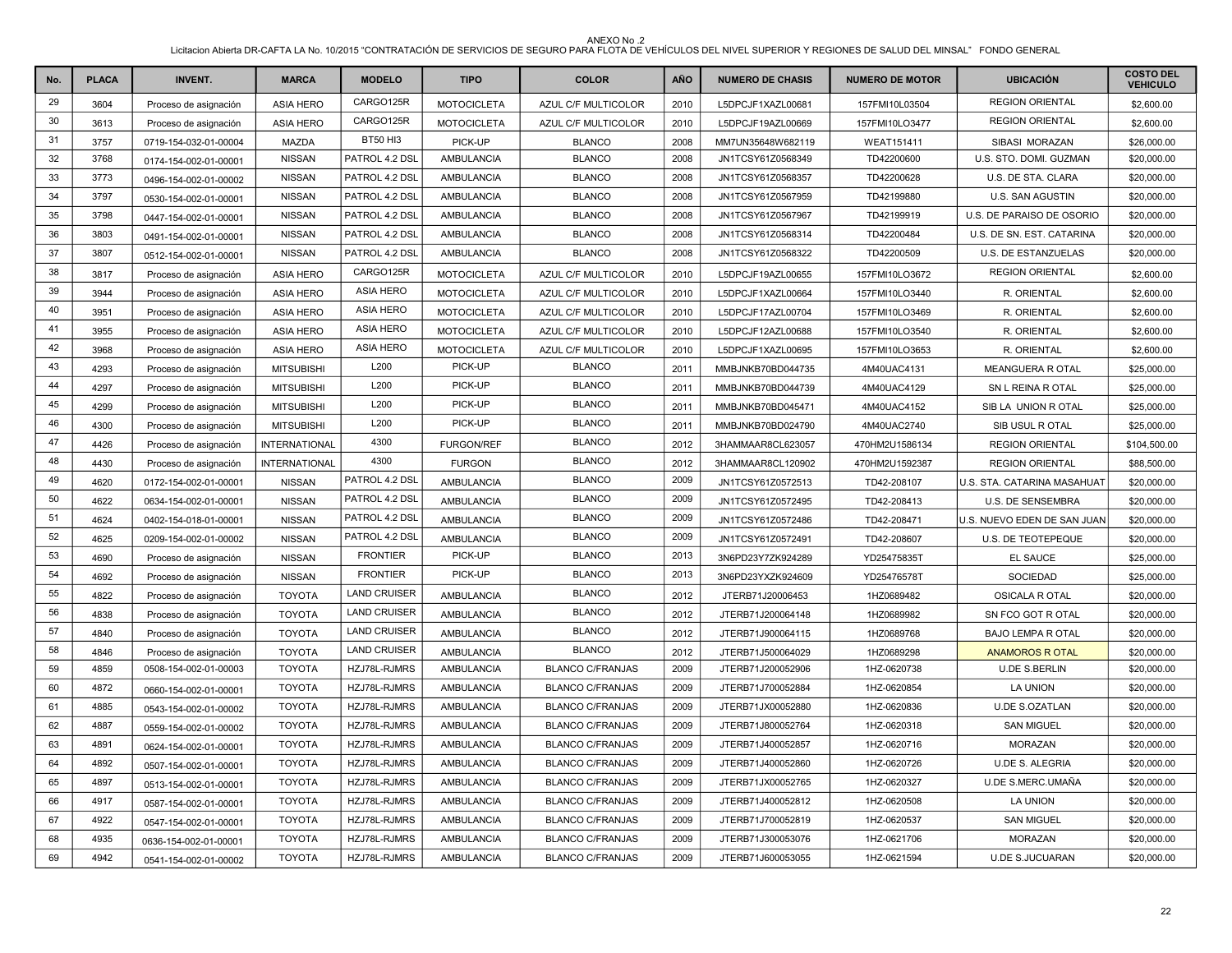| No. | <b>PLACA</b> | <b>INVENT.</b>        | <b>MARCA</b>         | <b>MODELO</b>       | <b>TIPO</b>        | <b>COLOR</b>            | AÑO  | <b>NUMERO DE CHASIS</b> | <b>NUMERO DE MOTOR</b> | <b>UBICACIÓN</b>            | <b>COSTO DEL</b><br><b>VEHICULO</b> |
|-----|--------------|-----------------------|----------------------|---------------------|--------------------|-------------------------|------|-------------------------|------------------------|-----------------------------|-------------------------------------|
| 29  | 3604         | Proceso de asignación | <b>ASIA HERO</b>     | CARGO125R           | <b>MOTOCICLETA</b> | AZUL C/F MULTICOLOR     | 2010 | L5DPCJF1XAZL00681       | 157FMI10L03504         | <b>REGION ORIENTAL</b>      | \$2,600.00                          |
| 30  | 3613         | Proceso de asignación | <b>ASIA HERO</b>     | CARGO125R           | <b>MOTOCICLETA</b> | AZUL C/F MULTICOLOR     | 2010 | L5DPCJF19AZL00669       | 157FMI10LO3477         | <b>REGION ORIENTAL</b>      | \$2,600.00                          |
| 31  | 3757         | 0719-154-032-01-00004 | MAZDA                | <b>BT50 HI3</b>     | PICK-UP            | <b>BLANCO</b>           | 2008 | MM7UN35648W682119       | <b>WEAT151411</b>      | SIBASI MORAZAN              | \$26,000.00                         |
| 32  | 3768         | 0174-154-002-01-00001 | <b>NISSAN</b>        | PATROL 4.2 DSL      | AMBULANCIA         | <b>BLANCO</b>           | 2008 | JN1TCSY61Z0568349       | TD42200600             | U.S. STO. DOMI. GUZMAN      | \$20,000.00                         |
| 33  | 3773         | 0496-154-002-01-00002 | <b>NISSAN</b>        | PATROL 4.2 DSL      | <b>AMBULANCIA</b>  | <b>BLANCO</b>           | 2008 | JN1TCSY61Z0568357       | TD42200628             | U.S. DE STA. CLARA          | \$20,000.00                         |
| 34  | 3797         | 0530-154-002-01-00001 | <b>NISSAN</b>        | PATROL 4.2 DSL      | AMBULANCIA         | <b>BLANCO</b>           | 2008 | JN1TCSY61Z0567959       | TD42199880             | U.S. SAN AGUSTIN            | \$20,000.00                         |
| 35  | 3798         | 0447-154-002-01-00001 | <b>NISSAN</b>        | PATROL 4.2 DSL      | AMBULANCIA         | <b>BLANCO</b>           | 2008 | JN1TCSY61Z0567967       | TD42199919             | U.S. DE PARAISO DE OSORIO   | \$20,000.00                         |
| 36  | 3803         | 0491-154-002-01-00001 | <b>NISSAN</b>        | PATROL 4.2 DSL      | AMBULANCIA         | <b>BLANCO</b>           | 2008 | JN1TCSY61Z0568314       | TD42200484             | U.S. DE SN. EST. CATARINA   | \$20,000.00                         |
| 37  | 3807         | 0512-154-002-01-00001 | <b>NISSAN</b>        | PATROL 4.2 DSL      | AMBULANCIA         | <b>BLANCO</b>           | 2008 | JN1TCSY61Z0568322       | TD42200509             | U.S. DE ESTANZUELAS         | \$20,000.00                         |
| 38  | 3817         | Proceso de asignación | <b>ASIA HERO</b>     | CARGO125R           | <b>MOTOCICLETA</b> | AZUL C/F MULTICOLOR     | 2010 | L5DPCJF19AZL00655       | 157FMI10LO3672         | <b>REGION ORIENTAL</b>      | \$2,600.00                          |
| 39  | 3944         | Proceso de asignación | <b>ASIA HERO</b>     | <b>ASIA HERO</b>    | <b>MOTOCICLETA</b> | AZUL C/F MULTICOLOR     | 2010 | L5DPCJF1XAZL00664       | 157FMI10LO3440         | R. ORIENTAL                 | \$2,600.00                          |
| 40  | 3951         | Proceso de asignación | <b>ASIA HERO</b>     | <b>ASIA HERO</b>    | <b>MOTOCICLETA</b> | AZUL C/F MULTICOLOR     | 2010 | L5DPCJF17AZL00704       | 157FMI10LO3469         | R. ORIENTAL                 | \$2,600.00                          |
| 41  | 3955         | Proceso de asignación | <b>ASIA HERO</b>     | <b>ASIA HERO</b>    | <b>MOTOCICLETA</b> | AZUL C/F MULTICOLOR     | 2010 | L5DPCJF12AZL00688       | 157FMI10LO3540         | R. ORIENTAL                 | \$2,600.00                          |
| 42  | 3968         | Proceso de asignación | <b>ASIA HERO</b>     | <b>ASIA HERO</b>    | <b>MOTOCICLETA</b> | AZUL C/F MULTICOLOR     | 2010 | L5DPCJF1XAZL00695       | 157FMI10LO3653         | R. ORIENTAL                 | \$2,600.00                          |
| 43  | 4293         | Proceso de asignación | <b>MITSUBISHI</b>    | L200                | PICK-UP            | <b>BLANCO</b>           | 2011 | MMBJNKB70BD044735       | 4M40UAC4131            | <b>MEANGUERA R OTAL</b>     | \$25,000.00                         |
| 44  | 4297         | Proceso de asignación | <b>MITSUBISHI</b>    | L200                | PICK-UP            | <b>BLANCO</b>           | 2011 | MMBJNKB70BD044739       | 4M40UAC4129            | SN L REINA R OTAL           | \$25,000.00                         |
| 45  | 4299         | Proceso de asignación | <b>MITSUBISHI</b>    | L200                | PICK-UP            | <b>BLANCO</b>           | 2011 | MMBJNKB70BD045471       | 4M40UAC4152            | SIB LA UNION R OTAL         | \$25,000.00                         |
| 46  | 4300         | Proceso de asignación | <b>MITSUBISHI</b>    | L200                | PICK-UP            | <b>BLANCO</b>           | 2011 | MMBJNKB70BD024790       | 4M40UAC2740            | SIB USUL ROTAL              | \$25,000.00                         |
| 47  | 4426         | Proceso de asignación | <b>INTERNATIONAL</b> | 4300                | <b>FURGON/REF</b>  | <b>BLANCO</b>           | 2012 | 3HAMMAAR8CL623057       | 470HM2U1586134         | <b>REGION ORIENTAL</b>      | \$104,500.00                        |
| 48  | 4430         | Proceso de asignación | INTERNATIONAL        | 4300                | <b>FURGON</b>      | <b>BLANCO</b>           | 2012 | 3HAMMAAR8CL120902       | 470HM2U1592387         | <b>REGION ORIENTAL</b>      | \$88,500.00                         |
| 49  | 4620         | 0172-154-002-01-00001 | <b>NISSAN</b>        | PATROL 4.2 DSL      | <b>AMBULANCIA</b>  | <b>BLANCO</b>           | 2009 | JN1TCSY61Z0572513       | TD42-208107            | U.S. STA. CATARINA MASAHUAT | \$20,000.00                         |
| 50  | 4622         | 0634-154-002-01-00001 | <b>NISSAN</b>        | PATROL 4.2 DSL      | <b>AMBULANCIA</b>  | <b>BLANCO</b>           | 2009 | JN1TCSY61Z0572495       | TD42-208413            | U.S. DE SENSEMBRA           | \$20,000.00                         |
| 51  | 4624         | 0402-154-018-01-00001 | <b>NISSAN</b>        | PATROL 4.2 DSL      | AMBULANCIA         | <b>BLANCO</b>           | 2009 | JN1TCSY61Z0572486       | TD42-208471            | U.S. NUEVO EDEN DE SAN JUAN | \$20,000.00                         |
| 52  | 4625         | 0209-154-002-01-00002 | <b>NISSAN</b>        | PATROL 4.2 DSL      | AMBULANCIA         | <b>BLANCO</b>           | 2009 | JN1TCSY61Z0572491       | TD42-208607            | U.S. DE TEOTEPEQUE          | \$20,000.00                         |
| 53  | 4690         | Proceso de asignación | <b>NISSAN</b>        | <b>FRONTIER</b>     | PICK-UP            | <b>BLANCO</b>           | 2013 | 3N6PD23Y7ZK924289       | YD25475835T            | EL SAUCE                    | \$25,000.00                         |
| 54  | 4692         | Proceso de asignación | <b>NISSAN</b>        | <b>FRONTIER</b>     | PICK-UP            | <b>BLANCO</b>           | 2013 | 3N6PD23YXZK924609       | YD25476578T            | SOCIEDAD                    | \$25,000.00                         |
| 55  | 4822         | Proceso de asignación | <b>TOYOTA</b>        | <b>LAND CRUISER</b> | <b>AMBULANCIA</b>  | <b>BLANCO</b>           | 2012 | JTERB71J20006453        | 1HZ0689482             | OSICALA R OTAL              | \$20,000.00                         |
| 56  | 4838         | Proceso de asignación | <b>TOYOTA</b>        | <b>LAND CRUISER</b> | AMBULANCIA         | <b>BLANCO</b>           | 2012 | JTERB71J200064148       | 1HZ0689982             | SN FCO GOT R OTAL           | \$20,000.00                         |
| 57  | 4840         | Proceso de asignación | <b>TOYOTA</b>        | <b>LAND CRUISER</b> | AMBULANCIA         | <b>BLANCO</b>           | 2012 | JTERB71J900064115       | 1HZ0689768             | <b>BAJO LEMPA R OTAL</b>    | \$20,000.00                         |
| 58  | 4846         | Proceso de asignación | <b>TOYOTA</b>        | <b>LAND CRUISER</b> | AMBULANCIA         | <b>BLANCO</b>           | 2012 | JTERB71J500064029       | 1HZ0689298             | <b>ANAMOROS R OTAL</b>      | \$20,000.00                         |
| 59  | 4859         | 0508-154-002-01-00003 | <b>TOYOTA</b>        | HZJ78L-RJMRS        | AMBULANCIA         | <b>BLANCO C/FRANJAS</b> | 2009 | JTERB71J200052906       | 1HZ-0620738            | <b>U.DE S.BERLIN</b>        | \$20,000.00                         |
| 60  | 4872         | 0660-154-002-01-00001 | <b>TOYOTA</b>        | HZJ78L-RJMRS        | AMBULANCIA         | <b>BLANCO C/FRANJAS</b> | 2009 | JTERB71J700052884       | 1HZ-0620854            | LA UNION                    | \$20,000.00                         |
| 61  | 4885         | 0543-154-002-01-00002 | <b>TOYOTA</b>        | HZJ78L-RJMRS        | <b>AMBULANCIA</b>  | <b>BLANCO C/FRANJAS</b> | 2009 | JTERB71JX00052880       | 1HZ-0620836            | <b>U.DE S.OZATLAN</b>       | \$20,000.00                         |
| 62  | 4887         | 0559-154-002-01-00002 | <b>TOYOTA</b>        | HZJ78L-RJMRS        | AMBULANCIA         | <b>BLANCO C/FRANJAS</b> | 2009 | JTERB71J800052764       | 1HZ-0620318            | <b>SAN MIGUEL</b>           | \$20,000.00                         |
| 63  | 4891         | 0624-154-002-01-00001 | <b>TOYOTA</b>        | HZJ78L-RJMRS        | AMBULANCIA         | <b>BLANCO C/FRANJAS</b> | 2009 | JTERB71J400052857       | 1HZ-0620716            | <b>MORAZAN</b>              | \$20,000.00                         |
| 64  | 4892         | 0507-154-002-01-00001 | <b>TOYOTA</b>        | HZJ78L-RJMRS        | AMBULANCIA         | <b>BLANCO C/FRANJAS</b> | 2009 | JTERB71J400052860       | 1HZ-0620726            | <b>U.DE S. ALEGRIA</b>      | \$20,000.00                         |
| 65  | 4897         | 0513-154-002-01-00001 | <b>TOYOTA</b>        | HZJ78L-RJMRS        | <b>AMBULANCIA</b>  | <b>BLANCO C/FRANJAS</b> | 2009 | JTERB71JX00052765       | 1HZ-0620327            | U.DE S.MERC.UMAÑA           | \$20,000.00                         |
| 66  | 4917         | 0587-154-002-01-00001 | <b>TOYOTA</b>        | HZJ78L-RJMRS        | AMBULANCIA         | <b>BLANCO C/FRANJAS</b> | 2009 | JTERB71J400052812       | 1HZ-0620508            | LA UNION                    | \$20,000.00                         |
| 67  | 4922         | 0547-154-002-01-00001 | <b>TOYOTA</b>        | HZJ78L-RJMRS        | <b>AMBULANCIA</b>  | <b>BLANCO C/FRANJAS</b> | 2009 | JTERB71J700052819       | 1HZ-0620537            | <b>SAN MIGUEL</b>           | \$20,000.00                         |
| 68  | 4935         | 0636-154-002-01-00001 | <b>TOYOTA</b>        | HZJ78L-RJMRS        | AMBULANCIA         | <b>BLANCO C/FRANJAS</b> | 2009 | JTERB71J300053076       | 1HZ-0621706            | <b>MORAZAN</b>              | \$20,000.00                         |
| 69  | 4942         | 0541-154-002-01-00002 | <b>TOYOTA</b>        | HZJ78L-RJMRS        | <b>AMBULANCIA</b>  | <b>BLANCO C/FRANJAS</b> | 2009 | JTERB71J600053055       | 1HZ-0621594            | <b>U.DE S.JUCUARAN</b>      | \$20,000.00                         |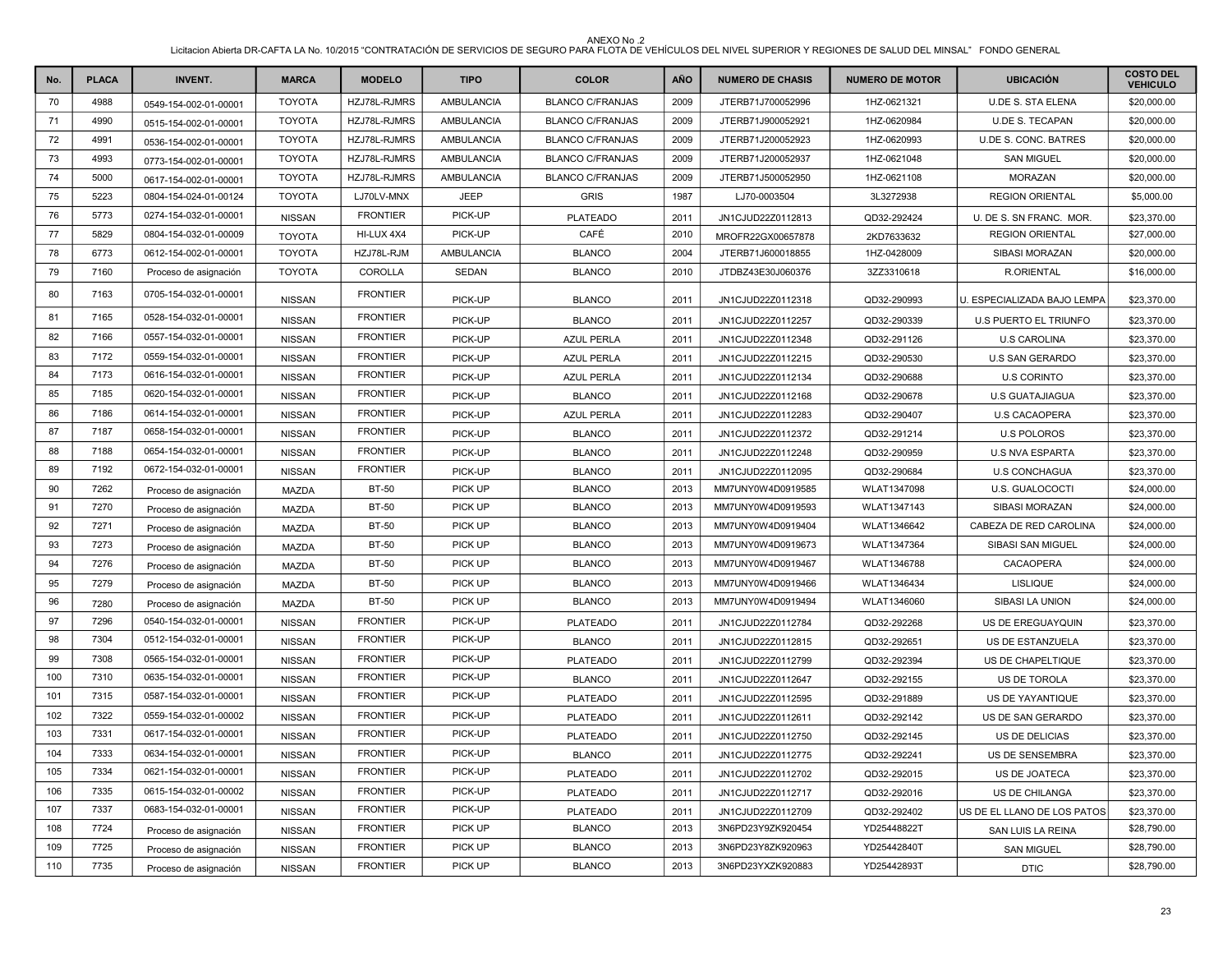| No. | <b>PLACA</b> | <b>INVENT.</b>        | <b>MARCA</b>  | <b>MODELO</b>   | <b>TIPO</b>       | <b>COLOR</b>            | AÑO  | <b>NUMERO DE CHASIS</b> | <b>NUMERO DE MOTOR</b> | <b>UBICACIÓN</b>             | <b>COSTO DEL</b><br><b>VEHICULO</b> |
|-----|--------------|-----------------------|---------------|-----------------|-------------------|-------------------------|------|-------------------------|------------------------|------------------------------|-------------------------------------|
| 70  | 4988         | 0549-154-002-01-00001 | <b>TOYOTA</b> | HZJ78L-RJMRS    | <b>AMBULANCIA</b> | <b>BLANCO C/FRANJAS</b> | 2009 | JTERB71J700052996       | 1HZ-0621321            | <b>U.DE S. STA ELENA</b>     | \$20,000.00                         |
| 71  | 4990         | 0515-154-002-01-00001 | <b>TOYOTA</b> | HZJ78L-RJMRS    | AMBULANCIA        | <b>BLANCO C/FRANJAS</b> | 2009 | JTERB71J900052921       | 1HZ-0620984            | <b>U.DE S. TECAPAN</b>       | \$20,000.00                         |
| 72  | 4991         | 0536-154-002-01-00001 | <b>TOYOTA</b> | HZJ78L-RJMRS    | AMBULANCIA        | <b>BLANCO C/FRANJAS</b> | 2009 | JTERB71J200052923       | 1HZ-0620993            | <b>U.DE S. CONC. BATRES</b>  | \$20,000.00                         |
| 73  | 4993         | 0773-154-002-01-00001 | <b>TOYOTA</b> | HZJ78L-RJMRS    | <b>AMBULANCIA</b> | <b>BLANCO C/FRANJAS</b> | 2009 | JTERB71J200052937       | 1HZ-0621048            | <b>SAN MIGUEL</b>            | \$20,000.00                         |
| 74  | 5000         | 0617-154-002-01-00001 | <b>TOYOTA</b> | HZJ78L-RJMRS    | AMBULANCIA        | <b>BLANCO C/FRANJAS</b> | 2009 | JTERB71J500052950       | 1HZ-0621108            | <b>MORAZAN</b>               | \$20,000.00                         |
| 75  | 5223         | 0804-154-024-01-00124 | <b>TOYOTA</b> | LJ70LV-MNX      | JEEP              | <b>GRIS</b>             | 1987 | LJ70-0003504            | 3L3272938              | <b>REGION ORIENTAL</b>       | \$5,000.00                          |
| 76  | 5773         | 0274-154-032-01-00001 | <b>NISSAN</b> | <b>FRONTIER</b> | PICK-UP           | <b>PLATEADO</b>         | 2011 | JN1CJUD22Z0112813       | QD32-292424            | U. DE S. SN FRANC. MOR.      | \$23,370.00                         |
| 77  | 5829         | 0804-154-032-01-00009 | <b>TOYOTA</b> | HI-LUX 4X4      | PICK-UP           | CAFÉ                    | 2010 | MROFR22GX00657878       | 2KD7633632             | <b>REGION ORIENTAL</b>       | \$27,000.00                         |
| 78  | 6773         | 0612-154-002-01-00001 | <b>TOYOTA</b> | HZJ78L-RJM      | <b>AMBULANCIA</b> | <b>BLANCO</b>           | 2004 | JTERB71J600018855       | 1HZ-0428009            | SIBASI MORAZAN               | \$20,000.00                         |
| 79  | 7160         | Proceso de asignación | <b>TOYOTA</b> | COROLLA         | <b>SEDAN</b>      | <b>BLANCO</b>           | 2010 | JTDBZ43E30J060376       | 3ZZ3310618             | <b>R.ORIENTAL</b>            | \$16,000.00                         |
| 80  | 7163         | 0705-154-032-01-00001 | <b>NISSAN</b> | <b>FRONTIER</b> | PICK-UP           | <b>BLANCO</b>           | 2011 | JN1CJUD22Z0112318       | QD32-290993            | U. ESPECIALIZADA BAJO LEMPA  | \$23,370.00                         |
| 81  | 7165         | 0528-154-032-01-00001 | <b>NISSAN</b> | <b>FRONTIER</b> | PICK-UP           | <b>BLANCO</b>           | 2011 | JN1CJUD22Z0112257       | QD32-290339            | <b>U.S PUERTO EL TRIUNFO</b> | \$23,370.00                         |
| 82  | 7166         | 0557-154-032-01-00001 | <b>NISSAN</b> | <b>FRONTIER</b> | PICK-UP           | <b>AZUL PERLA</b>       | 2011 | JN1CJUD22Z0112348       | QD32-291126            | <b>U.S CAROLINA</b>          | \$23,370.00                         |
| 83  | 7172         | 0559-154-032-01-00001 | <b>NISSAN</b> | <b>FRONTIER</b> | PICK-UP           | <b>AZUL PERLA</b>       | 2011 | JN1CJUD22Z0112215       | QD32-290530            | <b>U.S SAN GERARDO</b>       | \$23,370.00                         |
| 84  | 7173         | 0616-154-032-01-00001 | <b>NISSAN</b> | <b>FRONTIER</b> | PICK-UP           | <b>AZUL PERLA</b>       | 2011 | JN1CJUD22Z0112134       | QD32-290688            | <b>U.S CORINTO</b>           | \$23,370.00                         |
| 85  | 7185         | 0620-154-032-01-00001 | <b>NISSAN</b> | <b>FRONTIER</b> | PICK-UP           | <b>BLANCO</b>           | 2011 | JN1CJUD22Z0112168       | QD32-290678            | <b>U.S GUATAJIAGUA</b>       | \$23,370.00                         |
| 86  | 7186         | 0614-154-032-01-00001 | <b>NISSAN</b> | <b>FRONTIER</b> | PICK-UP           | <b>AZUL PERLA</b>       | 2011 | JN1CJUD22Z0112283       | QD32-290407            | U.S CACAOPERA                | \$23,370.00                         |
| 87  | 7187         | 0658-154-032-01-00001 | <b>NISSAN</b> | <b>FRONTIER</b> | PICK-UP           | <b>BLANCO</b>           | 2011 | JN1CJUD22Z0112372       | QD32-291214            | <b>U.S POLOROS</b>           | \$23,370.00                         |
| 88  | 7188         | 0654-154-032-01-00001 | <b>NISSAN</b> | <b>FRONTIER</b> | PICK-UP           | <b>BLANCO</b>           | 2011 | JN1CJUD22Z0112248       | QD32-290959            | <b>U.S NVA ESPARTA</b>       | \$23,370.00                         |
| 89  | 7192         | 0672-154-032-01-00001 | <b>NISSAN</b> | <b>FRONTIER</b> | PICK-UP           | <b>BLANCO</b>           | 2011 | JN1CJUD22Z0112095       | QD32-290684            | <b>U.S CONCHAGUA</b>         | \$23,370.00                         |
| 90  | 7262         | Proceso de asignación | <b>MAZDA</b>  | <b>BT-50</b>    | PICK UP           | <b>BLANCO</b>           | 2013 | MM7UNY0W4D0919585       | WLAT1347098            | U.S. GUALOCOCTI              | \$24,000.00                         |
| 91  | 7270         | Proceso de asignación | <b>MAZDA</b>  | <b>BT-50</b>    | PICK UP           | <b>BLANCO</b>           | 2013 | MM7UNY0W4D0919593       | WLAT1347143            | SIBASI MORAZAN               | \$24,000.00                         |
| 92  | 7271         | Proceso de asignación | MAZDA         | <b>BT-50</b>    | PICK UP           | <b>BLANCO</b>           | 2013 | MM7UNY0W4D0919404       | WLAT1346642            | CABEZA DE RED CAROLINA       | \$24,000.00                         |
| 93  | 7273         | Proceso de asignación | <b>MAZDA</b>  | <b>BT-50</b>    | PICK UP           | <b>BLANCO</b>           | 2013 | MM7UNY0W4D0919673       | WLAT1347364            | SIBASI SAN MIGUEL            | \$24,000.00                         |
| 94  | 7276         | Proceso de asignación | MAZDA         | <b>BT-50</b>    | PICK UP           | <b>BLANCO</b>           | 2013 | MM7UNY0W4D0919467       | WLAT1346788            | CACAOPERA                    | \$24,000.00                         |
| 95  | 7279         | Proceso de asignación | <b>MAZDA</b>  | <b>BT-50</b>    | PICK UP           | <b>BLANCO</b>           | 2013 | MM7UNY0W4D0919466       | WLAT1346434            | <b>LISLIQUE</b>              | \$24,000.00                         |
| 96  | 7280         | Proceso de asignación | <b>MAZDA</b>  | <b>BT-50</b>    | PICK UP           | <b>BLANCO</b>           | 2013 | MM7UNY0W4D0919494       | WLAT1346060            | SIBASI LA UNION              | \$24,000.00                         |
| 97  | 7296         | 0540-154-032-01-00001 | <b>NISSAN</b> | <b>FRONTIER</b> | PICK-UP           | <b>PLATEADO</b>         | 2011 | JN1CJUD22Z0112784       | QD32-292268            | US DE EREGUAYQUIN            | \$23,370.00                         |
| 98  | 7304         | 0512-154-032-01-00001 | <b>NISSAN</b> | <b>FRONTIER</b> | PICK-UP           | <b>BLANCO</b>           | 2011 | JN1CJUD22Z0112815       | QD32-292651            | US DE ESTANZUELA             | \$23,370.00                         |
| 99  | 7308         | 0565-154-032-01-00001 | <b>NISSAN</b> | <b>FRONTIER</b> | PICK-UP           | <b>PLATEADO</b>         | 2011 | JN1CJUD22Z0112799       | QD32-292394            | US DE CHAPELTIQUE            | \$23,370.00                         |
| 100 | 7310         | 0635-154-032-01-00001 | <b>NISSAN</b> | <b>FRONTIER</b> | PICK-UP           | <b>BLANCO</b>           | 2011 | JN1CJUD22Z0112647       | QD32-292155            | US DE TOROLA                 | \$23,370.00                         |
| 101 | 7315         | 0587-154-032-01-00001 | <b>NISSAN</b> | <b>FRONTIER</b> | PICK-UP           | <b>PLATEADO</b>         | 2011 | JN1CJUD22Z0112595       | QD32-291889            | <b>US DE YAYANTIQUE</b>      | \$23,370.00                         |
| 102 | 7322         | 0559-154-032-01-00002 | <b>NISSAN</b> | <b>FRONTIER</b> | PICK-UP           | <b>PLATEADO</b>         | 2011 | JN1CJUD22Z0112611       | QD32-292142            | US DE SAN GERARDO            | \$23,370.00                         |
| 103 | 7331         | 0617-154-032-01-00001 | <b>NISSAN</b> | <b>FRONTIER</b> | PICK-UP           | <b>PLATEADO</b>         | 2011 | JN1CJUD22Z0112750       | QD32-292145            | US DE DELICIAS               | \$23,370.00                         |
| 104 | 7333         | 0634-154-032-01-00001 | <b>NISSAN</b> | <b>FRONTIER</b> | PICK-UP           | <b>BLANCO</b>           | 2011 | JN1CJUD22Z0112775       | QD32-292241            | US DE SENSEMBRA              | \$23,370.00                         |
| 105 | 7334         | 0621-154-032-01-00001 | <b>NISSAN</b> | <b>FRONTIER</b> | PICK-UP           | <b>PLATEADO</b>         | 2011 | JN1CJUD22Z0112702       | QD32-292015            | US DE JOATECA                | \$23,370.00                         |
| 106 | 7335         | 0615-154-032-01-00002 | <b>NISSAN</b> | <b>FRONTIER</b> | PICK-UP           | <b>PLATEADO</b>         | 2011 | JN1CJUD22Z0112717       | QD32-292016            | US DE CHILANGA               | \$23,370.00                         |
| 107 | 7337         | 0683-154-032-01-00001 | <b>NISSAN</b> | <b>FRONTIER</b> | PICK-UP           | <b>PLATEADO</b>         | 2011 | JN1CJUD22Z0112709       | QD32-292402            | US DE EL LLANO DE LOS PATOS  | \$23,370.00                         |
| 108 | 7724         | Proceso de asignación | <b>NISSAN</b> | <b>FRONTIER</b> | PICK UP           | <b>BLANCO</b>           | 2013 | 3N6PD23Y9ZK920454       | YD25448822T            | SAN LUIS LA REINA            | \$28,790.00                         |
| 109 | 7725         | Proceso de asignación | <b>NISSAN</b> | <b>FRONTIER</b> | PICK UP           | <b>BLANCO</b>           | 2013 | 3N6PD23Y8ZK920963       | YD25442840T            | <b>SAN MIGUEL</b>            | \$28,790.00                         |
| 110 | 7735         | Proceso de asignación | <b>NISSAN</b> | <b>FRONTIER</b> | PICK UP           | <b>BLANCO</b>           | 2013 | 3N6PD23YXZK920883       | YD25442893T            | <b>DTIC</b>                  | \$28,790.00                         |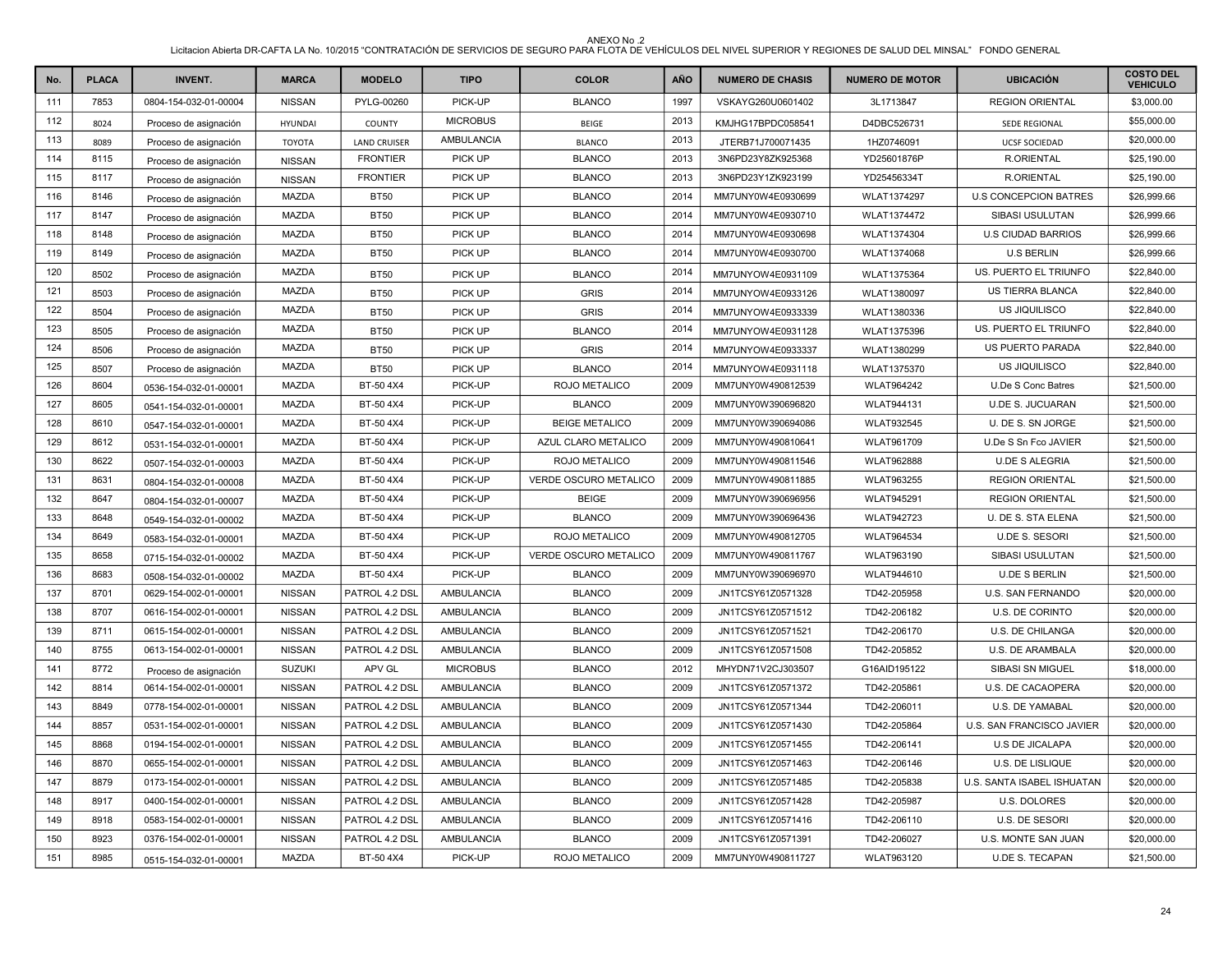| No. | <b>PLACA</b> | <b>INVENT.</b>        | <b>MARCA</b>   | <b>MODELO</b>       | <b>TIPO</b>       | <b>COLOR</b>          | AÑO  | <b>NUMERO DE CHASIS</b> | <b>NUMERO DE MOTOR</b> | <b>UBICACIÓN</b>             | <b>COSTO DEL</b><br><b>VEHICULO</b> |
|-----|--------------|-----------------------|----------------|---------------------|-------------------|-----------------------|------|-------------------------|------------------------|------------------------------|-------------------------------------|
| 111 | 7853         | 0804-154-032-01-00004 | <b>NISSAN</b>  | PYLG-00260          | PICK-UP           | <b>BLANCO</b>         | 1997 | VSKAYG260U0601402       | 3L1713847              | <b>REGION ORIENTAL</b>       | \$3,000.00                          |
| 112 | 8024         | Proceso de asignación | <b>HYUNDAI</b> | <b>COUNTY</b>       | <b>MICROBUS</b>   | <b>BEIGE</b>          | 2013 | KMJHG17BPDC058541       | D4DBC526731            | <b>SEDE REGIONAL</b>         | \$55,000.00                         |
| 113 | 8089         | Proceso de asignación | <b>TOYOTA</b>  | <b>LAND CRUISER</b> | AMBULANCIA        | <b>BLANCO</b>         | 2013 | JTERB71J700071435       | 1HZ0746091             | <b>UCSF SOCIEDAD</b>         | \$20,000.00                         |
| 114 | 8115         | Proceso de asignación | <b>NISSAN</b>  | <b>FRONTIER</b>     | PICK UP           | <b>BLANCO</b>         | 2013 | 3N6PD23Y8ZK925368       | YD25601876P            | <b>R.ORIENTAL</b>            | \$25,190.00                         |
| 115 | 8117         | Proceso de asignación | <b>NISSAN</b>  | <b>FRONTIER</b>     | PICK UP           | <b>BLANCO</b>         | 2013 | 3N6PD23Y1ZK923199       | YD25456334T            | <b>R.ORIENTAL</b>            | \$25,190.00                         |
| 116 | 8146         | Proceso de asignación | <b>MAZDA</b>   | <b>BT50</b>         | PICK UP           | <b>BLANCO</b>         | 2014 | MM7UNY0W4E0930699       | WLAT1374297            | <b>U.S CONCEPCION BATRES</b> | \$26,999.66                         |
| 117 | 8147         | Proceso de asignación | MAZDA          | <b>BT50</b>         | PICK UP           | <b>BLANCO</b>         | 2014 | MM7UNY0W4E0930710       | <b>WLAT1374472</b>     | SIBASI USULUTAN              | \$26,999.66                         |
| 118 | 8148         | Proceso de asignación | <b>MAZDA</b>   | <b>BT50</b>         | PICK UP           | <b>BLANCO</b>         | 2014 | MM7UNY0W4E0930698       | WLAT1374304            | <b>U.S CIUDAD BARRIOS</b>    | \$26,999.66                         |
| 119 | 8149         | Proceso de asignación | MAZDA          | <b>BT50</b>         | PICK UP           | <b>BLANCO</b>         | 2014 | MM7UNY0W4E0930700       | WLAT1374068            | <b>U.S BERLIN</b>            | \$26,999.66                         |
| 120 | 8502         | Proceso de asignación | <b>MAZDA</b>   | <b>BT50</b>         | PICK UP           | <b>BLANCO</b>         | 2014 | MM7UNYOW4E0931109       | WLAT1375364            | US. PUERTO EL TRIUNFO        | \$22,840.00                         |
| 121 | 8503         | Proceso de asignación | <b>MAZDA</b>   | <b>BT50</b>         | PICK UP           | <b>GRIS</b>           | 2014 | MM7UNYOW4E0933126       | WLAT1380097            | US TIERRA BLANCA             | \$22,840.00                         |
| 122 | 8504         | Proceso de asignación | MAZDA          | <b>BT50</b>         | PICK UP           | <b>GRIS</b>           | 2014 | MM7UNYOW4E0933339       | WLAT1380336            | US JIQUILISCO                | \$22,840.00                         |
| 123 | 8505         | Proceso de asignación | <b>MAZDA</b>   | <b>BT50</b>         | PICK UP           | <b>BLANCO</b>         | 2014 | MM7UNYOW4E0931128       | WLAT1375396            | US. PUERTO EL TRIUNFO        | \$22,840.00                         |
| 124 | 8506         | Proceso de asignación | <b>MAZDA</b>   | <b>BT50</b>         | PICK UP           | <b>GRIS</b>           | 2014 | MM7UNYOW4E0933337       | WLAT1380299            | US PUERTO PARADA             | \$22,840.00                         |
| 125 | 8507         | Proceso de asignación | MAZDA          | <b>BT50</b>         | PICK UP           | <b>BLANCO</b>         | 2014 | MM7UNYOW4E0931118       | WLAT1375370            | US JIQUILISCO                | \$22,840.00                         |
| 126 | 8604         | 0536-154-032-01-00001 | <b>MAZDA</b>   | BT-50 4X4           | PICK-UP           | ROJO METALICO         | 2009 | MM7UNY0W490812539       | <b>WLAT964242</b>      | U.De S Conc Batres           | \$21,500.00                         |
| 127 | 8605         | 0541-154-032-01-00001 | MAZDA          | BT-50 4X4           | PICK-UP           | <b>BLANCO</b>         | 2009 | MM7UNY0W390696820       | <b>WLAT944131</b>      | <b>U.DE S. JUCUARAN</b>      | \$21,500.00                         |
| 128 | 8610         | 0547-154-032-01-00001 | MAZDA          | BT-50 4X4           | PICK-UP           | <b>BEIGE METALICO</b> | 2009 | MM7UNY0W390694086       | <b>WLAT932545</b>      | U. DE S. SN JORGE            | \$21,500.00                         |
| 129 | 8612         | 0531-154-032-01-00001 | <b>MAZDA</b>   | BT-50 4X4           | PICK-UP           | AZUL CLARO METALICO   | 2009 | MM7UNY0W490810641       | WLAT961709             | U.De S Sn Fco JAVIER         | \$21,500.00                         |
| 130 | 8622         | 0507-154-032-01-00003 | MAZDA          | BT-50 4X4           | PICK-UP           | ROJO METALICO         | 2009 | MM7UNY0W490811546       | <b>WLAT962888</b>      | <b>U.DE S ALEGRIA</b>        | \$21,500.00                         |
| 131 | 8631         | 0804-154-032-01-00008 | <b>MAZDA</b>   | BT-50 4X4           | PICK-UP           | VERDE OSCURO METALICO | 2009 | MM7UNY0W490811885       | <b>WLAT963255</b>      | <b>REGION ORIENTAL</b>       | \$21,500.00                         |
| 132 | 8647         | 0804-154-032-01-00007 | <b>MAZDA</b>   | BT-50 4X4           | PICK-UP           | <b>BEIGE</b>          | 2009 | MM7UNY0W390696956       | <b>WLAT945291</b>      | <b>REGION ORIENTAL</b>       | \$21,500.00                         |
| 133 | 8648         | 0549-154-032-01-00002 | MAZDA          | BT-50 4X4           | PICK-UP           | <b>BLANCO</b>         | 2009 | MM7UNY0W390696436       | <b>WLAT942723</b>      | U. DE S. STA ELENA           | \$21,500.00                         |
| 134 | 8649         | 0583-154-032-01-00001 | <b>MAZDA</b>   | BT-50 4X4           | PICK-UP           | ROJO METALICO         | 2009 | MM7UNY0W490812705       | <b>WLAT964534</b>      | U.DE S. SESORI               | \$21,500.00                         |
| 135 | 8658         | 0715-154-032-01-00002 | <b>MAZDA</b>   | BT-50 4X4           | PICK-UP           | VERDE OSCURO METALICO | 2009 | MM7UNY0W490811767       | WLAT963190             | SIBASI USULUTAN              | \$21,500.00                         |
| 136 | 8683         | 0508-154-032-01-00002 | MAZDA          | BT-50 4X4           | PICK-UP           | <b>BLANCO</b>         | 2009 | MM7UNY0W390696970       | WLAT944610             | <b>U.DE S BERLIN</b>         | \$21,500.00                         |
| 137 | 8701         | 0629-154-002-01-00001 | <b>NISSAN</b>  | PATROL 4.2 DSL      | AMBULANCIA        | <b>BLANCO</b>         | 2009 | JN1TCSY61Z0571328       | TD42-205958            | U.S. SAN FERNANDO            | \$20,000.00                         |
| 138 | 8707         | 0616-154-002-01-00001 | <b>NISSAN</b>  | PATROL 4.2 DSL      | <b>AMBULANCIA</b> | <b>BLANCO</b>         | 2009 | JN1TCSY61Z0571512       | TD42-206182            | U.S. DE CORINTO              | \$20,000.00                         |
| 139 | 8711         | 0615-154-002-01-00001 | <b>NISSAN</b>  | PATROL 4.2 DSL      | AMBULANCIA        | <b>BLANCO</b>         | 2009 | JN1TCSY61Z0571521       | TD42-206170            | U.S. DE CHILANGA             | \$20,000.00                         |
| 140 | 8755         | 0613-154-002-01-00001 | <b>NISSAN</b>  | PATROL 4.2 DSL      | <b>AMBULANCIA</b> | <b>BLANCO</b>         | 2009 | JN1TCSY61Z0571508       | TD42-205852            | U.S. DE ARAMBALA             | \$20,000.00                         |
| 141 | 8772         | Proceso de asignación | <b>SUZUKI</b>  | APV GL              | <b>MICROBUS</b>   | <b>BLANCO</b>         | 2012 | MHYDN71V2CJ303507       | G16AID195122           | <b>SIBASI SN MIGUEL</b>      | \$18,000.00                         |
| 142 | 8814         | 0614-154-002-01-00001 | <b>NISSAN</b>  | PATROL 4.2 DSL      | AMBULANCIA        | <b>BLANCO</b>         | 2009 | JN1TCSY61Z0571372       | TD42-205861            | U.S. DE CACAOPERA            | \$20,000.00                         |
| 143 | 8849         | 0778-154-002-01-00001 | <b>NISSAN</b>  | PATROL 4.2 DSL      | <b>AMBULANCIA</b> | <b>BLANCO</b>         | 2009 | JN1TCSY61Z0571344       | TD42-206011            | U.S. DE YAMABAL              | \$20,000.00                         |
| 144 | 8857         | 0531-154-002-01-00001 | <b>NISSAN</b>  | PATROL 4.2 DSL      | AMBULANCIA        | <b>BLANCO</b>         | 2009 | JN1TCSY61Z0571430       | TD42-205864            | U.S. SAN FRANCISCO JAVIER    | \$20,000.00                         |
| 145 | 8868         | 0194-154-002-01-00001 | <b>NISSAN</b>  | PATROL 4.2 DSL      | AMBULANCIA        | <b>BLANCO</b>         | 2009 | JN1TCSY61Z0571455       | TD42-206141            | U.S DE JICALAPA              | \$20,000.00                         |
| 146 | 8870         | 0655-154-002-01-00001 | <b>NISSAN</b>  | PATROL 4.2 DSL      | <b>AMBULANCIA</b> | <b>BLANCO</b>         | 2009 | JN1TCSY61Z0571463       | TD42-206146            | <b>U.S. DE LISLIQUE</b>      | \$20,000.00                         |
| 147 | 8879         | 0173-154-002-01-00001 | <b>NISSAN</b>  | PATROL 4.2 DSL      | AMBULANCIA        | <b>BLANCO</b>         | 2009 | JN1TCSY61Z0571485       | TD42-205838            | U.S. SANTA ISABEL ISHUATAN   | \$20,000.00                         |
| 148 | 8917         | 0400-154-002-01-00001 | <b>NISSAN</b>  | PATROL 4.2 DSL      | AMBULANCIA        | <b>BLANCO</b>         | 2009 | JN1TCSY61Z0571428       | TD42-205987            | <b>U.S. DOLORES</b>          | \$20,000.00                         |
| 149 | 8918         | 0583-154-002-01-00001 | <b>NISSAN</b>  | PATROL 4.2 DSL      | <b>AMBULANCIA</b> | <b>BLANCO</b>         | 2009 | JN1TCSY61Z0571416       | TD42-206110            | U.S. DE SESORI               | \$20,000.00                         |
| 150 | 8923         | 0376-154-002-01-00001 | <b>NISSAN</b>  | PATROL 4.2 DSL      | AMBULANCIA        | <b>BLANCO</b>         | 2009 | JN1TCSY61Z0571391       | TD42-206027            | U.S. MONTE SAN JUAN          | \$20,000.00                         |
| 151 | 8985         | 0515-154-032-01-00001 | MAZDA          | BT-50 4X4           | PICK-UP           | ROJO METALICO         | 2009 | MM7UNY0W490811727       | WLAT963120             | <b>U.DE S. TECAPAN</b>       | \$21,500.00                         |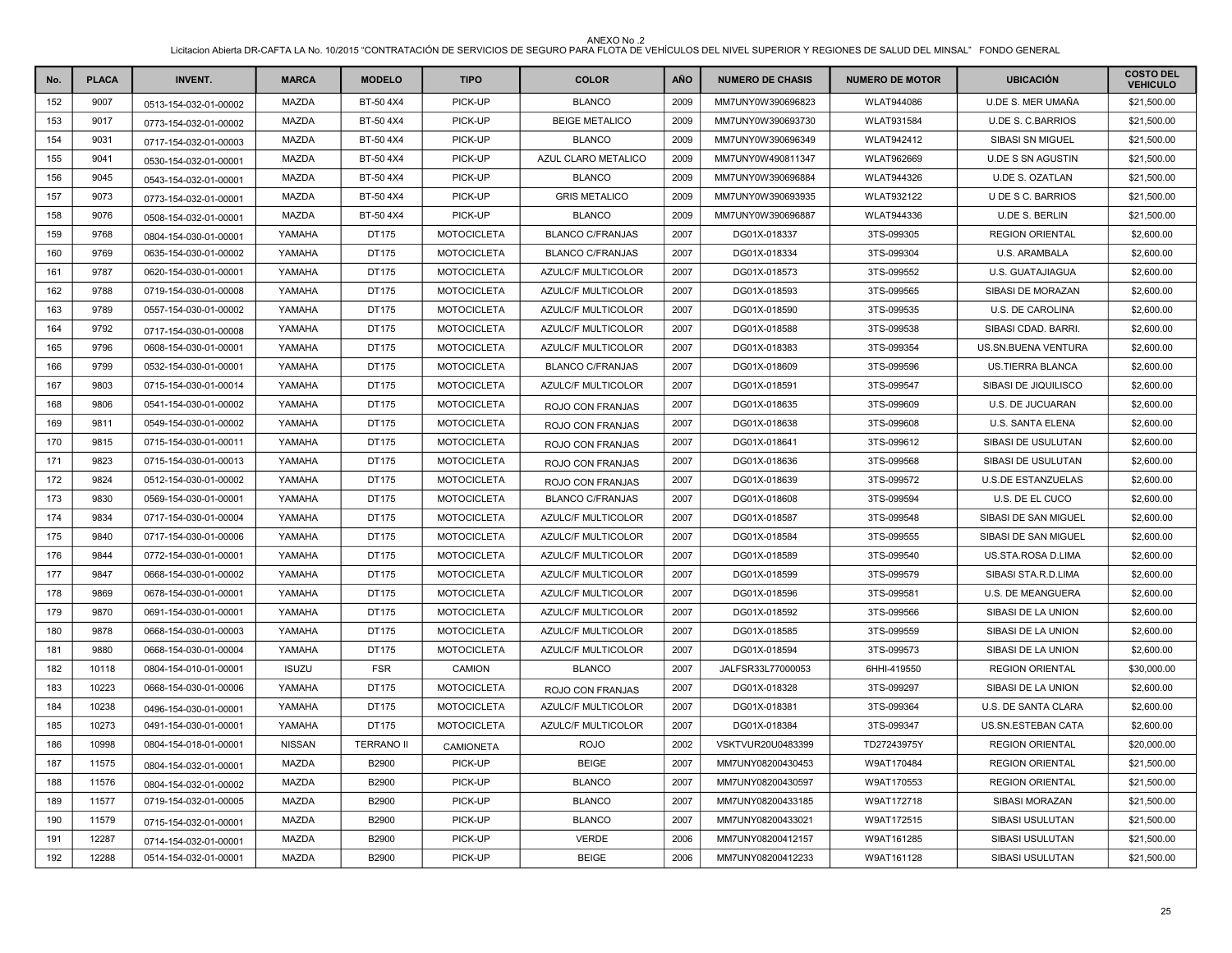| No. | <b>PLACA</b> | <b>INVENT.</b>        | <b>MARCA</b>  | <b>MODELO</b>     | <b>TIPO</b>        | <b>COLOR</b>              | <b>AÑO</b> | <b>NUMERO DE CHASIS</b> | <b>NUMERO DE MOTOR</b> | <b>UBICACIÓN</b>          | <b>COSTO DEL</b><br><b>VEHICULO</b> |
|-----|--------------|-----------------------|---------------|-------------------|--------------------|---------------------------|------------|-------------------------|------------------------|---------------------------|-------------------------------------|
| 152 | 9007         | 0513-154-032-01-00002 | <b>MAZDA</b>  | BT-50 4X4         | PICK-UP            | <b>BLANCO</b>             | 2009       | MM7UNY0W390696823       | <b>WLAT944086</b>      | U.DE S. MER UMAÑA         | \$21,500.00                         |
| 153 | 9017         | 0773-154-032-01-00002 | <b>MAZDA</b>  | BT-50 4X4         | PICK-UP            | <b>BEIGE METALICO</b>     | 2009       | MM7UNY0W390693730       | <b>WLAT931584</b>      | <b>U.DE S. C.BARRIOS</b>  | \$21,500.00                         |
| 154 | 9031         | 0717-154-032-01-00003 | MAZDA         | BT-50 4X4         | PICK-UP            | <b>BLANCO</b>             | 2009       | MM7UNY0W390696349       | <b>WLAT942412</b>      | SIBASI SN MIGUEL          | \$21,500.00                         |
| 155 | 9041         | 0530-154-032-01-00001 | <b>MAZDA</b>  | BT-50 4X4         | PICK-UP            | AZUL CLARO METALICO       | 2009       | MM7UNY0W490811347       | WLAT962669             | <b>U.DE S SN AGUSTIN</b>  | \$21,500.00                         |
| 156 | 9045         | 0543-154-032-01-00001 | <b>MAZDA</b>  | BT-50 4X4         | PICK-UP            | <b>BLANCO</b>             | 2009       | MM7UNY0W390696884       | <b>WLAT944326</b>      | <b>U.DE S. OZATLAN</b>    | \$21,500.00                         |
| 157 | 9073         | 0773-154-032-01-00001 | <b>MAZDA</b>  | BT-50 4X4         | PICK-UP            | <b>GRIS METALICO</b>      | 2009       | MM7UNY0W390693935       | <b>WLAT932122</b>      | U DE S C. BARRIOS         | \$21,500.00                         |
| 158 | 9076         | 0508-154-032-01-00001 | <b>MAZDA</b>  | BT-50 4X4         | PICK-UP            | <b>BLANCO</b>             | 2009       | MM7UNY0W390696887       | <b>WLAT944336</b>      | <b>U.DE S. BERLIN</b>     | \$21,500.00                         |
| 159 | 9768         | 0804-154-030-01-00001 | YAMAHA        | DT175             | <b>MOTOCICLETA</b> | <b>BLANCO C/FRANJAS</b>   | 2007       | DG01X-018337            | 3TS-099305             | <b>REGION ORIENTAL</b>    | \$2,600.00                          |
| 160 | 9769         | 0635-154-030-01-00002 | YAMAHA        | DT175             | <b>MOTOCICLETA</b> | <b>BLANCO C/FRANJAS</b>   | 2007       | DG01X-018334            | 3TS-099304             | <b>U.S. ARAMBALA</b>      | \$2,600.00                          |
| 161 | 9787         | 0620-154-030-01-00001 | YAMAHA        | DT175             | <b>MOTOCICLETA</b> | <b>AZULC/F MULTICOLOR</b> | 2007       | DG01X-018573            | 3TS-099552             | <b>U.S. GUATAJIAGUA</b>   | \$2,600.00                          |
| 162 | 9788         | 0719-154-030-01-00008 | YAMAHA        | DT175             | <b>MOTOCICLETA</b> | AZULC/F MULTICOLOR        | 2007       | DG01X-018593            | 3TS-099565             | SIBASI DE MORAZAN         | \$2,600.00                          |
| 163 | 9789         | 0557-154-030-01-00002 | YAMAHA        | DT175             | <b>MOTOCICLETA</b> | AZULC/F MULTICOLOR        | 2007       | DG01X-018590            | 3TS-099535             | U.S. DE CAROLINA          | \$2,600.00                          |
| 164 | 9792         | 0717-154-030-01-00008 | YAMAHA        | DT175             | <b>MOTOCICLETA</b> | <b>AZULC/F MULTICOLOR</b> | 2007       | DG01X-018588            | 3TS-099538             | SIBASI CDAD, BARRI        | \$2,600.00                          |
| 165 | 9796         | 0608-154-030-01-00001 | YAMAHA        | DT175             | <b>MOTOCICLETA</b> | AZULC/F MULTICOLOR        | 2007       | DG01X-018383            | 3TS-099354             | US.SN.BUENA VENTURA       | \$2,600.00                          |
| 166 | 9799         | 0532-154-030-01-00001 | YAMAHA        | DT175             | <b>MOTOCICLETA</b> | <b>BLANCO C/FRANJAS</b>   | 2007       | DG01X-018609            | 3TS-099596             | <b>US.TIERRA BLANCA</b>   | \$2,600.00                          |
| 167 | 9803         | 0715-154-030-01-00014 | YAMAHA        | DT175             | <b>MOTOCICLETA</b> | AZULC/F MULTICOLOR        | 2007       | DG01X-018591            | 3TS-099547             | SIBASI DE JIQUILISCO      | \$2,600.00                          |
| 168 | 9806         | 0541-154-030-01-00002 | YAMAHA        | DT175             | <b>MOTOCICLETA</b> | ROJO CON FRANJAS          | 2007       | DG01X-018635            | 3TS-099609             | U.S. DE JUCUARAN          | \$2,600.00                          |
| 169 | 9811         | 0549-154-030-01-00002 | YAMAHA        | DT175             | <b>MOTOCICLETA</b> | ROJO CON FRANJAS          | 2007       | DG01X-018638            | 3TS-099608             | U.S. SANTA ELENA          | \$2,600.00                          |
| 170 | 9815         | 0715-154-030-01-00011 | YAMAHA        | DT175             | <b>MOTOCICLETA</b> | ROJO CON FRANJAS          | 2007       | DG01X-018641            | 3TS-099612             | SIBASI DE USULUTAN        | \$2,600.00                          |
| 171 | 9823         | 0715-154-030-01-00013 | YAMAHA        | DT175             | <b>MOTOCICLETA</b> | ROJO CON FRANJAS          | 2007       | DG01X-018636            | 3TS-099568             | SIBASI DE USULUTAN        | \$2,600.00                          |
| 172 | 9824         | 0512-154-030-01-00002 | YAMAHA        | DT175             | <b>MOTOCICLETA</b> | ROJO CON FRANJAS          | 2007       | DG01X-018639            | 3TS-099572             | <b>U.S.DE ESTANZUELAS</b> | \$2,600.00                          |
| 173 | 9830         | 0569-154-030-01-00001 | YAMAHA        | DT175             | <b>MOTOCICLETA</b> | <b>BLANCO C/FRANJAS</b>   | 2007       | DG01X-018608            | 3TS-099594             | U.S. DE EL CUCO           | \$2,600.00                          |
| 174 | 9834         | 0717-154-030-01-00004 | YAMAHA        | DT175             | <b>MOTOCICLETA</b> | AZULC/F MULTICOLOR        | 2007       | DG01X-018587            | 3TS-099548             | SIBASI DE SAN MIGUEL      | \$2,600.00                          |
| 175 | 9840         | 0717-154-030-01-00006 | YAMAHA        | DT175             | <b>MOTOCICLETA</b> | AZULC/F MULTICOLOR        | 2007       | DG01X-018584            | 3TS-099555             | SIBASI DE SAN MIGUEL      | \$2,600.00                          |
| 176 | 9844         | 0772-154-030-01-00001 | YAMAHA        | DT175             | <b>MOTOCICLETA</b> | AZULC/F MULTICOLOR        | 2007       | DG01X-018589            | 3TS-099540             | US.STA.ROSA D.LIMA        | \$2,600.00                          |
| 177 | 9847         | 0668-154-030-01-00002 | YAMAHA        | DT175             | <b>MOTOCICLETA</b> | AZULC/F MULTICOLOR        | 2007       | DG01X-018599            | 3TS-099579             | SIBASI STA.R.D.LIMA       | \$2,600.00                          |
| 178 | 9869         | 0678-154-030-01-00001 | YAMAHA        | DT175             | <b>MOTOCICLETA</b> | AZULC/F MULTICOLOR        | 2007       | DG01X-018596            | 3TS-099581             | <b>U.S. DE MEANGUERA</b>  | \$2,600.00                          |
| 179 | 9870         | 0691-154-030-01-00001 | YAMAHA        | DT175             | <b>MOTOCICLETA</b> | AZULC/F MULTICOLOR        | 2007       | DG01X-018592            | 3TS-099566             | SIBASI DE LA UNION        | \$2,600.00                          |
| 180 | 9878         | 0668-154-030-01-00003 | YAMAHA        | DT175             | <b>MOTOCICLETA</b> | AZULC/F MULTICOLOR        | 2007       | DG01X-018585            | 3TS-099559             | SIBASI DE LA UNION        | \$2,600.00                          |
| 181 | 9880         | 0668-154-030-01-00004 | YAMAHA        | DT175             | <b>MOTOCICLETA</b> | <b>AZULC/F MULTICOLOR</b> | 2007       | DG01X-018594            | 3TS-099573             | SIBASI DE LA UNION        | \$2,600.00                          |
| 182 | 10118        | 0804-154-010-01-00001 | <b>ISUZU</b>  | <b>FSR</b>        | CAMION             | <b>BLANCO</b>             | 2007       | JALFSR33L77000053       | 6HHI-419550            | <b>REGION ORIENTAL</b>    | \$30,000.00                         |
| 183 | 10223        | 0668-154-030-01-00006 | YAMAHA        | DT175             | <b>MOTOCICLETA</b> | ROJO CON FRANJAS          | 2007       | DG01X-018328            | 3TS-099297             | SIBASI DE LA UNION        | \$2,600.00                          |
| 184 | 10238        | 0496-154-030-01-00001 | YAMAHA        | DT175             | <b>MOTOCICLETA</b> | <b>AZULC/F MULTICOLOR</b> | 2007       | DG01X-018381            | 3TS-099364             | U.S. DE SANTA CLARA       | \$2,600.00                          |
| 185 | 10273        | 0491-154-030-01-00001 | YAMAHA        | DT175             | <b>MOTOCICLETA</b> | AZULC/F MULTICOLOR        | 2007       | DG01X-018384            | 3TS-099347             | US.SN.ESTEBAN CATA        | \$2,600.00                          |
| 186 | 10998        | 0804-154-018-01-00001 | <b>NISSAN</b> | <b>TERRANO II</b> | CAMIONETA          | <b>ROJO</b>               | 2002       | VSKTVUR20U0483399       | TD27243975Y            | <b>REGION ORIENTAL</b>    | \$20,000.00                         |
| 187 | 11575        | 0804-154-032-01-00001 | <b>MAZDA</b>  | B2900             | PICK-UP            | <b>BEIGE</b>              | 2007       | MM7UNY08200430453       | W9AT170484             | <b>REGION ORIENTAL</b>    | \$21,500.00                         |
| 188 | 11576        | 0804-154-032-01-00002 | MAZDA         | B2900             | PICK-UP            | <b>BLANCO</b>             | 2007       | MM7UNY08200430597       | W9AT170553             | <b>REGION ORIENTAL</b>    | \$21,500.00                         |
| 189 | 11577        | 0719-154-032-01-00005 | MAZDA         | B2900             | PICK-UP            | <b>BLANCO</b>             | 2007       | MM7UNY08200433185       | W9AT172718             | SIBASI MORAZAN            | \$21,500.00                         |
| 190 | 11579        | 0715-154-032-01-00001 | MAZDA         | B2900             | PICK-UP            | <b>BLANCO</b>             | 2007       | MM7UNY08200433021       | W9AT172515             | SIBASI USULUTAN           | \$21,500.00                         |
| 191 | 12287        | 0714-154-032-01-00001 | <b>MAZDA</b>  | B2900             | PICK-UP            | <b>VERDE</b>              | 2006       | MM7UNY08200412157       | W9AT161285             | SIBASI USULUTAN           | \$21,500.00                         |
| 192 | 12288        | 0514-154-032-01-00001 | MAZDA         | B2900             | PICK-UP            | <b>BEIGE</b>              | 2006       | MM7UNY08200412233       | W9AT161128             | SIBASI USULUTAN           | \$21,500.00                         |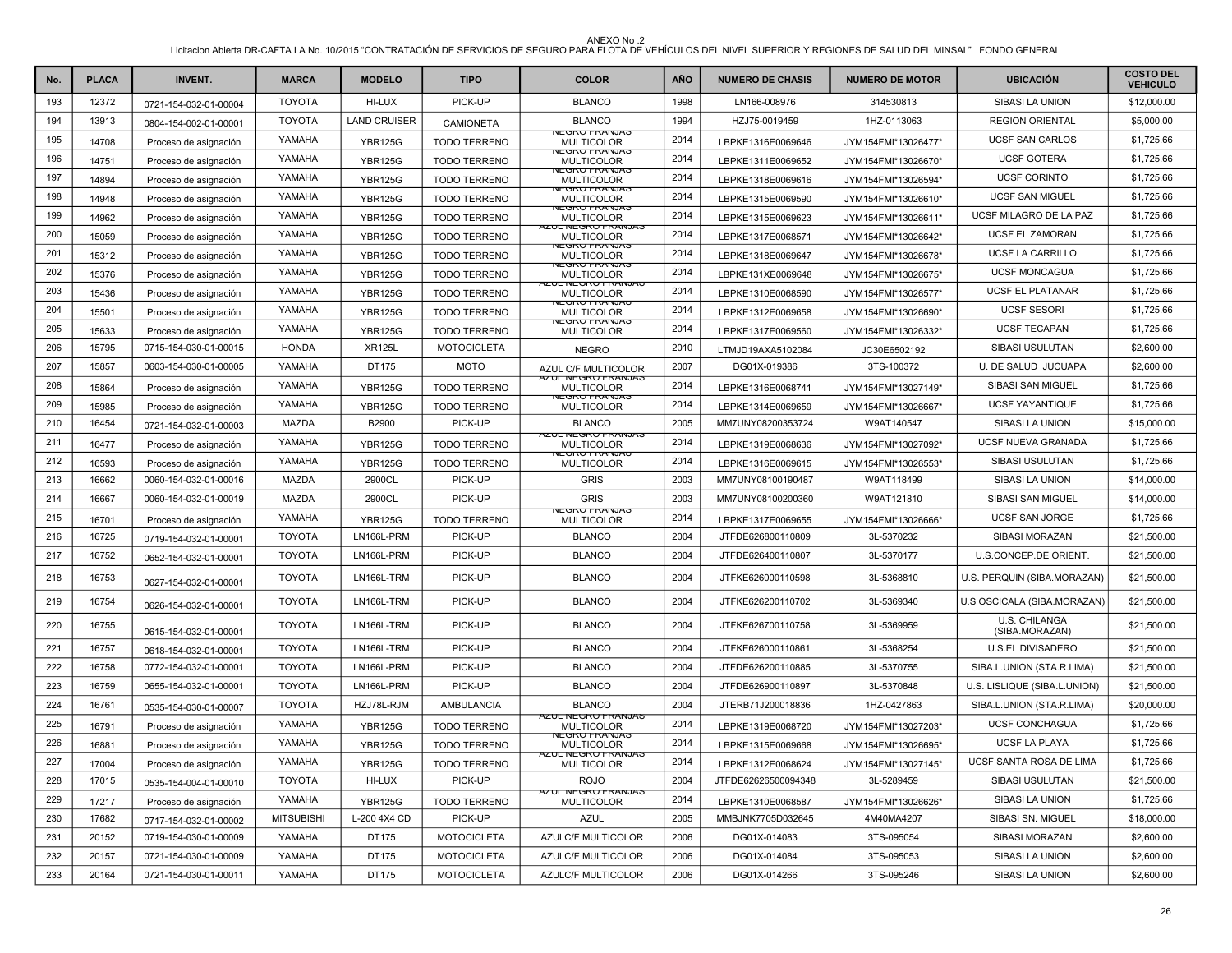| No. | <b>PLACA</b> | <b>INVENT.</b>        | <b>MARCA</b>      | <b>MODELO</b>       | <b>TIPO</b>         | <b>COLOR</b>                                   | <b>AÑO</b> | <b>NUMERO DE CHASIS</b> | <b>NUMERO DE MOTOR</b> | <b>UBICACIÓN</b>                | <b>COSTO DEL</b><br><b>VEHICULO</b> |
|-----|--------------|-----------------------|-------------------|---------------------|---------------------|------------------------------------------------|------------|-------------------------|------------------------|---------------------------------|-------------------------------------|
| 193 | 12372        | 0721-154-032-01-00004 | <b>TOYOTA</b>     | HI-LUX              | PICK-UP             | <b>BLANCO</b>                                  | 1998       | LN166-008976            | 314530813              | SIBASI LA UNION                 | \$12,000.00                         |
| 194 | 13913        | 0804-154-002-01-00001 | <b>TOYOTA</b>     | <b>LAND CRUISER</b> | <b>CAMIONETA</b>    | <b>BLANCO</b>                                  | 1994       | HZJ75-0019459           | 1HZ-0113063            | <b>REGION ORIENTAL</b>          | \$5,000.00                          |
| 195 | 14708        | Proceso de asignación | YAMAHA            | <b>YBR125G</b>      | <b>TODO TERRENO</b> | IVEGRU FRAIVJAS<br><b>MULTICOLOR</b>           | 2014       | LBPKE1316E0069646       | JYM154FMI*13026477*    | <b>UCSF SAN CARLOS</b>          | \$1,725.66                          |
| 196 | 14751        | Proceso de asignación | YAMAHA            | <b>YBR125G</b>      | <b>TODO TERRENO</b> | <b>NEGRU FRANJAS</b><br><b>MULTICOLOR</b>      | 2014       | LBPKE1311E0069652       | JYM154FMI*13026670*    | <b>UCSF GOTERA</b>              | \$1,725.66                          |
| 197 | 14894        | Proceso de asignación | YAMAHA            | <b>YBR125G</b>      | <b>TODO TERRENO</b> | <u>INEGRU FRAINJAS</u><br><b>MULTICOLOR</b>    | 2014       | LBPKE1318E0069616       | JYM154FMI*13026594*    | <b>UCSF CORINTO</b>             | \$1,725.66                          |
| 198 | 14948        | Proceso de asignación | YAMAHA            | <b>YBR125G</b>      | <b>TODO TERRENO</b> | IVEGRU FRAIVJAS<br><b>MULTICOLOR</b>           | 2014       | LBPKE1315E0069590       | JYM154FMI*13026610*    | <b>UCSF SAN MIGUEL</b>          | \$1,725.66                          |
| 199 | 14962        | Proceso de asignación | YAMAHA            | <b>YBR125G</b>      | <b>TODO TERRENO</b> | NEGRU FRANJAS<br><b>MULTICOLOR</b>             | 2014       | LBPKE1315E0069623       | JYM154FMI*13026611*    | UCSF MILAGRO DE LA PAZ          | \$1,725.66                          |
| 200 | 15059        | Proceso de asignación | YAMAHA            | <b>YBR125G</b>      | <b>TODO TERRENO</b> | AZUL NEGRU FRANJAS<br><b>MULTICOLOR</b>        | 2014       | LBPKE1317E0068571       | JYM154FMI*13026642*    | <b>UCSF EL ZAMORAN</b>          | \$1,725.66                          |
| 201 | 15312        | Proceso de asignación | YAMAHA            | <b>YBR125G</b>      | <b>TODO TERRENO</b> | NEGRU FRANJAS<br><b>MULTICOLOR</b>             | 2014       | LBPKE1318E0069647       | JYM154FMI*13026678*    | <b>UCSF LA CARRILLO</b>         | \$1,725.66                          |
| 202 | 15376        | Proceso de asignación | YAMAHA            | <b>YBR125G</b>      | <b>TODO TERRENO</b> | NEGRU FRANJAS<br><b>MULTICOLOR</b>             | 2014       | LBPKE131XE0069648       | JYM154FMI*13026675*    | <b>UCSF MONCAGUA</b>            | \$1,725.66                          |
| 203 | 15436        | Proceso de asignación | YAMAHA            | <b>YBR125G</b>      | <b>TODO TERRENO</b> | <u>AZUL NEGRU FRANJAS</u><br><b>MULTICOLOR</b> | 2014       | LBPKE1310E0068590       | JYM154FMI*13026577*    | UCSF EL PLATANAR                | \$1,725.66                          |
| 204 | 15501        | Proceso de asignación | YAMAHA            | <b>YBR125G</b>      | <b>TODO TERRENO</b> | <b>VEGRU FRAIVJAS</b><br><b>MULTICOLOR</b>     | 2014       | LBPKE1312E0069658       | JYM154FMI*13026690*    | <b>UCSF SESORI</b>              | \$1,725.66                          |
| 205 | 15633        | Proceso de asignación | YAMAHA            | <b>YBR125G</b>      | <b>TODO TERRENO</b> | <u>NEGRU FRAINJAS</u><br><b>MULTICOLOR</b>     | 2014       | LBPKE1317E0069560       | JYM154FMI*13026332*    | <b>UCSF TECAPAN</b>             | \$1,725.66                          |
| 206 | 15795        | 0715-154-030-01-00015 | <b>HONDA</b>      | <b>XR125L</b>       | <b>MOTOCICLETA</b>  | <b>NEGRO</b>                                   | 2010       | LTMJD19AXA5102084       | JC30E6502192           | SIBASI USULUTAN                 | \$2,600.00                          |
| 207 | 15857        | 0603-154-030-01-00005 | YAMAHA            | DT175               | <b>MOTO</b>         | AZUL C/F MULTICOLOR                            | 2007       | DG01X-019386            | 3TS-100372             | U. DE SALUD JUCUAPA             | \$2,600.00                          |
| 208 | 15864        | Proceso de asignación | YAMAHA            | <b>YBR125G</b>      | <b>TODO TERRENO</b> | AZUL NEGRU FRANJAS<br><b>MULTICOLOR</b>        | 2014       | LBPKE1316E0068741       | JYM154FMI*13027149*    | SIBASI SAN MIGUEL               | \$1,725.66                          |
| 209 | 15985        | Proceso de asignación | YAMAHA            | <b>YBR125G</b>      | <b>TODO TERRENO</b> | NEGRU FRANJAS<br><b>MULTICOLOR</b>             | 2014       | LBPKE1314E0069659       | JYM154FMI*13026667*    | <b>UCSF YAYANTIQUE</b>          | \$1,725.66                          |
| 210 | 16454        | 0721-154-032-01-00003 | <b>MAZDA</b>      | B2900               | PICK-UP             | <b>BLANCO</b>                                  | 2005       | MM7UNY08200353724       | W9AT140547             | SIBASI LA UNION                 | \$15,000.00                         |
| 211 | 16477        | Proceso de asignación | YAMAHA            | <b>YBR125G</b>      | <b>TODO TERRENO</b> | AZUL NEGRU FRANJAS<br><b>MULTICOLOR</b>        | 2014       | LBPKE1319E0068636       | JYM154FMI*13027092*    | <b>UCSF NUEVA GRANADA</b>       | \$1,725.66                          |
| 212 | 16593        | Proceso de asignación | YAMAHA            | <b>YBR125G</b>      | <b>TODO TERRENO</b> | NEGRU FRANJAS<br><b>MULTICOLOR</b>             | 2014       | LBPKE1316E0069615       | JYM154FMI*13026553*    | SIBASI USULUTAN                 | \$1,725.66                          |
| 213 | 16662        | 0060-154-032-01-00016 | <b>MAZDA</b>      | 2900CL              | PICK-UP             | <b>GRIS</b>                                    | 2003       | MM7UNY08100190487       | W9AT118499             | SIBASI LA UNION                 | \$14,000.00                         |
| 214 | 16667        | 0060-154-032-01-00019 | <b>MAZDA</b>      | 2900CL              | PICK-UP             | <b>GRIS</b>                                    | 2003       | MM7UNY08100200360       | W9AT121810             | SIBASI SAN MIGUEL               | \$14,000.00                         |
| 215 | 16701        | Proceso de asignación | YAMAHA            | <b>YBR125G</b>      | <b>TODO TERRENO</b> | <b>NEGRU FRANJAS</b><br><b>MULTICOLOR</b>      | 2014       | LBPKE1317E0069655       | JYM154FMI*13026666*    | <b>UCSF SAN JORGE</b>           | \$1,725.66                          |
| 216 | 16725        | 0719-154-032-01-00001 | <b>TOYOTA</b>     | LN166L-PRM          | PICK-UP             | <b>BLANCO</b>                                  | 2004       | JTFDE626800110809       | 3L-5370232             | SIBASI MORAZAN                  | \$21,500.00                         |
| 217 | 16752        | 0652-154-032-01-00001 | <b>TOYOTA</b>     | LN166L-PRM          | PICK-UP             | <b>BLANCO</b>                                  | 2004       | JTFDE626400110807       | 3L-5370177             | U.S.CONCEP.DE ORIENT.           | \$21,500.00                         |
| 218 | 16753        | 0627-154-032-01-00001 | <b>TOYOTA</b>     | LN166L-TRM          | PICK-UP             | <b>BLANCO</b>                                  | 2004       | JTFKE626000110598       | 3L-5368810             | U.S. PERQUIN (SIBA.MORAZAN)     | \$21,500.00                         |
| 219 | 16754        | 0626-154-032-01-00001 | <b>TOYOTA</b>     | LN166L-TRM          | PICK-UP             | <b>BLANCO</b>                                  | 2004       | JTFKE626200110702       | 3L-5369340             | U.S OSCICALA (SIBA.MORAZAN)     | \$21,500.00                         |
| 220 | 16755        | 0615-154-032-01-00001 | <b>TOYOTA</b>     | LN166L-TRM          | PICK-UP             | <b>BLANCO</b>                                  | 2004       | JTFKE626700110758       | 3L-5369959             | U.S. CHILANGA<br>(SIBA.MORAZAN) | \$21,500.00                         |
| 221 | 16757        | 0618-154-032-01-00001 | <b>TOYOTA</b>     | LN166L-TRM          | PICK-UP             | <b>BLANCO</b>                                  | 2004       | JTFKE626000110861       | 3L-5368254             | <b>U.S.EL DIVISADERO</b>        | \$21,500.00                         |
| 222 | 16758        | 0772-154-032-01-00001 | <b>TOYOTA</b>     | LN166L-PRM          | PICK-UP             | <b>BLANCO</b>                                  | 2004       | JTFDE626200110885       | 3L-5370755             | SIBA.L.UNION (STA.R.LIMA)       | \$21,500.00                         |
| 223 | 16759        | 0655-154-032-01-00001 | <b>TOYOTA</b>     | LN166L-PRM          | PICK-UP             | <b>BLANCO</b>                                  | 2004       | JTFDE626900110897       | 3L-5370848             | U.S. LISLIQUE (SIBA.L.UNION)    | \$21,500.00                         |
| 224 | 16761        | 0535-154-030-01-00007 | <b>TOYOTA</b>     | HZJ78L-RJM          | AMBULANCIA          | <b>BLANCO</b>                                  | 2004       | JTERB71J200018836       | 1HZ-0427863            | SIBA.L.UNION (STA.R.LIMA)       | \$20,000.00                         |
| 225 | 16791        | Proceso de asignación | YAMAHA            | <b>YBR125G</b>      | <b>TODO TERRENO</b> | <b>AZUL NEGRO FRANJAS</b><br><b>MULTICOLOR</b> | 2014       | LBPKE1319E0068720       | JYM154FMI*13027203*    | <b>UCSF CONCHAGUA</b>           | \$1,725.66                          |
| 226 | 16881        | Proceso de asignación | YAMAHA            | <b>YBR125G</b>      | <b>TODO TERRENO</b> | NEGRU FRANJAS<br><b>MULTICOLOR</b>             | 2014       | LBPKE1315E0069668       | JYM154FMI*13026695*    | <b>UCSF LA PLAYA</b>            | \$1,725.66                          |
| 227 | 17004        | Proceso de asignación | YAMAHA            | <b>YBR125G</b>      | TODO TERRENO        | <b>AZUL NEGRO FRANJAS</b><br>MULTICOLOR        | 2014       | LBPKE1312E0068624       | JYM154FMI*13027145*    | UCSF SANTA ROSA DE LIMA         | \$1,725.66                          |
| 228 | 17015        | 0535-154-004-01-00010 | <b>TOYOTA</b>     | HI-LUX              | PICK-UP             | <b>ROJO</b>                                    | 2004       | JTFDE62626500094348     | 3L-5289459             | SIBASI USULUTAN                 | \$21,500.00                         |
| 229 | 17217        | Proceso de asignación | YAMAHA            | <b>YBR125G</b>      | TODO TERRENO        | <b>AZUL NEGRO FRANJAS</b><br><b>MULTICOLOR</b> | 2014       | LBPKE1310E0068587       | JYM154FMI*13026626*    | SIBASI LA UNION                 | \$1,725.66                          |
| 230 | 17682        | 0717-154-032-01-00002 | <b>MITSUBISHI</b> | L-200 4X4 CD        | PICK-UP             | <b>AZUL</b>                                    | 2005       | MMBJNK7705D032645       | 4M40MA4207             | SIBASI SN. MIGUEL               | \$18,000.00                         |
| 231 | 20152        | 0719-154-030-01-00009 | YAMAHA            | DT175               | <b>MOTOCICLETA</b>  | AZULC/F MULTICOLOR                             | 2006       | DG01X-014083            | 3TS-095054             | SIBASI MORAZAN                  | \$2,600.00                          |
| 232 | 20157        | 0721-154-030-01-00009 | YAMAHA            | DT175               | <b>MOTOCICLETA</b>  | AZULC/F MULTICOLOR                             | 2006       | DG01X-014084            | 3TS-095053             | SIBASI LA UNION                 | \$2,600.00                          |
| 233 | 20164        | 0721-154-030-01-00011 | YAMAHA            | DT175               | <b>MOTOCICLETA</b>  | AZULC/F MULTICOLOR                             | 2006       | DG01X-014266            | 3TS-095246             | SIBASI LA UNION                 | \$2,600.00                          |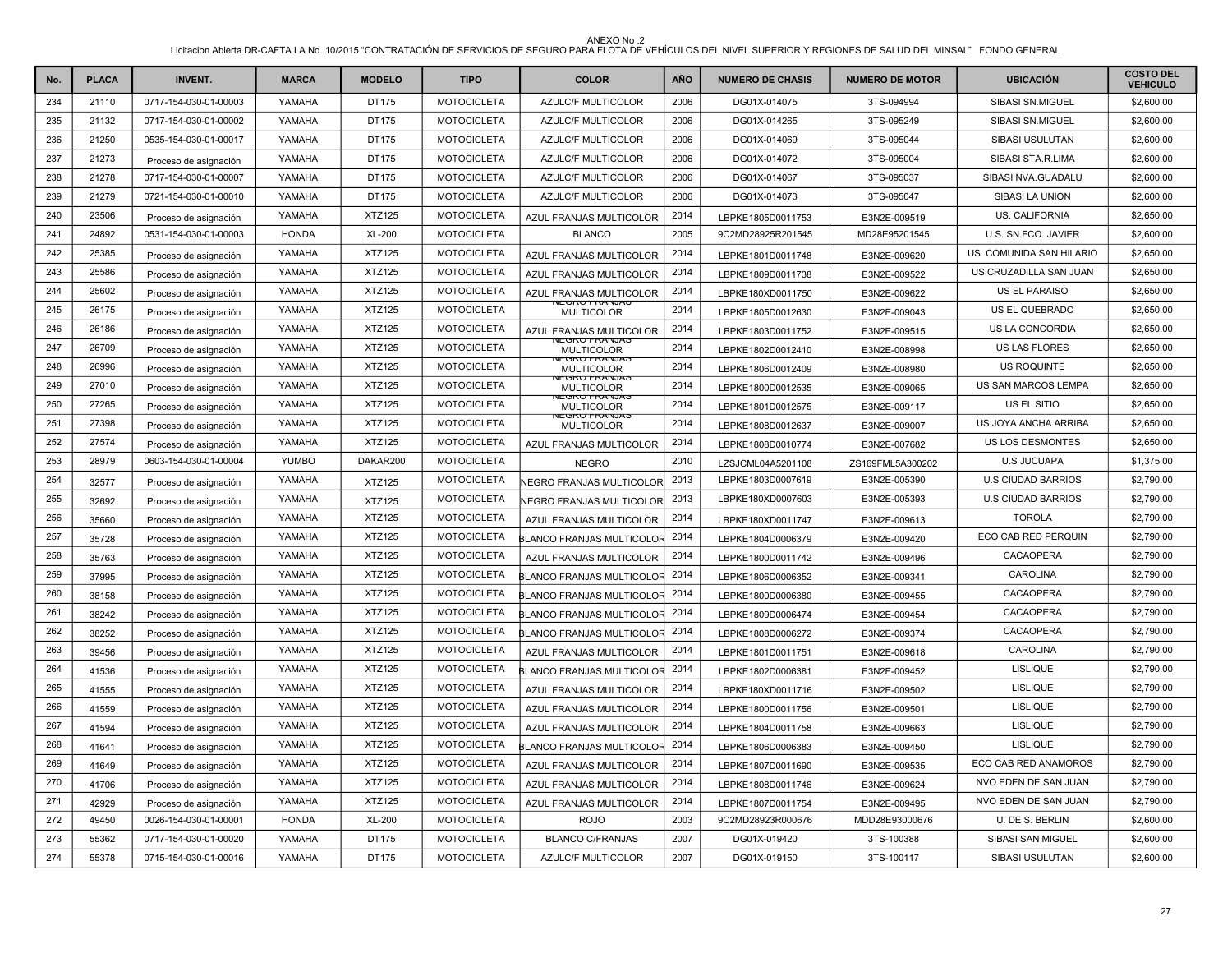| No. | <b>PLACA</b> | <b>INVENT.</b>        | <b>MARCA</b> | <b>MODELO</b> | <b>TIPO</b>        | <b>COLOR</b>                               | <b>AÑO</b> | <b>NUMERO DE CHASIS</b> | <b>NUMERO DE MOTOR</b> | <b>UBICACIÓN</b>          | <b>COSTO DEL</b><br><b>VEHICULO</b> |
|-----|--------------|-----------------------|--------------|---------------|--------------------|--------------------------------------------|------------|-------------------------|------------------------|---------------------------|-------------------------------------|
| 234 | 21110        | 0717-154-030-01-00003 | YAMAHA       | DT175         | <b>MOTOCICLETA</b> | AZULC/F MULTICOLOR                         | 2006       | DG01X-014075            | 3TS-094994             | SIBASI SN.MIGUEL          | \$2,600.00                          |
| 235 | 21132        | 0717-154-030-01-00002 | YAMAHA       | DT175         | <b>MOTOCICLETA</b> | <b>AZULC/F MULTICOLOR</b>                  | 2006       | DG01X-014265            | 3TS-095249             | SIBASI SN.MIGUEL          | \$2,600.00                          |
| 236 | 21250        | 0535-154-030-01-00017 | YAMAHA       | DT175         | <b>MOTOCICLETA</b> | <b>AZULC/F MULTICOLOR</b>                  | 2006       | DG01X-014069            | 3TS-095044             | <b>SIBASI USULUTAN</b>    | \$2,600.00                          |
| 237 | 21273        | Proceso de asignación | YAMAHA       | DT175         | <b>MOTOCICLETA</b> | <b>AZULC/F MULTICOLOR</b>                  | 2006       | DG01X-014072            | 3TS-095004             | SIBASI STA.R.LIMA         | \$2,600.00                          |
| 238 | 21278        | 0717-154-030-01-00007 | YAMAHA       | DT175         | <b>MOTOCICLETA</b> | <b>AZULC/F MULTICOLOR</b>                  | 2006       | DG01X-014067            | 3TS-095037             | SIBASI NVA.GUADALU        | \$2,600.00                          |
| 239 | 21279        | 0721-154-030-01-00010 | YAMAHA       | DT175         | <b>MOTOCICLETA</b> | <b>AZULC/F MULTICOLOR</b>                  | 2006       | DG01X-014073            | 3TS-095047             | <b>SIBASI LA UNION</b>    | \$2,600.00                          |
| 240 | 23506        | Proceso de asignación | YAMAHA       | <b>XTZ125</b> | <b>MOTOCICLETA</b> | <b>AZUL FRANJAS MULTICOLOR</b>             | 2014       | LBPKE1805D0011753       | E3N2E-009519           | <b>US. CALIFORNIA</b>     | \$2,650.00                          |
| 241 | 24892        | 0531-154-030-01-00003 | <b>HONDA</b> | <b>XL-200</b> | <b>MOTOCICLETA</b> | <b>BLANCO</b>                              | 2005       | 9C2MD28925R201545       | MD28E95201545          | U.S. SN.FCO. JAVIER       | \$2,600.00                          |
| 242 | 25385        | Proceso de asignación | YAMAHA       | <b>XTZ125</b> | <b>MOTOCICLETA</b> | AZUL FRANJAS MULTICOLOR                    | 2014       | LBPKE1801D0011748       | E3N2E-009620           | US. COMUNIDA SAN HILARIO  | \$2,650.00                          |
| 243 | 25586        | Proceso de asignación | YAMAHA       | <b>XTZ125</b> | <b>MOTOCICLETA</b> | AZUL FRANJAS MULTICOLOR                    | 2014       | LBPKE1809D0011738       | E3N2E-009522           | US CRUZADILLA SAN JUAN    | \$2,650.00                          |
| 244 | 25602        | Proceso de asignación | YAMAHA       | XTZ125        | <b>MOTOCICLETA</b> | AZUL FRANJAS MULTICOLOR                    | 2014       | LBPKE180XD0011750       | E3N2E-009622           | <b>US EL PARAISO</b>      | \$2,650.00                          |
| 245 | 26175        | Proceso de asignación | YAMAHA       | XTZ125        | <b>MOTOCICLETA</b> | YEGRU FRAINJAO<br><b>MULTICOLOR</b>        | 2014       | LBPKE1805D0012630       | E3N2E-009043           | US EL QUEBRADO            | \$2,650.00                          |
| 246 | 26186        | Proceso de asignación | YAMAHA       | XTZ125        | <b>MOTOCICLETA</b> | AZUL FRANJAS MULTICOLOR                    | 2014       | LBPKE1803D0011752       | E3N2E-009515           | US LA CONCORDIA           | \$2,650.00                          |
| 247 | 26709        | Proceso de asignación | YAMAHA       | <b>XTZ125</b> | <b>MOTOCICLETA</b> | EGRU FRANJAS<br><b>MULTICOLOR</b>          | 2014       | LBPKE1802D0012410       | E3N2E-008998           | <b>US LAS FLORES</b>      | \$2,650.00                          |
| 248 | 26996        | Proceso de asignación | YAMAHA       | XTZ125        | <b>MOTOCICLETA</b> | <b>YEGRU FRAINJAS</b><br><b>MULTICOLOR</b> | 2014       | LBPKE1806D0012409       | E3N2E-008980           | <b>US ROQUINTE</b>        | \$2,650.00                          |
| 249 | 27010        | Proceso de asignación | YAMAHA       | XTZ125        | <b>MOTOCICLETA</b> | <b>NEGRU FRAINJAS</b><br><b>MULTICOLOR</b> | 2014       | LBPKE1800D0012535       | E3N2E-009065           | US SAN MARCOS LEMPA       | \$2,650.00                          |
| 250 | 27265        | Proceso de asignación | YAMAHA       | <b>XTZ125</b> | <b>MOTOCICLETA</b> | IEGRU FRANJAS<br><b>MULTICOLOR</b>         | 2014       | LBPKE1801D0012575       | E3N2E-009117           | US EL SITIO               | \$2,650.00                          |
| 251 | 27398        | Proceso de asignación | YAMAHA       | <b>XTZ125</b> | <b>MOTOCICLETA</b> | <b>JEGRU FRANJAS</b><br><b>MULTICOLOR</b>  | 2014       | LBPKE1808D0012637       | E3N2E-009007           | US JOYA ANCHA ARRIBA      | \$2,650.00                          |
| 252 | 27574        | Proceso de asignación | YAMAHA       | XTZ125        | <b>MOTOCICLETA</b> | AZUL FRANJAS MULTICOLOR                    | 2014       | LBPKE1808D0010774       | E3N2E-007682           | US LOS DESMONTES          | \$2,650.00                          |
| 253 | 28979        | 0603-154-030-01-00004 | <b>YUMBO</b> | DAKAR200      | <b>MOTOCICLETA</b> | <b>NEGRO</b>                               | 2010       | LZSJCML04A5201108       | ZS169FML5A300202       | <b>U.S JUCUAPA</b>        | \$1,375.00                          |
| 254 | 32577        | Proceso de asignación | YAMAHA       | XTZ125        | <b>MOTOCICLETA</b> | <b>NEGRO FRANJAS MULTICOLOR</b>            | 2013       | LBPKE1803D0007619       | E3N2E-005390           | <b>U.S CIUDAD BARRIOS</b> | \$2,790.00                          |
| 255 | 32692        | Proceso de asignación | YAMAHA       | XTZ125        | <b>MOTOCICLETA</b> | NEGRO FRANJAS MULTICOLOR                   | 2013       | LBPKE180XD0007603       | E3N2E-005393           | <b>U.S CIUDAD BARRIOS</b> | \$2,790.00                          |
| 256 | 35660        | Proceso de asignación | YAMAHA       | <b>XTZ125</b> | <b>MOTOCICLETA</b> | AZUL FRANJAS MULTICOLOR                    | 2014       | LBPKE180XD0011747       | E3N2E-009613           | <b>TOROLA</b>             | \$2,790.00                          |
| 257 | 35728        | Proceso de asignación | YAMAHA       | <b>XTZ125</b> | <b>MOTOCICLETA</b> | BLANCO FRANJAS MULTICOLOR                  | 2014       | LBPKE1804D0006379       | E3N2E-009420           | ECO CAB RED PERQUIN       | \$2,790.00                          |
| 258 | 35763        | Proceso de asignación | YAMAHA       | XTZ125        | <b>MOTOCICLETA</b> | AZUL FRANJAS MULTICOLOR                    | 2014       | LBPKE1800D0011742       | E3N2E-009496           | CACAOPERA                 | \$2,790.00                          |
| 259 | 37995        | Proceso de asignación | YAMAHA       | <b>XTZ125</b> | <b>MOTOCICLETA</b> | <b>BLANCO FRANJAS MULTICOLOR</b>           | 2014       | LBPKE1806D0006352       | E3N2E-009341           | CAROLINA                  | \$2,790.00                          |
| 260 | 38158        | Proceso de asignación | YAMAHA       | <b>XTZ125</b> | <b>MOTOCICLETA</b> | BLANCO FRANJAS MULTICOLOR                  | 2014       | LBPKE1800D0006380       | E3N2E-009455           | CACAOPERA                 | \$2,790.00                          |
| 261 | 38242        | Proceso de asignación | YAMAHA       | <b>XTZ125</b> | <b>MOTOCICLETA</b> | BLANCO FRANJAS MULTICOLOR                  | 2014       | LBPKE1809D0006474       | E3N2E-009454           | <b>CACAOPERA</b>          | \$2,790.00                          |
| 262 | 38252        | Proceso de asignación | YAMAHA       | XTZ125        | <b>MOTOCICLETA</b> | BLANCO FRANJAS MULTICOLOR                  | 2014       | LBPKE1808D0006272       | E3N2E-009374           | CACAOPERA                 | \$2,790.00                          |
| 263 | 39456        | Proceso de asignación | YAMAHA       | <b>XTZ125</b> | <b>MOTOCICLETA</b> | AZUL FRANJAS MULTICOLOR                    | 2014       | LBPKE1801D0011751       | E3N2E-009618           | <b>CAROLINA</b>           | \$2,790.00                          |
| 264 | 41536        | Proceso de asignación | YAMAHA       | <b>XTZ125</b> | <b>MOTOCICLETA</b> | BLANCO FRANJAS MULTICOLOR                  | 2014       | LBPKE1802D0006381       | E3N2E-009452           | <b>LISLIQUE</b>           | \$2,790.00                          |
| 265 | 41555        | Proceso de asignación | YAMAHA       | <b>XTZ125</b> | <b>MOTOCICLETA</b> | AZUL FRANJAS MULTICOLOR                    | 2014       | LBPKE180XD0011716       | E3N2E-009502           | <b>LISLIQUE</b>           | \$2,790.00                          |
| 266 | 41559        | Proceso de asignación | YAMAHA       | <b>XTZ125</b> | <b>MOTOCICLETA</b> | AZUL FRANJAS MULTICOLOR                    | 2014       | LBPKE1800D0011756       | E3N2E-009501           | <b>LISLIQUE</b>           | \$2,790.00                          |
| 267 | 41594        | Proceso de asignación | YAMAHA       | <b>XTZ125</b> | <b>MOTOCICLETA</b> | AZUL FRANJAS MULTICOLOR                    | 2014       | LBPKE1804D0011758       | E3N2E-009663           | <b>LISLIQUE</b>           | \$2,790.00                          |
| 268 | 41641        | Proceso de asignación | YAMAHA       | <b>XTZ125</b> | <b>MOTOCICLETA</b> | BLANCO FRANJAS MULTICOLOR                  | 2014       | LBPKE1806D0006383       | E3N2E-009450           | <b>LISLIQUE</b>           | \$2,790.00                          |
| 269 | 41649        | Proceso de asignación | YAMAHA       | <b>XTZ125</b> | <b>MOTOCICLETA</b> | AZUL FRANJAS MULTICOLOR                    | 2014       | LBPKE1807D0011690       | E3N2E-009535           | ECO CAB RED ANAMOROS      | \$2,790.00                          |
| 270 | 41706        | Proceso de asignación | YAMAHA       | <b>XTZ125</b> | <b>MOTOCICLETA</b> | AZUL FRANJAS MULTICOLOR                    | 2014       | LBPKE1808D0011746       | E3N2E-009624           | NVO EDEN DE SAN JUAN      | \$2,790.00                          |
| 271 | 42929        | Proceso de asignación | YAMAHA       | <b>XTZ125</b> | <b>MOTOCICLETA</b> | AZUL FRANJAS MULTICOLOR                    | 2014       | LBPKE1807D0011754       | E3N2E-009495           | NVO EDEN DE SAN JUAN      | \$2,790.00                          |
| 272 | 49450        | 0026-154-030-01-00001 | <b>HONDA</b> | XL-200        | <b>MOTOCICLETA</b> | <b>ROJO</b>                                | 2003       | 9C2MD28923R000676       | MDD28E93000676         | U. DE S. BERLIN           | \$2,600.00                          |
| 273 | 55362        | 0717-154-030-01-00020 | YAMAHA       | DT175         | <b>MOTOCICLETA</b> | <b>BLANCO C/FRANJAS</b>                    | 2007       | DG01X-019420            | 3TS-100388             | SIBASI SAN MIGUEL         | \$2,600.00                          |
| 274 | 55378        | 0715-154-030-01-00016 | YAMAHA       | DT175         | <b>MOTOCICLETA</b> | <b>AZULC/F MULTICOLOR</b>                  | 2007       | DG01X-019150            | 3TS-100117             | <b>SIBASI USULUTAN</b>    | \$2,600.00                          |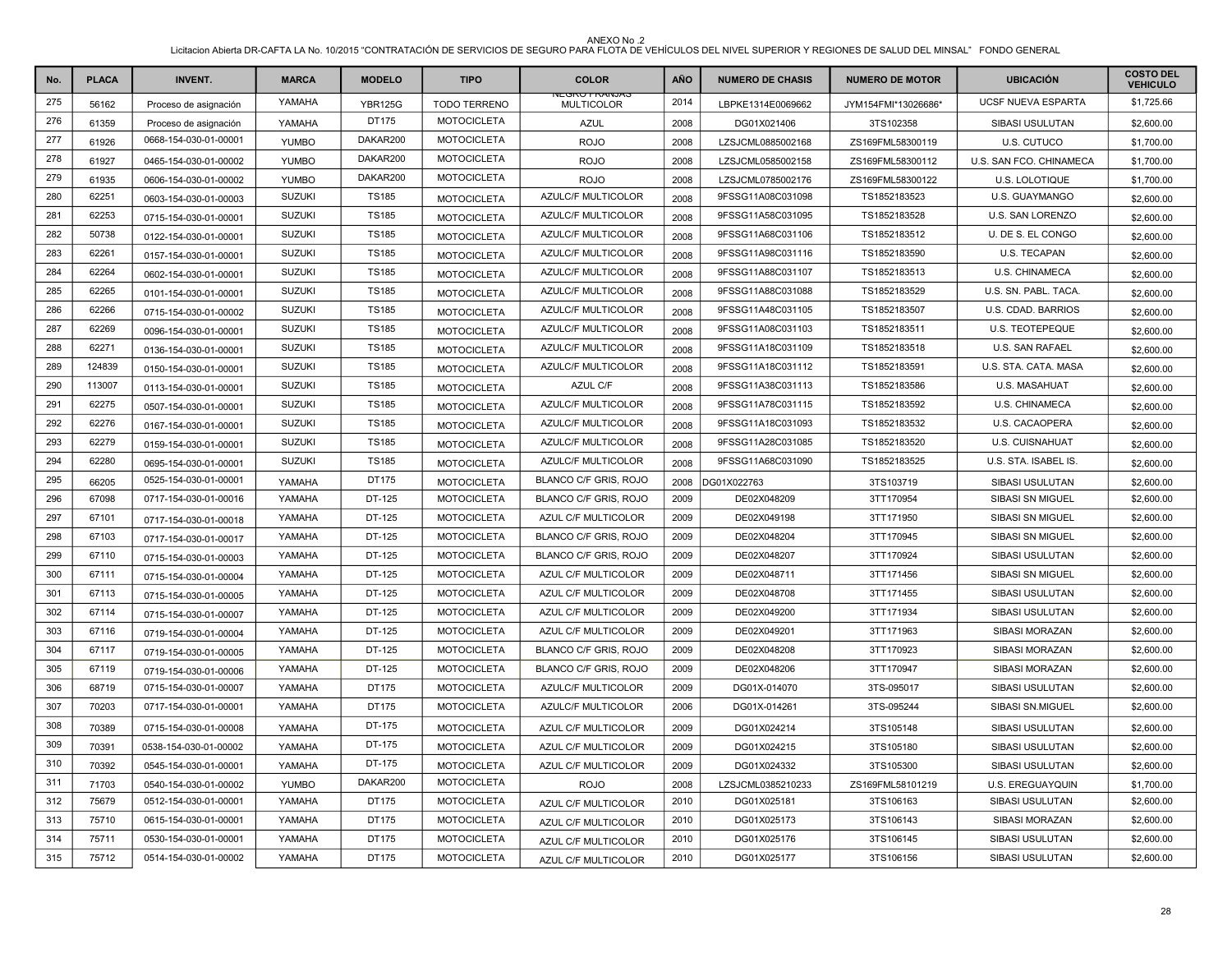| No. | <b>PLACA</b> | <b>INVENT.</b>        | <b>MARCA</b>  | <b>MODELO</b>  | <b>TIPO</b>         | <b>COLOR</b>                              | AÑO  | <b>NUMERO DE CHASIS</b> | <b>NUMERO DE MOTOR</b> | <b>UBICACIÓN</b>        | <b>COSTO DEL</b><br><b>VEHICULO</b> |
|-----|--------------|-----------------------|---------------|----------------|---------------------|-------------------------------------------|------|-------------------------|------------------------|-------------------------|-------------------------------------|
| 275 | 56162        | Proceso de asignación | YAMAHA        | <b>YBR125G</b> | <b>TODO TERRENO</b> | <b>NEGRU FRANJAS</b><br><b>MULTICOLOR</b> | 2014 | LBPKE1314E0069662       | JYM154FMI*13026686*    | UCSF NUEVA ESPARTA      | \$1,725.66                          |
| 276 | 61359        | Proceso de asignación | YAMAHA        | DT175          | <b>MOTOCICLETA</b>  | <b>AZUL</b>                               | 2008 | DG01X021406             | 3TS102358              | SIBASI USULUTAN         | \$2,600.00                          |
| 277 | 61926        | 0668-154-030-01-00001 | <b>YUMBO</b>  | DAKAR200       | <b>MOTOCICLETA</b>  | <b>ROJO</b>                               | 2008 | LZSJCML0885002168       | ZS169FML58300119       | U.S. CUTUCO             | \$1,700.00                          |
| 278 | 61927        | 0465-154-030-01-00002 | <b>YUMBO</b>  | DAKAR200       | <b>MOTOCICLETA</b>  | <b>ROJO</b>                               | 2008 | LZSJCML0585002158       | ZS169FML58300112       | U.S. SAN FCO. CHINAMECA | \$1,700.00                          |
| 279 | 61935        | 0606-154-030-01-00002 | <b>YUMBO</b>  | DAKAR200       | <b>MOTOCICLETA</b>  | <b>ROJO</b>                               | 2008 | LZSJCML0785002176       | ZS169FML58300122       | U.S. LOLOTIQUE          | \$1,700.00                          |
| 280 | 62251        | 0603-154-030-01-00003 | <b>SUZUKI</b> | <b>TS185</b>   | <b>MOTOCICLETA</b>  | <b>AZULC/F MULTICOLOR</b>                 | 2008 | 9FSSG11A08C031098       | TS1852183523           | U.S. GUAYMANGO          | \$2,600.00                          |
| 281 | 62253        | 0715-154-030-01-00001 | <b>SUZUKI</b> | <b>TS185</b>   | <b>MOTOCICLETA</b>  | AZULC/F MULTICOLOR                        | 2008 | 9FSSG11A58C031095       | TS1852183528           | U.S. SAN LORENZO        | \$2,600.00                          |
| 282 | 50738        | 0122-154-030-01-00001 | <b>SUZUKI</b> | <b>TS185</b>   | <b>MOTOCICLETA</b>  | <b>AZULC/F MULTICOLOR</b>                 | 2008 | 9FSSG11A68C031106       | TS1852183512           | U. DE S. EL CONGO       | \$2,600.00                          |
| 283 | 62261        | 0157-154-030-01-00001 | <b>SUZUKI</b> | <b>TS185</b>   | <b>MOTOCICLETA</b>  | AZULC/F MULTICOLOR                        | 2008 | 9FSSG11A98C031116       | TS1852183590           | U.S. TECAPAN            | \$2,600.00                          |
| 284 | 62264        | 0602-154-030-01-00001 | <b>SUZUKI</b> | <b>TS185</b>   | <b>MOTOCICLETA</b>  | AZULC/F MULTICOLOR                        | 2008 | 9FSSG11A88C031107       | TS1852183513           | U.S. CHINAMECA          | \$2,600.00                          |
| 285 | 62265        | 0101-154-030-01-00001 | <b>SUZUKI</b> | <b>TS185</b>   | <b>MOTOCICLETA</b>  | <b>AZULC/F MULTICOLOR</b>                 | 2008 | 9FSSG11A88C031088       | TS1852183529           | U.S. SN. PABL. TACA.    | \$2,600.00                          |
| 286 | 62266        | 0715-154-030-01-00002 | <b>SUZUKI</b> | <b>TS185</b>   | <b>MOTOCICLETA</b>  | AZULC/F MULTICOLOR                        | 2008 | 9FSSG11A48C031105       | TS1852183507           | U.S. CDAD. BARRIOS      | \$2,600.00                          |
| 287 | 62269        | 0096-154-030-01-00001 | <b>SUZUKI</b> | <b>TS185</b>   | <b>MOTOCICLETA</b>  | <b>AZULC/F MULTICOLOR</b>                 | 2008 | 9FSSG11A08C031103       | TS1852183511           | <b>U.S. TEOTEPEQUE</b>  | \$2,600.00                          |
| 288 | 62271        | 0136-154-030-01-00001 | <b>SUZUKI</b> | <b>TS185</b>   | <b>MOTOCICLETA</b>  | <b>AZULC/F MULTICOLOR</b>                 | 2008 | 9FSSG11A18C031109       | TS1852183518           | <b>U.S. SAN RAFAEL</b>  | \$2,600.00                          |
| 289 | 124839       | 0150-154-030-01-00001 | <b>SUZUKI</b> | <b>TS185</b>   | <b>MOTOCICLETA</b>  | <b>AZULC/F MULTICOLOR</b>                 | 2008 | 9FSSG11A18C031112       | TS1852183591           | U.S. STA, CATA, MASA    | \$2,600.00                          |
| 290 | 113007       | 0113-154-030-01-00001 | <b>SUZUKI</b> | <b>TS185</b>   | <b>MOTOCICLETA</b>  | AZUL C/F                                  | 2008 | 9FSSG11A38C031113       | TS1852183586           | U.S. MASAHUAT           | \$2,600.00                          |
| 291 | 62275        | 0507-154-030-01-00001 | <b>SUZUKI</b> | <b>TS185</b>   | <b>MOTOCICLETA</b>  | AZULC/F MULTICOLOR                        | 2008 | 9FSSG11A78C031115       | TS1852183592           | U.S. CHINAMECA          | \$2,600.00                          |
| 292 | 62276        | 0167-154-030-01-00001 | <b>SUZUKI</b> | <b>TS185</b>   | <b>MOTOCICLETA</b>  | <b>AZULC/F MULTICOLOR</b>                 | 2008 | 9FSSG11A18C031093       | TS1852183532           | U.S. CACAOPERA          | \$2,600.00                          |
| 293 | 62279        | 0159-154-030-01-00001 | <b>SUZUKI</b> | <b>TS185</b>   | <b>MOTOCICLETA</b>  | AZULC/F MULTICOLOR                        | 2008 | 9FSSG11A28C031085       | TS1852183520           | U.S. CUISNAHUAT         | \$2,600.00                          |
| 294 | 62280        | 0695-154-030-01-00001 | <b>SUZUKI</b> | <b>TS185</b>   | <b>MOTOCICLETA</b>  | AZULC/F MULTICOLOR                        | 2008 | 9FSSG11A68C031090       | TS1852183525           | U.S. STA. ISABEL IS.    | \$2,600.00                          |
| 295 | 66205        | 0525-154-030-01-00001 | YAMAHA        | DT175          | <b>MOTOCICLETA</b>  | BLANCO C/F GRIS, ROJO                     | 2008 | DG01X022763             | 3TS103719              | SIBASI USULUTAN         | \$2,600.00                          |
| 296 | 67098        | 0717-154-030-01-00016 | YAMAHA        | DT-125         | <b>MOTOCICLETA</b>  | <b>BLANCO C/F GRIS, ROJO</b>              | 2009 | DE02X048209             | 3TT170954              | SIBASI SN MIGUEL        | \$2,600.00                          |
| 297 | 67101        | 0717-154-030-01-00018 | YAMAHA        | DT-125         | <b>MOTOCICLETA</b>  | AZUL C/F MULTICOLOR                       | 2009 | DE02X049198             | 3TT171950              | SIBASI SN MIGUEL        | \$2,600.00                          |
| 298 | 67103        | 0717-154-030-01-00017 | YAMAHA        | DT-125         | <b>MOTOCICLETA</b>  | BLANCO C/F GRIS, ROJO                     | 2009 | DE02X048204             | 3TT170945              | SIBASI SN MIGUEL        | \$2,600.00                          |
| 299 | 67110        | 0715-154-030-01-00003 | YAMAHA        | DT-125         | <b>MOTOCICLETA</b>  | BLANCO C/F GRIS, ROJO                     | 2009 | DE02X048207             | 3TT170924              | SIBASI USULUTAN         | \$2,600.00                          |
| 300 | 67111        | 0715-154-030-01-00004 | YAMAHA        | DT-125         | <b>MOTOCICLETA</b>  | AZUL C/F MULTICOLOR                       | 2009 | DE02X048711             | 3TT171456              | SIBASI SN MIGUEL        | \$2,600.00                          |
| 301 | 67113        | 0715-154-030-01-00005 | YAMAHA        | DT-125         | <b>MOTOCICLETA</b>  | AZUL C/F MULTICOLOR                       | 2009 | DE02X048708             | 3TT171455              | SIBASI USULUTAN         | \$2,600.00                          |
| 302 | 67114        | 0715-154-030-01-00007 | YAMAHA        | DT-125         | <b>MOTOCICLETA</b>  | AZUL C/F MULTICOLOR                       | 2009 | DE02X049200             | 3TT171934              | SIBASI USULUTAN         | \$2,600.00                          |
| 303 | 67116        | 0719-154-030-01-00004 | YAMAHA        | DT-125         | <b>MOTOCICLETA</b>  | AZUL C/F MULTICOLOR                       | 2009 | DE02X049201             | 3TT171963              | SIBASI MORAZAN          | \$2,600.00                          |
| 304 | 67117        | 0719-154-030-01-00005 | YAMAHA        | DT-125         | <b>MOTOCICLETA</b>  | BLANCO C/F GRIS, ROJO                     | 2009 | DE02X048208             | 3TT170923              | SIBASI MORAZAN          | \$2,600.00                          |
| 305 | 67119        | 0719-154-030-01-00006 | YAMAHA        | DT-125         | <b>MOTOCICLETA</b>  | BLANCO C/F GRIS, ROJO                     | 2009 | DE02X048206             | 3TT170947              | SIBASI MORAZAN          | \$2,600.00                          |
| 306 | 68719        | 0715-154-030-01-00007 | YAMAHA        | DT175          | <b>MOTOCICLETA</b>  | AZULC/F MULTICOLOR                        | 2009 | DG01X-014070            | 3TS-095017             | SIBASI USULUTAN         | \$2,600.00                          |
| 307 | 70203        | 0717-154-030-01-00001 | YAMAHA        | DT175          | <b>MOTOCICLETA</b>  | AZULC/F MULTICOLOR                        | 2006 | DG01X-014261            | 3TS-095244             | SIBASI SN.MIGUEL        | \$2,600.00                          |
| 308 | 70389        | 0715-154-030-01-00008 | YAMAHA        | DT-175         | <b>MOTOCICLETA</b>  | AZUL C/F MULTICOLOR                       | 2009 | DG01X024214             | 3TS105148              | SIBASI USULUTAN         | \$2,600.00                          |
| 309 | 70391        | 0538-154-030-01-00002 | YAMAHA        | DT-175         | <b>MOTOCICLETA</b>  | AZUL C/F MULTICOLOR                       | 2009 | DG01X024215             | 3TS105180              | SIBASI USULUTAN         | \$2,600.00                          |
| 310 | 70392        | 0545-154-030-01-00001 | YAMAHA        | DT-175         | <b>MOTOCICLETA</b>  | AZUL C/F MULTICOLOR                       | 2009 | DG01X024332             | 3TS105300              | SIBASI USULUTAN         | \$2,600.00                          |
| 311 | 71703        | 0540-154-030-01-00002 | <b>YUMBO</b>  | DAKAR200       | <b>MOTOCICLETA</b>  | <b>ROJO</b>                               | 2008 | LZSJCML0385210233       | ZS169FML58101219       | U.S. EREGUAYQUIN        | \$1,700.00                          |
| 312 | 75679        | 0512-154-030-01-00001 | YAMAHA        | DT175          | <b>MOTOCICLETA</b>  | AZUL C/F MULTICOLOR                       | 2010 | DG01X025181             | 3TS106163              | SIBASI USULUTAN         | \$2,600.00                          |
| 313 | 75710        | 0615-154-030-01-00001 | YAMAHA        | DT175          | <b>MOTOCICLETA</b>  | AZUL C/F MULTICOLOR                       | 2010 | DG01X025173             | 3TS106143              | SIBASI MORAZAN          | \$2,600.00                          |
| 314 | 75711        | 0530-154-030-01-00001 | YAMAHA        | DT175          | <b>MOTOCICLETA</b>  | AZUL C/F MULTICOLOR                       | 2010 | DG01X025176             | 3TS106145              | SIBASI USULUTAN         | \$2,600.00                          |
| 315 | 75712        | 0514-154-030-01-00002 | YAMAHA        | <b>DT175</b>   | <b>MOTOCICLETA</b>  | AZUL C/F MULTICOLOR                       | 2010 | DG01X025177             | 3TS106156              | SIBASI USULUTAN         | \$2,600.00                          |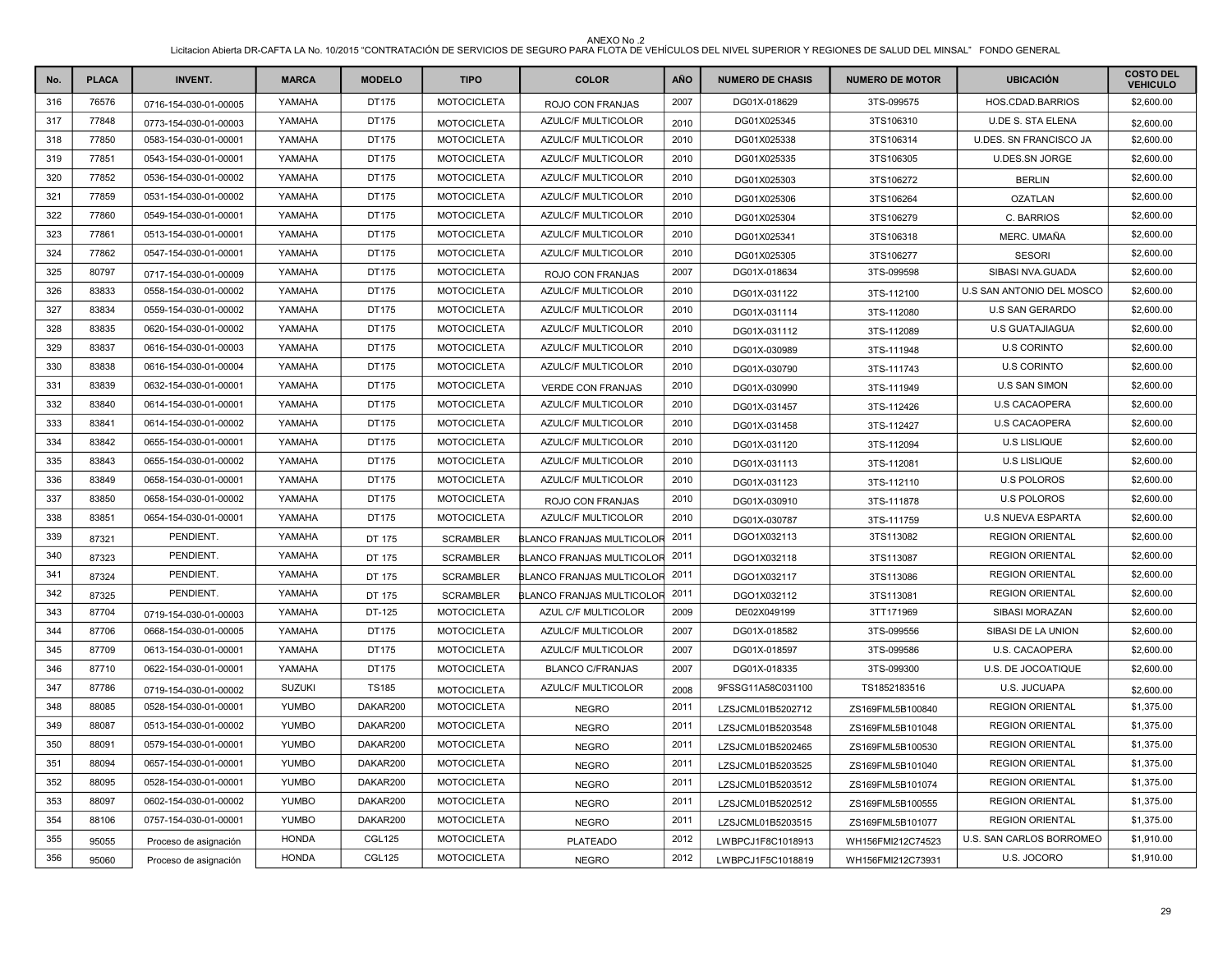| No. | <b>PLACA</b> | <b>INVENT.</b>        | <b>MARCA</b>  | <b>MODELO</b> | <b>TIPO</b>        | <b>COLOR</b>              | AÑO  | <b>NUMERO DE CHASIS</b> | <b>NUMERO DE MOTOR</b> | <b>UBICACIÓN</b>              | <b>COSTO DEL</b><br><b>VEHICULO</b> |
|-----|--------------|-----------------------|---------------|---------------|--------------------|---------------------------|------|-------------------------|------------------------|-------------------------------|-------------------------------------|
| 316 | 76576        | 0716-154-030-01-00005 | YAMAHA        | DT175         | <b>MOTOCICLETA</b> | ROJO CON FRANJAS          | 2007 | DG01X-018629            | 3TS-099575             | HOS.CDAD.BARRIOS              | \$2,600.00                          |
| 317 | 77848        | 0773-154-030-01-00003 | YAMAHA        | DT175         | <b>MOTOCICLETA</b> | AZULC/F MULTICOLOR        | 2010 | DG01X025345             | 3TS106310              | <b>U.DE S. STA ELENA</b>      | \$2,600.00                          |
| 318 | 77850        | 0583-154-030-01-00001 | YAMAHA        | DT175         | <b>MOTOCICLETA</b> | <b>AZULC/F MULTICOLOR</b> | 2010 | DG01X025338             | 3TS106314              | <b>U.DES. SN FRANCISCO JA</b> | \$2,600.00                          |
| 319 | 77851        | 0543-154-030-01-00001 | YAMAHA        | DT175         | <b>MOTOCICLETA</b> | <b>AZULC/F MULTICOLOR</b> | 2010 | DG01X025335             | 3TS106305              | <b>U.DES.SN JORGE</b>         | \$2,600.00                          |
| 320 | 77852        | 0536-154-030-01-00002 | YAMAHA        | DT175         | <b>MOTOCICLETA</b> | <b>AZULC/F MULTICOLOR</b> | 2010 | DG01X025303             | 3TS106272              | <b>BERLIN</b>                 | \$2,600.00                          |
| 321 | 77859        | 0531-154-030-01-00002 | YAMAHA        | DT175         | <b>MOTOCICLETA</b> | AZULC/F MULTICOLOR        | 2010 | DG01X025306             | 3TS106264              | <b>OZATLAN</b>                | \$2,600.00                          |
| 322 | 77860        | 0549-154-030-01-00001 | YAMAHA        | DT175         | <b>MOTOCICLETA</b> | AZULC/F MULTICOLOR        | 2010 | DG01X025304             | 3TS106279              | C. BARRIOS                    | \$2,600.00                          |
| 323 | 77861        | 0513-154-030-01-00001 | YAMAHA        | DT175         | <b>MOTOCICLETA</b> | AZULC/F MULTICOLOR        | 2010 | DG01X025341             | 3TS106318              | MERC. UMAÑA                   | \$2,600.00                          |
| 324 | 77862        | 0547-154-030-01-00001 | YAMAHA        | DT175         | <b>MOTOCICLETA</b> | AZULC/F MULTICOLOR        | 2010 | DG01X025305             | 3TS106277              | <b>SESORI</b>                 | \$2,600.00                          |
| 325 | 80797        | 0717-154-030-01-00009 | YAMAHA        | DT175         | <b>MOTOCICLETA</b> | ROJO CON FRANJAS          | 2007 | DG01X-018634            | 3TS-099598             | SIBASI NVA.GUADA              | \$2,600.00                          |
| 326 | 83833        | 0558-154-030-01-00002 | YAMAHA        | DT175         | <b>MOTOCICLETA</b> | <b>AZULC/F MULTICOLOR</b> | 2010 | DG01X-031122            | 3TS-112100             | U.S SAN ANTONIO DEL MOSCO     | \$2,600.00                          |
| 327 | 83834        | 0559-154-030-01-00002 | YAMAHA        | DT175         | <b>MOTOCICLETA</b> | AZULC/F MULTICOLOR        | 2010 | DG01X-031114            | 3TS-112080             | <b>U.S SAN GERARDO</b>        | \$2,600.00                          |
| 328 | 83835        | 0620-154-030-01-00002 | YAMAHA        | DT175         | <b>MOTOCICLETA</b> | <b>AZULC/F MULTICOLOR</b> | 2010 | DG01X-031112            | 3TS-112089             | <b>U.S GUATAJIAGUA</b>        | \$2,600.00                          |
| 329 | 83837        | 0616-154-030-01-00003 | YAMAHA        | DT175         | <b>MOTOCICLETA</b> | AZULC/F MULTICOLOR        | 2010 | DG01X-030989            | 3TS-111948             | <b>U.S CORINTO</b>            | \$2,600.00                          |
| 330 | 83838        | 0616-154-030-01-00004 | YAMAHA        | DT175         | <b>MOTOCICLETA</b> | AZULC/F MULTICOLOR        | 2010 | DG01X-030790            | 3TS-111743             | <b>U.S CORINTO</b>            | \$2,600.00                          |
| 331 | 83839        | 0632-154-030-01-00001 | YAMAHA        | DT175         | <b>MOTOCICLETA</b> | <b>VERDE CON FRANJAS</b>  | 2010 | DG01X-030990            | 3TS-111949             | <b>U.S SAN SIMON</b>          | \$2,600.00                          |
| 332 | 83840        | 0614-154-030-01-00001 | YAMAHA        | DT175         | <b>MOTOCICLETA</b> | <b>AZULC/F MULTICOLOR</b> | 2010 | DG01X-031457            | 3TS-112426             | <b>U.S CACAOPERA</b>          | \$2,600.00                          |
| 333 | 83841        | 0614-154-030-01-00002 | YAMAHA        | DT175         | <b>MOTOCICLETA</b> | AZULC/F MULTICOLOR        | 2010 | DG01X-031458            | 3TS-112427             | <b>U.S CACAOPERA</b>          | \$2,600.00                          |
| 334 | 83842        | 0655-154-030-01-00001 | YAMAHA        | DT175         | <b>MOTOCICLETA</b> | AZULC/F MULTICOLOR        | 2010 | DG01X-031120            | 3TS-112094             | <b>U.S LISLIQUE</b>           | \$2,600.00                          |
| 335 | 83843        | 0655-154-030-01-00002 | YAMAHA        | DT175         | <b>MOTOCICLETA</b> | AZULC/F MULTICOLOR        | 2010 | DG01X-031113            | 3TS-112081             | <b>U.S LISLIQUE</b>           | \$2,600.00                          |
| 336 | 83849        | 0658-154-030-01-00001 | YAMAHA        | DT175         | <b>MOTOCICLETA</b> | AZULC/F MULTICOLOR        | 2010 | DG01X-031123            | 3TS-112110             | <b>U.S POLOROS</b>            | \$2,600.00                          |
| 337 | 83850        | 0658-154-030-01-00002 | YAMAHA        | DT175         | <b>MOTOCICLETA</b> | ROJO CON FRANJAS          | 2010 | DG01X-030910            | 3TS-111878             | <b>U.S POLOROS</b>            | \$2,600.00                          |
| 338 | 83851        | 0654-154-030-01-00001 | YAMAHA        | DT175         | <b>MOTOCICLETA</b> | AZULC/F MULTICOLOR        | 2010 | DG01X-030787            | 3TS-111759             | U.S NUEVA ESPARTA             | \$2,600.00                          |
| 339 | 87321        | PENDIENT.             | YAMAHA        | DT 175        | <b>SCRAMBLER</b>   | BLANCO FRANJAS MULTICOLOR | 2011 | DGO1X032113             | 3TS113082              | <b>REGION ORIENTAL</b>        | \$2,600.00                          |
| 340 | 87323        | PENDIENT.             | YAMAHA        | DT 175        | <b>SCRAMBLER</b>   | BLANCO FRANJAS MULTICOLOR | 2011 | DGO1X032118             | 3TS113087              | <b>REGION ORIENTAL</b>        | \$2,600.00                          |
| 341 | 87324        | PENDIENT.             | YAMAHA        | DT 175        | <b>SCRAMBLER</b>   | BLANCO FRANJAS MULTICOLOR | 2011 | DGO1X032117             | 3TS113086              | <b>REGION ORIENTAL</b>        | \$2,600.00                          |
| 342 | 87325        | PENDIENT.             | YAMAHA        | DT 175        | <b>SCRAMBLER</b>   | BLANCO FRANJAS MULTICOLOR | 2011 | DGO1X032112             | 3TS113081              | <b>REGION ORIENTAL</b>        | \$2,600.00                          |
| 343 | 87704        | 0719-154-030-01-00003 | YAMAHA        | DT-125        | <b>MOTOCICLETA</b> | AZUL C/F MULTICOLOR       | 2009 | DE02X049199             | 3TT171969              | SIBASI MORAZAN                | \$2,600.00                          |
| 344 | 87706        | 0668-154-030-01-00005 | YAMAHA        | DT175         | <b>MOTOCICLETA</b> | AZULC/F MULTICOLOR        | 2007 | DG01X-018582            | 3TS-099556             | SIBASI DE LA UNION            | \$2,600.00                          |
| 345 | 87709        | 0613-154-030-01-00001 | YAMAHA        | DT175         | <b>MOTOCICLETA</b> | AZULC/F MULTICOLOR        | 2007 | DG01X-018597            | 3TS-099586             | U.S. CACAOPERA                | \$2,600.00                          |
| 346 | 87710        | 0622-154-030-01-00001 | YAMAHA        | DT175         | <b>MOTOCICLETA</b> | <b>BLANCO C/FRANJAS</b>   | 2007 | DG01X-018335            | 3TS-099300             | U.S. DE JOCOATIQUE            | \$2,600.00                          |
| 347 | 87786        | 0719-154-030-01-00002 | <b>SUZUKI</b> | <b>TS185</b>  | <b>MOTOCICLETA</b> | AZULC/F MULTICOLOR        | 2008 | 9FSSG11A58C031100       | TS1852183516           | U.S. JUCUAPA                  | \$2,600.00                          |
| 348 | 88085        | 0528-154-030-01-00001 | <b>YUMBO</b>  | DAKAR200      | <b>MOTOCICLETA</b> | <b>NEGRO</b>              | 2011 | LZSJCML01B5202712       | ZS169FML5B100840       | <b>REGION ORIENTAL</b>        | \$1,375.00                          |
| 349 | 88087        | 0513-154-030-01-00002 | <b>YUMBO</b>  | DAKAR200      | <b>MOTOCICLETA</b> | <b>NEGRO</b>              | 2011 | LZSJCML01B5203548       | ZS169FML5B101048       | <b>REGION ORIENTAL</b>        | \$1,375.00                          |
| 350 | 88091        | 0579-154-030-01-00001 | <b>YUMBO</b>  | DAKAR200      | <b>MOTOCICLETA</b> | <b>NEGRO</b>              | 2011 | LZSJCML01B5202465       | ZS169FML5B100530       | <b>REGION ORIENTAL</b>        | \$1,375.00                          |
| 351 | 88094        | 0657-154-030-01-00001 | <b>YUMBO</b>  | DAKAR200      | <b>MOTOCICLETA</b> | <b>NEGRO</b>              | 2011 | LZSJCML01B5203525       | ZS169FML5B101040       | <b>REGION ORIENTAL</b>        | \$1,375.00                          |
| 352 | 88095        | 0528-154-030-01-00001 | <b>YUMBO</b>  | DAKAR200      | <b>MOTOCICLETA</b> | <b>NEGRO</b>              | 2011 | LZSJCML01B5203512       | ZS169FML5B101074       | <b>REGION ORIENTAL</b>        | \$1,375.00                          |
| 353 | 88097        | 0602-154-030-01-00002 | <b>YUMBO</b>  | DAKAR200      | <b>MOTOCICLETA</b> | <b>NEGRO</b>              | 2011 | LZSJCML01B5202512       | ZS169FML5B100555       | <b>REGION ORIENTAL</b>        | \$1,375.00                          |
| 354 | 88106        | 0757-154-030-01-00001 | <b>YUMBO</b>  | DAKAR200      | <b>MOTOCICLETA</b> | <b>NEGRO</b>              | 2011 | LZSJCML01B5203515       | ZS169FML5B101077       | <b>REGION ORIENTAL</b>        | \$1,375.00                          |
| 355 | 95055        | Proceso de asignación | <b>HONDA</b>  | <b>CGL125</b> | <b>MOTOCICLETA</b> | <b>PLATEADO</b>           | 2012 | LWBPCJ1F8C1018913       | WH156FMI212C74523      | U.S. SAN CARLOS BORROMEO      | \$1,910.00                          |
| 356 | 95060        | Proceso de asignación | <b>HONDA</b>  | <b>CGL125</b> | <b>MOTOCICLETA</b> | <b>NEGRO</b>              | 2012 | LWBPCJ1F5C1018819       | WH156FMI212C73931      | U.S. JOCORO                   | \$1,910.00                          |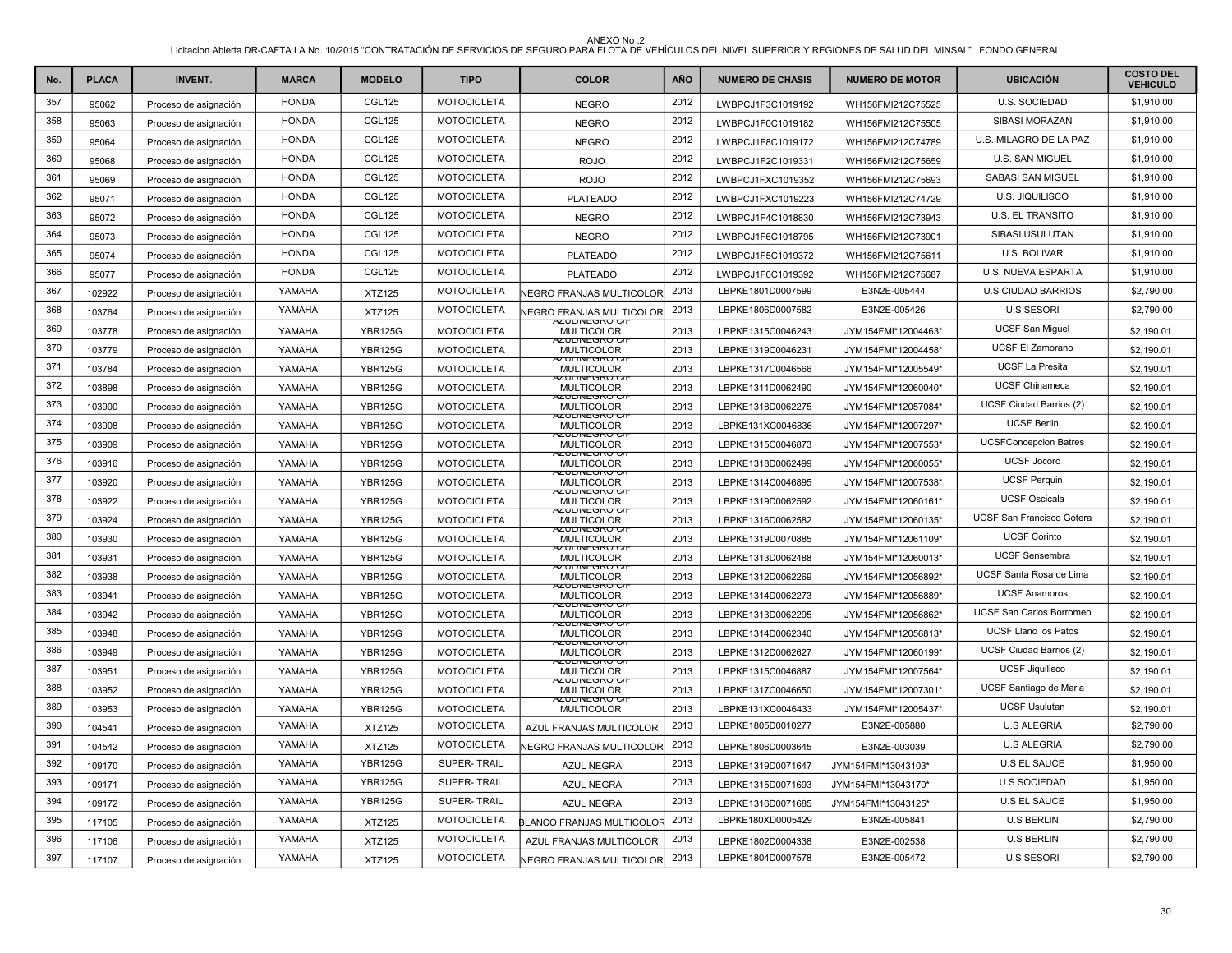| No. | <b>PLACA</b> | <b>INVENT.</b>        | <b>MARCA</b> | <b>MODELO</b>  | <b>TIPO</b>        | <b>COLOR</b>                                 | AÑO  | <b>NUMERO DE CHASIS</b> | <b>NUMERO DE MOTOR</b> | <b>UBICACIÓN</b>                 | <b>COSTO DEL</b><br><b>VEHICULO</b> |
|-----|--------------|-----------------------|--------------|----------------|--------------------|----------------------------------------------|------|-------------------------|------------------------|----------------------------------|-------------------------------------|
| 357 | 95062        | Proceso de asignación | <b>HONDA</b> | <b>CGL125</b>  | <b>MOTOCICLETA</b> | <b>NEGRO</b>                                 | 2012 | LWBPCJ1F3C1019192       | WH156FMI212C75525      | U.S. SOCIEDAD                    | \$1,910.00                          |
| 358 | 95063        | Proceso de asignación | <b>HONDA</b> | <b>CGL125</b>  | <b>MOTOCICLETA</b> | <b>NEGRO</b>                                 | 2012 | LWBPCJ1F0C1019182       | WH156FMI212C75505      | SIBASI MORAZAN                   | \$1,910.00                          |
| 359 | 95064        | Proceso de asignación | <b>HONDA</b> | <b>CGL125</b>  | <b>MOTOCICLETA</b> | <b>NEGRO</b>                                 | 2012 | LWBPCJ1F8C1019172       | WH156FMI212C74789      | U.S. MILAGRO DE LA PAZ           | \$1,910.00                          |
| 360 | 95068        | Proceso de asignación | <b>HONDA</b> | <b>CGL125</b>  | <b>MOTOCICLETA</b> | <b>ROJO</b>                                  | 2012 | LWBPCJ1F2C1019331       | WH156FMI212C75659      | U.S. SAN MIGUEL                  | \$1,910.00                          |
| 361 | 95069        | Proceso de asignación | <b>HONDA</b> | <b>CGL125</b>  | <b>MOTOCICLETA</b> | <b>ROJO</b>                                  | 2012 | LWBPCJ1FXC1019352       | WH156FMI212C75693      | SABASI SAN MIGUEL                | \$1,910.00                          |
| 362 | 95071        | Proceso de asignación | <b>HONDA</b> | <b>CGL125</b>  | <b>MOTOCICLETA</b> | <b>PLATEADO</b>                              | 2012 | LWBPCJ1FXC1019223       | WH156FMI212C74729      | U.S. JIQUILISCO                  | \$1,910.00                          |
| 363 | 95072        | Proceso de asignación | <b>HONDA</b> | <b>CGL125</b>  | <b>MOTOCICLETA</b> | <b>NEGRO</b>                                 | 2012 | LWBPCJ1F4C1018830       | WH156FMI212C73943      | <b>U.S. EL TRANSITO</b>          | \$1,910.00                          |
| 364 | 95073        | Proceso de asignación | <b>HONDA</b> | <b>CGL125</b>  | <b>MOTOCICLETA</b> | <b>NEGRO</b>                                 | 2012 | LWBPCJ1F6C1018795       | WH156FMI212C73901      | SIBASI USULUTAN                  | \$1,910.00                          |
| 365 | 95074        | Proceso de asignación | <b>HONDA</b> | <b>CGL125</b>  | <b>MOTOCICLETA</b> | <b>PLATEADO</b>                              | 2012 | LWBPCJ1F5C1019372       | WH156FMI212C75611      | U.S. BOLIVAR                     | \$1,910.00                          |
| 366 | 95077        | Proceso de asignación | <b>HONDA</b> | <b>CGL125</b>  | <b>MOTOCICLETA</b> | <b>PLATEADO</b>                              | 2012 | LWBPCJ1F0C1019392       | WH156FMI212C75687      | U.S. NUEVA ESPARTA               | \$1,910.00                          |
| 367 | 102922       | Proceso de asignación | YAMAHA       | <b>XTZ125</b>  | <b>MOTOCICLETA</b> | NEGRO FRANJAS MULTICOLOR                     | 2013 | LBPKE1801D0007599       | E3N2E-005444           | <b>U.S CIUDAD BARRIOS</b>        | \$2,790.00                          |
| 368 | 103764       | Proceso de asignación | YAMAHA       | <b>XTZ125</b>  | <b>MOTOCICLETA</b> | NEGRO FRANJAS MULTICOLOR                     | 2013 | LBPKE1806D0007582       | E3N2E-005426           | <b>U.S SESORI</b>                | \$2,790.00                          |
| 369 | 103778       | Proceso de asignación | YAMAHA       | <b>YBR125G</b> | <b>MOTOCICLETA</b> | <u>YZUL/INEGRU UZ</u><br><b>MULTICOLOR</b>   | 2013 | LBPKE1315C0046243       | JYM154FMI*12004463*    | <b>UCSF San Miguel</b>           | \$2,190.01                          |
| 370 | 103779       | Proceso de asignación | YAMAHA       | <b>YBR125G</b> | <b>MOTOCICLETA</b> | 4ZUL/INEGRU G<br><b>MULTICOLOR</b>           | 2013 | LBPKE1319C0046231       | JYM154FMI*12004458*    | UCSF El Zamorano                 | \$2,190.01                          |
| 371 | 103784       | Proceso de asignación | YAMAHA       | <b>YBR125G</b> | <b>MOTOCICLETA</b> | 920L/NEGRO G<br><b>MULTICOLOR</b>            | 2013 | LBPKE1317C0046566       | JYM154FMI*12005549*    | <b>UCSF La Presita</b>           | \$2,190.01                          |
| 372 | 103898       | Proceso de asignación | YAMAHA       | <b>YBR125G</b> | <b>MOTOCICLETA</b> | AZUL/INEGRU U/<br><b>MULTICOLOR</b>          | 2013 | LBPKE1311D0062490       | JYM154FMI*12060040*    | <b>UCSF Chinameca</b>            | \$2,190.01                          |
| 373 | 103900       | Proceso de asignación | YAMAHA       | <b>YBR125G</b> | <b>MOTOCICLETA</b> | KUL/INEGRU G<br><b>MULTICOLOR</b>            | 2013 | LBPKE1318D0062275       | JYM154FMI*12057084*    | UCSF Ciudad Barrios (2)          | \$2,190.01                          |
| 374 | 103908       | Proceso de asignación | YAMAHA       | <b>YBR125G</b> | <b>MOTOCICLETA</b> | AZUL/INEGRU U/<br><b>MULTICOLOR</b>          | 2013 | LBPKE131XC0046836       | JYM154FMI*12007297*    | <b>UCSF Berlin</b>               | \$2,190.01                          |
| 375 | 103909       | Proceso de asignación | YAMAHA       | <b>YBR125G</b> | <b>MOTOCICLETA</b> | ע סאס אינטע<br><b>MULTICOLOR</b>             | 2013 | LBPKE1315C0046873       | JYM154FMI*12007553*    | <b>UCSFConcepcion Batres</b>     | \$2,190.01                          |
| 376 | 103916       | Proceso de asignación | YAMAHA       | <b>YBR125G</b> | <b>MOTOCICLETA</b> | AZUL/INEGRO G/<br><b>MULTICOLOR</b>          | 2013 | LBPKE1318D0062499       | JYM154FMI*12060055*    | <b>UCSF Jocoro</b>               | \$2,190.01                          |
| 377 | 103920       | Proceso de asignación | YAMAHA       | <b>YBR125G</b> | <b>MOTOCICLETA</b> | <b>ZUL/INEGRU G</b><br><b>MULTICOLOR</b>     | 2013 | LBPKE1314C0046895       | JYM154FMI*12007538*    | <b>UCSF Perquin</b>              | \$2,190.01                          |
| 378 | 103922       | Proceso de asignación | YAMAHA       | <b>YBR125G</b> | <b>MOTOCICLETA</b> | יתרוואבפוגם מי<br><b>MULTICOLOR</b>          | 2013 | LBPKE1319D0062592       | JYM154FMI*12060161*    | <b>UCSF Oscicala</b>             | \$2,190.01                          |
| 379 | 103924       | Proceso de asignación | YAMAHA       | <b>YBR125G</b> | <b>MOTOCICLETA</b> | <b>4ZUL/INEGRU G/</b><br><b>MULTICOLOR</b>   | 2013 | LBPKE1316D0062582       | JYM154FMI*12060135*    | <b>UCSF San Francisco Gotera</b> | \$2,190.01                          |
| 380 | 103930       | Proceso de asignación | YAMAHA       | <b>YBR125G</b> | <b>MOTOCICLETA</b> | <b>KZUL/INEGRU G</b><br><b>MULTICOLOR</b>    | 2013 | LBPKE1319D0070885       | JYM154FMI*12061109*    | <b>UCSF Corinto</b>              | \$2,190.01                          |
| 381 | 103931       | Proceso de asignación | YAMAHA       | <b>YBR125G</b> | <b>MOTOCICLETA</b> | YANTI TARA A<br><b>MULTICOLOR</b>            | 2013 | LBPKE1313D0062488       | JYM154FMI*12060013*    | <b>UCSF Sensembra</b>            | \$2,190.01                          |
| 382 | 103938       | Proceso de asignación | YAMAHA       | <b>YBR125G</b> | <b>MOTOCICLETA</b> | 920L/NEGRO G<br><b>MULTICOLOR</b>            | 2013 | LBPKE1312D0062269       | JYM154FMI*12056892*    | UCSF Santa Rosa de Lima          | \$2,190.01                          |
| 383 | 103941       | Proceso de asignación | YAMAHA       | <b>YBR125G</b> | <b>MOTOCICLETA</b> | <b>ZUL/INEGRU G</b><br><b>MULTICOLOR</b>     | 2013 | LBPKE1314D0062273       | JYM154FMI*12056889*    | <b>UCSF Anamoros</b>             | \$2,190.01                          |
| 384 | 103942       | Proceso de asignación | YAMAHA       | <b>YBR125G</b> | <b>MOTOCICLETA</b> | AZUL/INEGRU UI<br><b>MULTICOLOR</b>          | 2013 | LBPKE1313D0062295       | JYM154FMI*12056862*    | UCSF San Carlos Borromeo         | \$2,190.01                          |
| 385 | 103948       | Proceso de asignación | YAMAHA       | <b>YBR125G</b> | <b>MOTOCICLETA</b> | <u>YZUL/INEGRU C/</u><br><b>MULTICOLOR</b>   | 2013 | LBPKE1314D0062340       | JYM154FMI*12056813*    | <b>UCSF Llano los Patos</b>      | \$2,190.01                          |
| 386 | 103949       | Proceso de asignación | YAMAHA       | <b>YBR125G</b> | <b>MOTOCICLETA</b> | YZUL/INEGRU G/<br><b>MULTICOLOR</b>          | 2013 | LBPKE1312D0062627       | JYM154FMI*12060199*    | UCSF Ciudad Barrios (2)          | \$2,190.01                          |
| 387 | 103951       | Proceso de asignación | YAMAHA       | <b>YBR125G</b> | <b>MOTOCICLETA</b> | הבטבחזיבטולט <i>ט</i> ו<br><b>MULTICOLOR</b> | 2013 | LBPKE1315C0046887       | JYM154FMI*12007564*    | <b>UCSF Jiquilisco</b>           | \$2,190.01                          |
| 388 | 103952       | Proceso de asignación | YAMAHA       | <b>YBR125G</b> | <b>MOTOCICLETA</b> | 4ZUL/INEGRU G/I<br><b>MULTICOLOR</b>         | 2013 | LBPKE1317C0046650       | JYM154FMI*12007301*    | UCSF Santiago de Maria           | \$2,190.01                          |
| 389 | 103953       | Proceso de asignación | YAMAHA       | <b>YBR125G</b> | <b>MOTOCICLETA</b> | י <i>ו</i> ט טאט אינטרא<br><b>MULTICOLOR</b> | 2013 | LBPKE131XC0046433       | JYM154FMI*12005437*    | <b>UCSF Usulutan</b>             | \$2,190.01                          |
| 390 | 104541       | Proceso de asignación | YAMAHA       | <b>XTZ125</b>  | <b>MOTOCICLETA</b> | AZUL FRANJAS MULTICOLOR                      | 2013 | LBPKE1805D0010277       | E3N2E-005880           | <b>U.S ALEGRIA</b>               | \$2,790.00                          |
| 391 | 104542       | Proceso de asignación | YAMAHA       | <b>XTZ125</b>  | <b>MOTOCICLETA</b> | NEGRO FRANJAS MULTICOLOR                     | 2013 | LBPKE1806D0003645       | E3N2E-003039           | <b>U.S ALEGRIA</b>               | \$2,790.00                          |
| 392 | 109170       | Proceso de asignación | YAMAHA       | <b>YBR125G</b> | SUPER-TRAIL        | <b>AZUL NEGRA</b>                            | 2013 | LBPKE1319D0071647       | JYM154FMI*13043103*    | <b>U.S EL SAUCE</b>              | \$1,950.00                          |
| 393 | 109171       | Proceso de asignación | YAMAHA       | <b>YBR125G</b> | SUPER-TRAIL        | <b>AZUL NEGRA</b>                            | 2013 | LBPKE1315D0071693       | JYM154FMI*13043170*    | <b>U.S SOCIEDAD</b>              | \$1,950.00                          |
| 394 | 109172       | Proceso de asignación | YAMAHA       | <b>YBR125G</b> | <b>SUPER-TRAIL</b> | <b>AZUL NEGRA</b>                            | 2013 | LBPKE1316D0071685       | JYM154FMI*13043125*    | <b>U.S EL SAUCE</b>              | \$1,950.00                          |
| 395 | 117105       | Proceso de asignación | YAMAHA       | <b>XTZ125</b>  | <b>MOTOCICLETA</b> | BLANCO FRANJAS MULTICOLOR                    | 2013 | LBPKE180XD0005429       | E3N2E-005841           | <b>U.S BERLIN</b>                | \$2,790.00                          |
| 396 | 117106       | Proceso de asignación | YAMAHA       | <b>XTZ125</b>  | <b>MOTOCICLETA</b> | AZUL FRANJAS MULTICOLOR                      | 2013 | LBPKE1802D0004338       | E3N2E-002538           | <b>U.S BERLIN</b>                | \$2,790.00                          |
| 397 | 117107       | Proceso de asignación | YAMAHA       | <b>XTZ125</b>  | <b>MOTOCICLETA</b> | NEGRO FRANJAS MULTICOLOR                     | 2013 | LBPKE1804D0007578       | E3N2E-005472           | <b>U.S SESORI</b>                | \$2,790.00                          |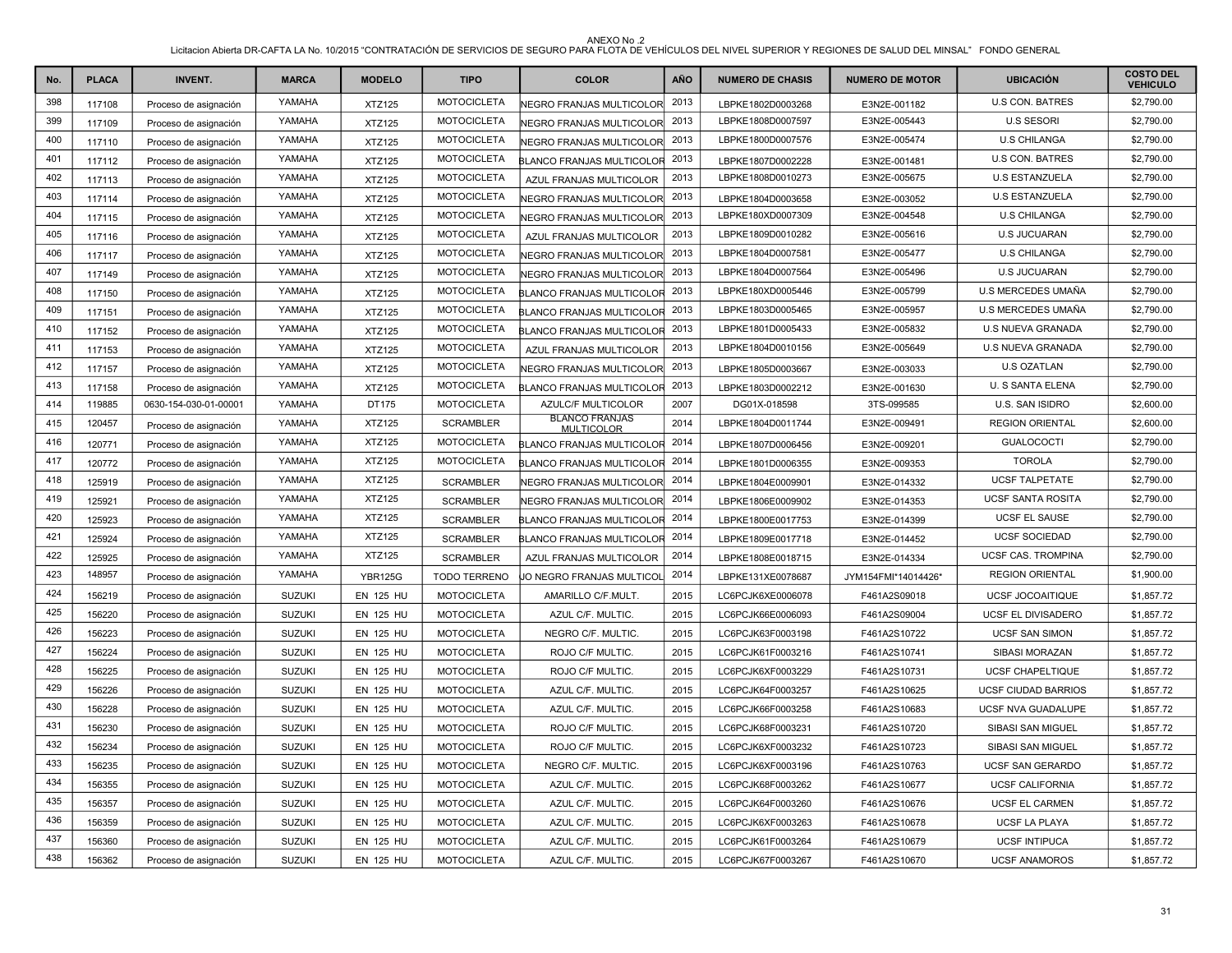| No. | <b>PLACA</b> | <b>INVENT.</b>        | <b>MARCA</b>  | <b>MODELO</b>    | <b>TIPO</b>         | <b>COLOR</b>                               | <b>AÑO</b> | <b>NUMERO DE CHASIS</b> | <b>NUMERO DE MOTOR</b> | <b>UBICACIÓN</b>           | <b>COSTO DEL</b><br><b>VEHICULO</b> |
|-----|--------------|-----------------------|---------------|------------------|---------------------|--------------------------------------------|------------|-------------------------|------------------------|----------------------------|-------------------------------------|
| 398 | 117108       | Proceso de asignación | YAMAHA        | <b>XTZ125</b>    | <b>MOTOCICLETA</b>  | <b>NEGRO FRANJAS MULTICOLOR</b>            | 2013       | LBPKE1802D0003268       | E3N2E-001182           | <b>U.S CON. BATRES</b>     | \$2,790.00                          |
| 399 | 117109       | Proceso de asignación | YAMAHA        | <b>XTZ125</b>    | <b>MOTOCICLETA</b>  | NEGRO FRANJAS MULTICOLOR                   | 2013       | LBPKE1808D0007597       | E3N2E-005443           | <b>U.S SESORI</b>          | \$2,790.00                          |
| 400 | 117110       | Proceso de asignación | YAMAHA        | <b>XTZ125</b>    | <b>MOTOCICLETA</b>  | NEGRO FRANJAS MULTICOLOR                   | 2013       | LBPKE1800D0007576       | E3N2E-005474           | <b>U.S CHILANGA</b>        | \$2,790.00                          |
| 401 | 117112       | Proceso de asignación | YAMAHA        | <b>XTZ125</b>    | <b>MOTOCICLETA</b>  | LANCO FRANJAS MULTICOLOR                   | 2013       | LBPKE1807D0002228       | E3N2E-001481           | <b>U.S CON. BATRES</b>     | \$2,790.00                          |
| 402 | 117113       | Proceso de asignación | YAMAHA        | <b>XTZ125</b>    | <b>MOTOCICLETA</b>  | AZUL FRANJAS MULTICOLOR                    | 2013       | LBPKE1808D0010273       | E3N2E-005675           | <b>U.S ESTANZUELA</b>      | \$2,790.00                          |
| 403 | 117114       | Proceso de asignación | YAMAHA        | <b>XTZ125</b>    | <b>MOTOCICLETA</b>  | <b>VEGRO FRANJAS MULTICOLOR</b>            | 2013       | LBPKE1804D0003658       | E3N2E-003052           | <b>U.S ESTANZUELA</b>      | \$2,790.00                          |
| 404 | 117115       | Proceso de asignación | YAMAHA        | <b>XTZ125</b>    | <b>MOTOCICLETA</b>  | NEGRO FRANJAS MULTICOLOR                   | 2013       | LBPKE180XD0007309       | E3N2E-004548           | <b>U.S CHILANGA</b>        | \$2,790.00                          |
| 405 | 117116       | Proceso de asignación | YAMAHA        | <b>XTZ125</b>    | <b>MOTOCICLETA</b>  | AZUL FRANJAS MULTICOLOR                    | 2013       | LBPKE1809D0010282       | E3N2E-005616           | <b>U.S JUCUARAN</b>        | \$2,790.00                          |
| 406 | 117117       | Proceso de asignación | YAMAHA        | <b>XTZ125</b>    | <b>MOTOCICLETA</b>  | <b>NEGRO FRANJAS MULTICOLOR</b>            | 2013       | LBPKE1804D0007581       | E3N2E-005477           | <b>U.S CHILANGA</b>        | \$2,790.00                          |
| 407 | 117149       | Proceso de asignación | YAMAHA        | <b>XTZ125</b>    | <b>MOTOCICLETA</b>  | NEGRO FRANJAS MULTICOLOR                   | 2013       | LBPKE1804D0007564       | E3N2E-005496           | <b>U.S JUCUARAN</b>        | \$2,790.00                          |
| 408 | 117150       | Proceso de asignación | YAMAHA        | <b>XTZ125</b>    | <b>MOTOCICLETA</b>  | BLANCO FRANJAS MULTICOLOR                  | 2013       | LBPKE180XD0005446       | E3N2E-005799           | U.S MERCEDES UMAÑA         | \$2,790.00                          |
| 409 | 117151       | Proceso de asignación | YAMAHA        | <b>XTZ125</b>    | <b>MOTOCICLETA</b>  | BLANCO FRANJAS MULTICOLOR                  | 2013       | LBPKE1803D0005465       | E3N2E-005957           | U.S MERCEDES UMAÑA         | \$2,790.00                          |
| 410 | 117152       | Proceso de asignación | YAMAHA        | <b>XTZ125</b>    | <b>MOTOCICLETA</b>  | <b>ILANCO FRANJAS MULTICOLOF</b>           | 2013       | LBPKE1801D0005433       | E3N2E-005832           | <b>U.S NUEVA GRANADA</b>   | \$2,790.00                          |
| 411 | 117153       | Proceso de asignación | YAMAHA        | <b>XTZ125</b>    | <b>MOTOCICLETA</b>  | AZUL FRANJAS MULTICOLOR                    | 2013       | LBPKE1804D0010156       | E3N2E-005649           | <b>U.S NUEVA GRANADA</b>   | \$2,790.00                          |
| 412 | 117157       | Proceso de asignación | YAMAHA        | <b>XTZ125</b>    | <b>MOTOCICLETA</b>  | <b>NEGRO FRANJAS MULTICOLOR</b>            | 2013       | LBPKE1805D0003667       | E3N2E-003033           | <b>U.S OZATLAN</b>         | \$2,790.00                          |
| 413 | 117158       | Proceso de asignación | YAMAHA        | <b>XTZ125</b>    | <b>MOTOCICLETA</b>  | BLANCO FRANJAS MULTICOLOR                  | 2013       | LBPKE1803D0002212       | E3N2E-001630           | <b>U. S SANTA ELENA</b>    | \$2,790.00                          |
| 414 | 119885       | 0630-154-030-01-00001 | YAMAHA        | DT175            | <b>MOTOCICLETA</b>  | <b>AZULC/F MULTICOLOR</b>                  | 2007       | DG01X-018598            | 3TS-099585             | <b>U.S. SAN ISIDRO</b>     | \$2,600.00                          |
| 415 | 120457       | Proceso de asignación | YAMAHA        | <b>XTZ125</b>    | <b>SCRAMBLER</b>    | <b>BLANCO FRANJAS</b><br><b>MULTICOLOR</b> | 2014       | LBPKE1804D0011744       | E3N2E-009491           | <b>REGION ORIENTAL</b>     | \$2,600.00                          |
| 416 | 120771       | Proceso de asignación | YAMAHA        | <b>XTZ125</b>    | <b>MOTOCICLETA</b>  | <b>BLANCO FRANJAS MULTICOLOF</b>           | 2014       | LBPKE1807D0006456       | E3N2E-009201           | <b>GUALOCOCTI</b>          | \$2,790.00                          |
| 417 | 120772       | Proceso de asignación | YAMAHA        | <b>XTZ125</b>    | <b>MOTOCICLETA</b>  | BLANCO FRANJAS MULTICOLOR                  | 2014       | LBPKE1801D0006355       | E3N2E-009353           | <b>TOROLA</b>              | \$2,790.00                          |
| 418 | 125919       | Proceso de asignación | YAMAHA        | <b>XTZ125</b>    | <b>SCRAMBLER</b>    | NEGRO FRANJAS MULTICOLOR                   | 2014       | LBPKE1804E0009901       | E3N2E-014332           | <b>UCSF TALPETATE</b>      | \$2,790.00                          |
| 419 | 125921       | Proceso de asignación | YAMAHA        | <b>XTZ125</b>    | <b>SCRAMBLER</b>    | NEGRO FRANJAS MULTICOLOR                   | 2014       | LBPKE1806E0009902       | E3N2E-014353           | <b>UCSF SANTA ROSITA</b>   | \$2,790.00                          |
| 420 | 125923       | Proceso de asignación | YAMAHA        | <b>XTZ125</b>    | <b>SCRAMBLER</b>    | BLANCO FRANJAS MULTICOLOR                  | 2014       | LBPKE1800E0017753       | E3N2E-014399           | <b>UCSF EL SAUSE</b>       | \$2,790.00                          |
| 421 | 125924       | Proceso de asignación | YAMAHA        | <b>XTZ125</b>    | <b>SCRAMBLER</b>    | BLANCO FRANJAS MULTICOLOR                  | 2014       | LBPKE1809E0017718       | E3N2E-014452           | <b>UCSF SOCIEDAD</b>       | \$2,790.00                          |
| 422 | 125925       | Proceso de asignación | YAMAHA        | <b>XTZ125</b>    | <b>SCRAMBLER</b>    | AZUL FRANJAS MULTICOLOR                    | 2014       | LBPKE1808E0018715       | E3N2E-014334           | UCSF CAS. TROMPINA         | \$2,790.00                          |
| 423 | 148957       | Proceso de asignación | YAMAHA        | <b>YBR125G</b>   | <b>TODO TERRENO</b> | JO NEGRO FRANJAS MULTICOL                  | 2014       | LBPKE131XE0078687       | JYM154FMI*14014426*    | <b>REGION ORIENTAL</b>     | \$1,900.00                          |
| 424 | 156219       | Proceso de asignación | <b>SUZUKI</b> | <b>EN 125 HU</b> | <b>MOTOCICLETA</b>  | AMARILLO C/F.MULT.                         | 2015       | LC6PCJK6XE0006078       | F461A2S09018           | <b>UCSF JOCOAITIQUE</b>    | \$1,857.72                          |
| 425 | 156220       | Proceso de asignación | <b>SUZUKI</b> | <b>EN 125 HU</b> | <b>MOTOCICLETA</b>  | AZUL C/F. MULTIC.                          | 2015       | LC6PCJK66E0006093       | F461A2S09004           | UCSF EL DIVISADERO         | \$1,857.72                          |
| 426 | 156223       | Proceso de asignación | <b>SUZUKI</b> | <b>EN 125 HU</b> | <b>MOTOCICLETA</b>  | NEGRO C/F. MULTIC.                         | 2015       | LC6PCJK63F0003198       | F461A2S10722           | <b>UCSF SAN SIMON</b>      | \$1,857.72                          |
| 427 | 156224       | Proceso de asignación | <b>SUZUKI</b> | <b>EN 125 HU</b> | <b>MOTOCICLETA</b>  | ROJO C/F MULTIC.                           | 2015       | LC6PCJK61F0003216       | F461A2S10741           | <b>SIBASI MORAZAN</b>      | \$1,857.72                          |
| 428 | 156225       | Proceso de asignación | <b>SUZUKI</b> | <b>EN 125 HU</b> | <b>MOTOCICLETA</b>  | ROJO C/F MULTIC.                           | 2015       | LC6PCJK6XF0003229       | F461A2S10731           | <b>UCSF CHAPELTIQUE</b>    | \$1,857.72                          |
| 429 | 156226       | Proceso de asignación | <b>SUZUKI</b> | <b>EN 125 HU</b> | <b>MOTOCICLETA</b>  | AZUL C/F. MULTIC.                          | 2015       | LC6PCJK64F0003257       | F461A2S10625           | <b>UCSF CIUDAD BARRIOS</b> | \$1,857.72                          |
| 430 | 156228       | Proceso de asignación | <b>SUZUKI</b> | <b>EN 125 HU</b> | <b>MOTOCICLETA</b>  | AZUL C/F. MULTIC.                          | 2015       | LC6PCJK66F0003258       | F461A2S10683           | UCSF NVA GUADALUPE         | \$1,857.72                          |
| 431 | 156230       | Proceso de asignación | <b>SUZUKI</b> | <b>EN 125 HU</b> | <b>MOTOCICLETA</b>  | ROJO C/F MULTIC.                           | 2015       | LC6PCJK68F0003231       | F461A2S10720           | SIBASI SAN MIGUEL          | \$1,857.72                          |
| 432 | 156234       | Proceso de asignación | <b>SUZUKI</b> | <b>EN 125 HU</b> | <b>MOTOCICLETA</b>  | ROJO C/F MULTIC.                           | 2015       | LC6PCJK6XF0003232       | F461A2S10723           | <b>SIBASI SAN MIGUEL</b>   | \$1,857.72                          |
| 433 | 156235       | Proceso de asignación | <b>SUZUKI</b> | <b>EN 125 HU</b> | <b>MOTOCICLETA</b>  | NEGRO C/F. MULTIC.                         | 2015       | LC6PCJK6XF0003196       | F461A2S10763           | UCSF SAN GERARDO           | \$1,857.72                          |
| 434 | 156355       | Proceso de asignación | <b>SUZUKI</b> | <b>EN 125 HU</b> | <b>MOTOCICLETA</b>  | AZUL C/F. MULTIC.                          | 2015       | LC6PCJK68F0003262       | F461A2S10677           | <b>UCSF CALIFORNIA</b>     | \$1,857.72                          |
| 435 | 156357       | Proceso de asignación | <b>SUZUKI</b> | <b>EN 125 HU</b> | <b>MOTOCICLETA</b>  | AZUL C/F. MULTIC.                          | 2015       | LC6PCJK64F0003260       | F461A2S10676           | <b>UCSF EL CARMEN</b>      | \$1,857.72                          |
| 436 | 156359       | Proceso de asignación | <b>SUZUKI</b> | <b>EN 125 HU</b> | <b>MOTOCICLETA</b>  | AZUL C/F. MULTIC.                          | 2015       | LC6PCJK6XF0003263       | F461A2S10678           | <b>UCSF LA PLAYA</b>       | \$1,857.72                          |
| 437 | 156360       | Proceso de asignación | <b>SUZUKI</b> | <b>EN 125 HU</b> | <b>MOTOCICLETA</b>  | AZUL C/F. MULTIC.                          | 2015       | LC6PCJK61F0003264       | F461A2S10679           | <b>UCSF INTIPUCA</b>       | \$1,857.72                          |
| 438 | 156362       | Proceso de asignación | <b>SUZUKI</b> | <b>EN 125 HU</b> | <b>MOTOCICLETA</b>  | AZUL C/F. MULTIC.                          | 2015       | LC6PCJK67F0003267       | F461A2S10670           | <b>UCSF ANAMOROS</b>       | \$1,857.72                          |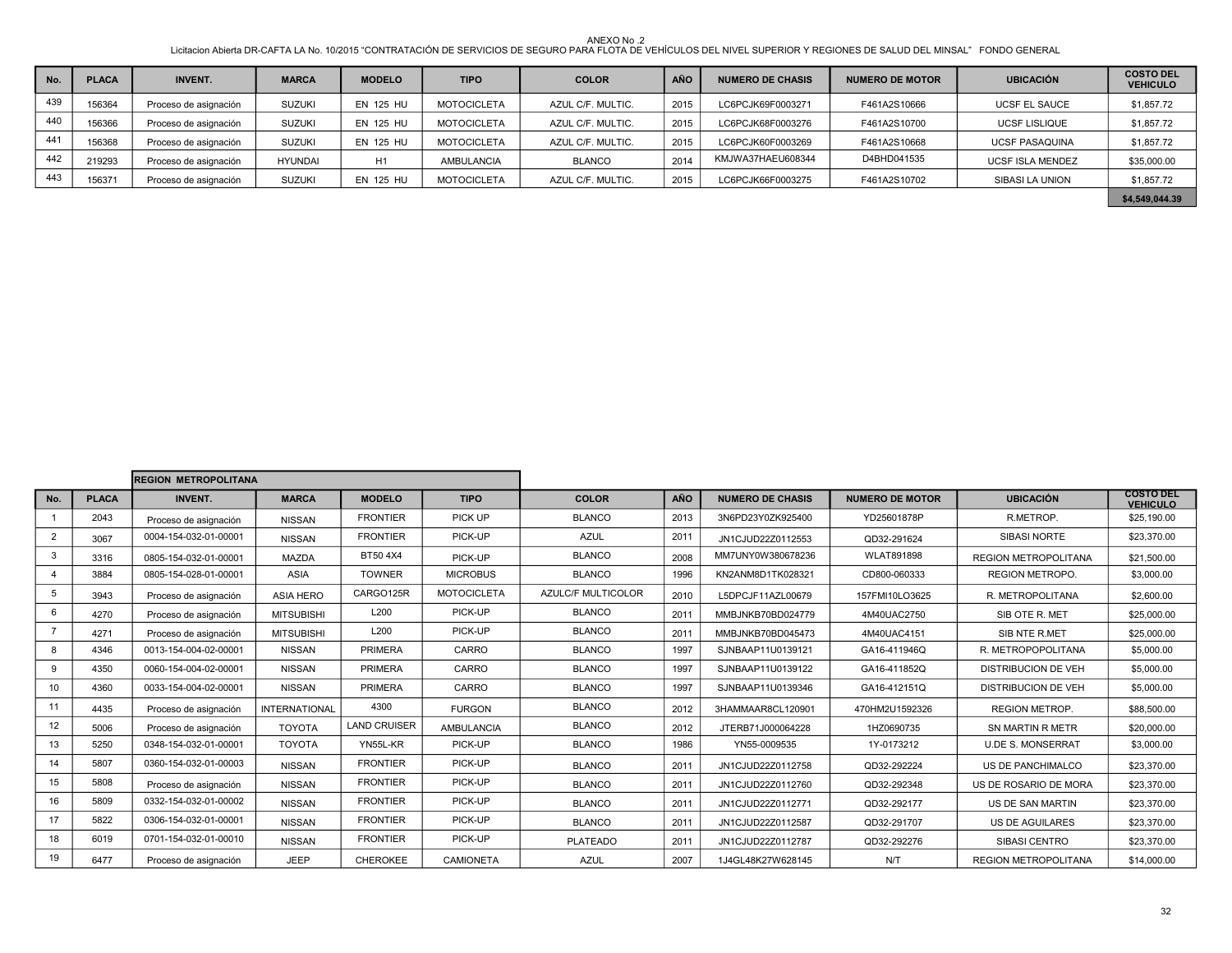| No. | <b>PLACA</b> | <b>INVENT.</b>        | <b>MARCA</b>   | <b>MODELO</b>    | <b>TIPO</b>        | <b>COLOR</b>      | <b>AÑO</b> | <b>NUMERO DE CHASIS</b> | <b>NUMERO DE MOTOR</b> | <b>UBICACIÓN</b>        | <b>COSTO DEL</b><br><b>VEHICULO</b> |
|-----|--------------|-----------------------|----------------|------------------|--------------------|-------------------|------------|-------------------------|------------------------|-------------------------|-------------------------------------|
| 439 | 156364       | Proceso de asignación | <b>SUZUKI</b>  | <b>EN 125 HU</b> | <b>MOTOCICLETA</b> | AZUL C/F. MULTIC. | 2015       | LC6PCJK69F0003271       | F461A2S10666           | <b>UCSF EL SAUCE</b>    | \$1,857.72                          |
| 440 | 156366       | Proceso de asignación | <b>SUZUKI</b>  | <b>EN 125 HU</b> | <b>MOTOCICLETA</b> | AZUL C/F. MULTIC. | 2015       | LC6PCJK68F0003276       | F461A2S10700           | <b>UCSF LISLIQUE</b>    | \$1,857.72                          |
| 441 | 156368       | Proceso de asignación | <b>SUZUKI</b>  | <b>EN 125 HU</b> | <b>MOTOCICLETA</b> | AZUL C/F. MULTIC. | 2015       | LC6PCJK60F0003269       | F461A2S10668           | <b>UCSF PASAQUINA</b>   | \$1,857.72                          |
| 442 | 219293       | Proceso de asignación | <b>HYUNDAI</b> | H1               | <b>AMBULANCIA</b>  | <b>BLANCO</b>     | 2014       | KMJWA37HAEU608344       | D4BHD041535            | <b>UCSF ISLA MENDEZ</b> | \$35,000.00                         |
| 443 | 156371       | Proceso de asignación | <b>SUZUKI</b>  | <b>EN 125 HU</b> | <b>MOTOCICLETA</b> | AZUL C/F. MULTIC. | 2015       | LC6PCJK66F0003275       | F461A2S10702           | SIBASI LA UNION         | \$1,857.72                          |
|     |              |                       |                |                  |                    |                   |            |                         |                        |                         | \$4,549,044.39                      |

|                         | <b>REGION METROPOLITANA</b> |                       |                      |                     |                    |                           |      |                         |                        |                             |                                     |
|-------------------------|-----------------------------|-----------------------|----------------------|---------------------|--------------------|---------------------------|------|-------------------------|------------------------|-----------------------------|-------------------------------------|
| No.                     | <b>PLACA</b>                | <b>INVENT.</b>        | <b>MARCA</b>         | <b>MODELO</b>       | <b>TIPO</b>        | <b>COLOR</b>              | AÑO  | <b>NUMERO DE CHASIS</b> | <b>NUMERO DE MOTOR</b> | <b>UBICACIÓN</b>            | <b>COSTO DEL</b><br><b>VEHICULO</b> |
|                         | 2043                        | Proceso de asignación | <b>NISSAN</b>        | <b>FRONTIER</b>     | PICK UP            | <b>BLANCO</b>             | 2013 | 3N6PD23Y0ZK925400       | YD25601878P            | R.METROP.                   | \$25,190.00                         |
| $\overline{2}$          | 3067                        | 0004-154-032-01-00001 | <b>NISSAN</b>        | <b>FRONTIER</b>     | PICK-UP            | <b>AZUL</b>               | 2011 | JN1CJUD22Z0112553       | QD32-291624            | <b>SIBASI NORTE</b>         | \$23,370.00                         |
| 3                       | 3316                        | 0805-154-032-01-00001 | <b>MAZDA</b>         | BT50 4X4            | PICK-UP            | <b>BLANCO</b>             | 2008 | MM7UNY0W380678236       | <b>WLAT891898</b>      | <b>REGION METROPOLITANA</b> | \$21,500.00                         |
| $\overline{\mathbf{4}}$ | 3884                        | 0805-154-028-01-00001 | <b>ASIA</b>          | <b>TOWNER</b>       | <b>MICROBUS</b>    | <b>BLANCO</b>             | 1996 | KN2ANM8D1TK028321       | CD800-060333           | <b>REGION METROPO.</b>      | \$3,000.00                          |
| 5                       | 3943                        | Proceso de asignación | <b>ASIA HERO</b>     | CARGO125R           | <b>MOTOCICLETA</b> | <b>AZULC/F MULTICOLOR</b> | 2010 | L5DPCJF11AZL00679       | 157FMI10LO3625         | R. METROPOLITANA            | \$2,600.00                          |
| 6                       | 4270                        | Proceso de asignación | <b>MITSUBISHI</b>    | L200                | PICK-UP            | <b>BLANCO</b>             | 2011 | MMBJNKB70BD024779       | 4M40UAC2750            | SIB OTE R. MET              | \$25,000.00                         |
|                         | 4271                        | Proceso de asignación | <b>MITSUBISHI</b>    | L200                | PICK-UP            | <b>BLANCO</b>             | 2011 | MMBJNKB70BD045473       | 4M40UAC4151            | SIB NTE R.MET               | \$25,000.00                         |
| 8                       | 4346                        | 0013-154-004-02-00001 | <b>NISSAN</b>        | <b>PRIMERA</b>      | CARRO              | <b>BLANCO</b>             | 1997 | SJNBAAP11U0139121       | GA16-411946Q           | R. METROPOPOLITANA          | \$5,000.00                          |
| 9                       | 4350                        | 0060-154-004-02-00001 | <b>NISSAN</b>        | <b>PRIMERA</b>      | CARRO              | <b>BLANCO</b>             | 1997 | SJNBAAP11U0139122       | GA16-411852Q           | <b>DISTRIBUCION DE VEH</b>  | \$5,000.00                          |
| 10                      | 4360                        | 0033-154-004-02-00001 | <b>NISSAN</b>        | PRIMERA             | CARRO              | <b>BLANCO</b>             | 1997 | SJNBAAP11U0139346       | GA16-412151Q           | <b>DISTRIBUCION DE VEH</b>  | \$5,000.00                          |
| 11                      | 4435                        | Proceso de asignación | <b>INTERNATIONAL</b> | 4300                | <b>FURGON</b>      | <b>BLANCO</b>             | 2012 | 3HAMMAAR8CL120901       | 470HM2U1592326         | <b>REGION METROP.</b>       | \$88,500.00                         |
| 12 <sup>2</sup>         | 5006                        | Proceso de asignación | <b>TOYOTA</b>        | <b>LAND CRUISER</b> | <b>AMBULANCIA</b>  | <b>BLANCO</b>             | 2012 | JTERB71J000064228       | 1HZ0690735             | SN MARTIN R METR            | \$20,000.00                         |
| 13                      | 5250                        | 0348-154-032-01-00001 | <b>TOYOTA</b>        | YN55L-KR            | PICK-UP            | <b>BLANCO</b>             | 1986 | YN55-0009535            | 1Y-0173212             | <b>U.DE S. MONSERRAT</b>    | \$3,000.00                          |
| 14                      | 5807                        | 0360-154-032-01-00003 | <b>NISSAN</b>        | <b>FRONTIER</b>     | PICK-UP            | <b>BLANCO</b>             | 2011 | JN1CJUD22Z0112758       | QD32-292224            | US DE PANCHIMALCO           | \$23,370.00                         |
| 15                      | 5808                        | Proceso de asignación | <b>NISSAN</b>        | <b>FRONTIER</b>     | PICK-UP            | <b>BLANCO</b>             | 2011 | JN1CJUD22Z0112760       | QD32-292348            | US DE ROSARIO DE MORA       | \$23,370.00                         |
| 16                      | 5809                        | 0332-154-032-01-00002 | <b>NISSAN</b>        | <b>FRONTIER</b>     | PICK-UP            | <b>BLANCO</b>             | 2011 | JN1CJUD22Z0112771       | QD32-292177            | US DE SAN MARTIN            | \$23,370.00                         |
| 17                      | 5822                        | 0306-154-032-01-00001 | <b>NISSAN</b>        | <b>FRONTIER</b>     | PICK-UP            | <b>BLANCO</b>             | 2011 | JN1CJUD22Z0112587       | QD32-291707            | <b>US DE AGUILARES</b>      | \$23,370.00                         |
| 18                      | 6019                        | 0701-154-032-01-00010 | <b>NISSAN</b>        | <b>FRONTIER</b>     | PICK-UP            | <b>PLATEADO</b>           | 2011 | JN1CJUD22Z0112787       | QD32-292276            | SIBASI CENTRO               | \$23,370.00                         |
| 19                      | 6477                        | Proceso de asignación | <b>JEEP</b>          | <b>CHEROKEE</b>     | <b>CAMIONETA</b>   | <b>AZUL</b>               | 2007 | 1J4GL48K27W628145       | N/T                    | <b>REGION METROPOLITANA</b> | \$14,000.00                         |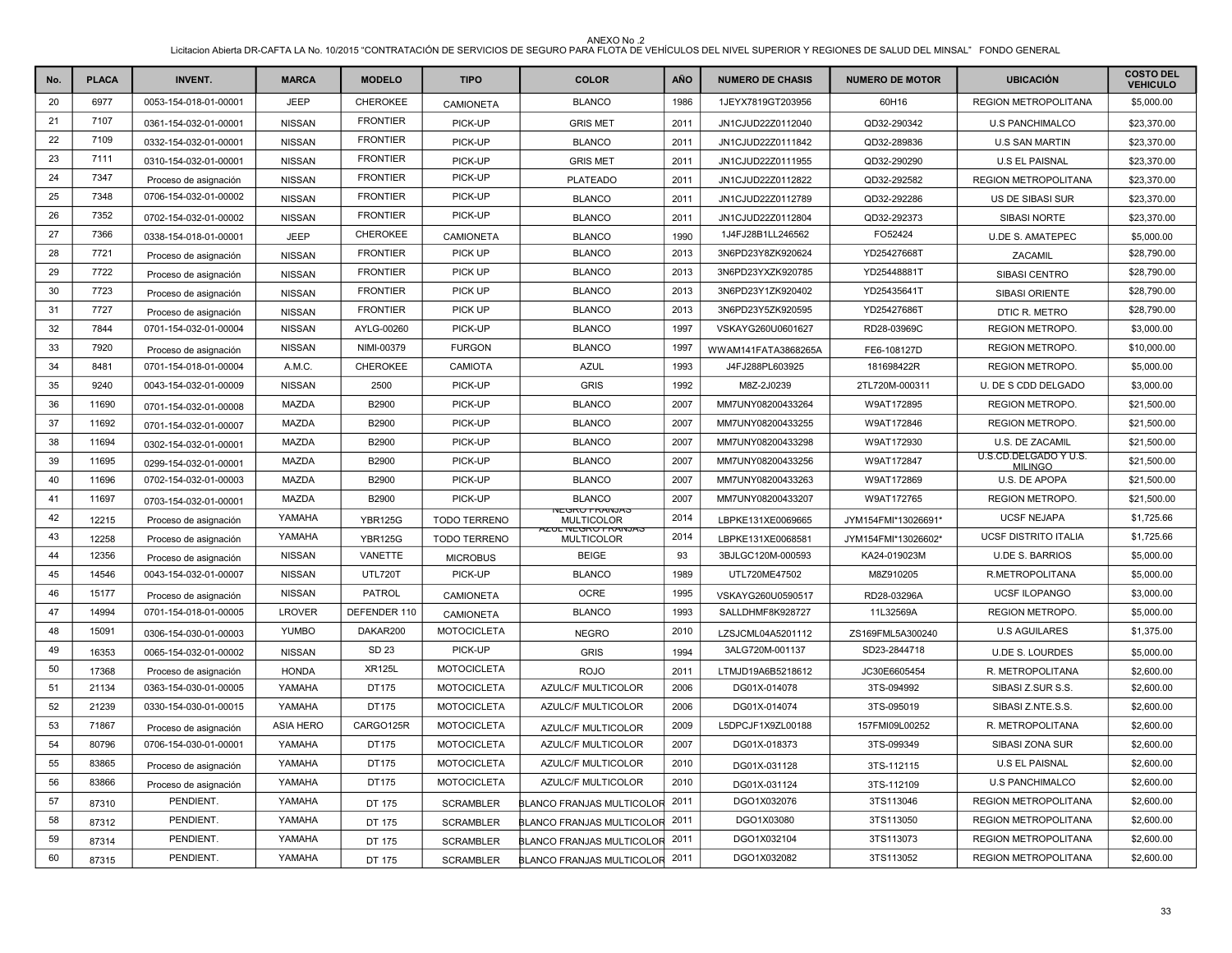| No. | <b>PLACA</b> | <b>INVENT.</b>        | <b>MARCA</b>     | <b>MODELO</b>   | <b>TIPO</b>         | <b>COLOR</b>                            | <b>AÑO</b> | <b>NUMERO DE CHASIS</b> | <b>NUMERO DE MOTOR</b> | <b>UBICACIÓN</b>                        | <b>COSTO DEL</b><br><b>VEHICULO</b> |
|-----|--------------|-----------------------|------------------|-----------------|---------------------|-----------------------------------------|------------|-------------------------|------------------------|-----------------------------------------|-------------------------------------|
| 20  | 6977         | 0053-154-018-01-00001 | <b>JEEP</b>      | CHEROKEE        | <b>CAMIONETA</b>    | <b>BLANCO</b>                           | 1986       | 1JEYX7819GT203956       | 60H16                  | <b>REGION METROPOLITANA</b>             | \$5,000.00                          |
| 21  | 7107         | 0361-154-032-01-00001 | <b>NISSAN</b>    | <b>FRONTIER</b> | PICK-UP             | <b>GRIS MET</b>                         | 2011       | JN1CJUD22Z0112040       | QD32-290342            | <b>U.S PANCHIMALCO</b>                  | \$23,370.00                         |
| 22  | 7109         | 0332-154-032-01-00001 | <b>NISSAN</b>    | <b>FRONTIER</b> | PICK-UP             | <b>BLANCO</b>                           | 2011       | JN1CJUD22Z0111842       | QD32-289836            | <b>U.S SAN MARTIN</b>                   | \$23,370.00                         |
| 23  | 7111         | 0310-154-032-01-00001 | <b>NISSAN</b>    | <b>FRONTIER</b> | PICK-UP             | <b>GRIS MET</b>                         | 2011       | JN1CJUD22Z0111955       | QD32-290290            | <b>U.S EL PAISNAL</b>                   | \$23,370.00                         |
| 24  | 7347         | Proceso de asignación | <b>NISSAN</b>    | <b>FRONTIER</b> | PICK-UP             | <b>PLATEADO</b>                         | 2011       | JN1CJUD22Z0112822       | QD32-292582            | <b>REGION METROPOLITANA</b>             | \$23,370.00                         |
| 25  | 7348         | 0706-154-032-01-00002 | <b>NISSAN</b>    | <b>FRONTIER</b> | PICK-UP             | <b>BLANCO</b>                           | 2011       | JN1CJUD22Z0112789       | QD32-292286            | US DE SIBASI SUR                        | \$23,370.00                         |
| 26  | 7352         | 0702-154-032-01-00002 | <b>NISSAN</b>    | <b>FRONTIER</b> | PICK-UP             | <b>BLANCO</b>                           | 2011       | JN1CJUD22Z0112804       | QD32-292373            | SIBASI NORTE                            | \$23,370.00                         |
| 27  | 7366         | 0338-154-018-01-00001 | <b>JEEP</b>      | CHEROKEE        | <b>CAMIONETA</b>    | <b>BLANCO</b>                           | 1990       | 1J4FJ28B1LL246562       | FO52424                | <b>U.DE S. AMATEPEC</b>                 | \$5,000.00                          |
| 28  | 7721         | Proceso de asignación | <b>NISSAN</b>    | <b>FRONTIER</b> | PICK UP             | <b>BLANCO</b>                           | 2013       | 3N6PD23Y8ZK920624       | YD25427668T            | ZACAMIL                                 | \$28,790.00                         |
| 29  | 7722         | Proceso de asignación | <b>NISSAN</b>    | <b>FRONTIER</b> | PICK UP             | <b>BLANCO</b>                           | 2013       | 3N6PD23YXZK920785       | YD25448881T            | SIBASI CENTRO                           | \$28,790.00                         |
| 30  | 7723         | Proceso de asignación | <b>NISSAN</b>    | <b>FRONTIER</b> | PICK UP             | <b>BLANCO</b>                           | 2013       | 3N6PD23Y1ZK920402       | YD25435641T            | <b>SIBASI ORIENTE</b>                   | \$28,790.00                         |
| 31  | 7727         | Proceso de asignación | <b>NISSAN</b>    | <b>FRONTIER</b> | PICK UP             | <b>BLANCO</b>                           | 2013       | 3N6PD23Y5ZK920595       | YD25427686T            | DTIC R. METRO                           | \$28,790.00                         |
| 32  | 7844         | 0701-154-032-01-00004 | <b>NISSAN</b>    | AYLG-00260      | PICK-UP             | <b>BLANCO</b>                           | 1997       | VSKAYG260U0601627       | RD28-03969C            | <b>REGION METROPO.</b>                  | \$3,000.00                          |
| 33  | 7920         | Proceso de asignación | <b>NISSAN</b>    | NIMI-00379      | <b>FURGON</b>       | <b>BLANCO</b>                           | 1997       | WWAM141FATA3868265A     | FE6-108127D            | <b>REGION METROPO.</b>                  | \$10,000.00                         |
| 34  | 8481         | 0701-154-018-01-00004 | A.M.C.           | CHEROKEE        | CAMIOTA             | <b>AZUL</b>                             | 1993       | J4FJ288PL603925         | 181698422R             | <b>REGION METROPO.</b>                  | \$5,000.00                          |
| 35  | 9240         | 0043-154-032-01-00009 | <b>NISSAN</b>    | 2500            | PICK-UP             | <b>GRIS</b>                             | 1992       | M8Z-2J0239              | 2TL720M-000311         | U. DE S CDD DELGADO                     | \$3,000.00                          |
| 36  | 11690        | 0701-154-032-01-00008 | <b>MAZDA</b>     | B2900           | PICK-UP             | <b>BLANCO</b>                           | 2007       | MM7UNY08200433264       | W9AT172895             | <b>REGION METROPO.</b>                  | \$21,500.00                         |
| 37  | 11692        | 0701-154-032-01-00007 | <b>MAZDA</b>     | B2900           | PICK-UP             | <b>BLANCO</b>                           | 2007       | MM7UNY08200433255       | W9AT172846             | <b>REGION METROPO.</b>                  | \$21,500.00                         |
| 38  | 11694        | 0302-154-032-01-00001 | <b>MAZDA</b>     | B2900           | PICK-UP             | <b>BLANCO</b>                           | 2007       | MM7UNY08200433298       | W9AT172930             | U.S. DE ZACAMIL                         | \$21,500.00                         |
| 39  | 11695        | 0299-154-032-01-00001 | <b>MAZDA</b>     | B2900           | PICK-UP             | <b>BLANCO</b>                           | 2007       | MM7UNY08200433256       | W9AT172847             | U.S.CD.DELGADO Y U.S.<br><b>MILINGO</b> | \$21,500.00                         |
| 40  | 11696        | 0702-154-032-01-00003 | MAZDA            | B2900           | PICK-UP             | <b>BLANCO</b>                           | 2007       | MM7UNY08200433263       | W9AT172869             | U.S. DE APOPA                           | \$21,500.00                         |
| 41  | 11697        | 0703-154-032-01-00001 | MAZDA            | B2900           | PICK-UP             | <b>BLANCO</b>                           | 2007       | MM7UNY08200433207       | W9AT172765             | <b>REGION METROPO.</b>                  | \$21,500.00                         |
| 42  | 12215        | Proceso de asignación | YAMAHA           | <b>YBR125G</b>  | <b>TODO TERRENO</b> | NEGRU FRANJAS<br><b>MULTICOLOR</b>      | 2014       | LBPKE131XE0069665       | JYM154FMI*13026691*    | <b>UCSF NEJAPA</b>                      | \$1,725.66                          |
| 43  | 12258        | Proceso de asignación | YAMAHA           | <b>YBR125G</b>  | <b>TODO TERRENO</b> | AZUL NEGRU FRANJAS<br><b>MULTICOLOR</b> | 2014       | LBPKE131XE0068581       | JYM154FMI*13026602*    | <b>UCSF DISTRITO ITALIA</b>             | \$1,725.66                          |
| 44  | 12356        | Proceso de asignación | <b>NISSAN</b>    | VANETTE         | <b>MICROBUS</b>     | <b>BEIGE</b>                            | 93         | 3BJLGC120M-000593       | KA24-019023M           | <b>U.DE S. BARRIOS</b>                  | \$5,000.00                          |
| 45  | 14546        | 0043-154-032-01-00007 | <b>NISSAN</b>    | UTL720T         | PICK-UP             | <b>BLANCO</b>                           | 1989       | UTL720ME47502           | M8Z910205              | R.METROPOLITANA                         | \$5,000.00                          |
| 46  | 15177        | Proceso de asignación | <b>NISSAN</b>    | <b>PATROL</b>   | <b>CAMIONETA</b>    | <b>OCRE</b>                             | 1995       | VSKAYG260U0590517       | RD28-03296A            | UCSF ILOPANGO                           | \$3,000.00                          |
| 47  | 14994        | 0701-154-018-01-00005 | <b>LROVER</b>    | DEFENDER 110    | <b>CAMIONETA</b>    | <b>BLANCO</b>                           | 1993       | SALLDHMF8K928727        | 11L32569A              | <b>REGION METROPO.</b>                  | \$5,000.00                          |
| 48  | 15091        | 0306-154-030-01-00003 | <b>YUMBO</b>     | DAKAR200        | <b>MOTOCICLETA</b>  | <b>NEGRO</b>                            | 2010       | LZSJCML04A5201112       | ZS169FML5A300240       | <b>U.S AGUILARES</b>                    | \$1,375.00                          |
| 49  | 16353        | 0065-154-032-01-00002 | <b>NISSAN</b>    | SD 23           | PICK-UP             | <b>GRIS</b>                             | 1994       | 3ALG720M-001137         | SD23-2844718           | <b>U.DE S. LOURDES</b>                  | \$5,000.00                          |
| 50  | 17368        | Proceso de asignación | <b>HONDA</b>     | <b>XR125L</b>   | <b>MOTOCICLETA</b>  | <b>ROJO</b>                             | 2011       | LTMJD19A6B5218612       | JC30E6605454           | R. METROPOLITANA                        | \$2,600.00                          |
| 51  | 21134        | 0363-154-030-01-00005 | YAMAHA           | DT175           | <b>MOTOCICLETA</b>  | AZULC/F MULTICOLOR                      | 2006       | DG01X-014078            | 3TS-094992             | SIBASI Z.SUR S.S.                       | \$2,600.00                          |
| 52  | 21239        | 0330-154-030-01-00015 | YAMAHA           | DT175           | <b>MOTOCICLETA</b>  | AZULC/F MULTICOLOR                      | 2006       | DG01X-014074            | 3TS-095019             | SIBASI Z.NTE.S.S.                       | \$2,600.00                          |
| 53  | 71867        | Proceso de asignación | <b>ASIA HERO</b> | CARGO125R       | <b>MOTOCICLETA</b>  | <b>AZULC/F MULTICOLOR</b>               | 2009       | L5DPCJF1X9ZL00188       | 157FMI09L00252         | R. METROPOLITANA                        | \$2,600.00                          |
| 54  | 80796        | 0706-154-030-01-00001 | YAMAHA           | DT175           | <b>MOTOCICLETA</b>  | AZULC/F MULTICOLOR                      | 2007       | DG01X-018373            | 3TS-099349             | SIBASI ZONA SUR                         | \$2,600.00                          |
| 55  | 83865        | Proceso de asignación | YAMAHA           | DT175           | <b>MOTOCICLETA</b>  | AZULC/F MULTICOLOR                      | 2010       | DG01X-031128            | 3TS-112115             | <b>U.S EL PAISNAL</b>                   | \$2,600.00                          |
| 56  | 83866        | Proceso de asignación | YAMAHA           | DT175           | <b>MOTOCICLETA</b>  | AZULC/F MULTICOLOR                      | 2010       | DG01X-031124            | 3TS-112109             | <b>U.S PANCHIMALCO</b>                  | \$2,600.00                          |
| 57  | 87310        | PENDIENT.             | YAMAHA           | DT 175          | <b>SCRAMBLER</b>    | 2011<br>BLANCO FRANJAS MULTICOLOR       |            | DGO1X032076             | 3TS113046              | <b>REGION METROPOLITANA</b>             | \$2,600.00                          |
| 58  | 87312        | PENDIENT.             | YAMAHA           | DT 175          | <b>SCRAMBLER</b>    | BLANCO FRANJAS MULTICOLOR               | 2011       | DGO1X03080              | 3TS113050              | <b>REGION METROPOLITANA</b>             | \$2,600.00                          |
| 59  | 87314        | PENDIENT.             | YAMAHA           | DT 175          | <b>SCRAMBLER</b>    | BLANCO FRANJAS MULTICOLOR 2011          |            | DGO1X032104             | 3TS113073              | <b>REGION METROPOLITANA</b>             | \$2,600.00                          |
| 60  | 87315        | PENDIENT.             | YAMAHA           | DT 175          | <b>SCRAMBLER</b>    | BLANCO FRANJAS MULTICOLOR 2011          |            | DGO1X032082             | 3TS113052              | <b>REGION METROPOLITANA</b>             | \$2,600.00                          |